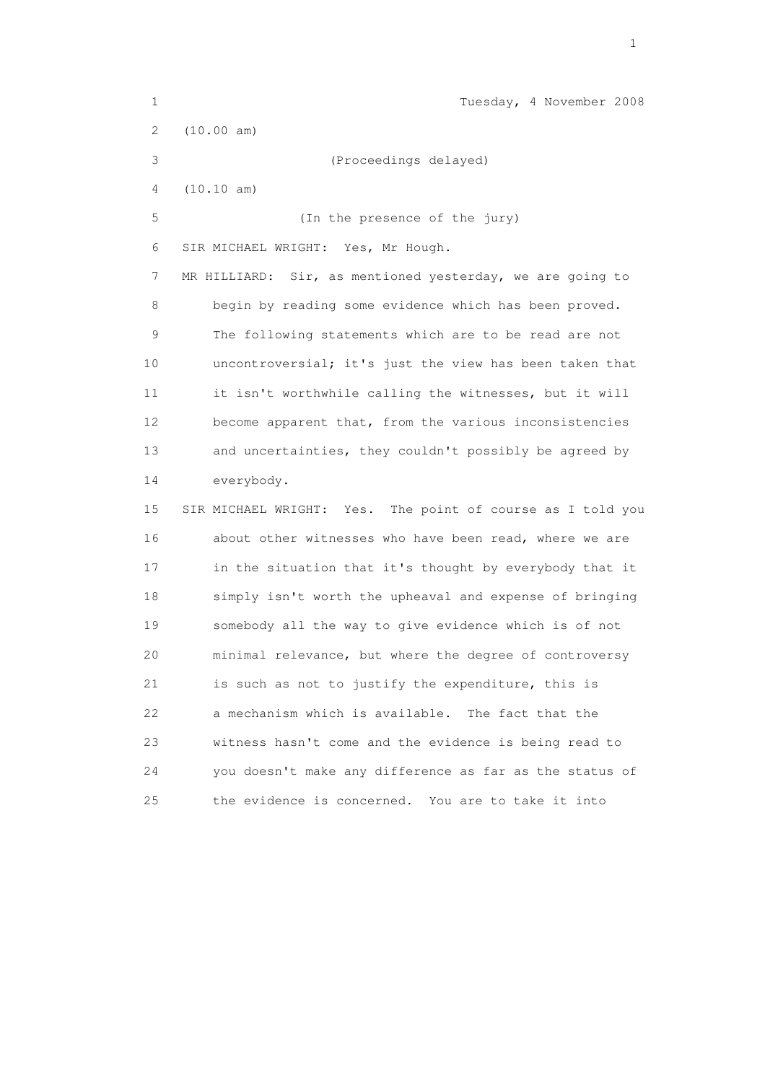| $\mathbf 1$    | Tuesday, 4 November 2008                                     |
|----------------|--------------------------------------------------------------|
| $\overline{2}$ | (10.00 am)                                                   |
| 3              | (Proceedings delayed)                                        |
| 4              | (10.10 am)                                                   |
| 5              | (In the presence of the jury)                                |
| 6              | SIR MICHAEL WRIGHT: Yes, Mr Hough.                           |
| 7              | Sir, as mentioned yesterday, we are going to<br>MR HILLIARD: |
| 8              | begin by reading some evidence which has been proved.        |
| 9              | The following statements which are to be read are not        |
| 10             | uncontroversial; it's just the view has been taken that      |
| 11             | it isn't worthwhile calling the witnesses, but it will       |
| 12             | become apparent that, from the various inconsistencies       |
| 13             | and uncertainties, they couldn't possibly be agreed by       |
| 14             | everybody.                                                   |
| 15             | SIR MICHAEL WRIGHT: Yes. The point of course as I told you   |
| 16             | about other witnesses who have been read, where we are       |
| 17             | in the situation that it's thought by everybody that it      |
| 18             | simply isn't worth the upheaval and expense of bringing      |
| 19             | somebody all the way to give evidence which is of not        |
| 20             | minimal relevance, but where the degree of controversy       |
| 21             | is such as not to justify the expenditure, this is           |
| 22             | a mechanism which is available.<br>The fact that the         |
| 23             | witness hasn't come and the evidence is being read to        |
| 24             | you doesn't make any difference as far as the status of      |
| 25             | the evidence is concerned.<br>You are to take it into        |

the contract of the contract of the contract of the contract of the contract of the contract of the contract of the contract of the contract of the contract of the contract of the contract of the contract of the contract o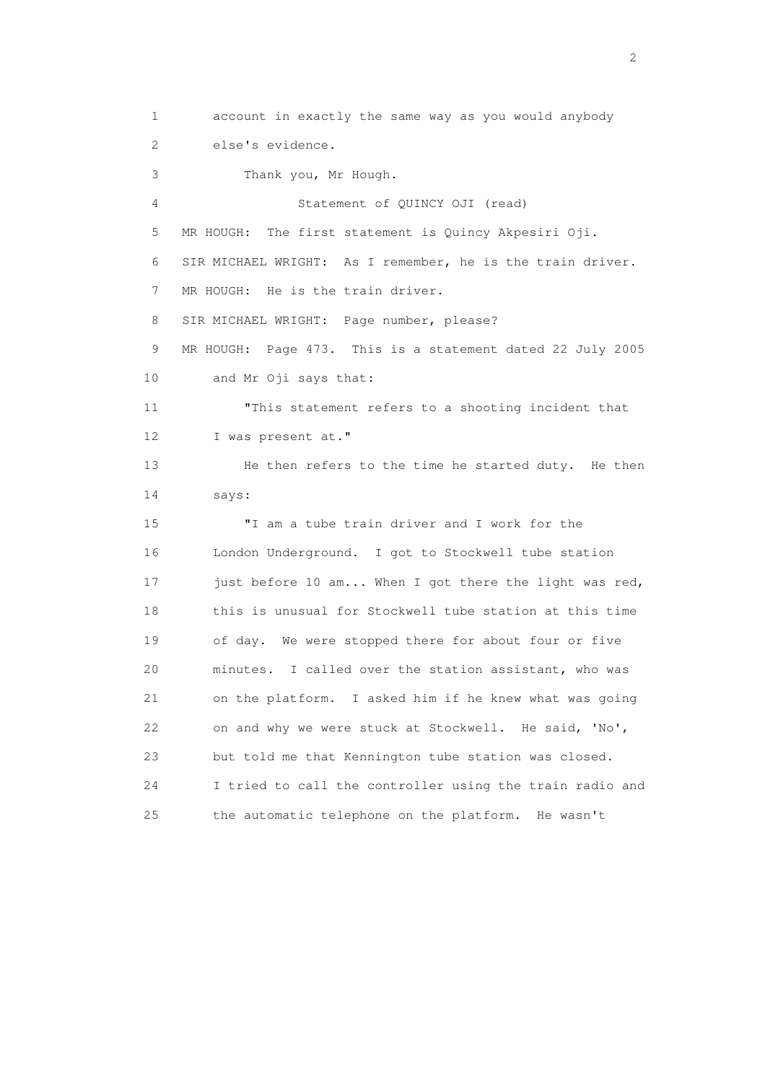1 account in exactly the same way as you would anybody 2 else's evidence. 3 Thank you, Mr Hough. 4 Statement of QUINCY OJI (read) 5 MR HOUGH: The first statement is Quincy Akpesiri Oji. 6 SIR MICHAEL WRIGHT: As I remember, he is the train driver. 7 MR HOUGH: He is the train driver. 8 SIR MICHAEL WRIGHT: Page number, please? 9 MR HOUGH: Page 473. This is a statement dated 22 July 2005 10 and Mr Oji says that: 11 "This statement refers to a shooting incident that 12 I was present at." 13 He then refers to the time he started duty. He then 14 says: 15 "I am a tube train driver and I work for the 16 London Underground. I got to Stockwell tube station 17 just before 10 am... When I got there the light was red, 18 this is unusual for Stockwell tube station at this time 19 of day. We were stopped there for about four or five 20 minutes. I called over the station assistant, who was 21 on the platform. I asked him if he knew what was going 22 on and why we were stuck at Stockwell. He said, 'No', 23 but told me that Kennington tube station was closed. 24 I tried to call the controller using the train radio and 25 the automatic telephone on the platform. He wasn't

 $\overline{2}$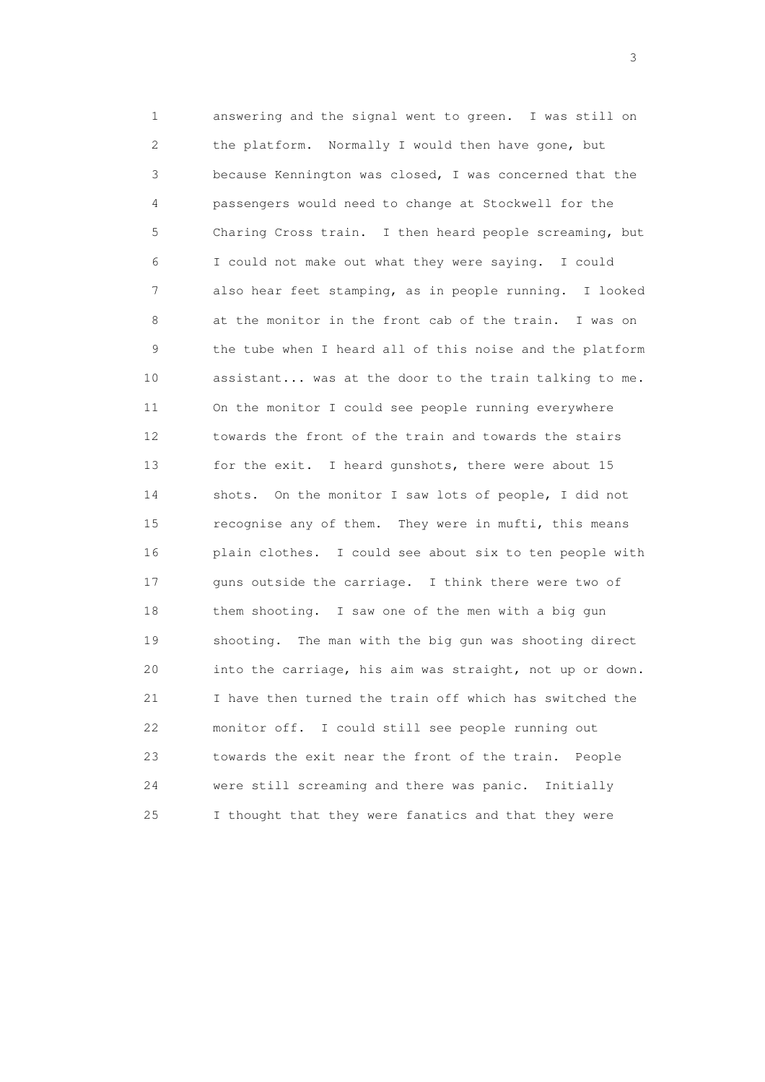1 answering and the signal went to green. I was still on 2 the platform. Normally I would then have gone, but 3 because Kennington was closed, I was concerned that the 4 passengers would need to change at Stockwell for the 5 Charing Cross train. I then heard people screaming, but 6 I could not make out what they were saying. I could 7 also hear feet stamping, as in people running. I looked 8 at the monitor in the front cab of the train. I was on 9 the tube when I heard all of this noise and the platform 10 assistant... was at the door to the train talking to me. 11 On the monitor I could see people running everywhere 12 towards the front of the train and towards the stairs 13 for the exit. I heard gunshots, there were about 15 14 shots. On the monitor I saw lots of people, I did not 15 recognise any of them. They were in mufti, this means 16 plain clothes. I could see about six to ten people with 17 guns outside the carriage. I think there were two of 18 them shooting. I saw one of the men with a big gun 19 shooting. The man with the big gun was shooting direct 20 into the carriage, his aim was straight, not up or down. 21 I have then turned the train off which has switched the 22 monitor off. I could still see people running out 23 towards the exit near the front of the train. People 24 were still screaming and there was panic. Initially 25 I thought that they were fanatics and that they were

 $\sim$  3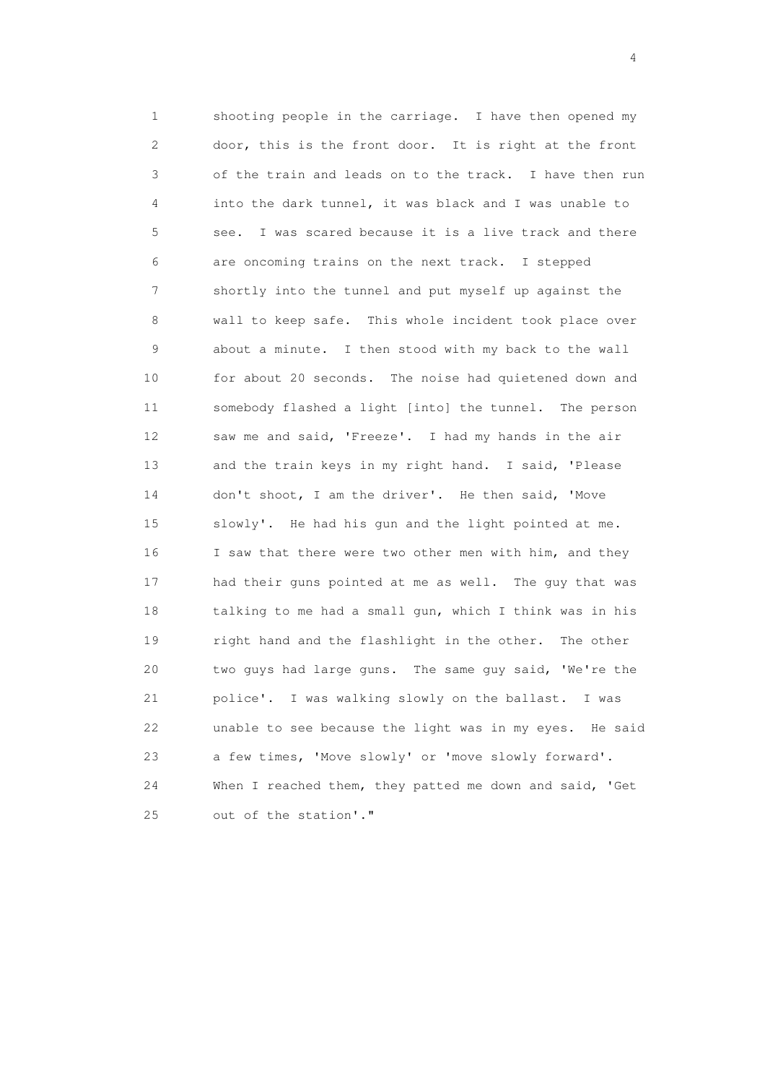1 shooting people in the carriage. I have then opened my 2 door, this is the front door. It is right at the front 3 of the train and leads on to the track. I have then run 4 into the dark tunnel, it was black and I was unable to 5 see. I was scared because it is a live track and there 6 are oncoming trains on the next track. I stepped 7 shortly into the tunnel and put myself up against the 8 wall to keep safe. This whole incident took place over 9 about a minute. I then stood with my back to the wall 10 for about 20 seconds. The noise had quietened down and 11 somebody flashed a light [into] the tunnel. The person 12 saw me and said, 'Freeze'. I had my hands in the air 13 and the train keys in my right hand. I said, 'Please 14 don't shoot, I am the driver'. He then said, 'Move 15 slowly'. He had his gun and the light pointed at me. 16 I saw that there were two other men with him, and they 17 had their guns pointed at me as well. The guy that was 18 talking to me had a small gun, which I think was in his 19 right hand and the flashlight in the other. The other 20 two guys had large guns. The same guy said, 'We're the 21 police'. I was walking slowly on the ballast. I was 22 unable to see because the light was in my eyes. He said 23 a few times, 'Move slowly' or 'move slowly forward'. 24 When I reached them, they patted me down and said, 'Get 25 out of the station'."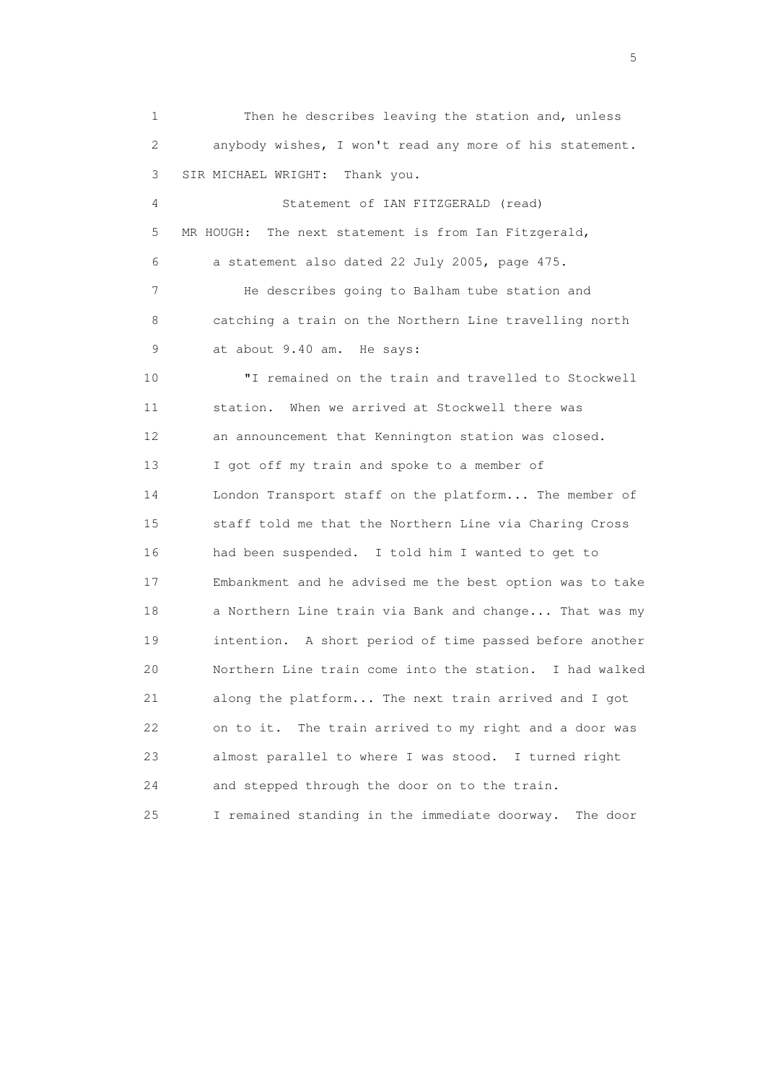1 Then he describes leaving the station and, unless 2 anybody wishes, I won't read any more of his statement. 3 SIR MICHAEL WRIGHT: Thank you. 4 Statement of IAN FITZGERALD (read) 5 MR HOUGH: The next statement is from Ian Fitzgerald, 6 a statement also dated 22 July 2005, page 475. 7 He describes going to Balham tube station and 8 catching a train on the Northern Line travelling north 9 at about 9.40 am. He says: 10 "I remained on the train and travelled to Stockwell 11 station. When we arrived at Stockwell there was 12 an announcement that Kennington station was closed. 13 I got off my train and spoke to a member of 14 London Transport staff on the platform... The member of 15 staff told me that the Northern Line via Charing Cross 16 had been suspended. I told him I wanted to get to 17 Embankment and he advised me the best option was to take 18 a Northern Line train via Bank and change... That was my 19 intention. A short period of time passed before another 20 Northern Line train come into the station. I had walked 21 along the platform... The next train arrived and I got 22 on to it. The train arrived to my right and a door was 23 almost parallel to where I was stood. I turned right 24 and stepped through the door on to the train. 25 I remained standing in the immediate doorway. The door

 $\sim$  5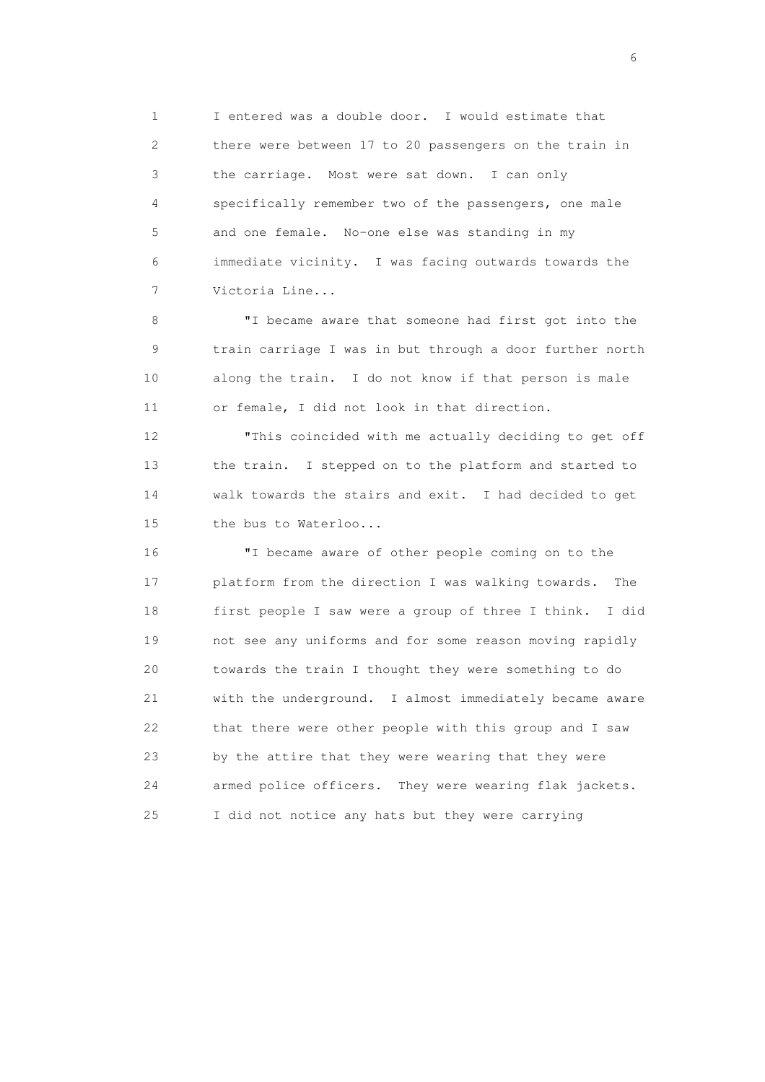1 I entered was a double door. I would estimate that 2 there were between 17 to 20 passengers on the train in 3 the carriage. Most were sat down. I can only 4 specifically remember two of the passengers, one male 5 and one female. No-one else was standing in my 6 immediate vicinity. I was facing outwards towards the 7 Victoria Line...

 8 "I became aware that someone had first got into the 9 train carriage I was in but through a door further north 10 along the train. I do not know if that person is male 11 or female, I did not look in that direction.

 12 "This coincided with me actually deciding to get off 13 the train. I stepped on to the platform and started to 14 walk towards the stairs and exit. I had decided to get 15 the bus to Waterloo...

 16 "I became aware of other people coming on to the 17 platform from the direction I was walking towards. The 18 first people I saw were a group of three I think. I did 19 not see any uniforms and for some reason moving rapidly 20 towards the train I thought they were something to do 21 with the underground. I almost immediately became aware 22 that there were other people with this group and I saw 23 by the attire that they were wearing that they were 24 armed police officers. They were wearing flak jackets. 25 I did not notice any hats but they were carrying

 $\sim$  6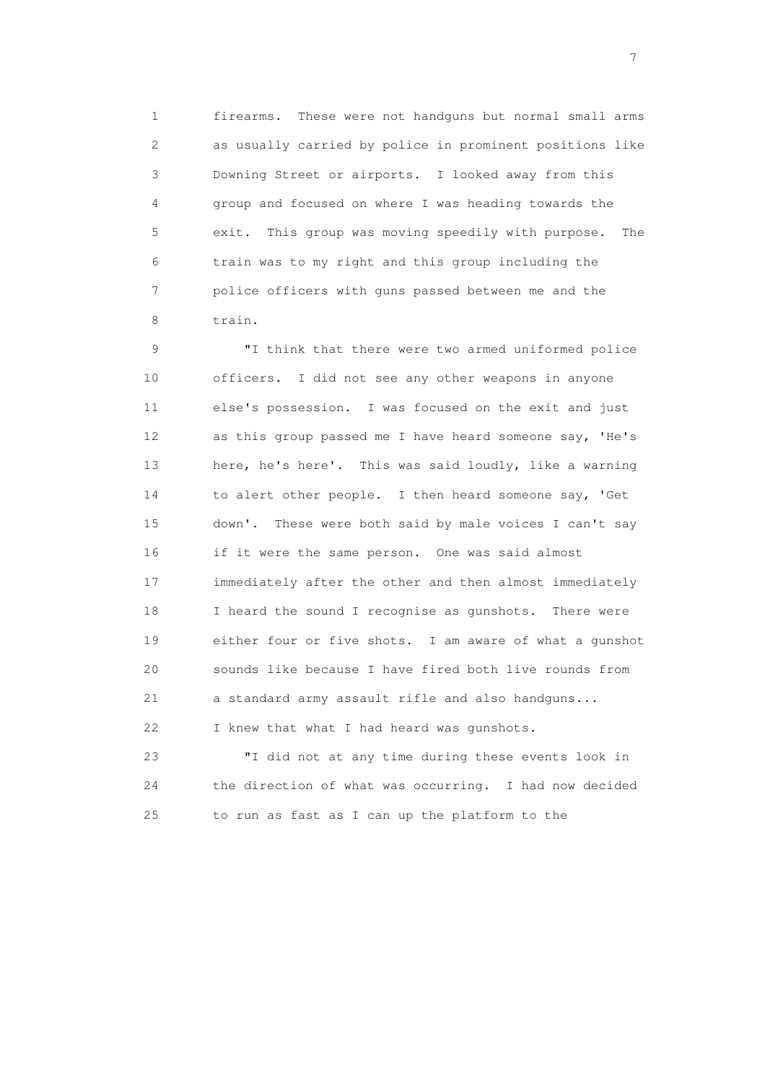1 firearms. These were not handguns but normal small arms 2 as usually carried by police in prominent positions like 3 Downing Street or airports. I looked away from this 4 group and focused on where I was heading towards the 5 exit. This group was moving speedily with purpose. The 6 train was to my right and this group including the 7 police officers with guns passed between me and the 8 train.

 9 "I think that there were two armed uniformed police 10 officers. I did not see any other weapons in anyone 11 else's possession. I was focused on the exit and just 12 as this group passed me I have heard someone say, 'He's 13 here, he's here'. This was said loudly, like a warning 14 to alert other people. I then heard someone say, 'Get 15 down'. These were both said by male voices I can't say 16 if it were the same person. One was said almost 17 immediately after the other and then almost immediately 18 I heard the sound I recognise as gunshots. There were 19 either four or five shots. I am aware of what a gunshot 20 sounds like because I have fired both live rounds from 21 a standard army assault rifle and also handguns... 22 I knew that what I had heard was gunshots.

 23 "I did not at any time during these events look in 24 the direction of what was occurring. I had now decided 25 to run as fast as I can up the platform to the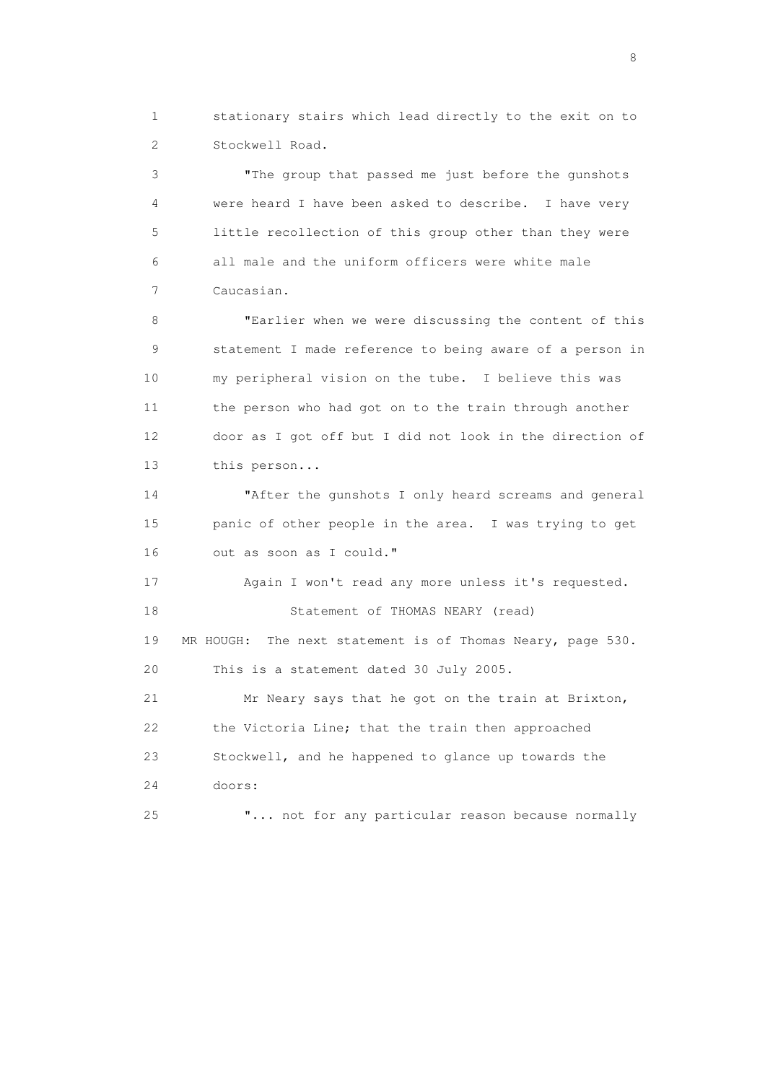1 stationary stairs which lead directly to the exit on to 2 Stockwell Road.

 3 "The group that passed me just before the gunshots 4 were heard I have been asked to describe. I have very 5 little recollection of this group other than they were 6 all male and the uniform officers were white male 7 Caucasian.

 8 "Earlier when we were discussing the content of this 9 statement I made reference to being aware of a person in 10 my peripheral vision on the tube. I believe this was 11 the person who had got on to the train through another 12 door as I got off but I did not look in the direction of 13 this person...

 14 "After the gunshots I only heard screams and general 15 panic of other people in the area. I was trying to get 16 out as soon as I could."

 17 Again I won't read any more unless it's requested. 18 Statement of THOMAS NEARY (read) 19 MR HOUGH: The next statement is of Thomas Neary, page 530. 20 This is a statement dated 30 July 2005. 21 Mr Neary says that he got on the train at Brixton, 22 the Victoria Line; that the train then approached

 23 Stockwell, and he happened to glance up towards the 24 doors:

25 "... not for any particular reason because normally

en de la construction de la construction de la construction de la construction de la construction de la constr<br>18 de juny : la construction de la construction de la construction de la construction de la construction de l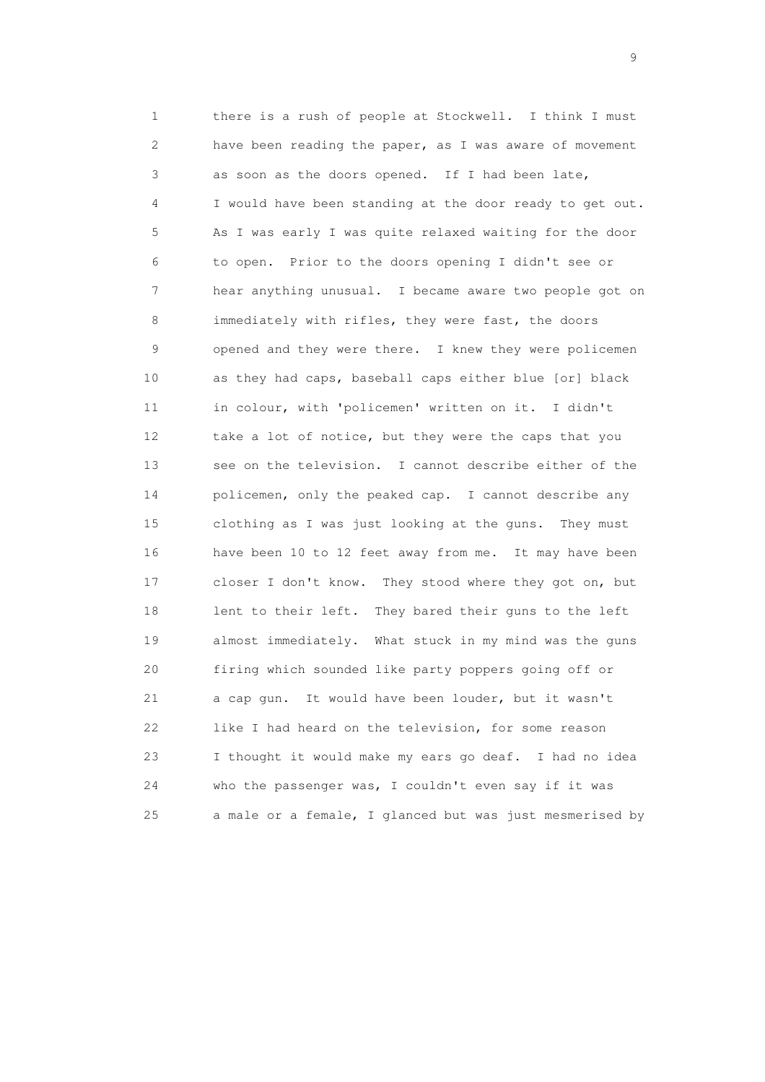1 there is a rush of people at Stockwell. I think I must 2 have been reading the paper, as I was aware of movement 3 as soon as the doors opened. If I had been late, 4 I would have been standing at the door ready to get out. 5 As I was early I was quite relaxed waiting for the door 6 to open. Prior to the doors opening I didn't see or 7 hear anything unusual. I became aware two people got on 8 immediately with rifles, they were fast, the doors 9 opened and they were there. I knew they were policemen 10 as they had caps, baseball caps either blue [or] black 11 in colour, with 'policemen' written on it. I didn't 12 take a lot of notice, but they were the caps that you 13 see on the television. I cannot describe either of the 14 policemen, only the peaked cap. I cannot describe any 15 clothing as I was just looking at the guns. They must 16 have been 10 to 12 feet away from me. It may have been 17 closer I don't know. They stood where they got on, but 18 lent to their left. They bared their guns to the left 19 almost immediately. What stuck in my mind was the guns 20 firing which sounded like party poppers going off or 21 a cap gun. It would have been louder, but it wasn't 22 like I had heard on the television, for some reason 23 I thought it would make my ears go deaf. I had no idea 24 who the passenger was, I couldn't even say if it was 25 a male or a female, I glanced but was just mesmerised by

en de la construction de la construction de la construction de la construction de la construction de la constr<br>1911 : la construction de la construction de la construction de la construction de la construction de la const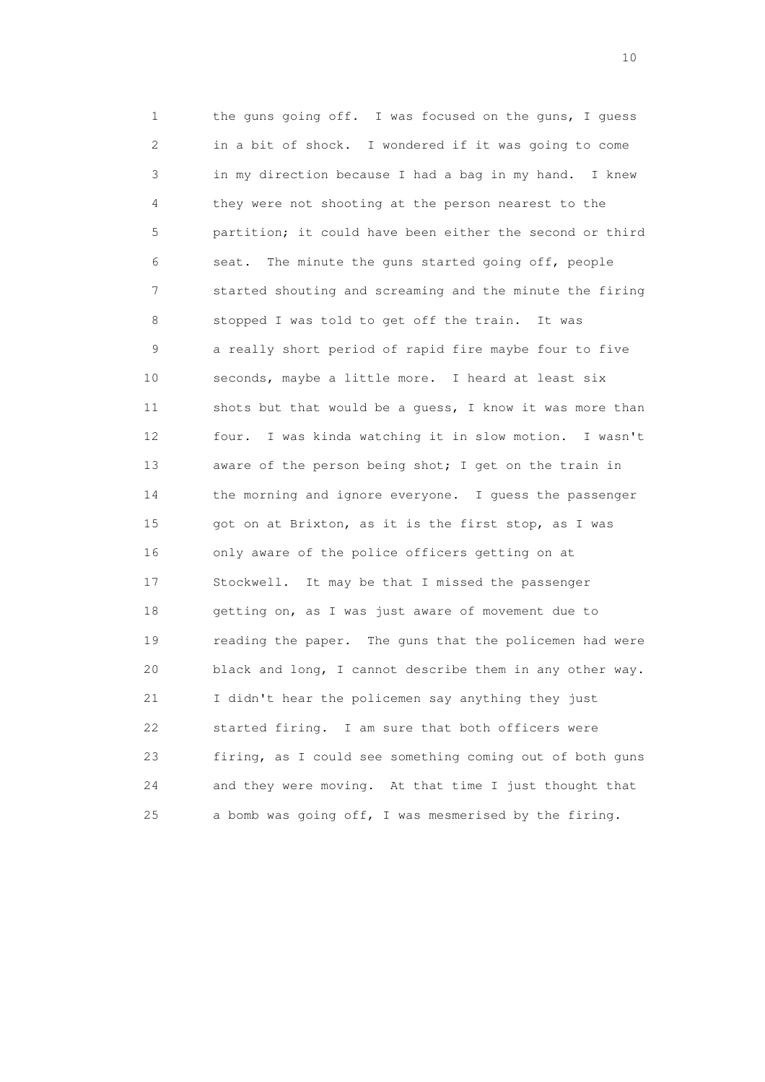1 the guns going off. I was focused on the guns, I guess 2 in a bit of shock. I wondered if it was going to come 3 in my direction because I had a bag in my hand. I knew 4 they were not shooting at the person nearest to the 5 partition; it could have been either the second or third 6 seat. The minute the guns started going off, people 7 started shouting and screaming and the minute the firing 8 stopped I was told to get off the train. It was 9 a really short period of rapid fire maybe four to five 10 seconds, maybe a little more. I heard at least six 11 shots but that would be a guess, I know it was more than 12 four. I was kinda watching it in slow motion. I wasn't 13 aware of the person being shot; I get on the train in 14 the morning and ignore everyone. I guess the passenger 15 got on at Brixton, as it is the first stop, as I was 16 only aware of the police officers getting on at 17 Stockwell. It may be that I missed the passenger 18 getting on, as I was just aware of movement due to 19 reading the paper. The guns that the policemen had were 20 black and long, I cannot describe them in any other way. 21 I didn't hear the policemen say anything they just 22 started firing. I am sure that both officers were 23 firing, as I could see something coming out of both guns 24 and they were moving. At that time I just thought that 25 a bomb was going off, I was mesmerised by the firing.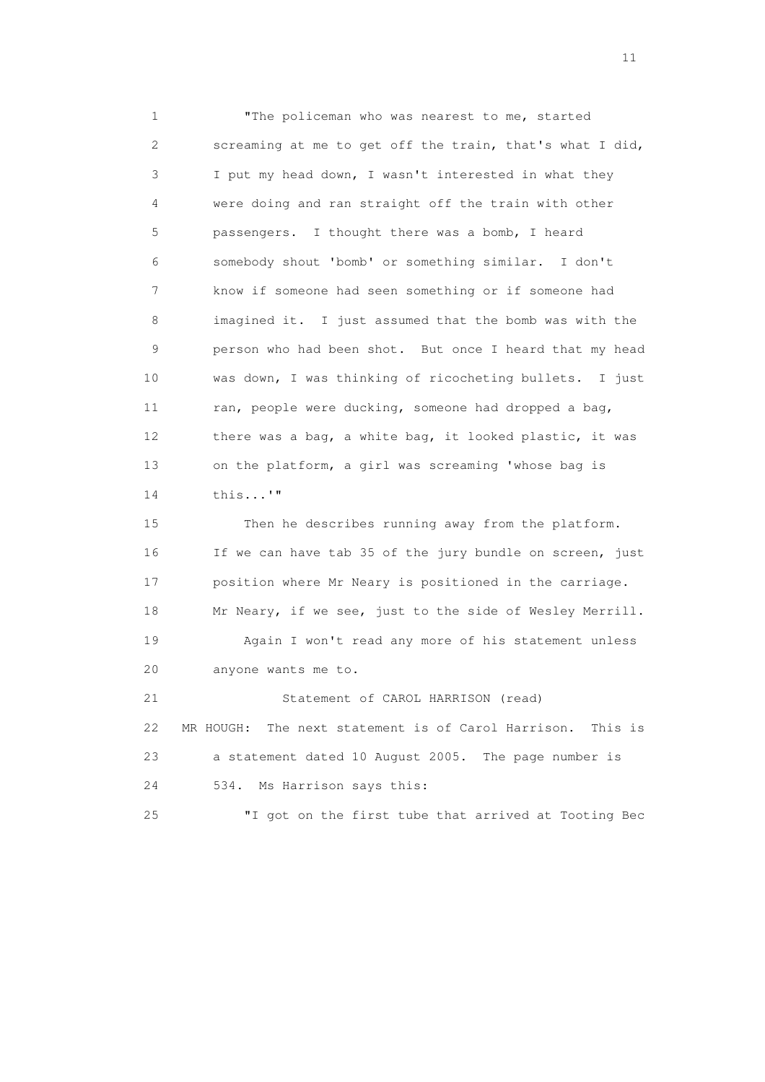1 "The policeman who was nearest to me, started 2 screaming at me to get off the train, that's what I did, 3 I put my head down, I wasn't interested in what they 4 were doing and ran straight off the train with other 5 passengers. I thought there was a bomb, I heard 6 somebody shout 'bomb' or something similar. I don't 7 know if someone had seen something or if someone had 8 imagined it. I just assumed that the bomb was with the 9 person who had been shot. But once I heard that my head 10 was down, I was thinking of ricocheting bullets. I just 11 ran, people were ducking, someone had dropped a bag, 12 there was a bag, a white bag, it looked plastic, it was 13 on the platform, a girl was screaming 'whose bag is 14 this...'"

 15 Then he describes running away from the platform. 16 If we can have tab 35 of the jury bundle on screen, just 17 position where Mr Neary is positioned in the carriage. 18 Mr Neary, if we see, just to the side of Wesley Merrill. 19 Again I won't read any more of his statement unless 20 anyone wants me to. 21 Statement of CAROL HARRISON (read) 22 MR HOUGH: The next statement is of Carol Harrison. This is 23 a statement dated 10 August 2005. The page number is 24 534. Ms Harrison says this:

25 "I got on the first tube that arrived at Tooting Bec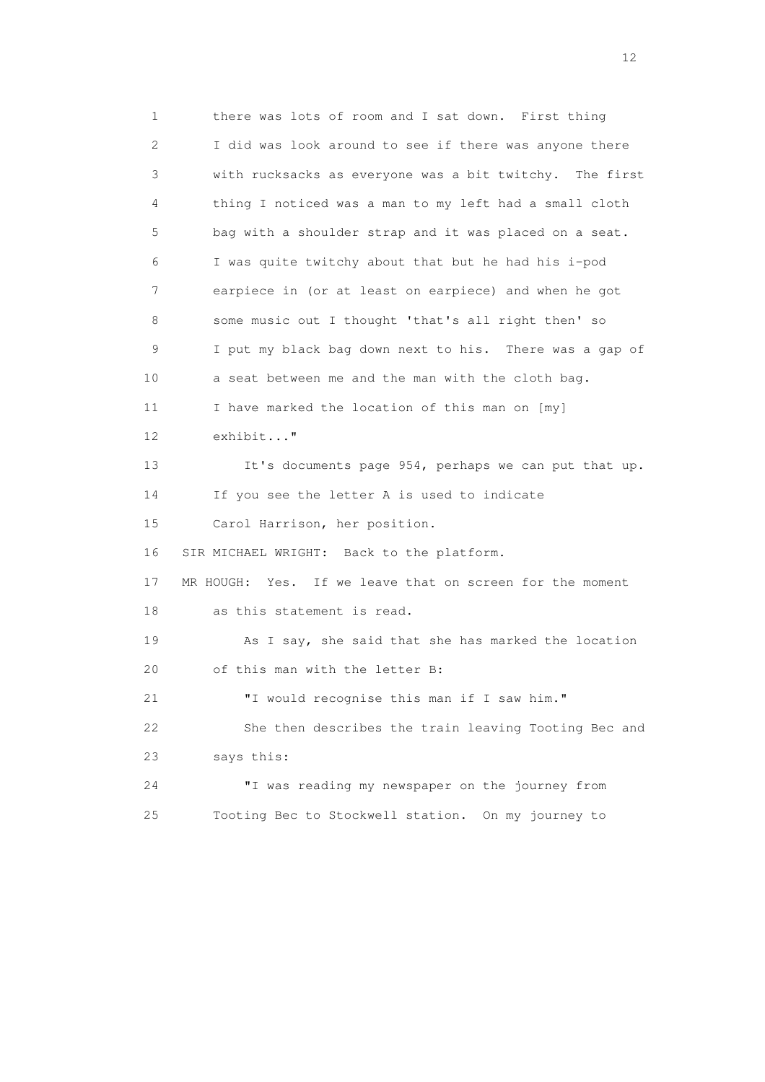1 there was lots of room and I sat down. First thing 2 I did was look around to see if there was anyone there 3 with rucksacks as everyone was a bit twitchy. The first 4 thing I noticed was a man to my left had a small cloth 5 bag with a shoulder strap and it was placed on a seat. 6 I was quite twitchy about that but he had his i-pod 7 earpiece in (or at least on earpiece) and when he got 8 some music out I thought 'that's all right then' so 9 I put my black bag down next to his. There was a gap of 10 a seat between me and the man with the cloth bag. 11 I have marked the location of this man on [my] 12 exhibit..." 13 It's documents page 954, perhaps we can put that up. 14 If you see the letter A is used to indicate 15 Carol Harrison, her position. 16 SIR MICHAEL WRIGHT: Back to the platform. 17 MR HOUGH: Yes. If we leave that on screen for the moment 18 as this statement is read. 19 As I say, she said that she has marked the location 20 of this man with the letter B: 21 "I would recognise this man if I saw him." 22 She then describes the train leaving Tooting Bec and 23 says this: 24 "I was reading my newspaper on the journey from 25 Tooting Bec to Stockwell station. On my journey to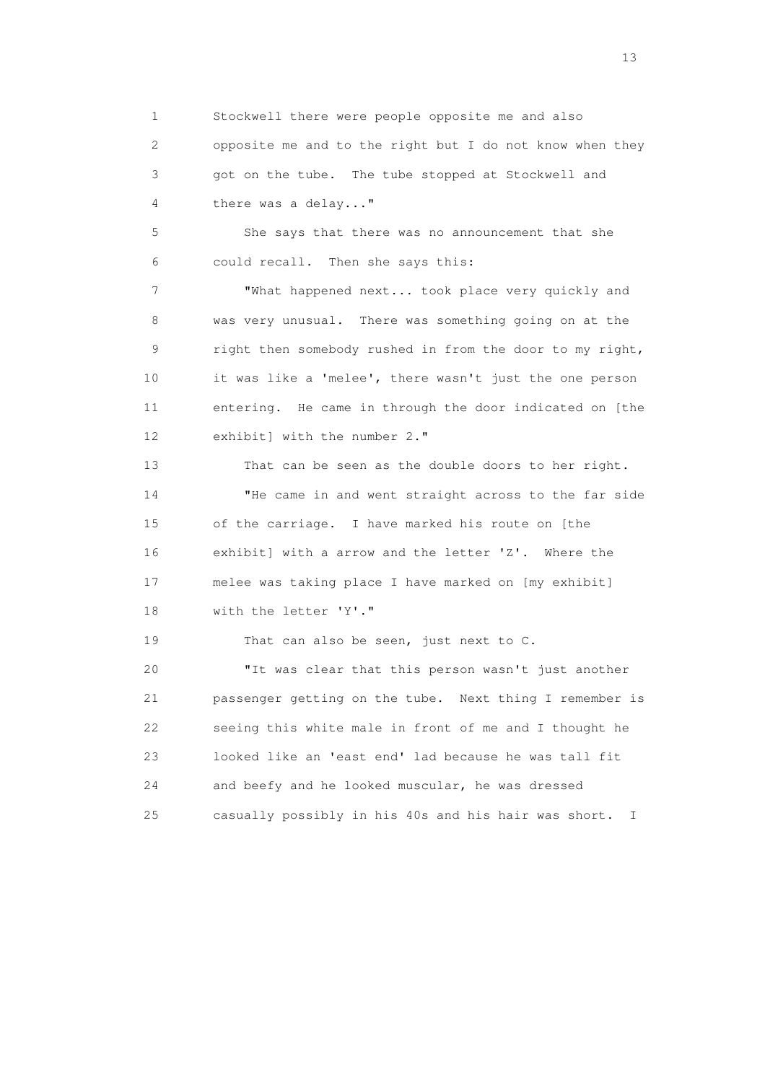1 Stockwell there were people opposite me and also 2 opposite me and to the right but I do not know when they 3 got on the tube. The tube stopped at Stockwell and 4 there was a delay..."

 5 She says that there was no announcement that she 6 could recall. Then she says this:

 7 "What happened next... took place very quickly and 8 was very unusual. There was something going on at the 9 right then somebody rushed in from the door to my right, 10 it was like a 'melee', there wasn't just the one person 11 entering. He came in through the door indicated on [the 12 exhibit] with the number 2."

 13 That can be seen as the double doors to her right. 14 "He came in and went straight across to the far side 15 of the carriage. I have marked his route on [the 16 exhibit] with a arrow and the letter 'Z'. Where the 17 melee was taking place I have marked on [my exhibit] 18 with the letter 'Y'."

19 That can also be seen, just next to C.

 20 "It was clear that this person wasn't just another 21 passenger getting on the tube. Next thing I remember is 22 seeing this white male in front of me and I thought he 23 looked like an 'east end' lad because he was tall fit 24 and beefy and he looked muscular, he was dressed 25 casually possibly in his 40s and his hair was short. I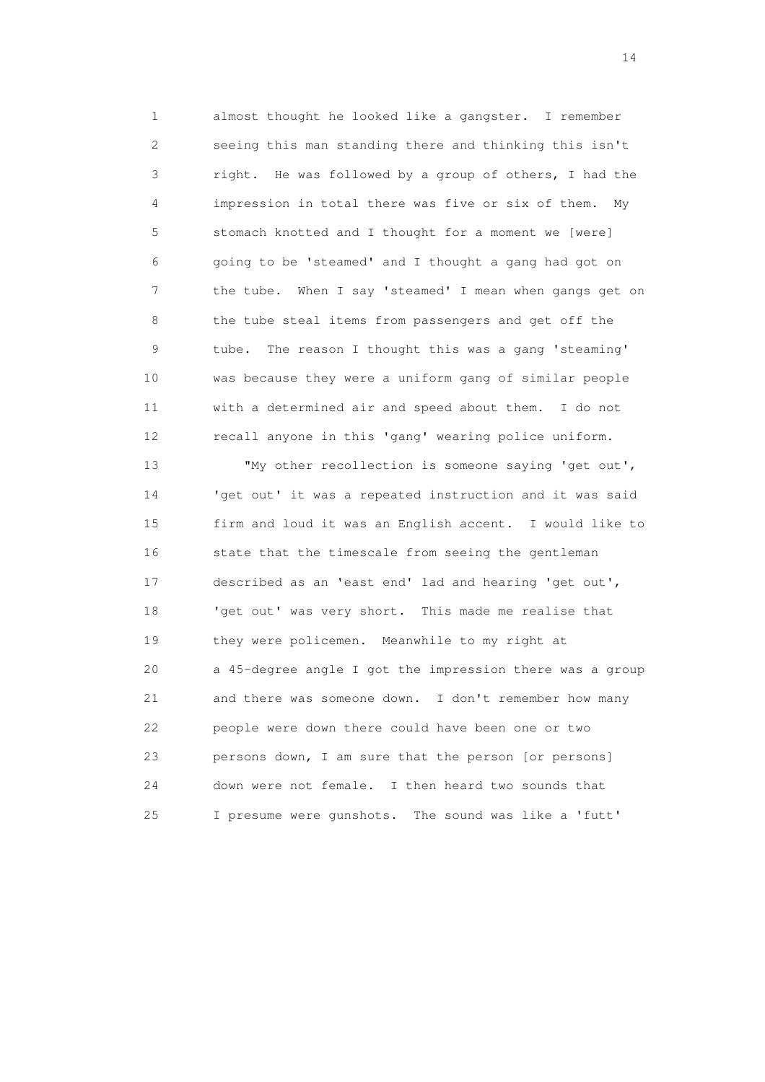1 almost thought he looked like a gangster. I remember 2 seeing this man standing there and thinking this isn't 3 right. He was followed by a group of others, I had the 4 impression in total there was five or six of them. My 5 stomach knotted and I thought for a moment we [were] 6 going to be 'steamed' and I thought a gang had got on 7 the tube. When I say 'steamed' I mean when gangs get on 8 the tube steal items from passengers and get off the 9 tube. The reason I thought this was a gang 'steaming' 10 was because they were a uniform gang of similar people 11 with a determined air and speed about them. I do not 12 recall anyone in this 'gang' wearing police uniform.

 13 "My other recollection is someone saying 'get out', 14 'get out' it was a repeated instruction and it was said 15 firm and loud it was an English accent. I would like to 16 state that the timescale from seeing the gentleman 17 described as an 'east end' lad and hearing 'get out', 18 'get out' was very short. This made me realise that 19 they were policemen. Meanwhile to my right at 20 a 45-degree angle I got the impression there was a group 21 and there was someone down. I don't remember how many 22 people were down there could have been one or two 23 persons down, I am sure that the person [or persons] 24 down were not female. I then heard two sounds that 25 I presume were gunshots. The sound was like a 'futt'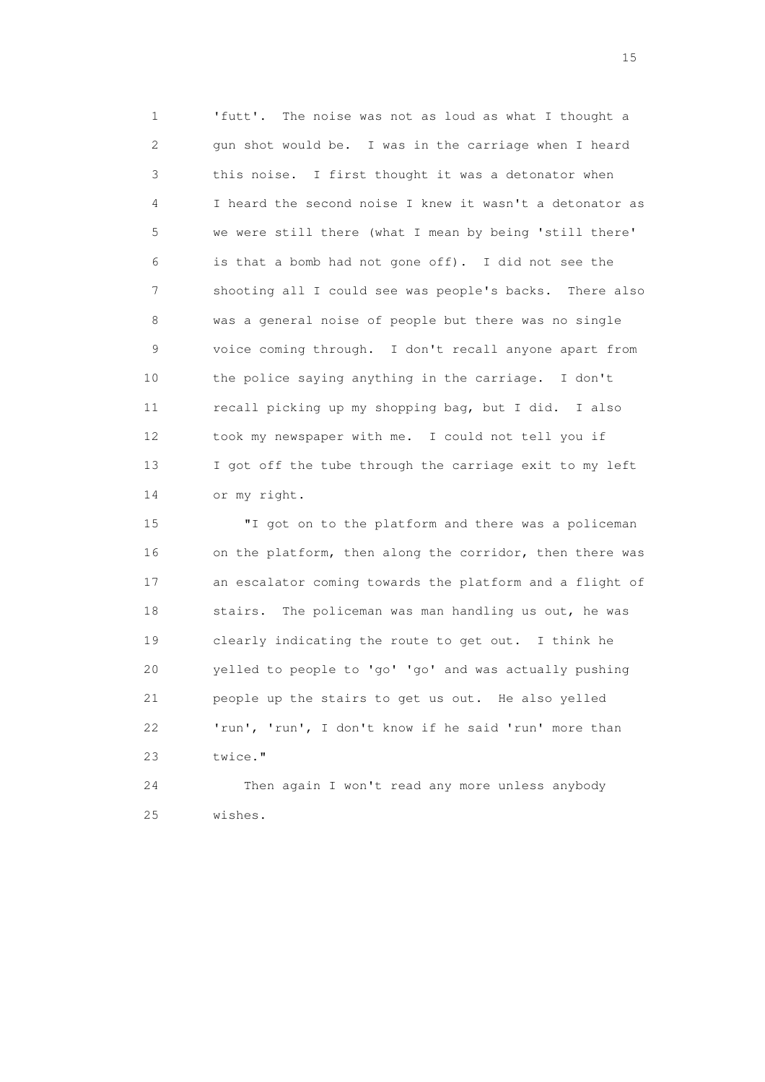1 'futt'. The noise was not as loud as what I thought a 2 gun shot would be. I was in the carriage when I heard 3 this noise. I first thought it was a detonator when 4 I heard the second noise I knew it wasn't a detonator as 5 we were still there (what I mean by being 'still there' 6 is that a bomb had not gone off). I did not see the 7 shooting all I could see was people's backs. There also 8 was a general noise of people but there was no single 9 voice coming through. I don't recall anyone apart from 10 the police saying anything in the carriage. I don't 11 recall picking up my shopping bag, but I did. I also 12 took my newspaper with me. I could not tell you if 13 I got off the tube through the carriage exit to my left 14 or my right.

 15 "I got on to the platform and there was a policeman 16 on the platform, then along the corridor, then there was 17 an escalator coming towards the platform and a flight of 18 stairs. The policeman was man handling us out, he was 19 clearly indicating the route to get out. I think he 20 yelled to people to 'go' 'go' and was actually pushing 21 people up the stairs to get us out. He also yelled 22 'run', 'run', I don't know if he said 'run' more than 23 twice."

 24 Then again I won't read any more unless anybody 25 wishes.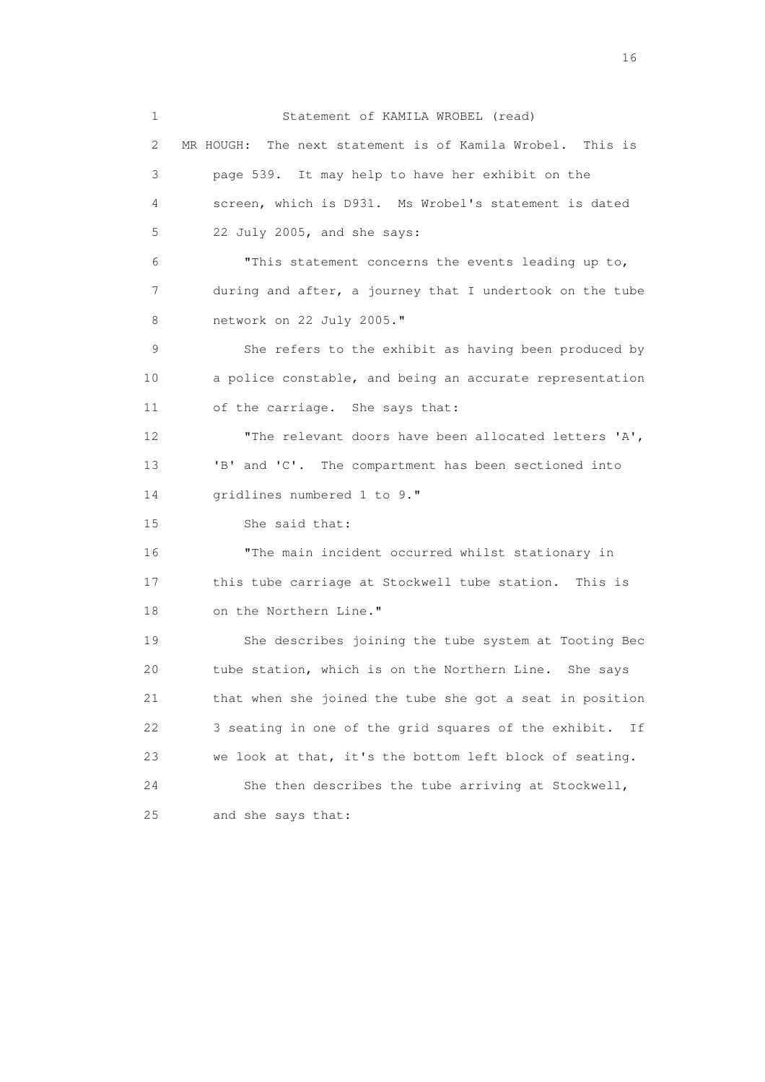1 Statement of KAMILA WROBEL (read) 2 MR HOUGH: The next statement is of Kamila Wrobel. This is 3 page 539. It may help to have her exhibit on the 4 screen, which is D931. Ms Wrobel's statement is dated 5 22 July 2005, and she says: 6 "This statement concerns the events leading up to, 7 during and after, a journey that I undertook on the tube 8 network on 22 July 2005." 9 She refers to the exhibit as having been produced by 10 a police constable, and being an accurate representation 11 of the carriage. She says that: 12 "The relevant doors have been allocated letters 'A', 13 'B' and 'C'. The compartment has been sectioned into 14 gridlines numbered 1 to 9." 15 She said that: 16 "The main incident occurred whilst stationary in 17 this tube carriage at Stockwell tube station. This is 18 on the Northern Line." 19 She describes joining the tube system at Tooting Bec 20 tube station, which is on the Northern Line. She says 21 that when she joined the tube she got a seat in position 22 3 seating in one of the grid squares of the exhibit. If 23 we look at that, it's the bottom left block of seating. 24 She then describes the tube arriving at Stockwell, 25 and she says that: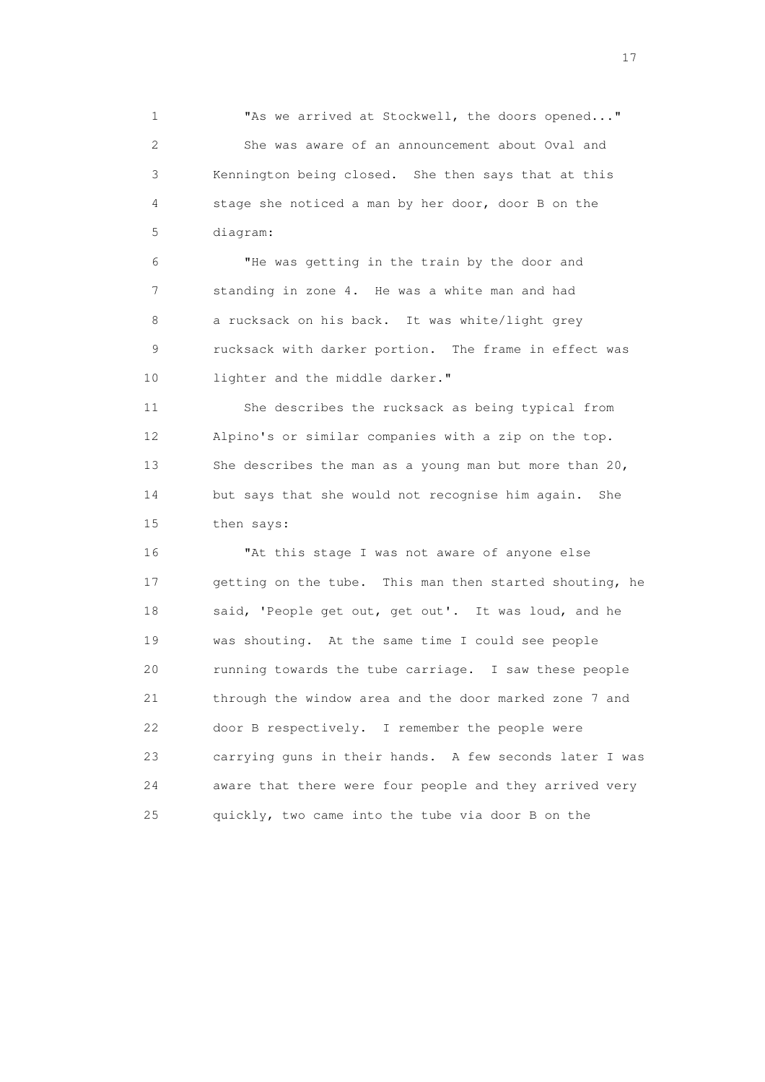1 "As we arrived at Stockwell, the doors opened..." 2 She was aware of an announcement about Oval and 3 Kennington being closed. She then says that at this 4 stage she noticed a man by her door, door B on the 5 diagram:

 6 "He was getting in the train by the door and 7 standing in zone 4. He was a white man and had 8 a rucksack on his back. It was white/light grey 9 rucksack with darker portion. The frame in effect was 10 lighter and the middle darker."

 11 She describes the rucksack as being typical from 12 Alpino's or similar companies with a zip on the top. 13 She describes the man as a young man but more than 20, 14 but says that she would not recognise him again. She 15 then says:

 16 "At this stage I was not aware of anyone else 17 getting on the tube. This man then started shouting, he 18 said, 'People get out, get out'. It was loud, and he 19 was shouting. At the same time I could see people 20 running towards the tube carriage. I saw these people 21 through the window area and the door marked zone 7 and 22 door B respectively. I remember the people were 23 carrying guns in their hands. A few seconds later I was 24 aware that there were four people and they arrived very 25 quickly, two came into the tube via door B on the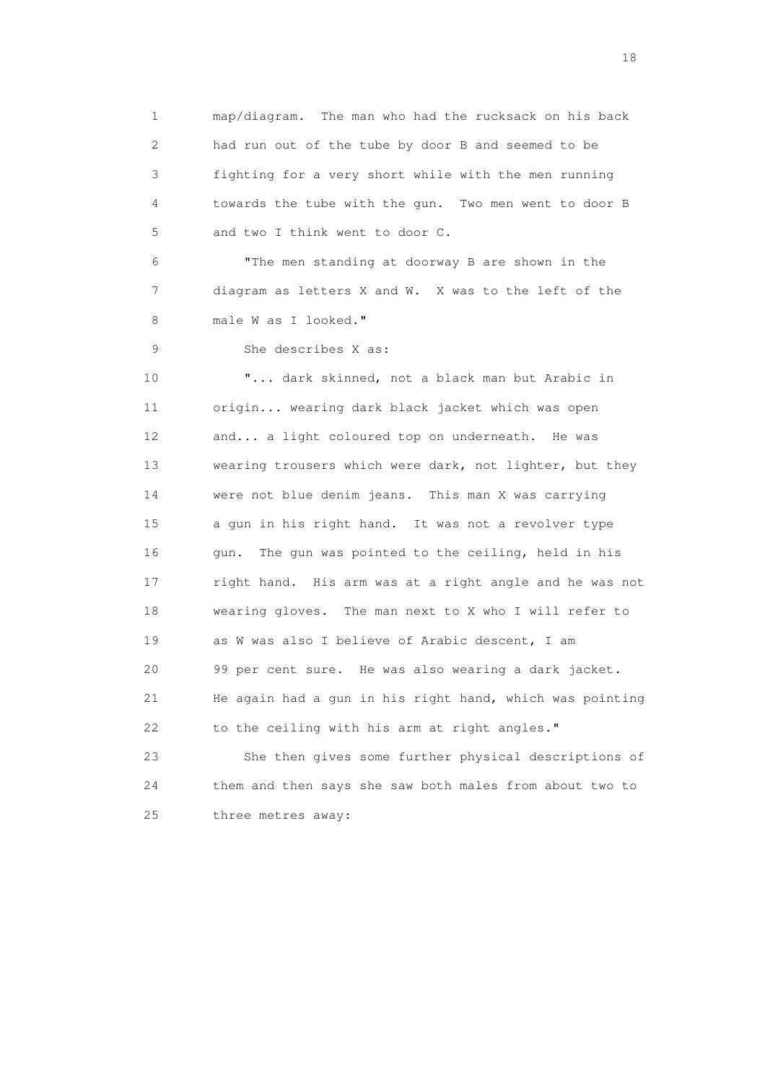1 map/diagram. The man who had the rucksack on his back 2 had run out of the tube by door B and seemed to be 3 fighting for a very short while with the men running 4 towards the tube with the gun. Two men went to door B 5 and two I think went to door C. 6 "The men standing at doorway B are shown in the 7 diagram as letters X and W. X was to the left of the 8 male W as I looked." 9 She describes X as: 10 "... dark skinned, not a black man but Arabic in 11 origin... wearing dark black jacket which was open 12 and... a light coloured top on underneath. He was 13 wearing trousers which were dark, not lighter, but they 14 were not blue denim jeans. This man X was carrying 15 a gun in his right hand. It was not a revolver type 16 gun. The gun was pointed to the ceiling, held in his 17 right hand. His arm was at a right angle and he was not 18 wearing gloves. The man next to X who I will refer to 19 as W was also I believe of Arabic descent, I am 20 99 per cent sure. He was also wearing a dark jacket. 21 He again had a gun in his right hand, which was pointing 22 to the ceiling with his arm at right angles." 23 She then gives some further physical descriptions of 24 them and then says she saw both males from about two to 25 three metres away: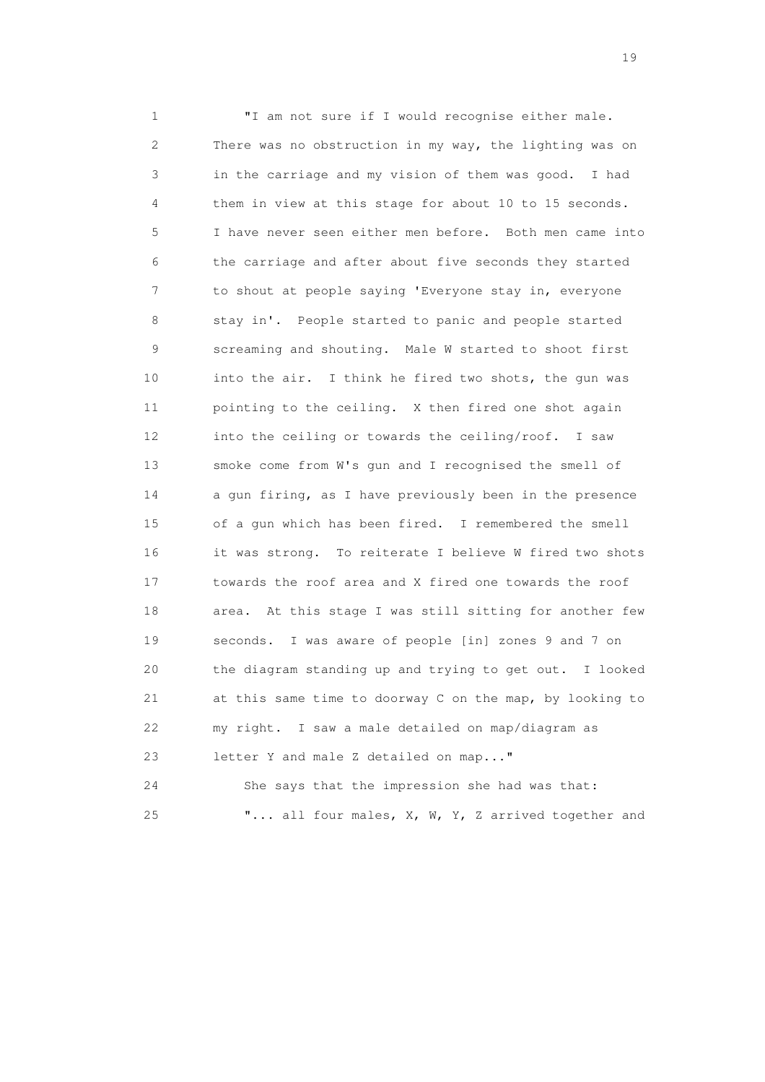1 "I am not sure if I would recognise either male. 2 There was no obstruction in my way, the lighting was on 3 in the carriage and my vision of them was good. I had 4 them in view at this stage for about 10 to 15 seconds. 5 I have never seen either men before. Both men came into 6 the carriage and after about five seconds they started 7 to shout at people saying 'Everyone stay in, everyone 8 stay in'. People started to panic and people started 9 screaming and shouting. Male W started to shoot first 10 into the air. I think he fired two shots, the gun was 11 pointing to the ceiling. X then fired one shot again 12 into the ceiling or towards the ceiling/roof. I saw 13 smoke come from W's gun and I recognised the smell of 14 a gun firing, as I have previously been in the presence 15 of a gun which has been fired. I remembered the smell 16 it was strong. To reiterate I believe W fired two shots 17 towards the roof area and X fired one towards the roof 18 area. At this stage I was still sitting for another few 19 seconds. I was aware of people [in] zones 9 and 7 on 20 the diagram standing up and trying to get out. I looked 21 at this same time to doorway C on the map, by looking to 22 my right. I saw a male detailed on map/diagram as 23 letter Y and male Z detailed on map..."

 24 She says that the impression she had was that: 25 "... all four males, X, W, Y, Z arrived together and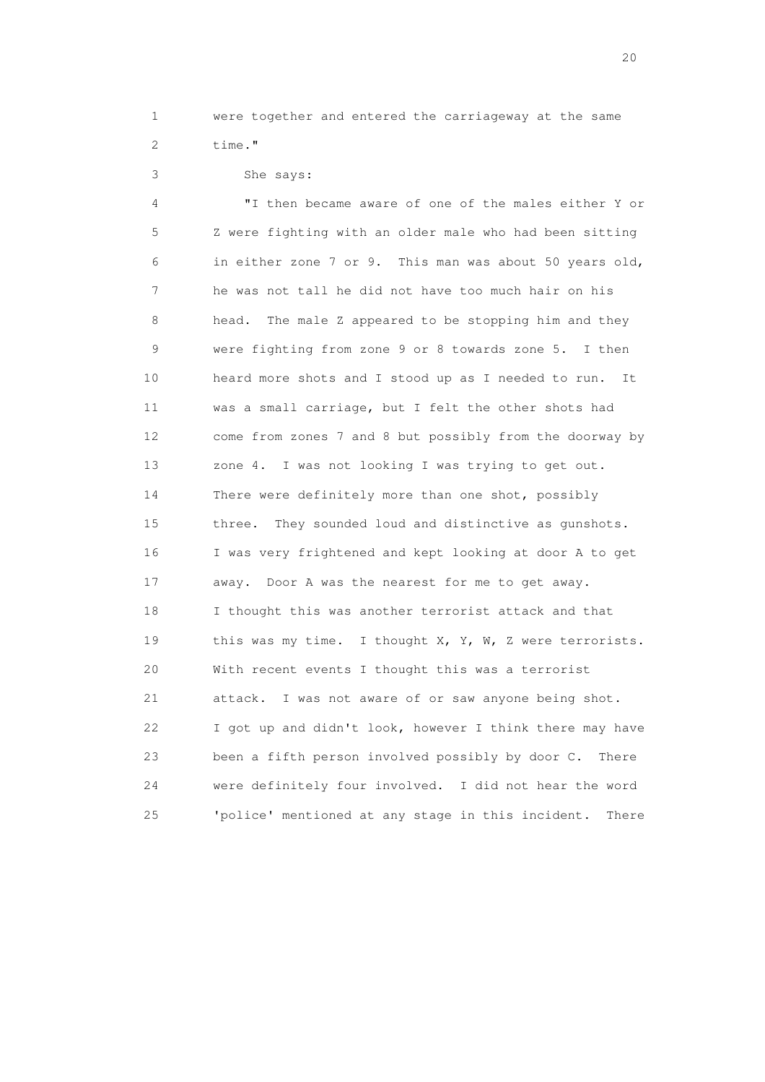1 were together and entered the carriageway at the same

```
 2 time."
```
3 She says:

 4 "I then became aware of one of the males either Y or 5 Z were fighting with an older male who had been sitting 6 in either zone 7 or 9. This man was about 50 years old, 7 he was not tall he did not have too much hair on his 8 head. The male Z appeared to be stopping him and they 9 were fighting from zone 9 or 8 towards zone 5. I then 10 heard more shots and I stood up as I needed to run. It 11 was a small carriage, but I felt the other shots had 12 come from zones 7 and 8 but possibly from the doorway by 13 zone 4. I was not looking I was trying to get out. 14 There were definitely more than one shot, possibly 15 three. They sounded loud and distinctive as gunshots. 16 I was very frightened and kept looking at door A to get 17 away. Door A was the nearest for me to get away. 18 I thought this was another terrorist attack and that 19 this was my time. I thought X, Y, W, Z were terrorists. 20 With recent events I thought this was a terrorist 21 attack. I was not aware of or saw anyone being shot. 22 I got up and didn't look, however I think there may have 23 been a fifth person involved possibly by door C. There 24 were definitely four involved. I did not hear the word 25 'police' mentioned at any stage in this incident. There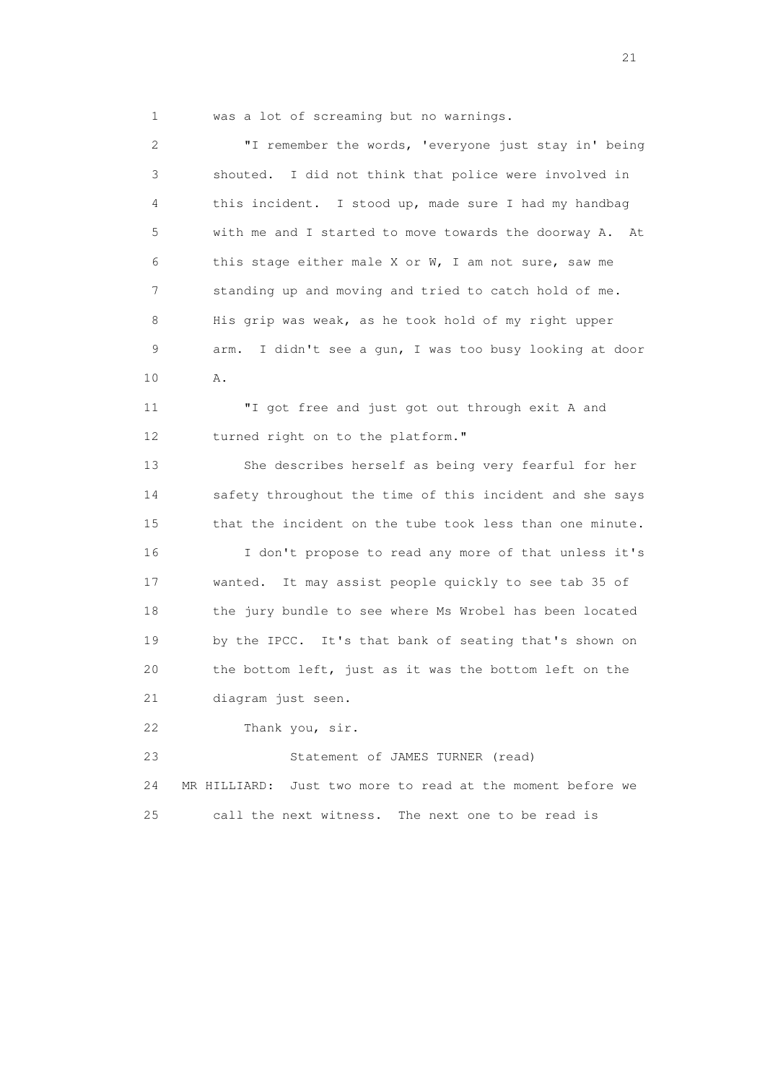1 was a lot of screaming but no warnings.

 2 "I remember the words, 'everyone just stay in' being 3 shouted. I did not think that police were involved in 4 this incident. I stood up, made sure I had my handbag 5 with me and I started to move towards the doorway A. At 6 this stage either male X or W, I am not sure, saw me 7 standing up and moving and tried to catch hold of me. 8 His grip was weak, as he took hold of my right upper 9 arm. I didn't see a gun, I was too busy looking at door 10 A.

> 11 "I got free and just got out through exit A and 12 turned right on to the platform."

 13 She describes herself as being very fearful for her 14 safety throughout the time of this incident and she says 15 that the incident on the tube took less than one minute. 16 I don't propose to read any more of that unless it's 17 wanted. It may assist people quickly to see tab 35 of 18 the jury bundle to see where Ms Wrobel has been located 19 by the IPCC. It's that bank of seating that's shown on 20 the bottom left, just as it was the bottom left on the 21 diagram just seen.

22 Thank you, sir.

 23 Statement of JAMES TURNER (read) 24 MR HILLIARD: Just two more to read at the moment before we 25 call the next witness. The next one to be read is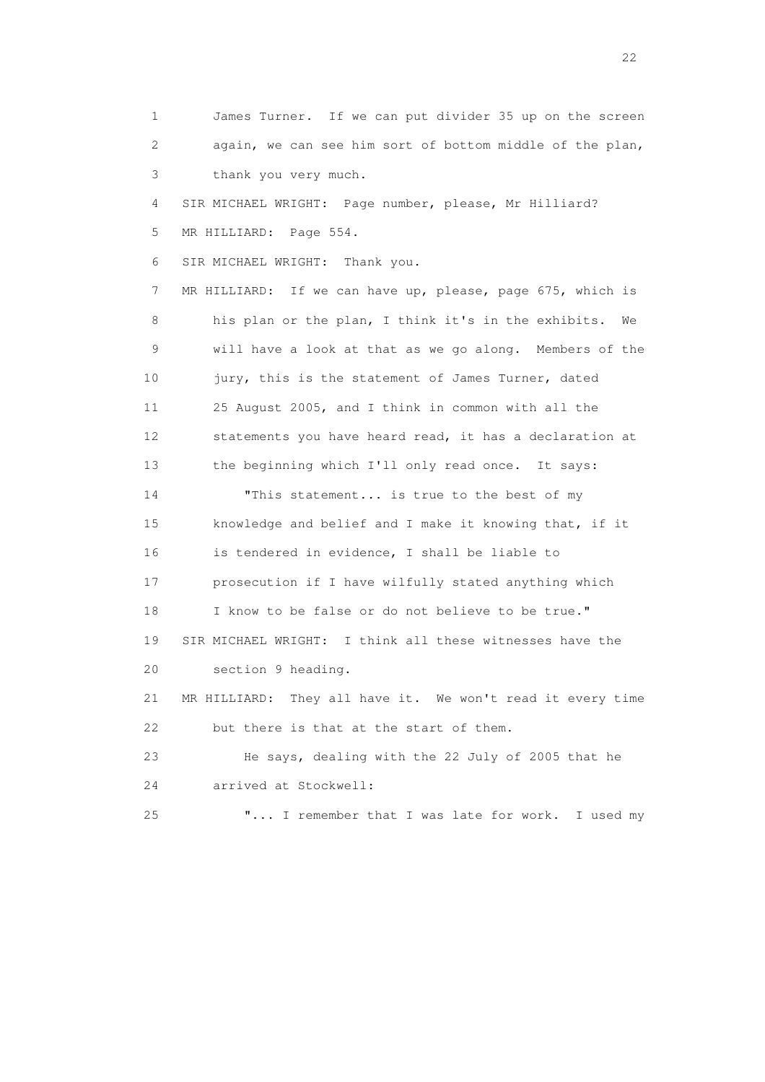1 James Turner. If we can put divider 35 up on the screen 2 again, we can see him sort of bottom middle of the plan, 3 thank you very much. 4 SIR MICHAEL WRIGHT: Page number, please, Mr Hilliard? 5 MR HILLIARD: Page 554. 6 SIR MICHAEL WRIGHT: Thank you. 7 MR HILLIARD: If we can have up, please, page 675, which is 8 his plan or the plan, I think it's in the exhibits. We 9 will have a look at that as we go along. Members of the 10 jury, this is the statement of James Turner, dated 11 25 August 2005, and I think in common with all the 12 statements you have heard read, it has a declaration at 13 the beginning which I'll only read once. It says: 14 "This statement... is true to the best of my 15 knowledge and belief and I make it knowing that, if it 16 is tendered in evidence, I shall be liable to 17 prosecution if I have wilfully stated anything which 18 I know to be false or do not believe to be true." 19 SIR MICHAEL WRIGHT: I think all these witnesses have the 20 section 9 heading. 21 MR HILLIARD: They all have it. We won't read it every time 22 but there is that at the start of them. 23 He says, dealing with the 22 July of 2005 that he 24 arrived at Stockwell: 25 "... I remember that I was late for work. I used my

22 and 22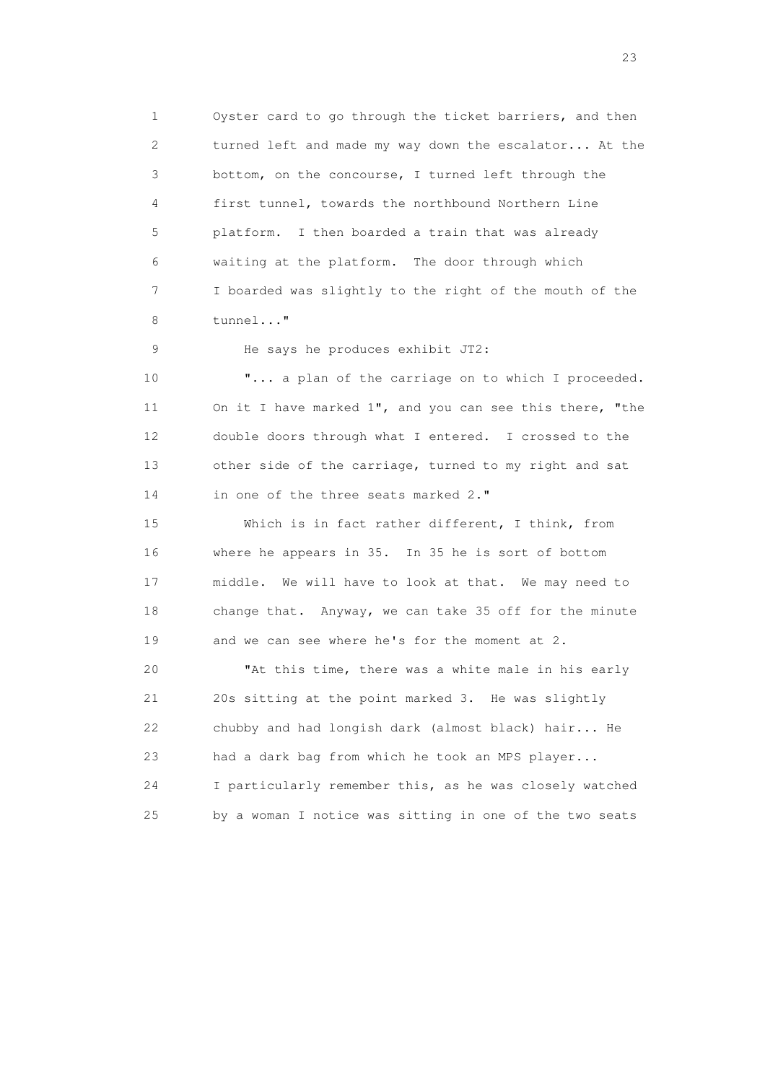1 Oyster card to go through the ticket barriers, and then 2 turned left and made my way down the escalator... At the 3 bottom, on the concourse, I turned left through the 4 first tunnel, towards the northbound Northern Line 5 platform. I then boarded a train that was already 6 waiting at the platform. The door through which 7 I boarded was slightly to the right of the mouth of the 8 tunnel..."

9 He says he produces exhibit JT2:

10 **"...** a plan of the carriage on to which I proceeded. 11 On it I have marked 1", and you can see this there, "the 12 double doors through what I entered. I crossed to the 13 other side of the carriage, turned to my right and sat 14 in one of the three seats marked 2."

 15 Which is in fact rather different, I think, from 16 where he appears in 35. In 35 he is sort of bottom 17 middle. We will have to look at that. We may need to 18 change that. Anyway, we can take 35 off for the minute 19 and we can see where he's for the moment at 2.

 20 "At this time, there was a white male in his early 21 20s sitting at the point marked 3. He was slightly 22 chubby and had longish dark (almost black) hair... He 23 had a dark bag from which he took an MPS player... 24 I particularly remember this, as he was closely watched 25 by a woman I notice was sitting in one of the two seats

23 and 23 and 23 and 23 and 23 and 23 and 23 and 23 and 23 and 23 and 23 and 23 and 23 and 23 and 23 and 23 and 24 and 25 and 25 and 25 and 26 and 26 and 26 and 26 and 26 and 26 and 26 and 26 and 26 and 26 and 26 and 26 an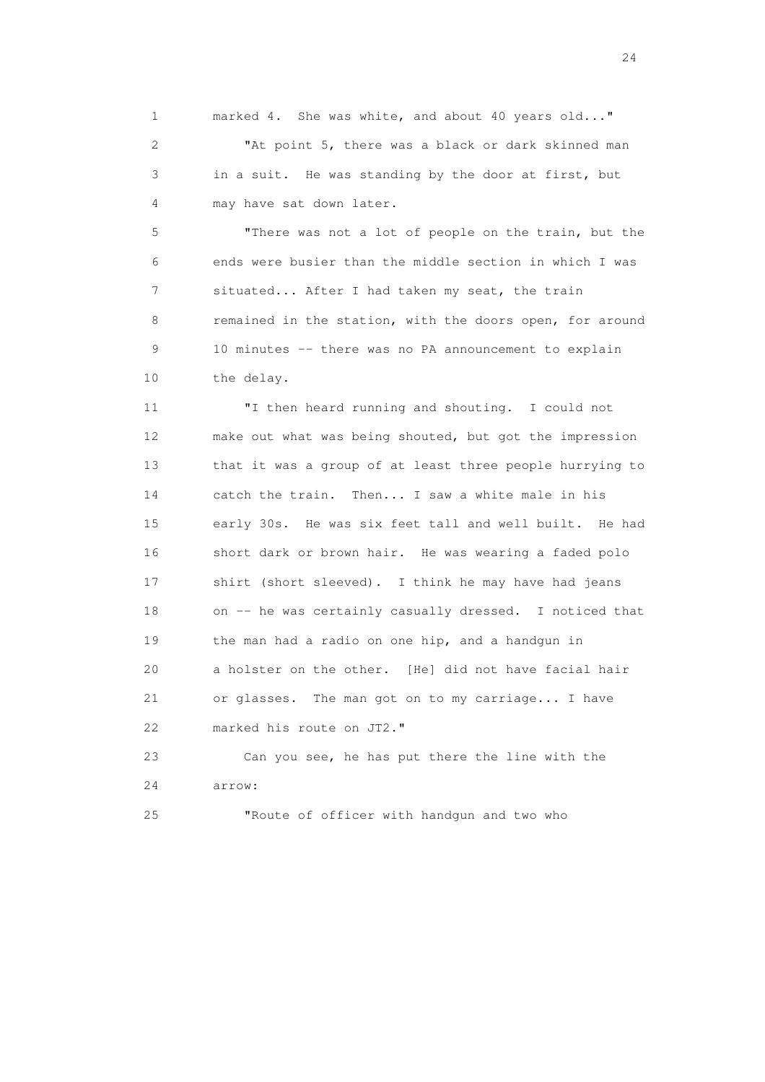1 marked 4. She was white, and about 40 years old..." 2 "At point 5, there was a black or dark skinned man 3 in a suit. He was standing by the door at first, but 4 may have sat down later.

 5 "There was not a lot of people on the train, but the 6 ends were busier than the middle section in which I was 7 situated... After I had taken my seat, the train 8 remained in the station, with the doors open, for around 9 10 minutes -- there was no PA announcement to explain 10 the delay.

 11 "I then heard running and shouting. I could not 12 make out what was being shouted, but got the impression 13 that it was a group of at least three people hurrying to 14 catch the train. Then... I saw a white male in his 15 early 30s. He was six feet tall and well built. He had 16 short dark or brown hair. He was wearing a faded polo 17 shirt (short sleeved). I think he may have had jeans 18 on -- he was certainly casually dressed. I noticed that 19 the man had a radio on one hip, and a handgun in 20 a holster on the other. [He] did not have facial hair 21 or glasses. The man got on to my carriage... I have 22 marked his route on JT2."

 23 Can you see, he has put there the line with the 24 arrow:

25 "Route of officer with handgun and two who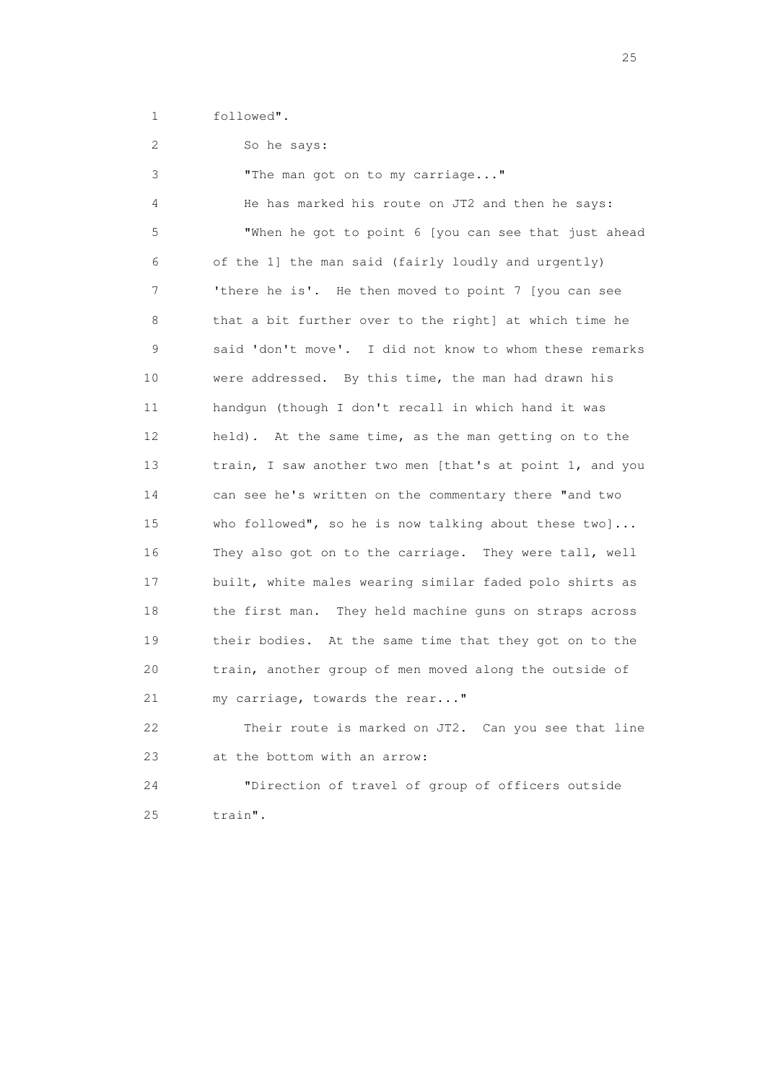1 followed".

2 So he says:

 3 "The man got on to my carriage..." 4 He has marked his route on JT2 and then he says: 5 "When he got to point 6 [you can see that just ahead 6 of the 1] the man said (fairly loudly and urgently) 7 'there he is'. He then moved to point 7 [you can see 8 that a bit further over to the right] at which time he 9 said 'don't move'. I did not know to whom these remarks 10 were addressed. By this time, the man had drawn his 11 handgun (though I don't recall in which hand it was 12 held). At the same time, as the man getting on to the 13 train, I saw another two men [that's at point 1, and you 14 can see he's written on the commentary there "and two 15 who followed", so he is now talking about these two]... 16 They also got on to the carriage. They were tall, well 17 built, white males wearing similar faded polo shirts as 18 the first man. They held machine guns on straps across 19 their bodies. At the same time that they got on to the 20 train, another group of men moved along the outside of 21 my carriage, towards the rear..." 22 Their route is marked on JT2. Can you see that line

23 at the bottom with an arrow:

 24 "Direction of travel of group of officers outside 25 train".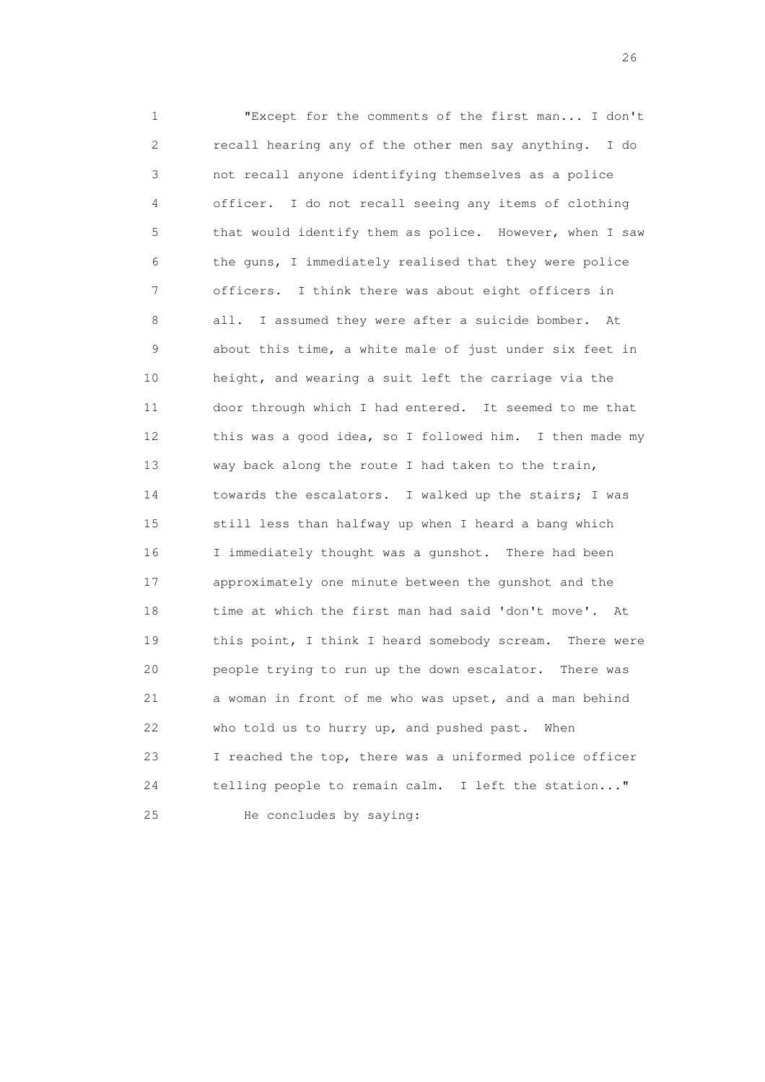1 "Except for the comments of the first man... I don't 2 recall hearing any of the other men say anything. I do 3 not recall anyone identifying themselves as a police 4 officer. I do not recall seeing any items of clothing 5 that would identify them as police. However, when I saw 6 the guns, I immediately realised that they were police 7 officers. I think there was about eight officers in 8 all. I assumed they were after a suicide bomber. At 9 about this time, a white male of just under six feet in 10 height, and wearing a suit left the carriage via the 11 door through which I had entered. It seemed to me that 12 this was a good idea, so I followed him. I then made my 13 way back along the route I had taken to the train, 14 towards the escalators. I walked up the stairs; I was 15 still less than halfway up when I heard a bang which 16 I immediately thought was a gunshot. There had been 17 approximately one minute between the gunshot and the 18 time at which the first man had said 'don't move'. At 19 this point, I think I heard somebody scream. There were 20 people trying to run up the down escalator. There was 21 a woman in front of me who was upset, and a man behind 22 who told us to hurry up, and pushed past. When 23 I reached the top, there was a uniformed police officer 24 telling people to remain calm. I left the station..." 25 He concludes by saying: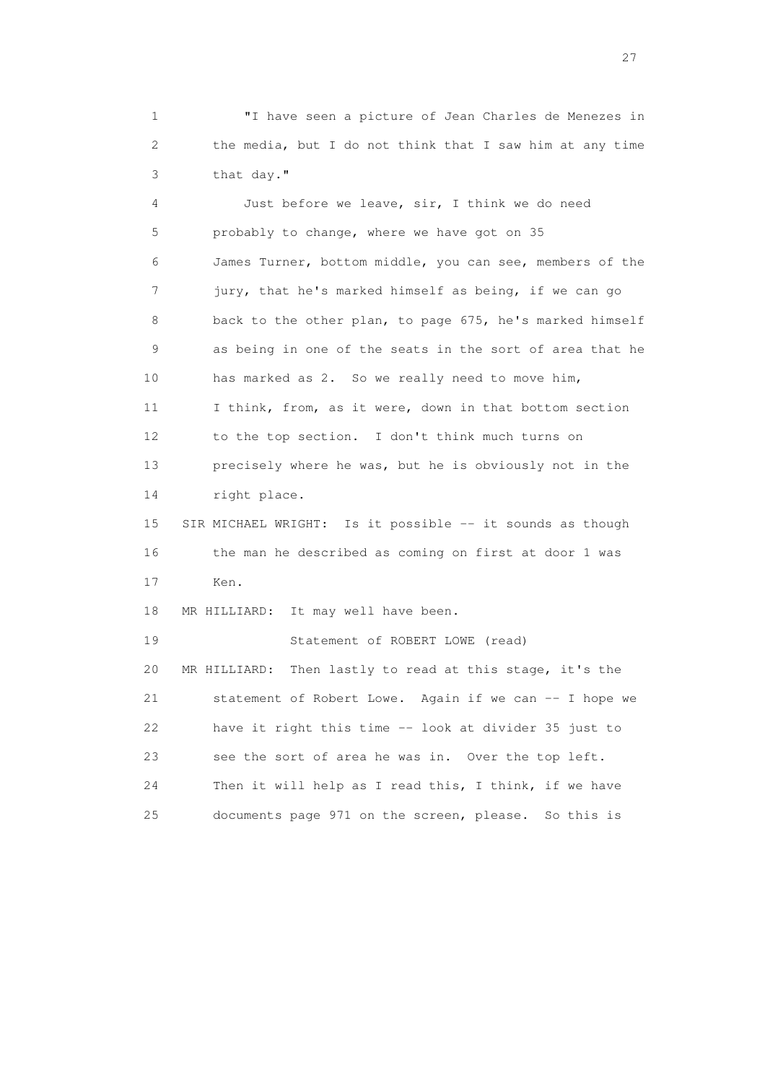1 "I have seen a picture of Jean Charles de Menezes in 2 the media, but I do not think that I saw him at any time 3 that day."

 4 Just before we leave, sir, I think we do need 5 probably to change, where we have got on 35 6 James Turner, bottom middle, you can see, members of the 7 jury, that he's marked himself as being, if we can go 8 back to the other plan, to page 675, he's marked himself 9 as being in one of the seats in the sort of area that he 10 has marked as 2. So we really need to move him, 11 I think, from, as it were, down in that bottom section 12 to the top section. I don't think much turns on 13 precisely where he was, but he is obviously not in the 14 right place. 15 SIR MICHAEL WRIGHT: Is it possible -- it sounds as though 16 the man he described as coming on first at door 1 was 17 Ken. 18 MR HILLIARD: It may well have been. 19 Statement of ROBERT LOWE (read) 20 MR HILLIARD: Then lastly to read at this stage, it's the 21 statement of Robert Lowe. Again if we can -- I hope we 22 have it right this time -- look at divider 35 just to 23 see the sort of area he was in. Over the top left. 24 Then it will help as I read this, I think, if we have 25 documents page 971 on the screen, please. So this is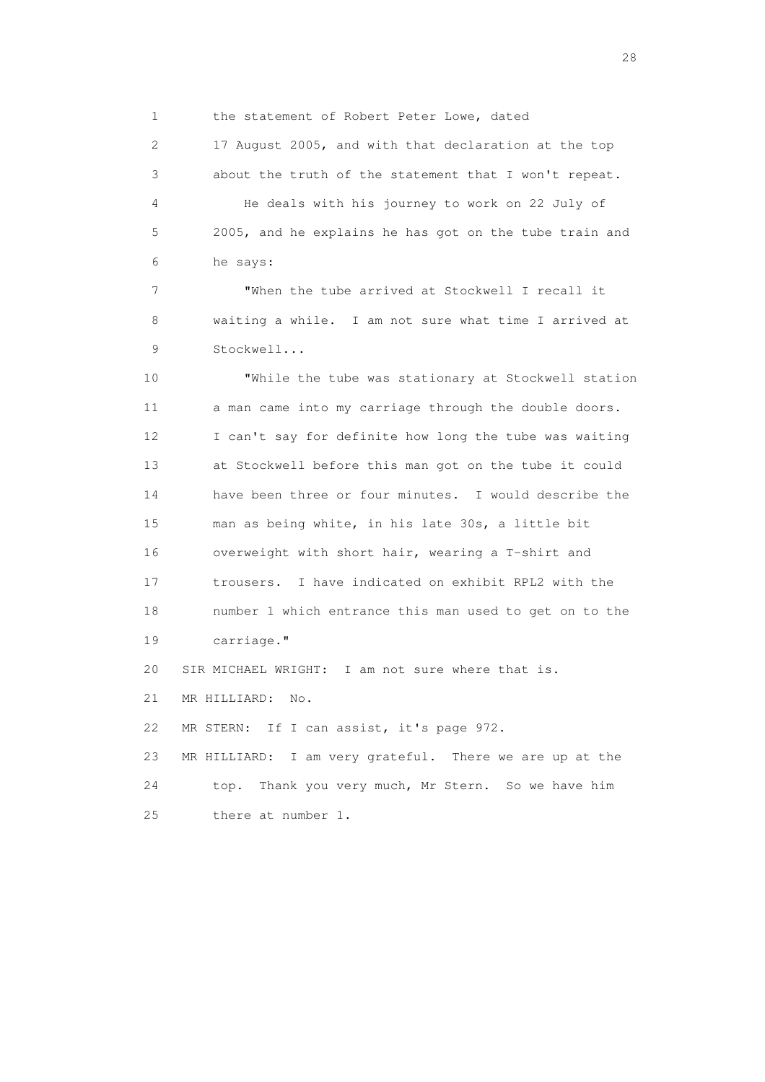1 the statement of Robert Peter Lowe, dated

 2 17 August 2005, and with that declaration at the top 3 about the truth of the statement that I won't repeat. 4 He deals with his journey to work on 22 July of 5 2005, and he explains he has got on the tube train and 6 he says:

 7 "When the tube arrived at Stockwell I recall it 8 waiting a while. I am not sure what time I arrived at 9 Stockwell...

 10 "While the tube was stationary at Stockwell station 11 a man came into my carriage through the double doors. 12 I can't say for definite how long the tube was waiting 13 at Stockwell before this man got on the tube it could 14 have been three or four minutes. I would describe the 15 man as being white, in his late 30s, a little bit 16 overweight with short hair, wearing a T-shirt and 17 trousers. I have indicated on exhibit RPL2 with the 18 number 1 which entrance this man used to get on to the 19 carriage." 20 SIR MICHAEL WRIGHT: I am not sure where that is.

21 MR HILLIARD: No.

22 MR STERN: If I can assist, it's page 972.

 23 MR HILLIARD: I am very grateful. There we are up at the 24 top. Thank you very much, Mr Stern. So we have him 25 there at number 1.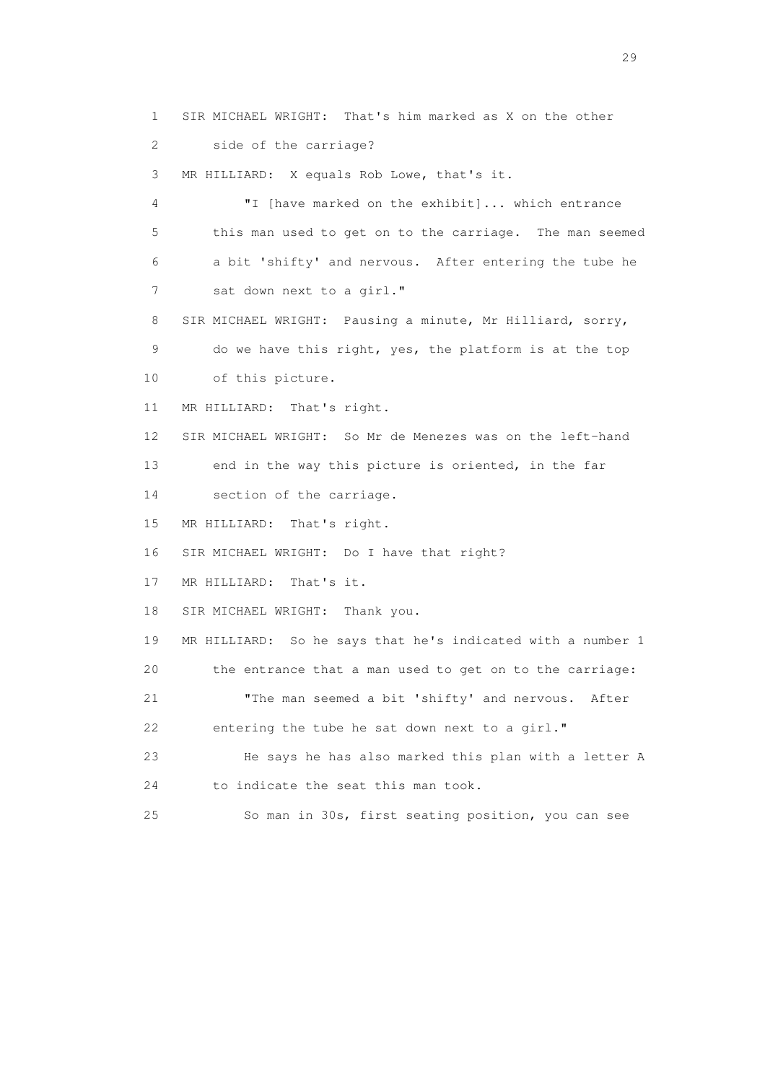1 SIR MICHAEL WRIGHT: That's him marked as X on the other

2 side of the carriage?

3 MR HILLIARD: X equals Rob Lowe, that's it.

 4 "I [have marked on the exhibit]... which entrance 5 this man used to get on to the carriage. The man seemed 6 a bit 'shifty' and nervous. After entering the tube he 7 sat down next to a girl."

8 SIR MICHAEL WRIGHT: Pausing a minute, Mr Hilliard, sorry,

9 do we have this right, yes, the platform is at the top

10 of this picture.

11 MR HILLIARD: That's right.

12 SIR MICHAEL WRIGHT: So Mr de Menezes was on the left-hand

13 end in the way this picture is oriented, in the far

14 section of the carriage.

15 MR HILLIARD: That's right.

16 SIR MICHAEL WRIGHT: Do I have that right?

17 MR HILLIARD: That's it.

18 SIR MICHAEL WRIGHT: Thank you.

 19 MR HILLIARD: So he says that he's indicated with a number 1 20 the entrance that a man used to get on to the carriage:

 21 "The man seemed a bit 'shifty' and nervous. After 22 entering the tube he sat down next to a girl."

 23 He says he has also marked this plan with a letter A 24 to indicate the seat this man took.

25 So man in 30s, first seating position, you can see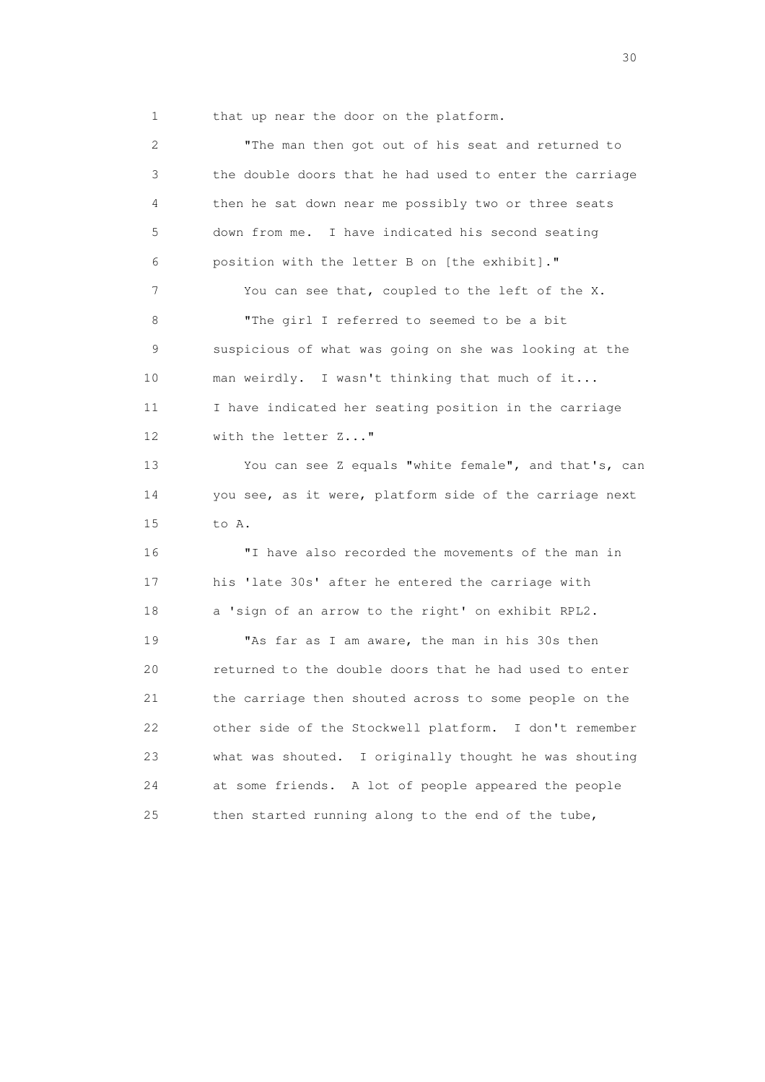1 that up near the door on the platform.

 2 "The man then got out of his seat and returned to 3 the double doors that he had used to enter the carriage 4 then he sat down near me possibly two or three seats 5 down from me. I have indicated his second seating 6 position with the letter B on [the exhibit]." 7 You can see that, coupled to the left of the X. 8 "The girl I referred to seemed to be a bit 9 suspicious of what was going on she was looking at the 10 man weirdly. I wasn't thinking that much of it... 11 I have indicated her seating position in the carriage 12 with the letter Z..." 13 You can see Z equals "white female", and that's, can 14 you see, as it were, platform side of the carriage next 15 to A. 16 "I have also recorded the movements of the man in 17 his 'late 30s' after he entered the carriage with 18 a 'sign of an arrow to the right' on exhibit RPL2. 19 "As far as I am aware, the man in his 30s then 20 returned to the double doors that he had used to enter 21 the carriage then shouted across to some people on the 22 other side of the Stockwell platform. I don't remember 23 what was shouted. I originally thought he was shouting 24 at some friends. A lot of people appeared the people 25 then started running along to the end of the tube,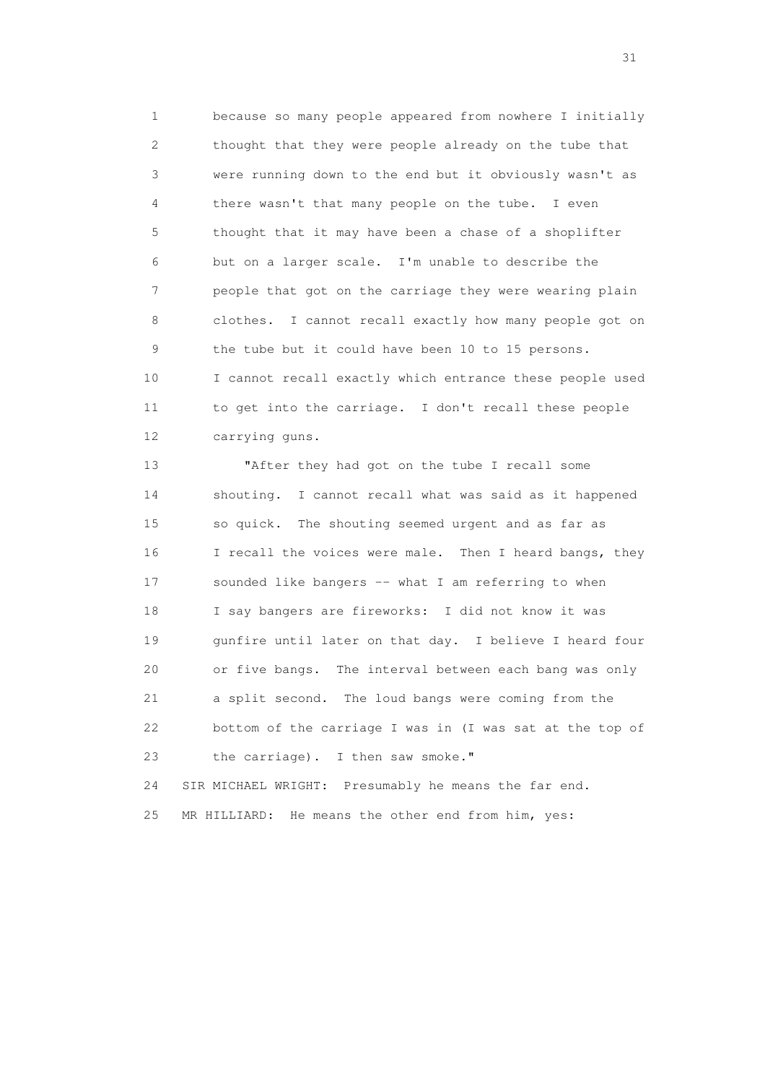1 because so many people appeared from nowhere I initially 2 thought that they were people already on the tube that 3 were running down to the end but it obviously wasn't as 4 there wasn't that many people on the tube. I even 5 thought that it may have been a chase of a shoplifter 6 but on a larger scale. I'm unable to describe the 7 people that got on the carriage they were wearing plain 8 clothes. I cannot recall exactly how many people got on 9 the tube but it could have been 10 to 15 persons. 10 I cannot recall exactly which entrance these people used 11 to get into the carriage. I don't recall these people 12 carrying guns.

 13 "After they had got on the tube I recall some 14 shouting. I cannot recall what was said as it happened 15 so quick. The shouting seemed urgent and as far as 16 I recall the voices were male. Then I heard bangs, they 17 sounded like bangers -- what I am referring to when 18 I say bangers are fireworks: I did not know it was 19 gunfire until later on that day. I believe I heard four 20 or five bangs. The interval between each bang was only 21 a split second. The loud bangs were coming from the 22 bottom of the carriage I was in (I was sat at the top of 23 the carriage). I then saw smoke." 24 SIR MICHAEL WRIGHT: Presumably he means the far end.

25 MR HILLIARD: He means the other end from him, yes: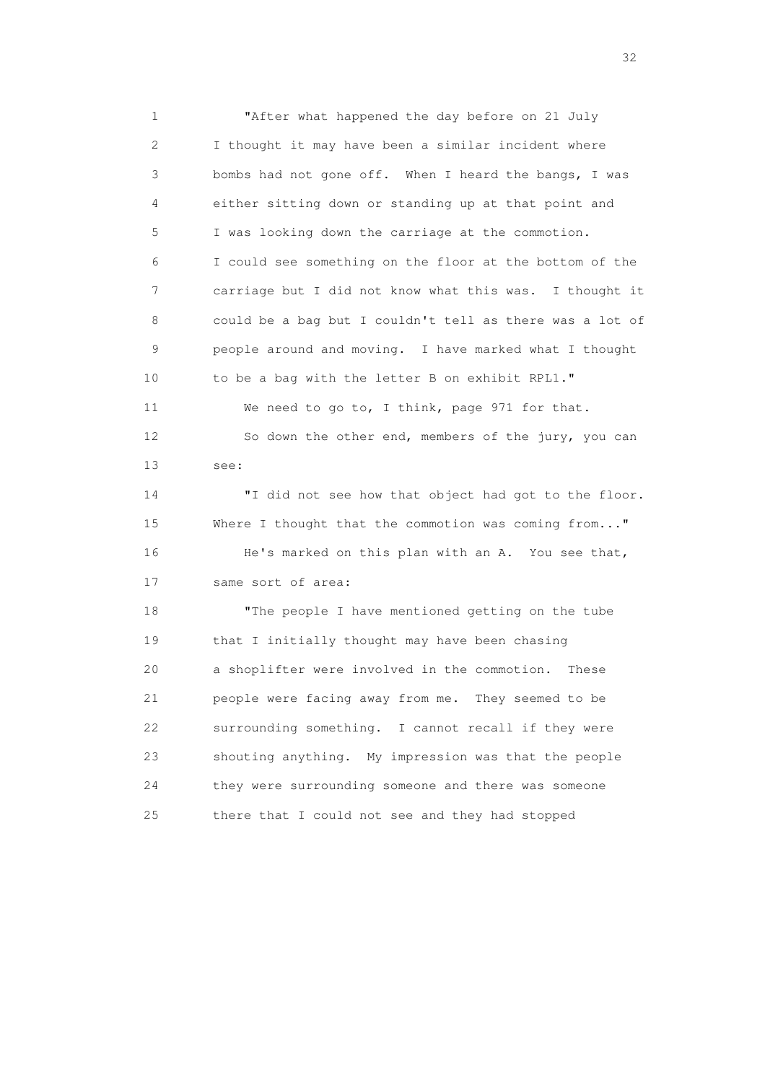1 "After what happened the day before on 21 July 2 I thought it may have been a similar incident where 3 bombs had not gone off. When I heard the bangs, I was 4 either sitting down or standing up at that point and 5 I was looking down the carriage at the commotion. 6 I could see something on the floor at the bottom of the 7 carriage but I did not know what this was. I thought it 8 could be a bag but I couldn't tell as there was a lot of 9 people around and moving. I have marked what I thought 10 to be a bag with the letter B on exhibit RPL1." 11 We need to go to, I think, page 971 for that. 12 So down the other end, members of the jury, you can 13 see: 14 "I did not see how that object had got to the floor. 15 Where I thought that the commotion was coming from..." 16 He's marked on this plan with an A. You see that, 17 same sort of area: 18 "The people I have mentioned getting on the tube 19 that I initially thought may have been chasing 20 a shoplifter were involved in the commotion. These 21 people were facing away from me. They seemed to be 22 surrounding something. I cannot recall if they were 23 shouting anything. My impression was that the people 24 they were surrounding someone and there was someone

25 there that I could not see and they had stopped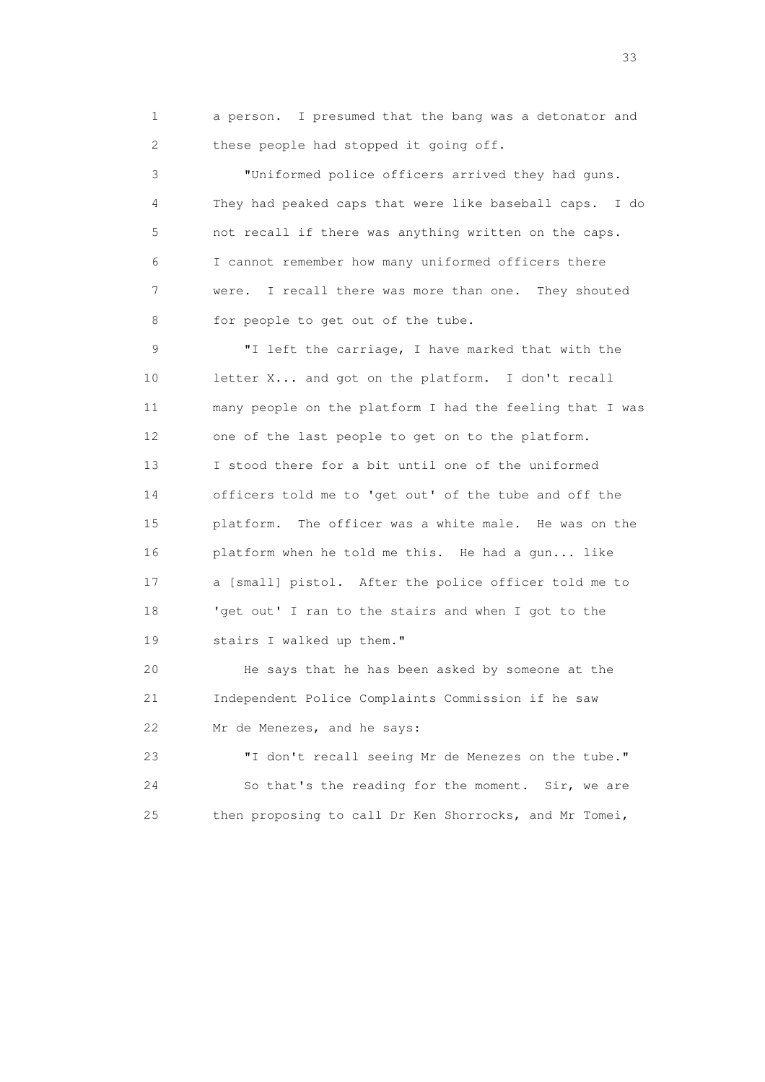1 a person. I presumed that the bang was a detonator and 2 these people had stopped it going off.

 3 "Uniformed police officers arrived they had guns. 4 They had peaked caps that were like baseball caps. I do 5 not recall if there was anything written on the caps. 6 I cannot remember how many uniformed officers there 7 were. I recall there was more than one. They shouted 8 for people to get out of the tube.

 9 "I left the carriage, I have marked that with the 10 letter X... and got on the platform. I don't recall 11 many people on the platform I had the feeling that I was 12 one of the last people to get on to the platform. 13 I stood there for a bit until one of the uniformed 14 officers told me to 'get out' of the tube and off the 15 platform. The officer was a white male. He was on the 16 platform when he told me this. He had a gun... like 17 a [small] pistol. After the police officer told me to 18 'get out' I ran to the stairs and when I got to the 19 stairs I walked up them."

 20 He says that he has been asked by someone at the 21 Independent Police Complaints Commission if he saw 22 Mr de Menezes, and he says:

 23 "I don't recall seeing Mr de Menezes on the tube." 24 So that's the reading for the moment. Sir, we are 25 then proposing to call Dr Ken Shorrocks, and Mr Tomei,

<u>33</u> and the state of the state of the state of the state of the state of the state of the state of the state of the state of the state of the state of the state of the state of the state of the state of the state of the s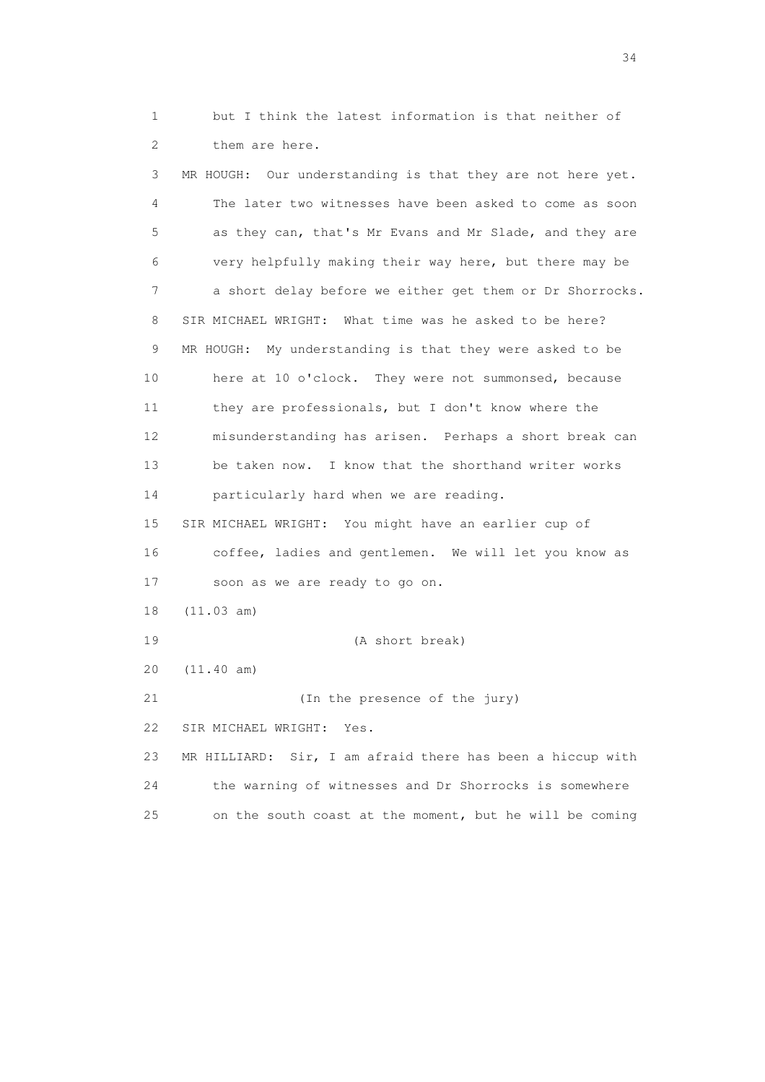1 but I think the latest information is that neither of 2 them are here.

 3 MR HOUGH: Our understanding is that they are not here yet. 4 The later two witnesses have been asked to come as soon 5 as they can, that's Mr Evans and Mr Slade, and they are 6 very helpfully making their way here, but there may be 7 a short delay before we either get them or Dr Shorrocks. 8 SIR MICHAEL WRIGHT: What time was he asked to be here? 9 MR HOUGH: My understanding is that they were asked to be 10 here at 10 o'clock. They were not summonsed, because 11 they are professionals, but I don't know where the 12 misunderstanding has arisen. Perhaps a short break can 13 be taken now. I know that the shorthand writer works 14 particularly hard when we are reading. 15 SIR MICHAEL WRIGHT: You might have an earlier cup of 16 coffee, ladies and gentlemen. We will let you know as 17 soon as we are ready to go on. 18 (11.03 am) 19 (A short break) 20 (11.40 am) 21 (In the presence of the jury) 22 SIR MICHAEL WRIGHT: Yes. 23 MR HILLIARD: Sir, I am afraid there has been a hiccup with 24 the warning of witnesses and Dr Shorrocks is somewhere 25 on the south coast at the moment, but he will be coming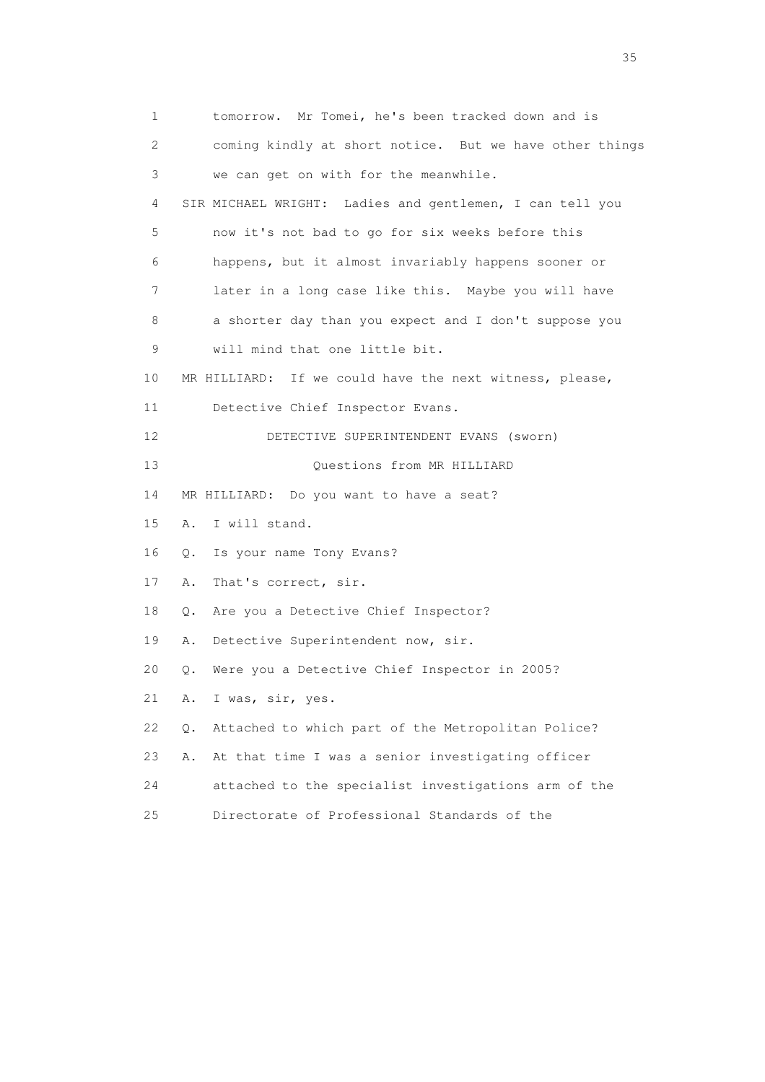1 tomorrow. Mr Tomei, he's been tracked down and is 2 coming kindly at short notice. But we have other things 3 we can get on with for the meanwhile. 4 SIR MICHAEL WRIGHT: Ladies and gentlemen, I can tell you 5 now it's not bad to go for six weeks before this 6 happens, but it almost invariably happens sooner or 7 later in a long case like this. Maybe you will have 8 a shorter day than you expect and I don't suppose you 9 will mind that one little bit. 10 MR HILLIARD: If we could have the next witness, please, 11 Detective Chief Inspector Evans. 12 DETECTIVE SUPERINTENDENT EVANS (sworn) 13 Ouestions from MR HILLIARD 14 MR HILLIARD: Do you want to have a seat? 15 A. I will stand. 16 Q. Is your name Tony Evans? 17 A. That's correct, sir. 18 Q. Are you a Detective Chief Inspector? 19 A. Detective Superintendent now, sir. 20 Q. Were you a Detective Chief Inspector in 2005? 21 A. I was, sir, yes. 22 Q. Attached to which part of the Metropolitan Police? 23 A. At that time I was a senior investigating officer 24 attached to the specialist investigations arm of the 25 Directorate of Professional Standards of the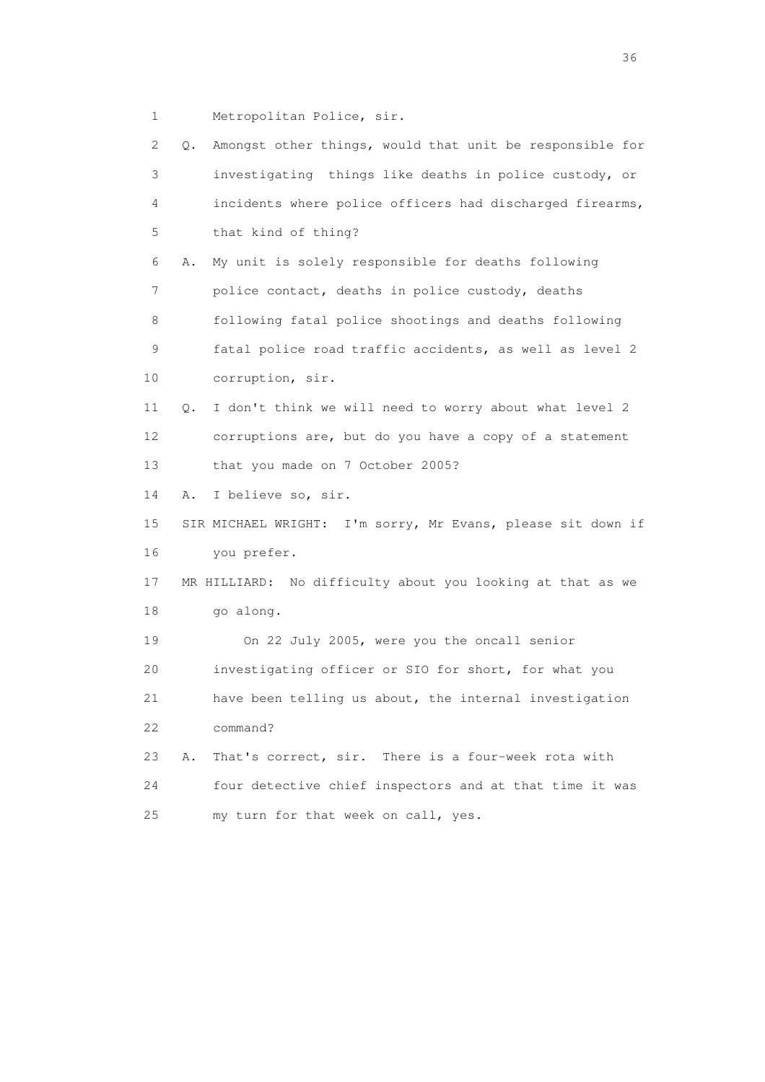1 Metropolitan Police, sir.

| 2           | Q. | Amongst other things, would that unit be responsible for    |
|-------------|----|-------------------------------------------------------------|
| 3           |    | investigating things like deaths in police custody, or      |
| 4           |    | incidents where police officers had discharged firearms,    |
| 5           |    | that kind of thing?                                         |
| 6           | Α. | My unit is solely responsible for deaths following          |
| 7           |    | police contact, deaths in police custody, deaths            |
| 8           |    | following fatal police shootings and deaths following       |
| $\mathsf 9$ |    | fatal police road traffic accidents, as well as level 2     |
| 10          |    | corruption, sir.                                            |
| 11          | Q. | I don't think we will need to worry about what level 2      |
| 12          |    | corruptions are, but do you have a copy of a statement      |
| 13          |    | that you made on 7 October 2005?                            |
| 14          | Α. | I believe so, sir.                                          |
| 15          |    | SIR MICHAEL WRIGHT: I'm sorry, Mr Evans, please sit down if |
| 16          |    | you prefer.                                                 |
| 17          |    | MR HILLIARD: No difficulty about you looking at that as we  |
| 18          |    | go along.                                                   |
| 19          |    | On 22 July 2005, were you the oncall senior                 |
| 20          |    | investigating officer or SIO for short, for what you        |
| 21          |    | have been telling us about, the internal investigation      |
| 22          |    | command?                                                    |
| 23          | Α. | That's correct, sir. There is a four-week rota with         |
| 24          |    | four detective chief inspectors and at that time it was     |
| 25          |    | my turn for that week on call, yes.                         |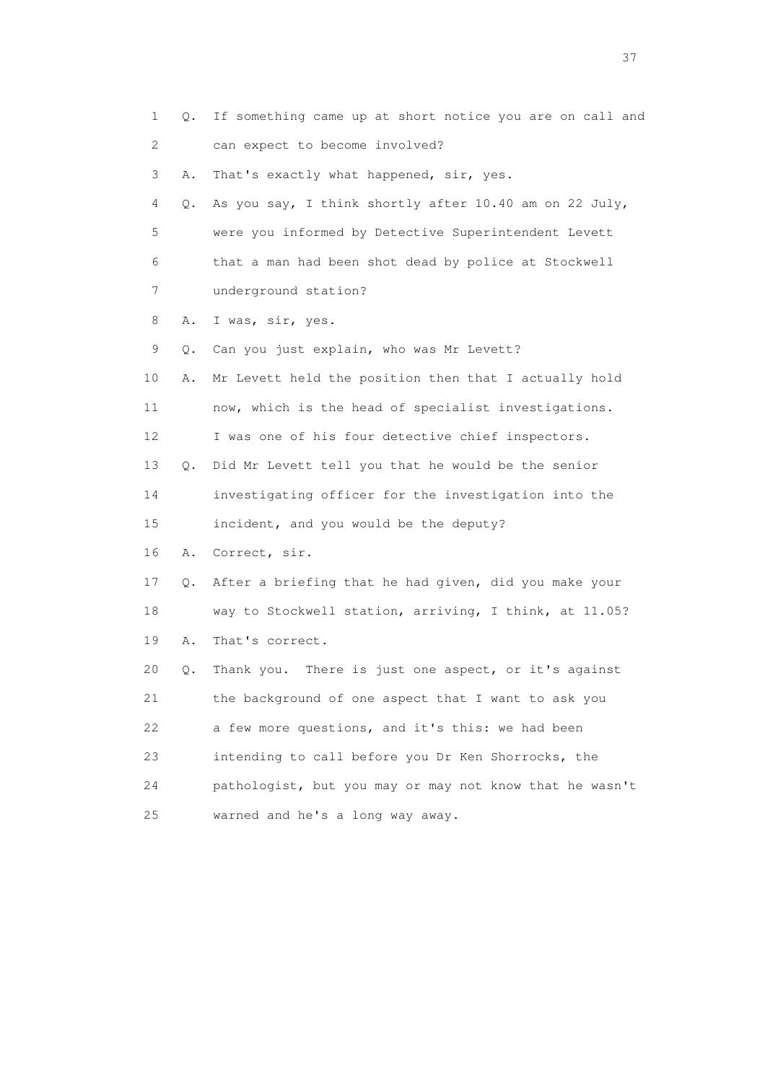| 1  | Q. | If something came up at short notice you are on call and |
|----|----|----------------------------------------------------------|
| 2  |    | can expect to become involved?                           |
| 3  | Α. | That's exactly what happened, sir, yes.                  |
| 4  | Q. | As you say, I think shortly after 10.40 am on 22 July,   |
| 5  |    | were you informed by Detective Superintendent Levett     |
| 6  |    | that a man had been shot dead by police at Stockwell     |
| 7  |    | underground station?                                     |
| 8  | Α. | I was, sir, yes.                                         |
| 9  | Q. | Can you just explain, who was Mr Levett?                 |
| 10 | Α. | Mr Levett held the position then that I actually hold    |
| 11 |    | now, which is the head of specialist investigations.     |
| 12 |    | I was one of his four detective chief inspectors.        |
| 13 | Q. | Did Mr Levett tell you that he would be the senior       |
| 14 |    | investigating officer for the investigation into the     |
| 15 |    | incident, and you would be the deputy?                   |
| 16 | Α. | Correct, sir.                                            |
| 17 | Q. | After a briefing that he had given, did you make your    |
| 18 |    | way to Stockwell station, arriving, I think, at 11.05?   |
| 19 | Α. | That's correct.                                          |
| 20 | Q. | There is just one aspect, or it's against<br>Thank you.  |
| 21 |    | the background of one aspect that I want to ask you      |
| 22 |    | a few more questions, and it's this: we had been         |
| 23 |    | intending to call before you Dr Ken Shorrocks, the       |
| 24 |    | pathologist, but you may or may not know that he wasn't  |
| 25 |    | warned and he's a long way away.                         |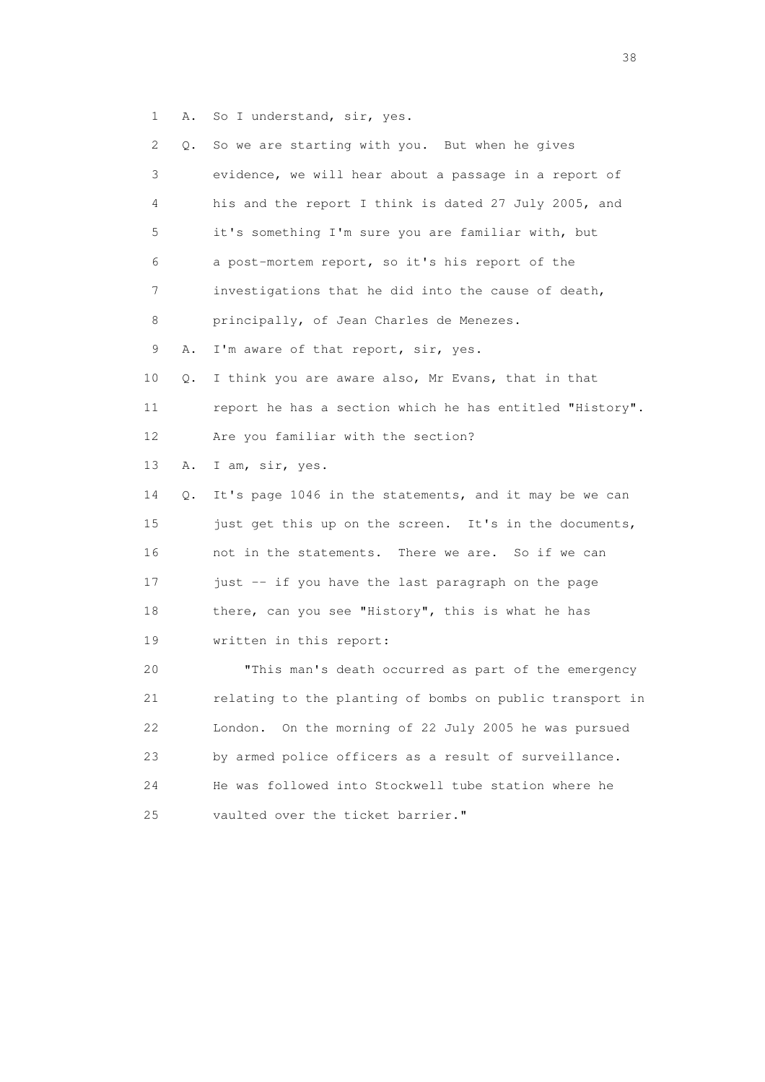1 A. So I understand, sir, yes.

| 2               | Q. | So we are starting with you. But when he gives           |
|-----------------|----|----------------------------------------------------------|
| 3               |    | evidence, we will hear about a passage in a report of    |
| 4               |    | his and the report I think is dated 27 July 2005, and    |
| 5               |    | it's something I'm sure you are familiar with, but       |
| 6               |    | a post-mortem report, so it's his report of the          |
| 7               |    | investigations that he did into the cause of death,      |
| 8               |    | principally, of Jean Charles de Menezes.                 |
| 9               | Α. | I'm aware of that report, sir, yes.                      |
| 10              | Q. | I think you are aware also, Mr Evans, that in that       |
| 11              |    | report he has a section which he has entitled "History". |
| 12 <sup>°</sup> |    | Are you familiar with the section?                       |
| 13              | Α. | I am, sir, yes.                                          |
| 14              | Q. | It's page 1046 in the statements, and it may be we can   |
| 15              |    | just get this up on the screen. It's in the documents,   |
| 16              |    | not in the statements. There we are. So if we can        |
| 17              |    | just -- if you have the last paragraph on the page       |
| 18              |    | there, can you see "History", this is what he has        |
| 19              |    | written in this report:                                  |
| 20              |    | "This man's death occurred as part of the emergency      |
| 21              |    | relating to the planting of bombs on public transport in |
| 22              |    | On the morning of 22 July 2005 he was pursued<br>London. |
| 23              |    | by armed police officers as a result of surveillance.    |
| 24              |    | He was followed into Stockwell tube station where he     |
| $25$            |    | vaulted over the ticket barrier."                        |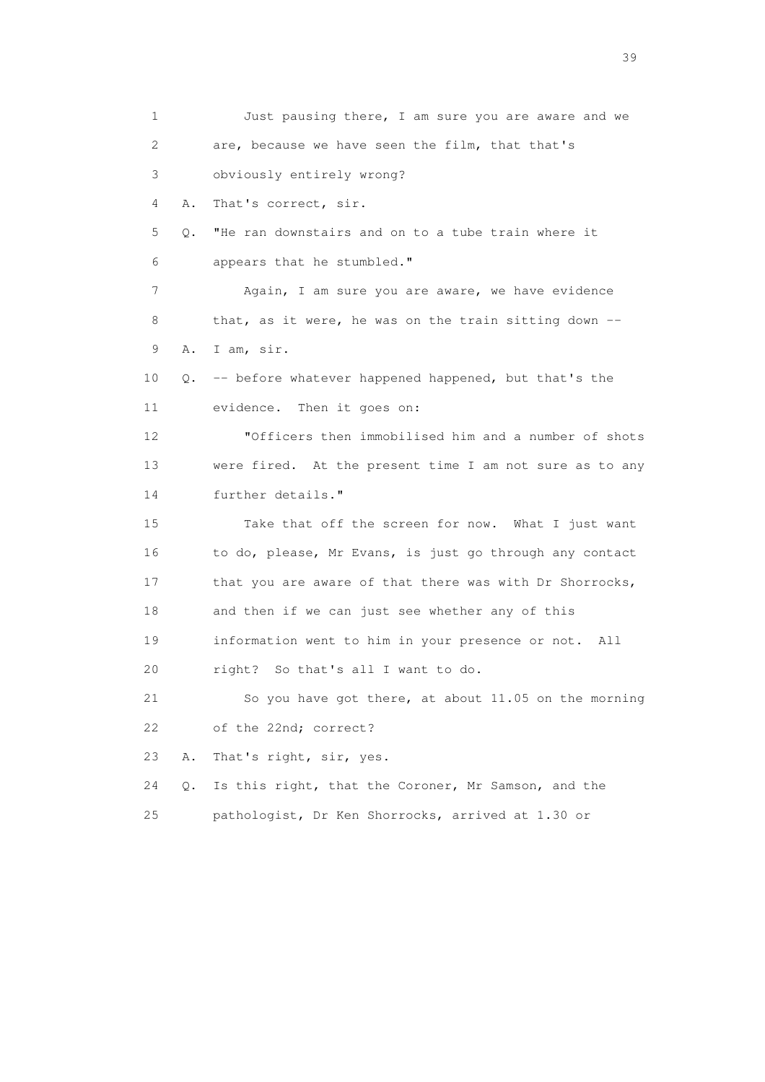1 Just pausing there, I am sure you are aware and we 2 are, because we have seen the film, that that's 3 obviously entirely wrong? 4 A. That's correct, sir. 5 Q. "He ran downstairs and on to a tube train where it 6 appears that he stumbled." 7 Again, I am sure you are aware, we have evidence 8 that, as it were, he was on the train sitting down -- 9 A. I am, sir. 10 Q. -- before whatever happened happened, but that's the 11 evidence. Then it goes on: 12 "Officers then immobilised him and a number of shots 13 were fired. At the present time I am not sure as to any 14 further details." 15 Take that off the screen for now. What I just want 16 to do, please, Mr Evans, is just go through any contact 17 that you are aware of that there was with Dr Shorrocks, 18 and then if we can just see whether any of this 19 information went to him in your presence or not. All 20 right? So that's all I want to do. 21 So you have got there, at about 11.05 on the morning 22 of the 22nd; correct? 23 A. That's right, sir, yes. 24 Q. Is this right, that the Coroner, Mr Samson, and the 25 pathologist, Dr Ken Shorrocks, arrived at 1.30 or

 $39<sup>2</sup>$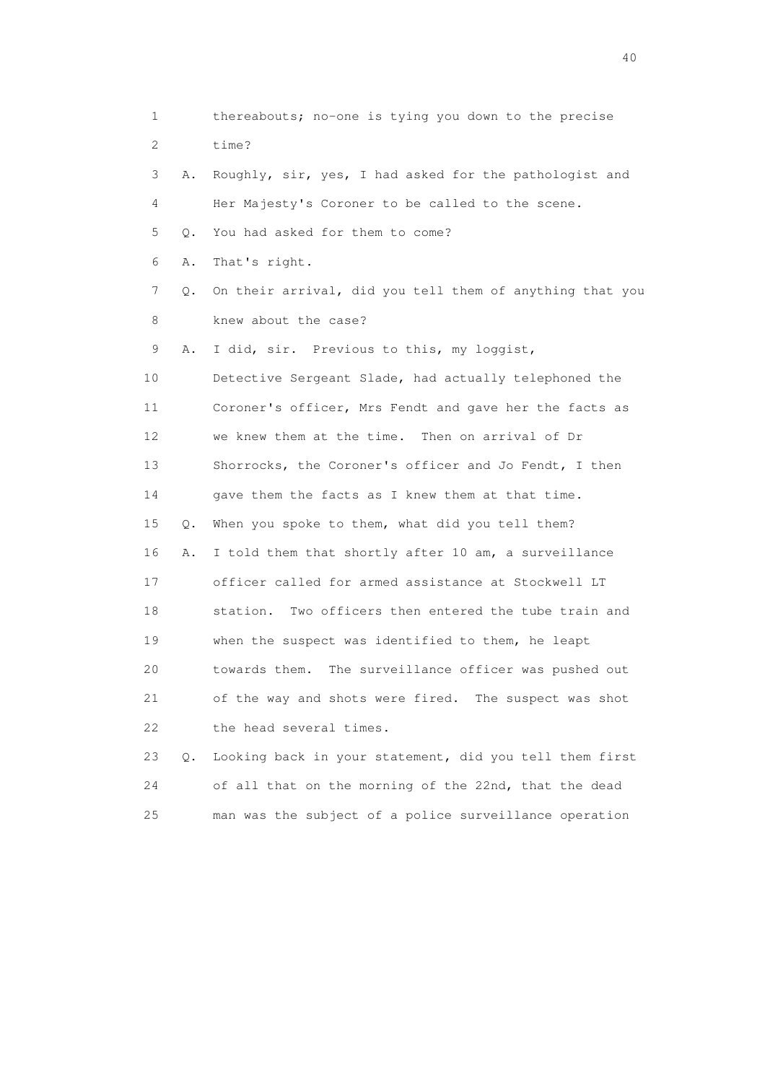1 thereabouts; no-one is tying you down to the precise 2 time? 3 A. Roughly, sir, yes, I had asked for the pathologist and 4 Her Majesty's Coroner to be called to the scene. 5 Q. You had asked for them to come? 6 A. That's right. 7 Q. On their arrival, did you tell them of anything that you 8 knew about the case? 9 A. I did, sir. Previous to this, my loggist, 10 Detective Sergeant Slade, had actually telephoned the 11 Coroner's officer, Mrs Fendt and gave her the facts as 12 we knew them at the time. Then on arrival of Dr 13 Shorrocks, the Coroner's officer and Jo Fendt, I then 14 gave them the facts as I knew them at that time. 15 Q. When you spoke to them, what did you tell them? 16 A. I told them that shortly after 10 am, a surveillance 17 officer called for armed assistance at Stockwell LT 18 station. Two officers then entered the tube train and 19 when the suspect was identified to them, he leapt 20 towards them. The surveillance officer was pushed out 21 of the way and shots were fired. The suspect was shot 22 the head several times. 23 Q. Looking back in your statement, did you tell them first

 24 of all that on the morning of the 22nd, that the dead 25 man was the subject of a police surveillance operation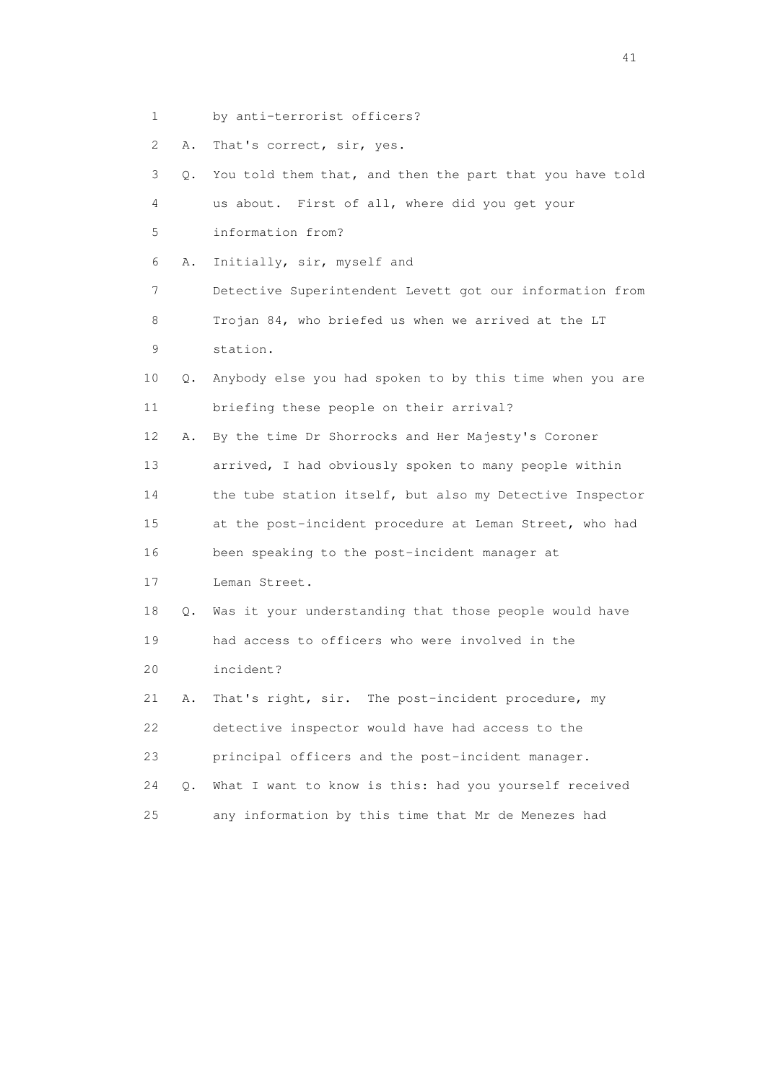- 1 by anti-terrorist officers?
- 2 A. That's correct, sir, yes.

| 3               | 0. | You told them that, and then the part that you have told |
|-----------------|----|----------------------------------------------------------|
| 4               |    | us about. First of all, where did you get your           |
| 5               |    | information from?                                        |
| 6               | Α. | Initially, sir, myself and                               |
| 7               |    | Detective Superintendent Levett got our information from |
| 8               |    | Trojan 84, who briefed us when we arrived at the LT      |
| 9               |    | station.                                                 |
| 10              | 0. | Anybody else you had spoken to by this time when you are |
| 11              |    | briefing these people on their arrival?                  |
| 12 <sup>°</sup> | Α. | By the time Dr Shorrocks and Her Majesty's Coroner       |
| 13              |    | arrived, I had obviously spoken to many people within    |
| 14              |    | the tube station itself, but also my Detective Inspector |
| 15              |    | at the post-incident procedure at Leman Street, who had  |
| 16              |    | been speaking to the post-incident manager at            |
| 17              |    | Leman Street.                                            |
| 18              | Q. | Was it your understanding that those people would have   |
| 19              |    | had access to officers who were involved in the          |
| 20              |    | incident?                                                |
| 21              | Α. | That's right, sir. The post-incident procedure, my       |
| 22              |    | detective inspector would have had access to the         |
| 23              |    | principal officers and the post-incident manager.        |
| 24              | Q. | What I want to know is this: had you yourself received   |
| 25              |    | any information by this time that Mr de Menezes had      |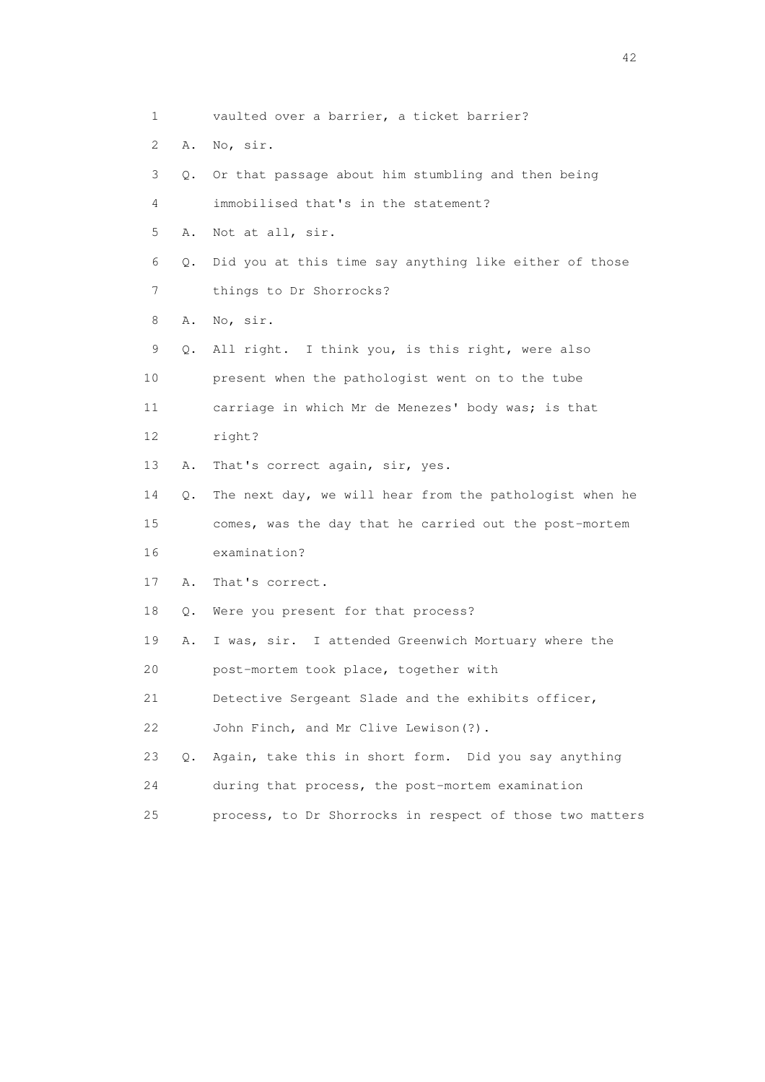1 vaulted over a barrier, a ticket barrier? 2 A. No, sir. 3 Q. Or that passage about him stumbling and then being 4 immobilised that's in the statement? 5 A. Not at all, sir. 6 Q. Did you at this time say anything like either of those 7 things to Dr Shorrocks? 8 A. No, sir. 9 Q. All right. I think you, is this right, were also 10 present when the pathologist went on to the tube 11 carriage in which Mr de Menezes' body was; is that 12 right? 13 A. That's correct again, sir, yes. 14 Q. The next day, we will hear from the pathologist when he 15 comes, was the day that he carried out the post-mortem 16 examination? 17 A. That's correct. 18 Q. Were you present for that process? 19 A. I was, sir. I attended Greenwich Mortuary where the 20 post-mortem took place, together with 21 Detective Sergeant Slade and the exhibits officer, 22 John Finch, and Mr Clive Lewison(?). 23 Q. Again, take this in short form. Did you say anything 24 during that process, the post-mortem examination 25 process, to Dr Shorrocks in respect of those two matters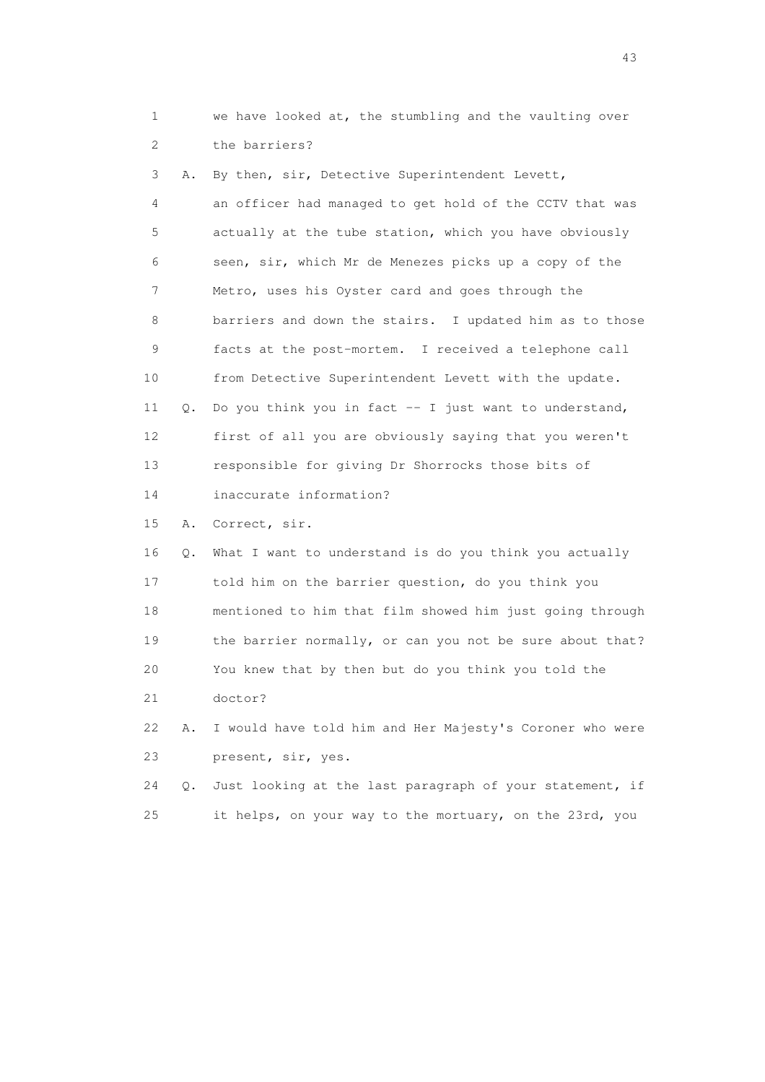1 we have looked at, the stumbling and the vaulting over 2 the barriers?

 3 A. By then, sir, Detective Superintendent Levett, 4 an officer had managed to get hold of the CCTV that was 5 actually at the tube station, which you have obviously 6 seen, sir, which Mr de Menezes picks up a copy of the 7 Metro, uses his Oyster card and goes through the 8 barriers and down the stairs. I updated him as to those 9 facts at the post-mortem. I received a telephone call 10 from Detective Superintendent Levett with the update. 11 Q. Do you think you in fact -- I just want to understand, 12 first of all you are obviously saying that you weren't 13 responsible for giving Dr Shorrocks those bits of 14 inaccurate information? 15 A. Correct, sir. 16 Q. What I want to understand is do you think you actually 17 told him on the barrier question, do you think you 18 mentioned to him that film showed him just going through 19 the barrier normally, or can you not be sure about that? 20 You knew that by then but do you think you told the

21 doctor?

 22 A. I would have told him and Her Majesty's Coroner who were 23 present, sir, yes.

24 Q. Just looking at the last paragraph of your statement, if 25 it helps, on your way to the mortuary, on the 23rd, you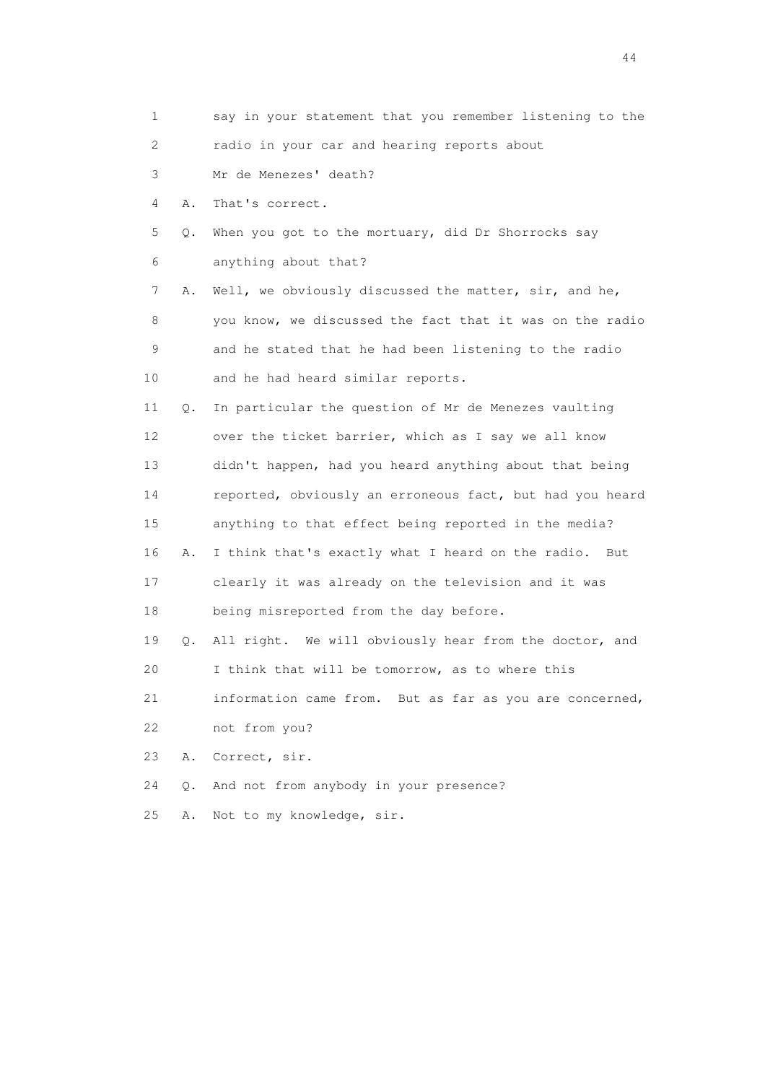1 say in your statement that you remember listening to the 2 radio in your car and hearing reports about 3 Mr de Menezes' death? 4 A. That's correct. 5 Q. When you got to the mortuary, did Dr Shorrocks say 6 anything about that? 7 A. Well, we obviously discussed the matter, sir, and he, 8 you know, we discussed the fact that it was on the radio 9 and he stated that he had been listening to the radio 10 and he had heard similar reports. 11 Q. In particular the question of Mr de Menezes vaulting 12 over the ticket barrier, which as I say we all know 13 didn't happen, had you heard anything about that being 14 reported, obviously an erroneous fact, but had you heard 15 anything to that effect being reported in the media? 16 A. I think that's exactly what I heard on the radio. But 17 clearly it was already on the television and it was 18 being misreported from the day before. 19 Q. All right. We will obviously hear from the doctor, and 20 I think that will be tomorrow, as to where this 21 information came from. But as far as you are concerned, 22 not from you? 23 A. Correct, sir. 24 Q. And not from anybody in your presence? 25 A. Not to my knowledge, sir.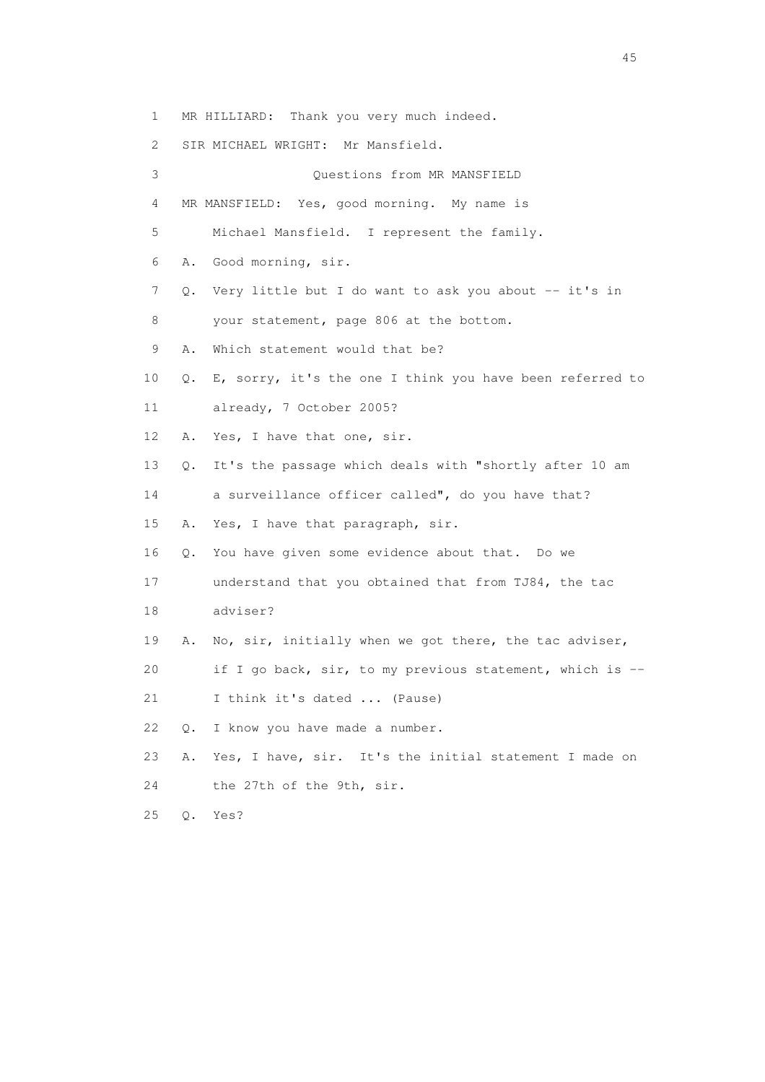1 MR HILLIARD: Thank you very much indeed.

2 SIR MICHAEL WRIGHT: Mr Mansfield.

 3 Questions from MR MANSFIELD 4 MR MANSFIELD: Yes, good morning. My name is 5 Michael Mansfield. I represent the family. 6 A. Good morning, sir. 7 Q. Very little but I do want to ask you about -- it's in 8 your statement, page 806 at the bottom. 9 A. Which statement would that be? 10 Q. E, sorry, it's the one I think you have been referred to 11 already, 7 October 2005? 12 A. Yes, I have that one, sir. 13 Q. It's the passage which deals with "shortly after 10 am 14 a surveillance officer called", do you have that? 15 A. Yes, I have that paragraph, sir. 16 Q. You have given some evidence about that. Do we 17 understand that you obtained that from TJ84, the tac 18 adviser? 19 A. No, sir, initially when we got there, the tac adviser, 20 if I go back, sir, to my previous statement, which is -- 21 I think it's dated ... (Pause) 22 Q. I know you have made a number. 23 A. Yes, I have, sir. It's the initial statement I made on 24 the 27th of the 9th, sir. 25 Q. Yes?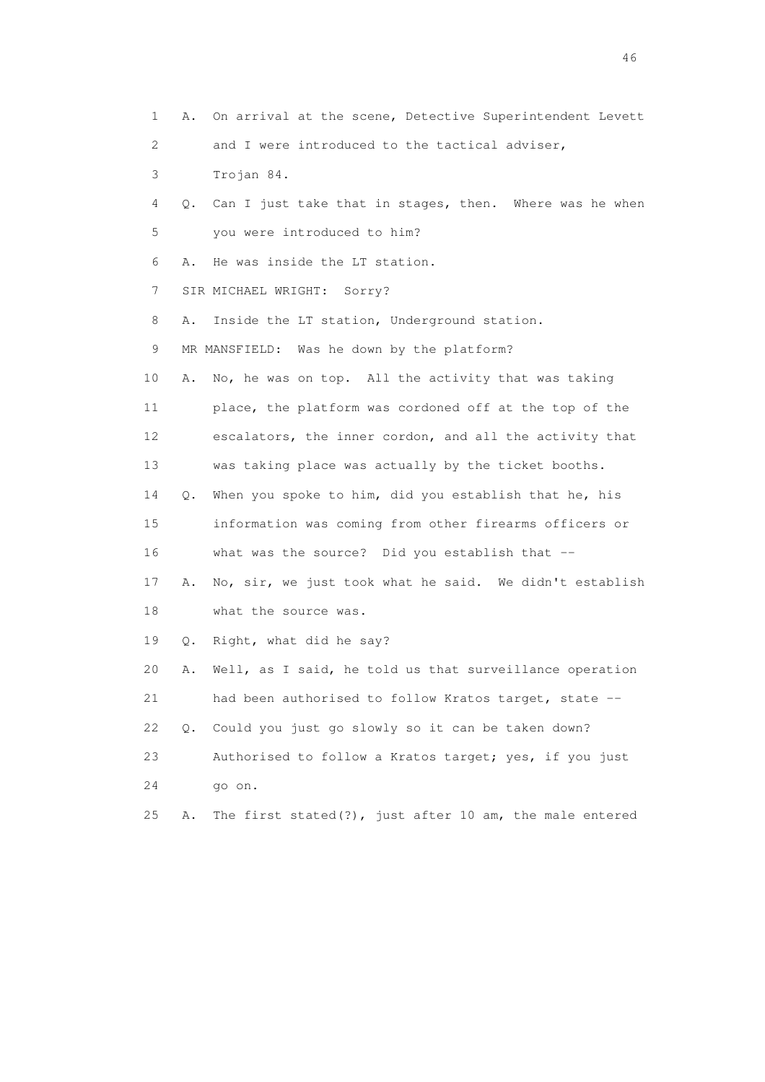1 A. On arrival at the scene, Detective Superintendent Levett 2 and I were introduced to the tactical adviser, 3 Trojan 84. 4 Q. Can I just take that in stages, then. Where was he when 5 you were introduced to him? 6 A. He was inside the LT station. 7 SIR MICHAEL WRIGHT: Sorry? 8 A. Inside the LT station, Underground station. 9 MR MANSFIELD: Was he down by the platform? 10 A. No, he was on top. All the activity that was taking 11 place, the platform was cordoned off at the top of the 12 escalators, the inner cordon, and all the activity that 13 was taking place was actually by the ticket booths. 14 Q. When you spoke to him, did you establish that he, his 15 information was coming from other firearms officers or 16 what was the source? Did you establish that -- 17 A. No, sir, we just took what he said. We didn't establish 18 what the source was. 19 Q. Right, what did he say? 20 A. Well, as I said, he told us that surveillance operation 21 had been authorised to follow Kratos target, state -- 22 Q. Could you just go slowly so it can be taken down? 23 Authorised to follow a Kratos target; yes, if you just 24 go on. 25 A. The first stated(?), just after 10 am, the male entered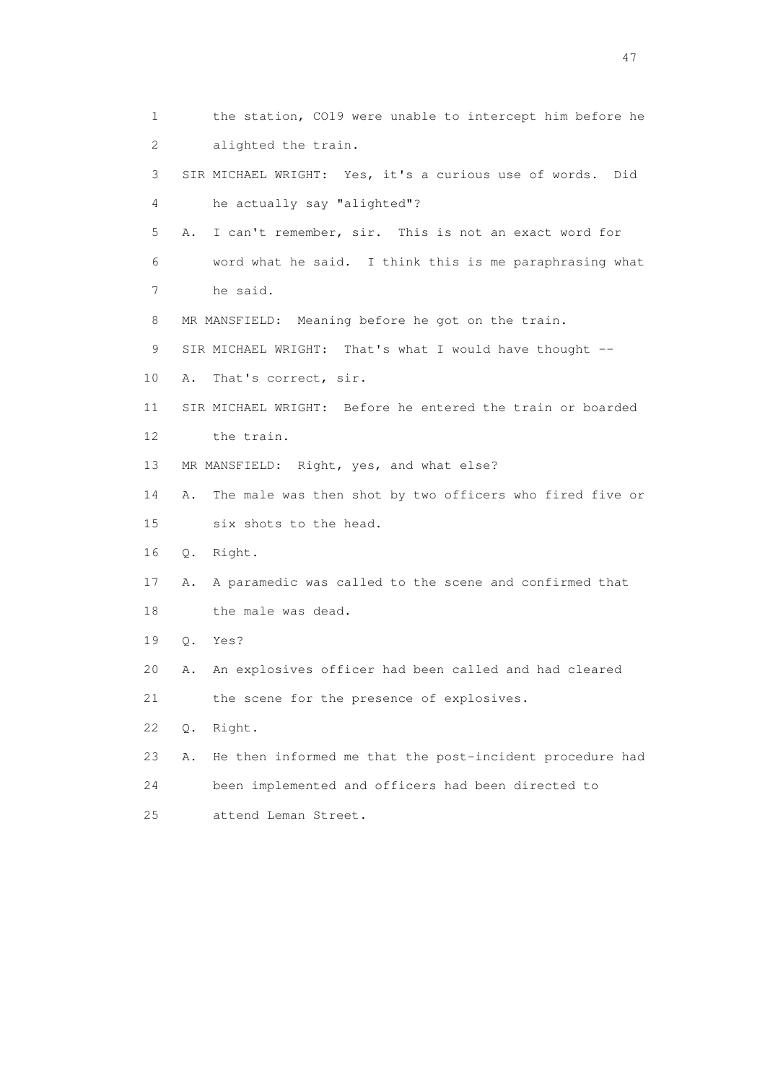1 the station, CO19 were unable to intercept him before he 2 alighted the train. 3 SIR MICHAEL WRIGHT: Yes, it's a curious use of words. Did 4 he actually say "alighted"? 5 A. I can't remember, sir. This is not an exact word for 6 word what he said. I think this is me paraphrasing what 7 he said. 8 MR MANSFIELD: Meaning before he got on the train. 9 SIR MICHAEL WRIGHT: That's what I would have thought -- 10 A. That's correct, sir. 11 SIR MICHAEL WRIGHT: Before he entered the train or boarded 12 the train. 13 MR MANSFIELD: Right, yes, and what else? 14 A. The male was then shot by two officers who fired five or 15 six shots to the head. 16 Q. Right. 17 A. A paramedic was called to the scene and confirmed that 18 the male was dead. 19 Q. Yes? 20 A. An explosives officer had been called and had cleared 21 the scene for the presence of explosives. 22 Q. Right. 23 A. He then informed me that the post-incident procedure had 24 been implemented and officers had been directed to 25 attend Leman Street.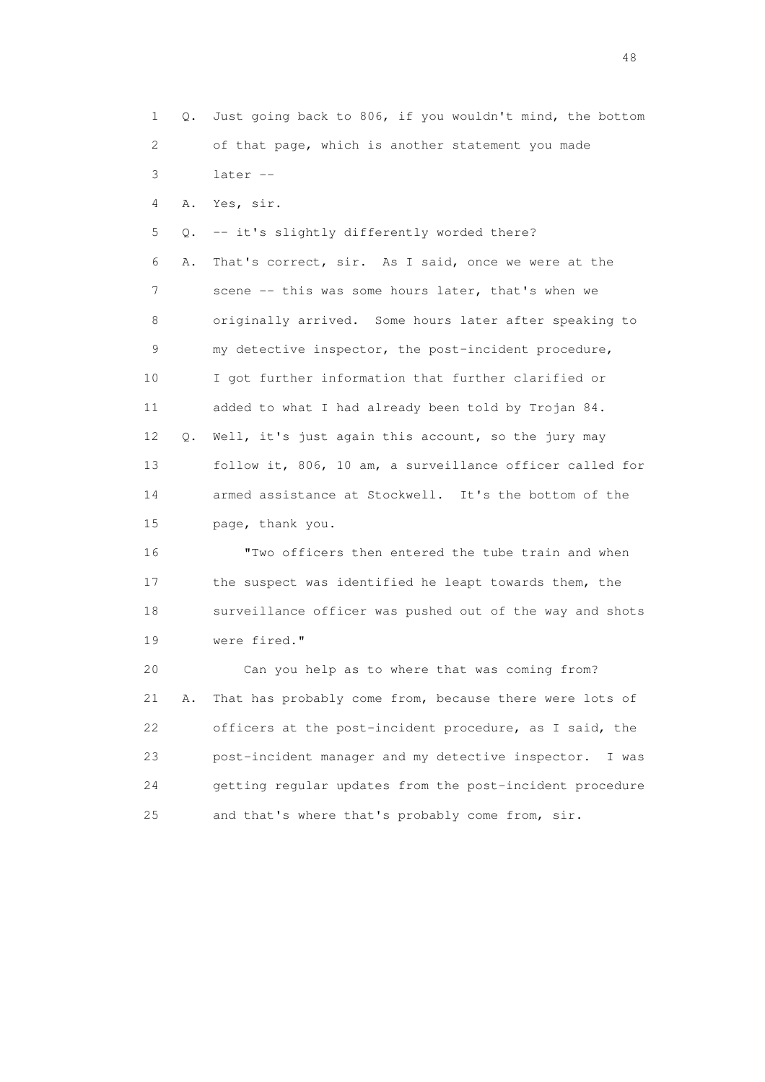1 Q. Just going back to 806, if you wouldn't mind, the bottom 2 of that page, which is another statement you made 3 later -- 4 A. Yes, sir. 5 Q. -- it's slightly differently worded there? 6 A. That's correct, sir. As I said, once we were at the 7 scene -- this was some hours later, that's when we 8 originally arrived. Some hours later after speaking to 9 my detective inspector, the post-incident procedure, 10 I got further information that further clarified or 11 added to what I had already been told by Trojan 84. 12 Q. Well, it's just again this account, so the jury may 13 follow it, 806, 10 am, a surveillance officer called for 14 armed assistance at Stockwell. It's the bottom of the 15 page, thank you. 16 "Two officers then entered the tube train and when 17 the suspect was identified he leapt towards them, the 18 surveillance officer was pushed out of the way and shots 19 were fired." 20 Can you help as to where that was coming from? 21 A. That has probably come from, because there were lots of 22 officers at the post-incident procedure, as I said, the

 23 post-incident manager and my detective inspector. I was 24 getting regular updates from the post-incident procedure 25 and that's where that's probably come from, sir.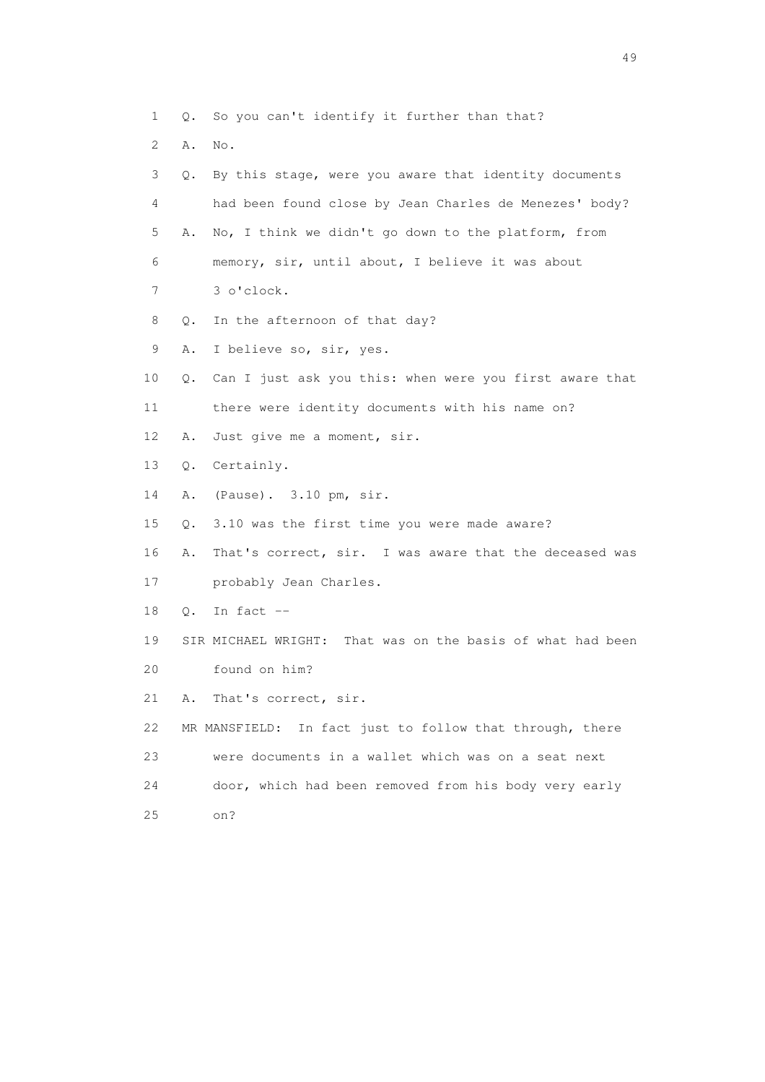1 Q. So you can't identify it further than that?

| 2  | Α. | No.                                                        |
|----|----|------------------------------------------------------------|
| 3  | Q. | By this stage, were you aware that identity documents      |
| 4  |    | had been found close by Jean Charles de Menezes' body?     |
| 5  | Α. | No, I think we didn't go down to the platform, from        |
| 6  |    | memory, sir, until about, I believe it was about           |
| 7  |    | 3 o'clock.                                                 |
| 8  | Q. | In the afternoon of that day?                              |
| 9  | Α. | I believe so, sir, yes.                                    |
| 10 | Q. | Can I just ask you this: when were you first aware that    |
| 11 |    | there were identity documents with his name on?            |
| 12 | Α. | Just give me a moment, sir.                                |
| 13 | Q. | Certainly.                                                 |
| 14 | Α. | (Pause). 3.10 pm, sir.                                     |
| 15 | Q. | 3.10 was the first time you were made aware?               |
| 16 | Α. | That's correct, sir. I was aware that the deceased was     |
| 17 |    | probably Jean Charles.                                     |
| 18 | Q. | In fact $--$                                               |
| 19 |    | SIR MICHAEL WRIGHT: That was on the basis of what had been |
| 20 |    | found on him?                                              |
| 21 | Α. | That's correct, sir.                                       |
| 22 |    | MR MANSFIELD: In fact just to follow that through, there   |
| 23 |    | were documents in a wallet which was on a seat next        |
| 24 |    | door, which had been removed from his body very early      |
| 25 |    | on?                                                        |
|    |    |                                                            |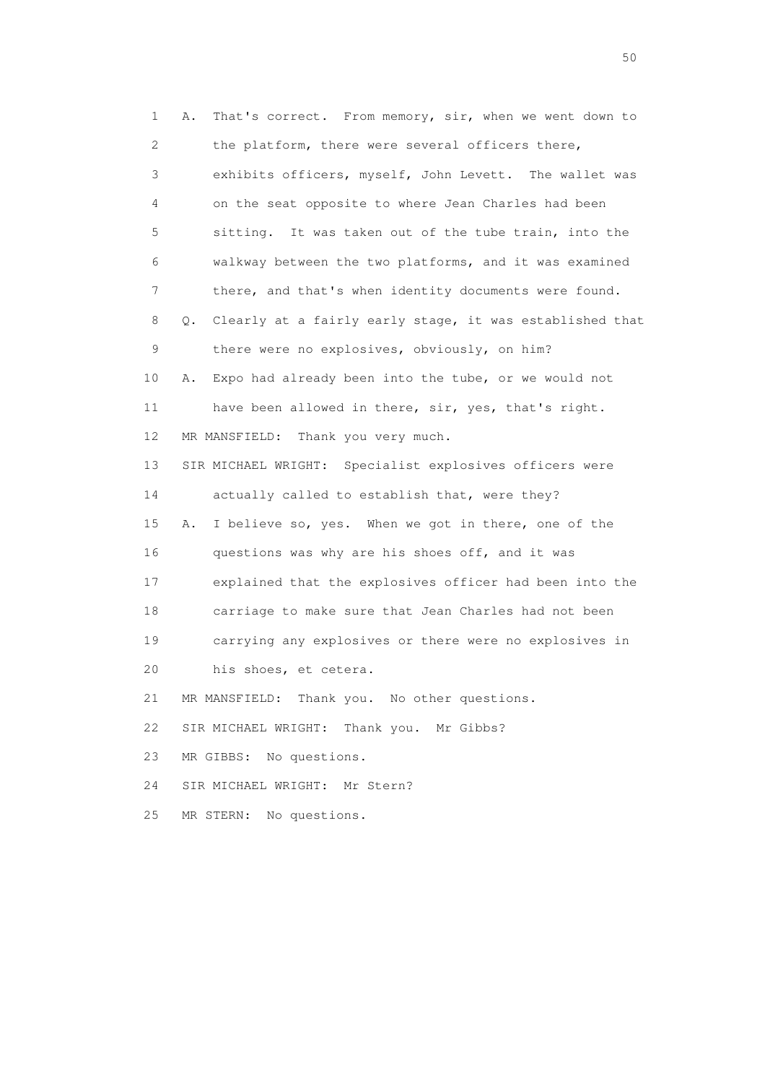1 A. That's correct. From memory, sir, when we went down to 2 the platform, there were several officers there, 3 exhibits officers, myself, John Levett. The wallet was 4 on the seat opposite to where Jean Charles had been 5 sitting. It was taken out of the tube train, into the 6 walkway between the two platforms, and it was examined 7 there, and that's when identity documents were found. 8 Q. Clearly at a fairly early stage, it was established that 9 there were no explosives, obviously, on him? 10 A. Expo had already been into the tube, or we would not 11 have been allowed in there, sir, yes, that's right. 12 MR MANSFIELD: Thank you very much. 13 SIR MICHAEL WRIGHT: Specialist explosives officers were 14 actually called to establish that, were they? 15 A. I believe so, yes. When we got in there, one of the 16 questions was why are his shoes off, and it was 17 explained that the explosives officer had been into the 18 carriage to make sure that Jean Charles had not been 19 carrying any explosives or there were no explosives in 20 his shoes, et cetera. 21 MR MANSFIELD: Thank you. No other questions. 22 SIR MICHAEL WRIGHT: Thank you. Mr Gibbs? 23 MR GIBBS: No questions. 24 SIR MICHAEL WRIGHT: Mr Stern? 25 MR STERN: No questions.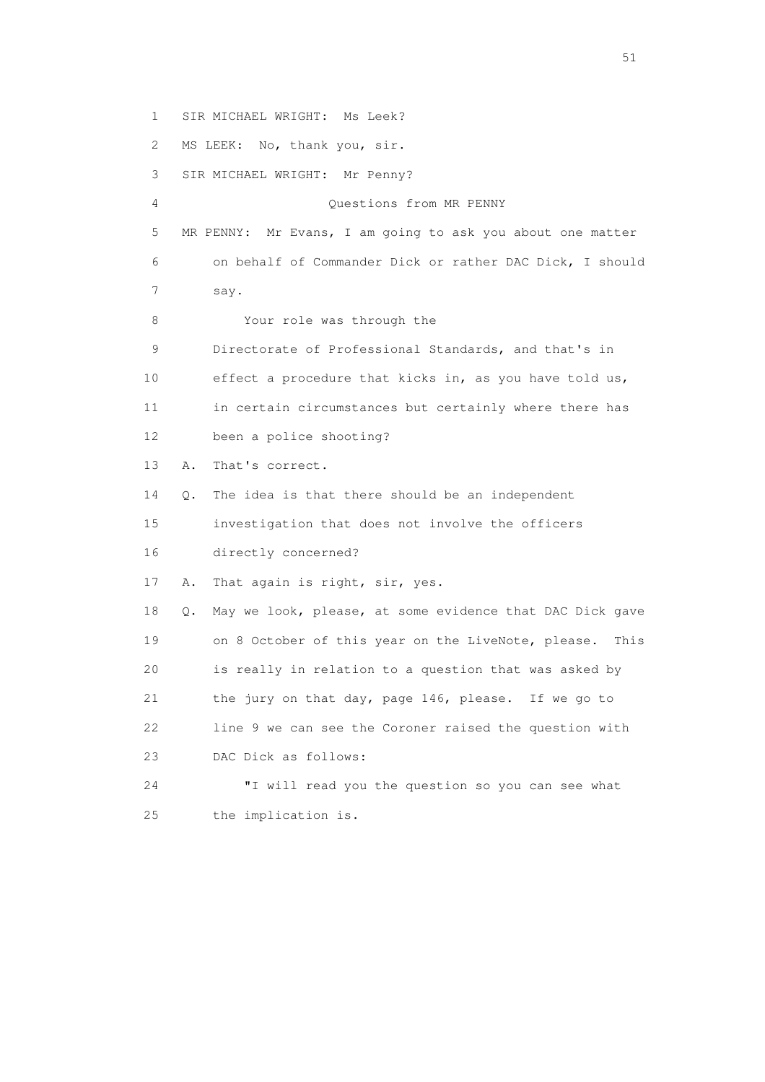1 SIR MICHAEL WRIGHT: Ms Leek? 2 MS LEEK: No, thank you, sir. 3 SIR MICHAEL WRIGHT: Mr Penny? 4 Questions from MR PENNY 5 MR PENNY: Mr Evans, I am going to ask you about one matter 6 on behalf of Commander Dick or rather DAC Dick, I should 7 say. 8 Your role was through the 9 Directorate of Professional Standards, and that's in 10 effect a procedure that kicks in, as you have told us, 11 in certain circumstances but certainly where there has 12 been a police shooting? 13 A. That's correct. 14 Q. The idea is that there should be an independent 15 investigation that does not involve the officers 16 directly concerned? 17 A. That again is right, sir, yes. 18 Q. May we look, please, at some evidence that DAC Dick gave 19 on 8 October of this year on the LiveNote, please. This 20 is really in relation to a question that was asked by 21 the jury on that day, page 146, please. If we go to 22 line 9 we can see the Coroner raised the question with 23 DAC Dick as follows: 24 "I will read you the question so you can see what 25 the implication is.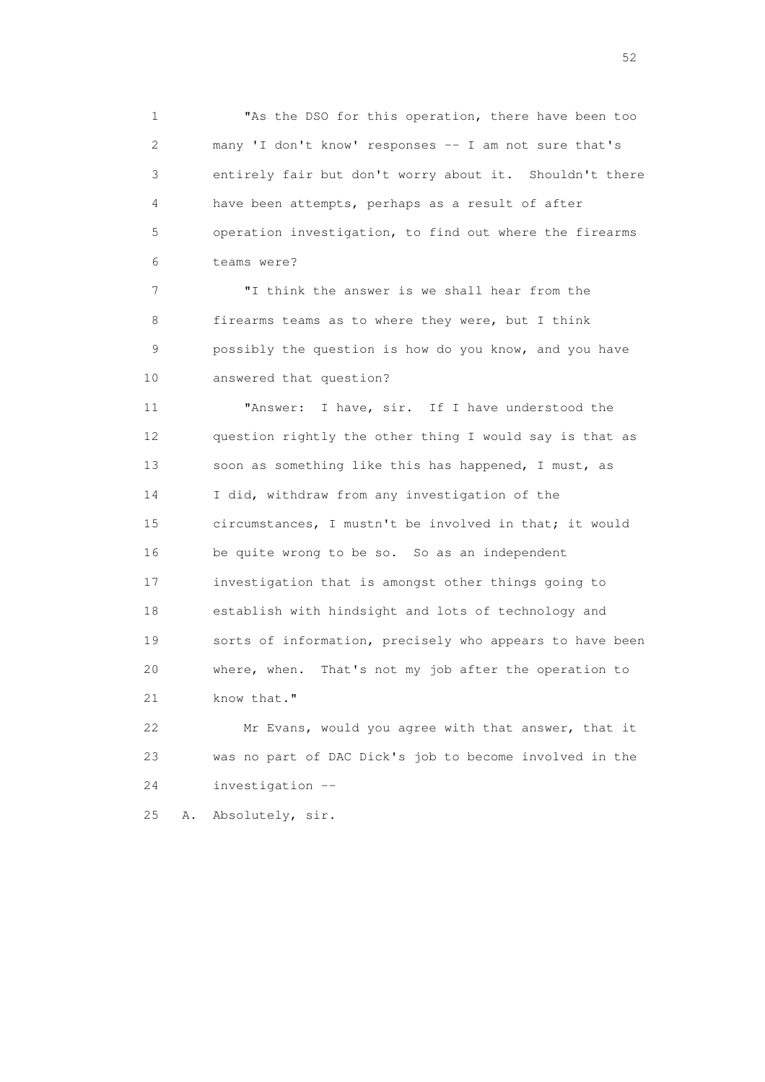1 "As the DSO for this operation, there have been too 2 many 'I don't know' responses -- I am not sure that's 3 entirely fair but don't worry about it. Shouldn't there 4 have been attempts, perhaps as a result of after 5 operation investigation, to find out where the firearms 6 teams were?

 7 "I think the answer is we shall hear from the 8 firearms teams as to where they were, but I think 9 possibly the question is how do you know, and you have 10 answered that question?

 11 "Answer: I have, sir. If I have understood the 12 question rightly the other thing I would say is that as 13 soon as something like this has happened, I must, as 14 I did, withdraw from any investigation of the 15 circumstances, I mustn't be involved in that; it would 16 be quite wrong to be so. So as an independent 17 investigation that is amongst other things going to 18 establish with hindsight and lots of technology and 19 sorts of information, precisely who appears to have been 20 where, when. That's not my job after the operation to 21 know that."

 22 Mr Evans, would you agree with that answer, that it 23 was no part of DAC Dick's job to become involved in the 24 investigation --

25 A. Absolutely, sir.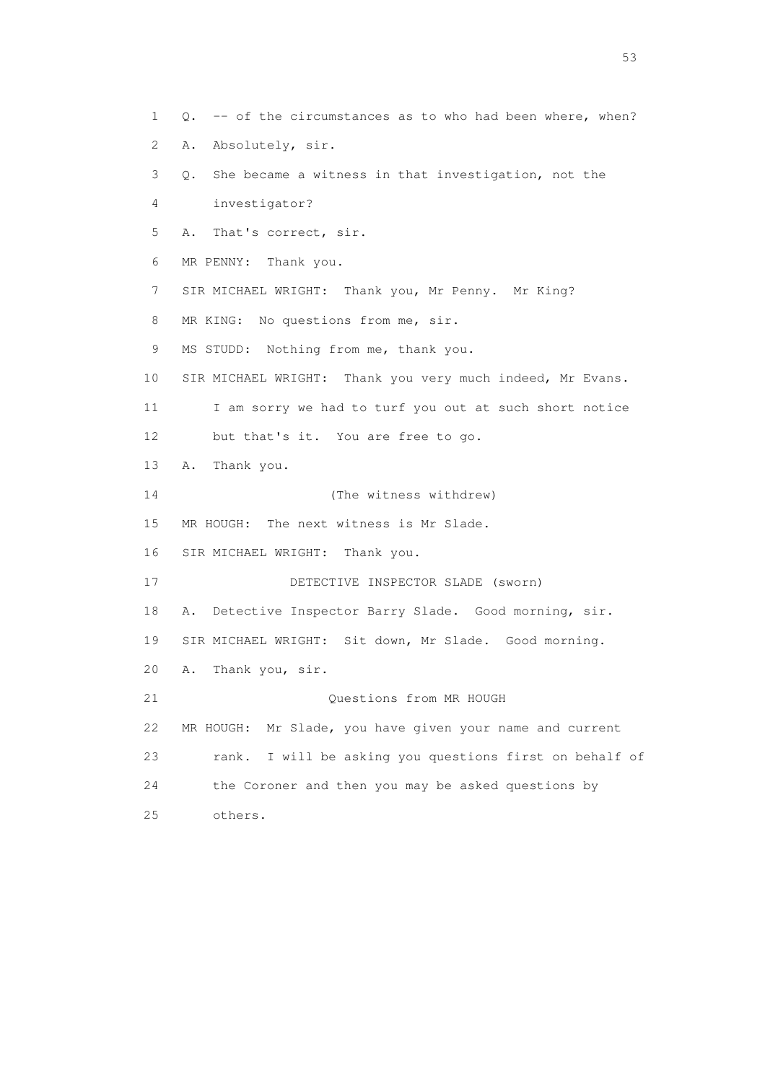1 Q. -- of the circumstances as to who had been where, when? 2 A. Absolutely, sir. 3 Q. She became a witness in that investigation, not the 4 investigator? 5 A. That's correct, sir. 6 MR PENNY: Thank you. 7 SIR MICHAEL WRIGHT: Thank you, Mr Penny. Mr King? 8 MR KING: No questions from me, sir. 9 MS STUDD: Nothing from me, thank you. 10 SIR MICHAEL WRIGHT: Thank you very much indeed, Mr Evans. 11 I am sorry we had to turf you out at such short notice 12 but that's it. You are free to go. 13 A. Thank you. 14 (The witness withdrew) 15 MR HOUGH: The next witness is Mr Slade. 16 SIR MICHAEL WRIGHT: Thank you. 17 DETECTIVE INSPECTOR SLADE (sworn) 18 A. Detective Inspector Barry Slade. Good morning, sir. 19 SIR MICHAEL WRIGHT: Sit down, Mr Slade. Good morning. 20 A. Thank you, sir. 21 Questions from MR HOUGH 22 MR HOUGH: Mr Slade, you have given your name and current 23 rank. I will be asking you questions first on behalf of 24 the Coroner and then you may be asked questions by 25 others.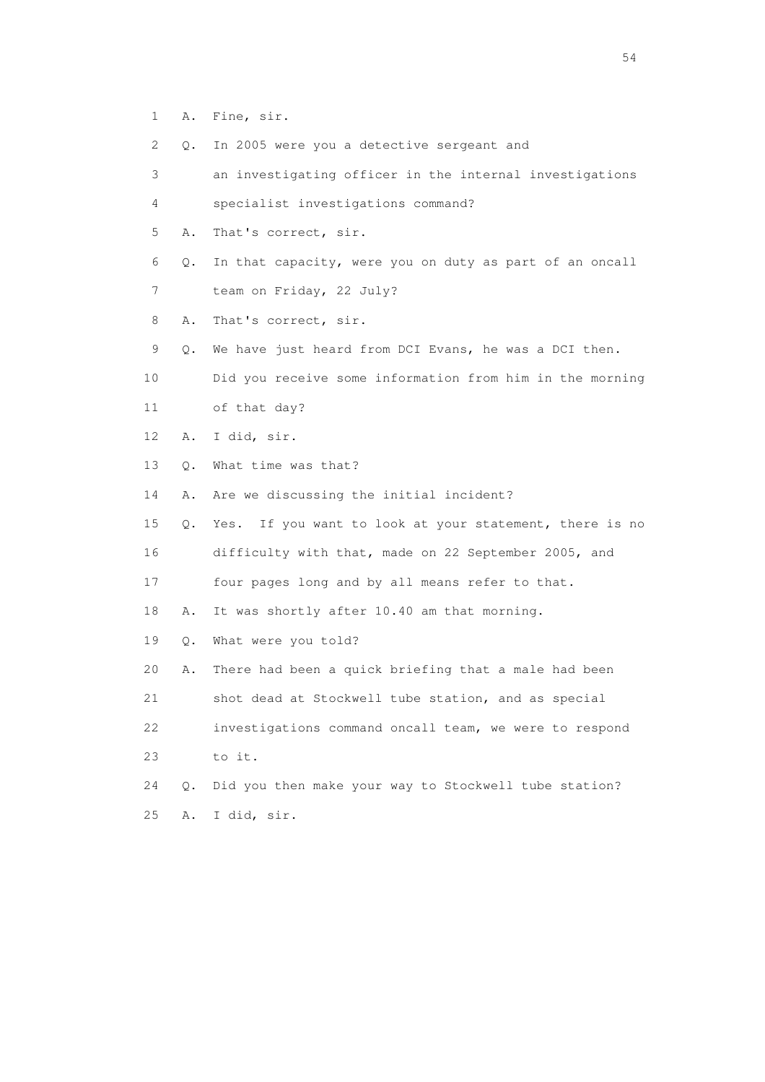- 1 A. Fine, sir.
- 2 Q. In 2005 were you a detective sergeant and
- 3 an investigating officer in the internal investigations 4 specialist investigations command? 5 A. That's correct, sir. 6 Q. In that capacity, were you on duty as part of an oncall 7 team on Friday, 22 July? 8 A. That's correct, sir. 9 Q. We have just heard from DCI Evans, he was a DCI then. 10 Did you receive some information from him in the morning 11 of that day? 12 A. I did, sir. 13 Q. What time was that? 14 A. Are we discussing the initial incident? 15 Q. Yes. If you want to look at your statement, there is no 16 difficulty with that, made on 22 September 2005, and 17 four pages long and by all means refer to that. 18 A. It was shortly after 10.40 am that morning. 19 Q. What were you told? 20 A. There had been a quick briefing that a male had been 21 shot dead at Stockwell tube station, and as special 22 investigations command oncall team, we were to respond 23 to it. 24 Q. Did you then make your way to Stockwell tube station? 25 A. I did, sir.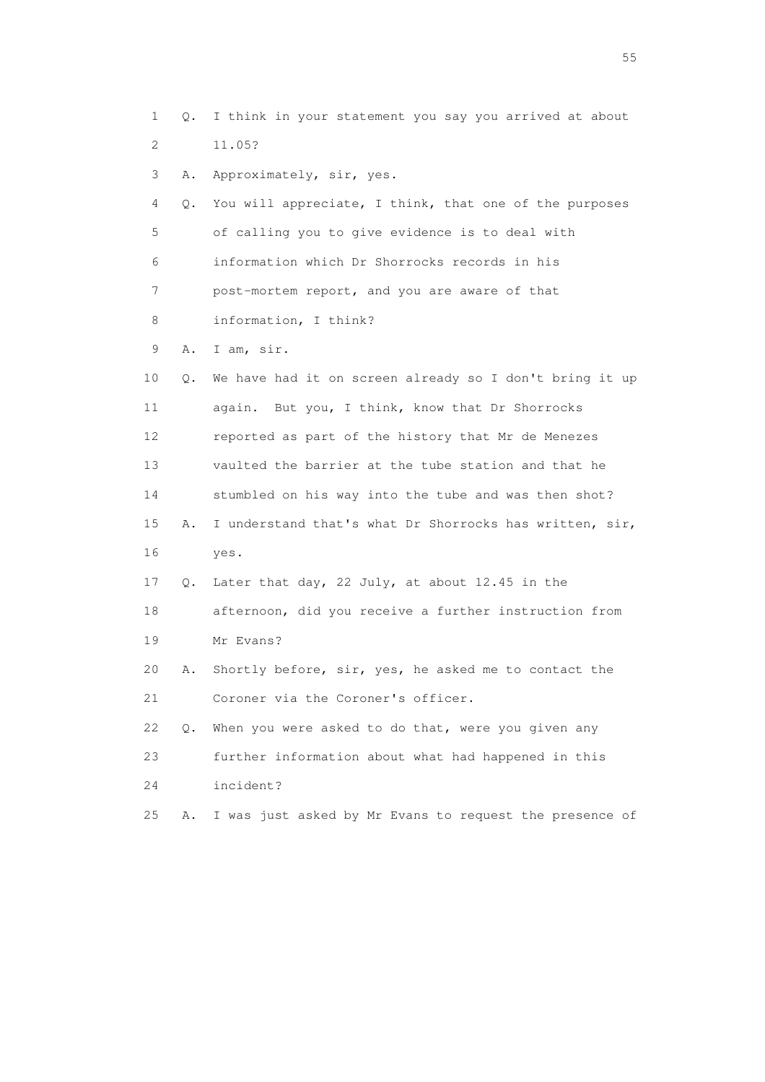1 Q. I think in your statement you say you arrived at about 2 11.05? 3 A. Approximately, sir, yes. 4 Q. You will appreciate, I think, that one of the purposes 5 of calling you to give evidence is to deal with 6 information which Dr Shorrocks records in his 7 post-mortem report, and you are aware of that 8 information, I think? 9 A. I am, sir. 10 Q. We have had it on screen already so I don't bring it up 11 again. But you, I think, know that Dr Shorrocks 12 reported as part of the history that Mr de Menezes 13 vaulted the barrier at the tube station and that he 14 stumbled on his way into the tube and was then shot? 15 A. I understand that's what Dr Shorrocks has written, sir, 16 yes. 17 Q. Later that day, 22 July, at about 12.45 in the 18 afternoon, did you receive a further instruction from 19 Mr Evans? 20 A. Shortly before, sir, yes, he asked me to contact the 21 Coroner via the Coroner's officer. 22 Q. When you were asked to do that, were you given any 23 further information about what had happened in this 24 incident? 25 A. I was just asked by Mr Evans to request the presence of

the state of the state of the state of the state of the state of the state of the state of the state of the state of the state of the state of the state of the state of the state of the state of the state of the state of t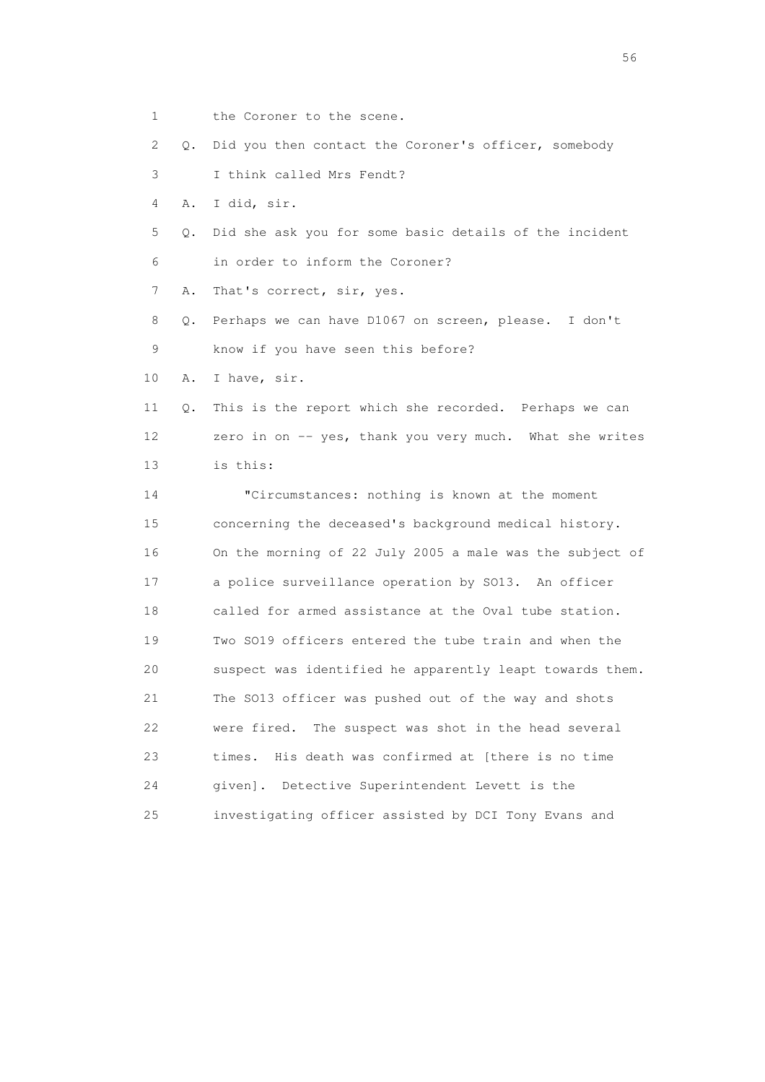1 the Coroner to the scene.

2 Q. Did you then contact the Coroner's officer, somebody

3 I think called Mrs Fendt?

4 A. I did, sir.

 5 Q. Did she ask you for some basic details of the incident 6 in order to inform the Coroner?

7 A. That's correct, sir, yes.

 8 Q. Perhaps we can have D1067 on screen, please. I don't 9 know if you have seen this before?

10 A. I have, sir.

 11 Q. This is the report which she recorded. Perhaps we can 12 zero in on -- yes, thank you very much. What she writes 13 is this:

 14 "Circumstances: nothing is known at the moment 15 concerning the deceased's background medical history. 16 On the morning of 22 July 2005 a male was the subject of 17 a police surveillance operation by SO13. An officer 18 called for armed assistance at the Oval tube station. 19 Two SO19 officers entered the tube train and when the 20 suspect was identified he apparently leapt towards them. 21 The SO13 officer was pushed out of the way and shots 22 were fired. The suspect was shot in the head several 23 times. His death was confirmed at [there is no time 24 given]. Detective Superintendent Levett is the 25 investigating officer assisted by DCI Tony Evans and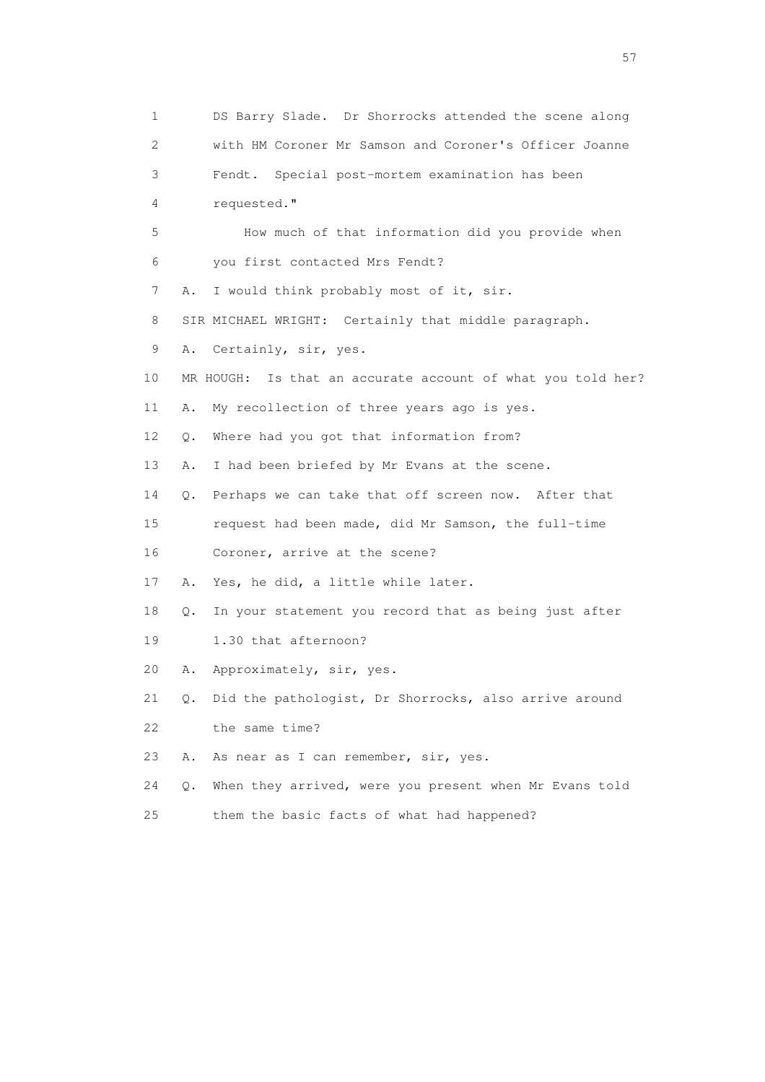1 DS Barry Slade. Dr Shorrocks attended the scene along 2 with HM Coroner Mr Samson and Coroner's Officer Joanne 3 Fendt. Special post-mortem examination has been 4 requested." 5 How much of that information did you provide when 6 you first contacted Mrs Fendt? 7 A. I would think probably most of it, sir. 8 SIR MICHAEL WRIGHT: Certainly that middle paragraph. 9 A. Certainly, sir, yes. 10 MR HOUGH: Is that an accurate account of what you told her? 11 A. My recollection of three years ago is yes. 12 Q. Where had you got that information from? 13 A. I had been briefed by Mr Evans at the scene. 14 Q. Perhaps we can take that off screen now. After that 15 request had been made, did Mr Samson, the full-time 16 Coroner, arrive at the scene? 17 A. Yes, he did, a little while later. 18 Q. In your statement you record that as being just after 19 1.30 that afternoon? 20 A. Approximately, sir, yes. 21 Q. Did the pathologist, Dr Shorrocks, also arrive around 22 the same time? 23 A. As near as I can remember, sir, yes. 24 Q. When they arrived, were you present when Mr Evans told 25 them the basic facts of what had happened?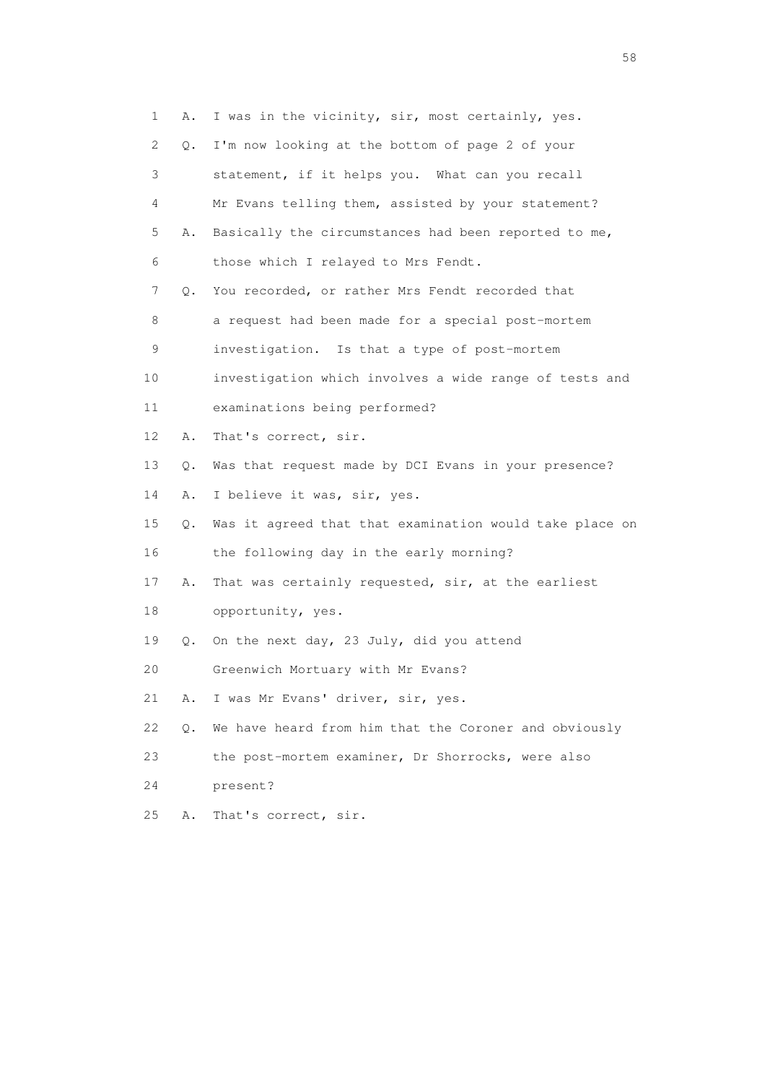1 A. I was in the vicinity, sir, most certainly, yes. 2 Q. I'm now looking at the bottom of page 2 of your 3 statement, if it helps you. What can you recall 4 Mr Evans telling them, assisted by your statement? 5 A. Basically the circumstances had been reported to me, 6 those which I relayed to Mrs Fendt. 7 Q. You recorded, or rather Mrs Fendt recorded that 8 a request had been made for a special post-mortem 9 investigation. Is that a type of post-mortem 10 investigation which involves a wide range of tests and 11 examinations being performed? 12 A. That's correct, sir. 13 Q. Was that request made by DCI Evans in your presence? 14 A. I believe it was, sir, yes. 15 Q. Was it agreed that that examination would take place on 16 the following day in the early morning? 17 A. That was certainly requested, sir, at the earliest 18 opportunity, yes. 19 Q. On the next day, 23 July, did you attend 20 Greenwich Mortuary with Mr Evans? 21 A. I was Mr Evans' driver, sir, yes. 22 Q. We have heard from him that the Coroner and obviously 23 the post-mortem examiner, Dr Shorrocks, were also 24 present? 25 A. That's correct, sir.

the state of the state of the state of the state of the state of the state of the state of the state of the state of the state of the state of the state of the state of the state of the state of the state of the state of t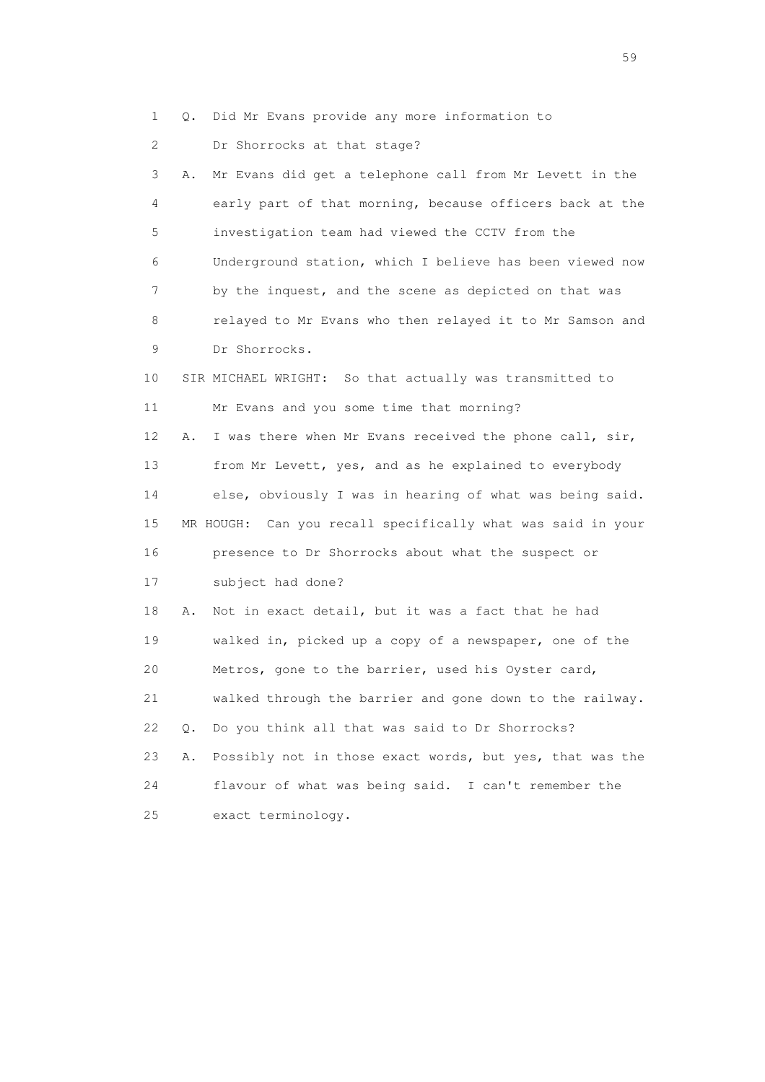1 Q. Did Mr Evans provide any more information to

2 Dr Shorrocks at that stage?

 3 A. Mr Evans did get a telephone call from Mr Levett in the 4 early part of that morning, because officers back at the 5 investigation team had viewed the CCTV from the 6 Underground station, which I believe has been viewed now 7 by the inquest, and the scene as depicted on that was 8 relayed to Mr Evans who then relayed it to Mr Samson and 9 Dr Shorrocks. 10 SIR MICHAEL WRIGHT: So that actually was transmitted to 11 Mr Evans and you some time that morning? 12 A. I was there when Mr Evans received the phone call, sir, 13 from Mr Levett, yes, and as he explained to everybody 14 else, obviously I was in hearing of what was being said. 15 MR HOUGH: Can you recall specifically what was said in your 16 presence to Dr Shorrocks about what the suspect or 17 subject had done? 18 A. Not in exact detail, but it was a fact that he had 19 walked in, picked up a copy of a newspaper, one of the 20 Metros, gone to the barrier, used his Oyster card,

21 walked through the barrier and gone down to the railway.

22 Q. Do you think all that was said to Dr Shorrocks?

 23 A. Possibly not in those exact words, but yes, that was the 24 flavour of what was being said. I can't remember the 25 exact terminology.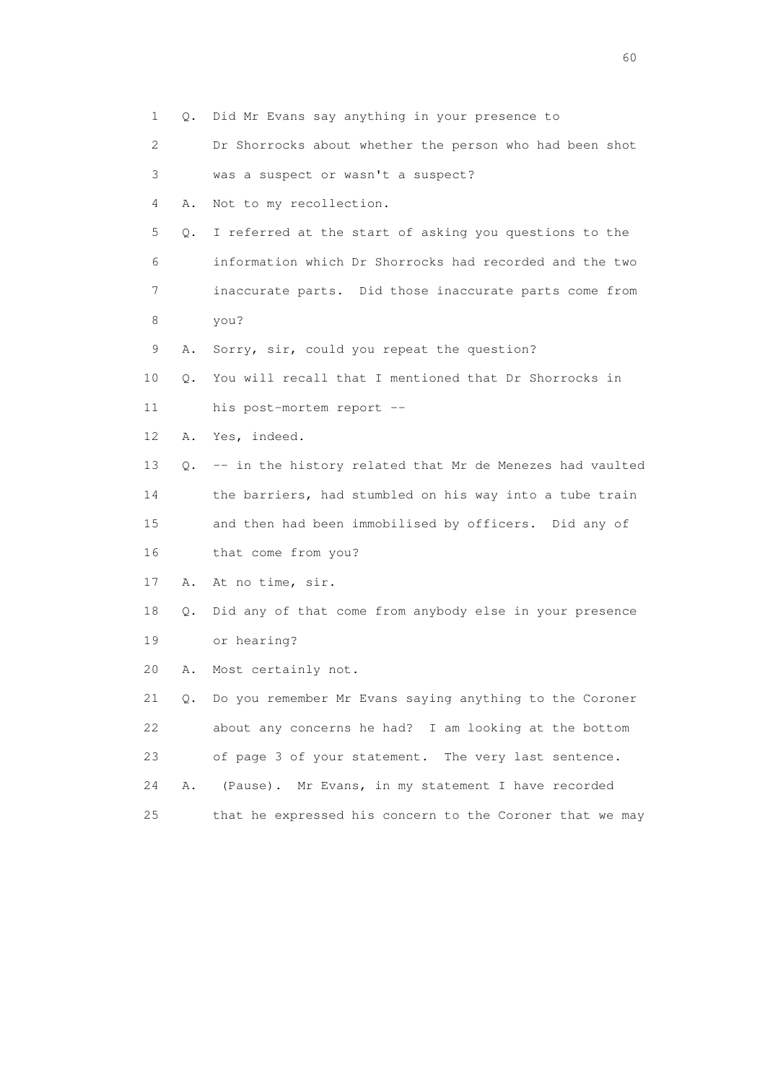| 1    | 0. | Did Mr Evans say anything in your presence to               |
|------|----|-------------------------------------------------------------|
| 2    |    | Dr Shorrocks about whether the person who had been shot     |
| 3    |    | was a suspect or wasn't a suspect?                          |
| 4    | Α. | Not to my recollection.                                     |
| 5    | Q. | I referred at the start of asking you questions to the      |
| 6    |    | information which Dr Shorrocks had recorded and the two     |
| 7    |    | inaccurate parts. Did those inaccurate parts come from      |
| 8    |    | you?                                                        |
| 9    | Α. | Sorry, sir, could you repeat the question?                  |
| 10   | О. | You will recall that I mentioned that Dr Shorrocks in       |
| 11   |    | his post-mortem report --                                   |
| 12   | Α. | Yes, indeed.                                                |
| 13   |    | Q. -- in the history related that Mr de Menezes had vaulted |
| 14   |    | the barriers, had stumbled on his way into a tube train     |
| 15   |    | and then had been immobilised by officers. Did any of       |
| 16   |    | that come from you?                                         |
| 17   | Α. | At no time, sir.                                            |
| 18   | Q. | Did any of that come from anybody else in your presence     |
| 19   |    | or hearing?                                                 |
| 20   | Α. | Most certainly not.                                         |
| 21   | 0. | Do you remember Mr Evans saying anything to the Coroner     |
| 22   |    | about any concerns he had? I am looking at the bottom       |
| 23   |    | of page 3 of your statement. The very last sentence.        |
| 24   | Α. | (Pause). Mr Evans, in my statement I have recorded          |
| $25$ |    | that he expressed his concern to the Coroner that we may    |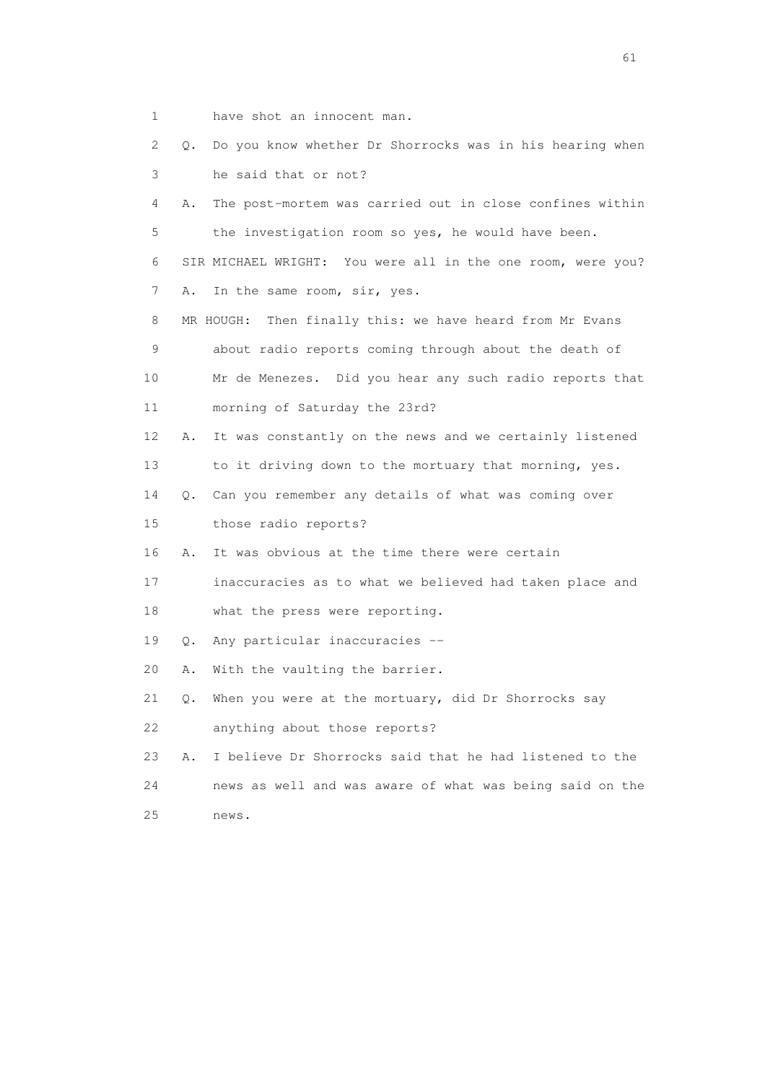- 1 have shot an innocent man.
- 2 Q. Do you know whether Dr Shorrocks was in his hearing when 3 he said that or not?
- 4 A. The post-mortem was carried out in close confines within 5 the investigation room so yes, he would have been. 6 SIR MICHAEL WRIGHT: You were all in the one room, were you? 7 A. In the same room, sir, yes.
- 8 MR HOUGH: Then finally this: we have heard from Mr Evans 9 about radio reports coming through about the death of 10 Mr de Menezes. Did you hear any such radio reports that
- 12 A. It was constantly on the news and we certainly listened 13 to it driving down to the mortuary that morning, yes.
- 14 Q. Can you remember any details of what was coming over
- 15 those radio reports?
- 16 A. It was obvious at the time there were certain
- 17 inaccuracies as to what we believed had taken place and 18 what the press were reporting.
- 19 Q. Any particular inaccuracies --

11 morning of Saturday the 23rd?

- 20 A. With the vaulting the barrier.
- 21 Q. When you were at the mortuary, did Dr Shorrocks say 22 anything about those reports?
- 23 A. I believe Dr Shorrocks said that he had listened to the 24 news as well and was aware of what was being said on the 25 news.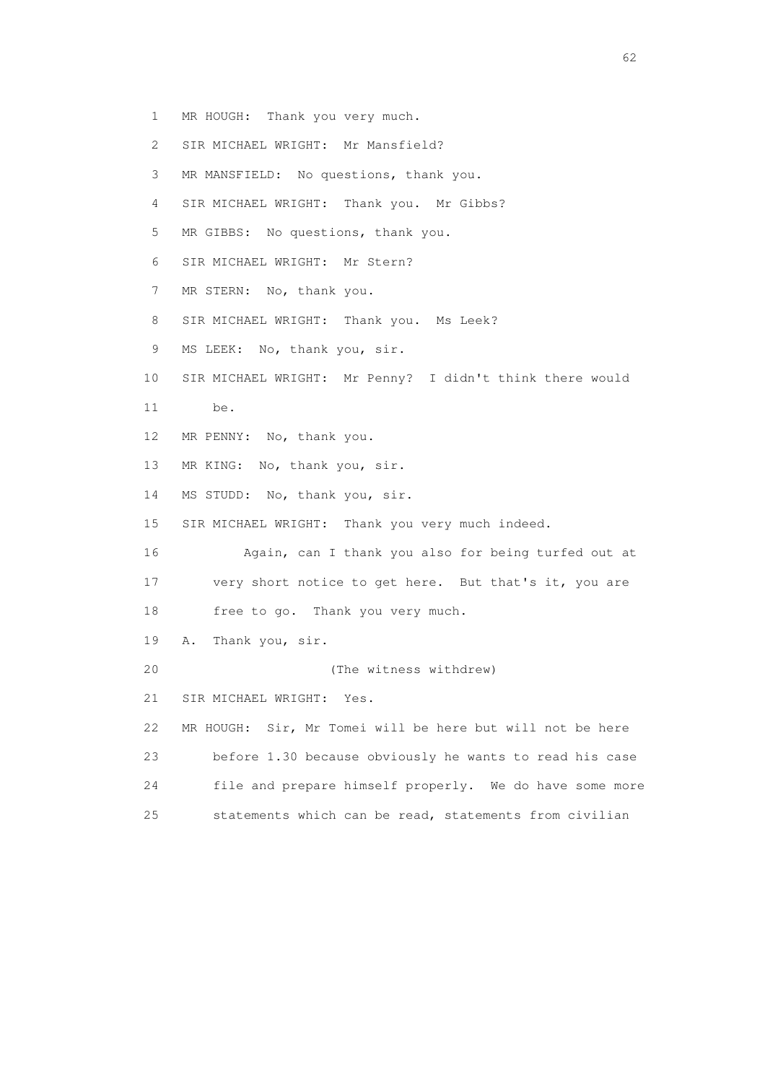- 2 SIR MICHAEL WRIGHT: Mr Mansfield? 3 MR MANSFIELD: No questions, thank you. 4 SIR MICHAEL WRIGHT: Thank you. Mr Gibbs? 5 MR GIBBS: No questions, thank you.
- 6 SIR MICHAEL WRIGHT: Mr Stern?

1 MR HOUGH: Thank you very much.

- 7 MR STERN: No, thank you.
- 8 SIR MICHAEL WRIGHT: Thank you. Ms Leek?
- 9 MS LEEK: No, thank you, sir.
- 10 SIR MICHAEL WRIGHT: Mr Penny? I didn't think there would
- 11 be.
- 12 MR PENNY: No, thank you.
- 13 MR KING: No, thank you, sir.
- 14 MS STUDD: No, thank you, sir.
- 15 SIR MICHAEL WRIGHT: Thank you very much indeed.
- 16 Again, can I thank you also for being turfed out at 17 very short notice to get here. But that's it, you are
- 18 free to go. Thank you very much.
- 19 A. Thank you, sir.
- 20 (The witness withdrew)
- 21 SIR MICHAEL WRIGHT: Yes.
- 22 MR HOUGH: Sir, Mr Tomei will be here but will not be here 23 before 1.30 because obviously he wants to read his case 24 file and prepare himself properly. We do have some more 25 statements which can be read, statements from civilian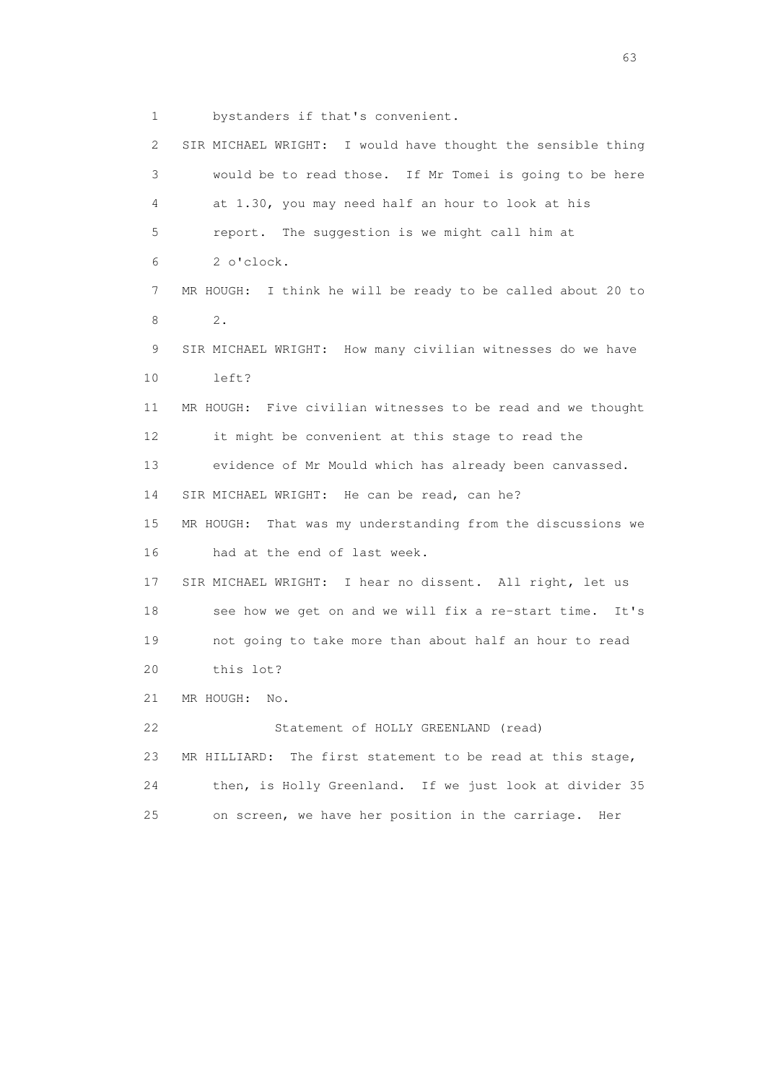1 bystanders if that's convenient.

 2 SIR MICHAEL WRIGHT: I would have thought the sensible thing 3 would be to read those. If Mr Tomei is going to be here 4 at 1.30, you may need half an hour to look at his 5 report. The suggestion is we might call him at 6 2 o'clock. 7 MR HOUGH: I think he will be ready to be called about 20 to **8** 2. 9 SIR MICHAEL WRIGHT: How many civilian witnesses do we have 10 left? 11 MR HOUGH: Five civilian witnesses to be read and we thought 12 it might be convenient at this stage to read the 13 evidence of Mr Mould which has already been canvassed. 14 SIR MICHAEL WRIGHT: He can be read, can he? 15 MR HOUGH: That was my understanding from the discussions we 16 had at the end of last week. 17 SIR MICHAEL WRIGHT: I hear no dissent. All right, let us 18 see how we get on and we will fix a re-start time. It's 19 not going to take more than about half an hour to read 20 this lot? 21 MR HOUGH: No. 22 Statement of HOLLY GREENLAND (read) 23 MR HILLIARD: The first statement to be read at this stage, 24 then, is Holly Greenland. If we just look at divider 35 25 on screen, we have her position in the carriage. Her

experience of the contract of the contract of the contract of the contract of the contract of the contract of the contract of the contract of the contract of the contract of the contract of the contract of the contract of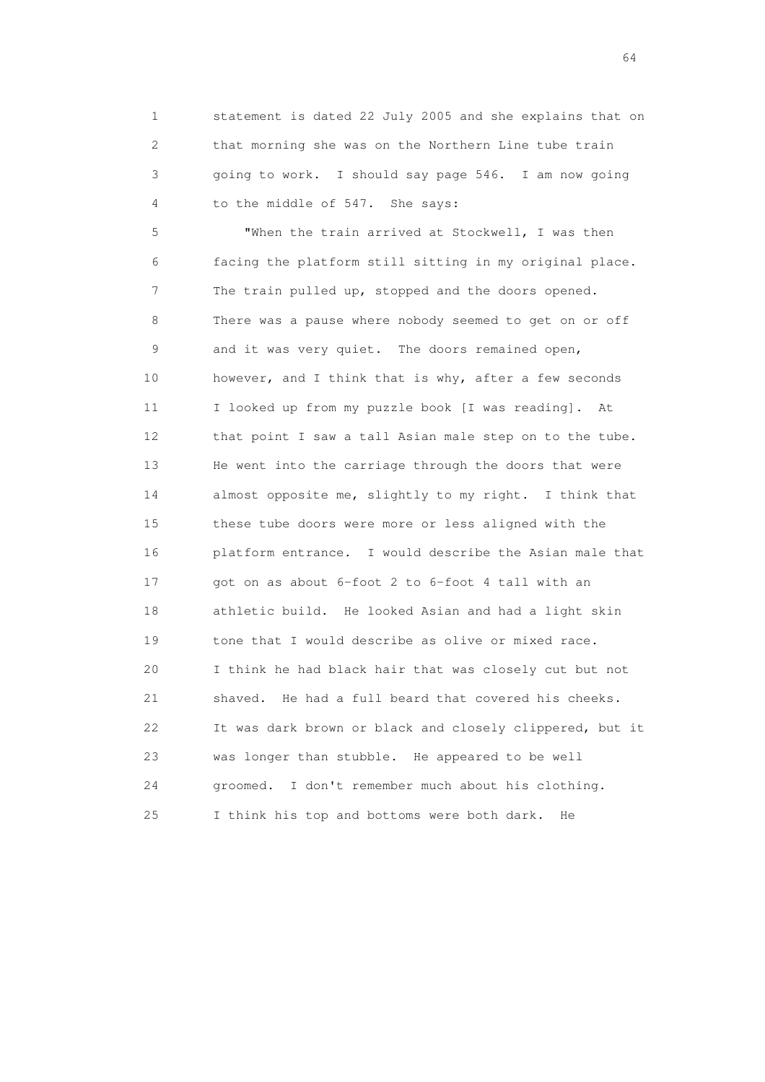1 statement is dated 22 July 2005 and she explains that on 2 that morning she was on the Northern Line tube train 3 going to work. I should say page 546. I am now going 4 to the middle of 547. She says:

 5 "When the train arrived at Stockwell, I was then 6 facing the platform still sitting in my original place. 7 The train pulled up, stopped and the doors opened. 8 There was a pause where nobody seemed to get on or off 9 and it was very quiet. The doors remained open, 10 however, and I think that is why, after a few seconds 11 I looked up from my puzzle book [I was reading]. At 12 that point I saw a tall Asian male step on to the tube. 13 He went into the carriage through the doors that were 14 almost opposite me, slightly to my right. I think that 15 these tube doors were more or less aligned with the 16 platform entrance. I would describe the Asian male that 17 got on as about 6-foot 2 to 6-foot 4 tall with an 18 athletic build. He looked Asian and had a light skin 19 tone that I would describe as olive or mixed race. 20 I think he had black hair that was closely cut but not 21 shaved. He had a full beard that covered his cheeks. 22 It was dark brown or black and closely clippered, but it 23 was longer than stubble. He appeared to be well 24 groomed. I don't remember much about his clothing. 25 I think his top and bottoms were both dark. He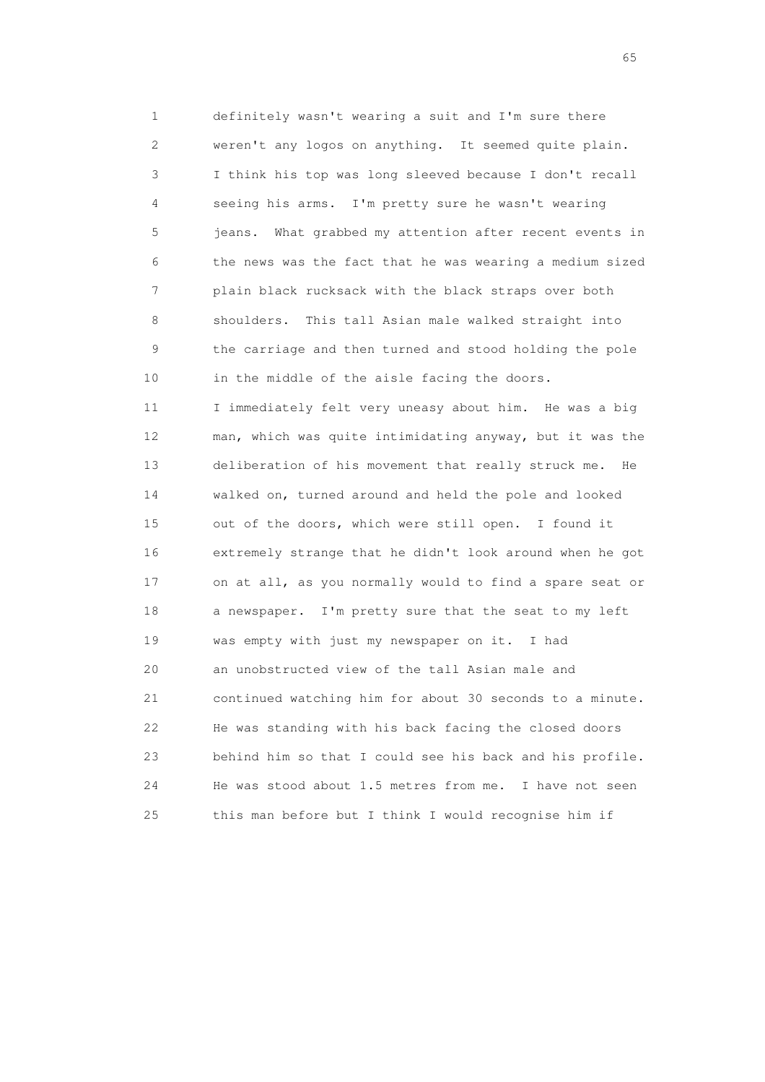1 definitely wasn't wearing a suit and I'm sure there 2 weren't any logos on anything. It seemed quite plain. 3 I think his top was long sleeved because I don't recall 4 seeing his arms. I'm pretty sure he wasn't wearing 5 jeans. What grabbed my attention after recent events in 6 the news was the fact that he was wearing a medium sized 7 plain black rucksack with the black straps over both 8 shoulders. This tall Asian male walked straight into 9 the carriage and then turned and stood holding the pole 10 in the middle of the aisle facing the doors. 11 I immediately felt very uneasy about him. He was a big 12 man, which was quite intimidating anyway, but it was the 13 deliberation of his movement that really struck me. He 14 walked on, turned around and held the pole and looked 15 out of the doors, which were still open. I found it 16 extremely strange that he didn't look around when he got 17 on at all, as you normally would to find a spare seat or 18 a newspaper. I'm pretty sure that the seat to my left 19 was empty with just my newspaper on it. I had 20 an unobstructed view of the tall Asian male and 21 continued watching him for about 30 seconds to a minute. 22 He was standing with his back facing the closed doors 23 behind him so that I could see his back and his profile. 24 He was stood about 1.5 metres from me. I have not seen 25 this man before but I think I would recognise him if

 $\sim$  65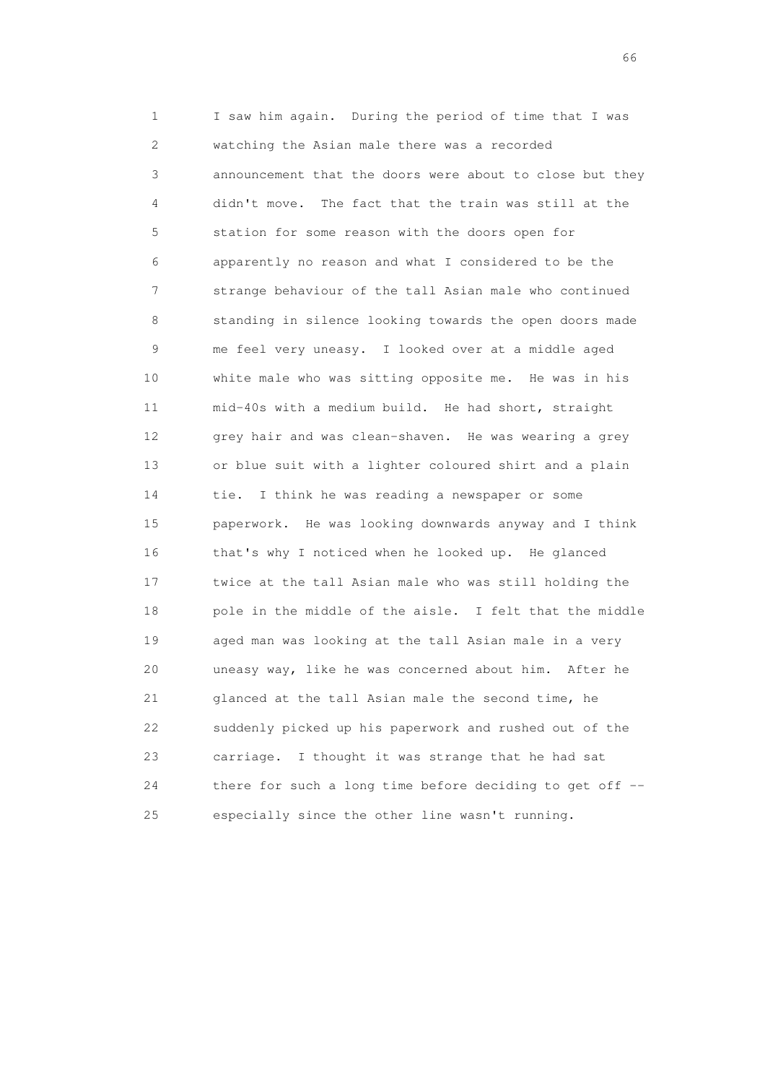1 I saw him again. During the period of time that I was 2 watching the Asian male there was a recorded 3 announcement that the doors were about to close but they 4 didn't move. The fact that the train was still at the 5 station for some reason with the doors open for 6 apparently no reason and what I considered to be the 7 strange behaviour of the tall Asian male who continued 8 standing in silence looking towards the open doors made 9 me feel very uneasy. I looked over at a middle aged 10 white male who was sitting opposite me. He was in his 11 mid-40s with a medium build. He had short, straight 12 grey hair and was clean-shaven. He was wearing a grey 13 or blue suit with a lighter coloured shirt and a plain 14 tie. I think he was reading a newspaper or some 15 paperwork. He was looking downwards anyway and I think 16 that's why I noticed when he looked up. He glanced 17 twice at the tall Asian male who was still holding the 18 pole in the middle of the aisle. I felt that the middle 19 aged man was looking at the tall Asian male in a very 20 uneasy way, like he was concerned about him. After he 21 glanced at the tall Asian male the second time, he 22 suddenly picked up his paperwork and rushed out of the 23 carriage. I thought it was strange that he had sat 24 there for such a long time before deciding to get off -- 25 especially since the other line wasn't running.

 $\sim$  66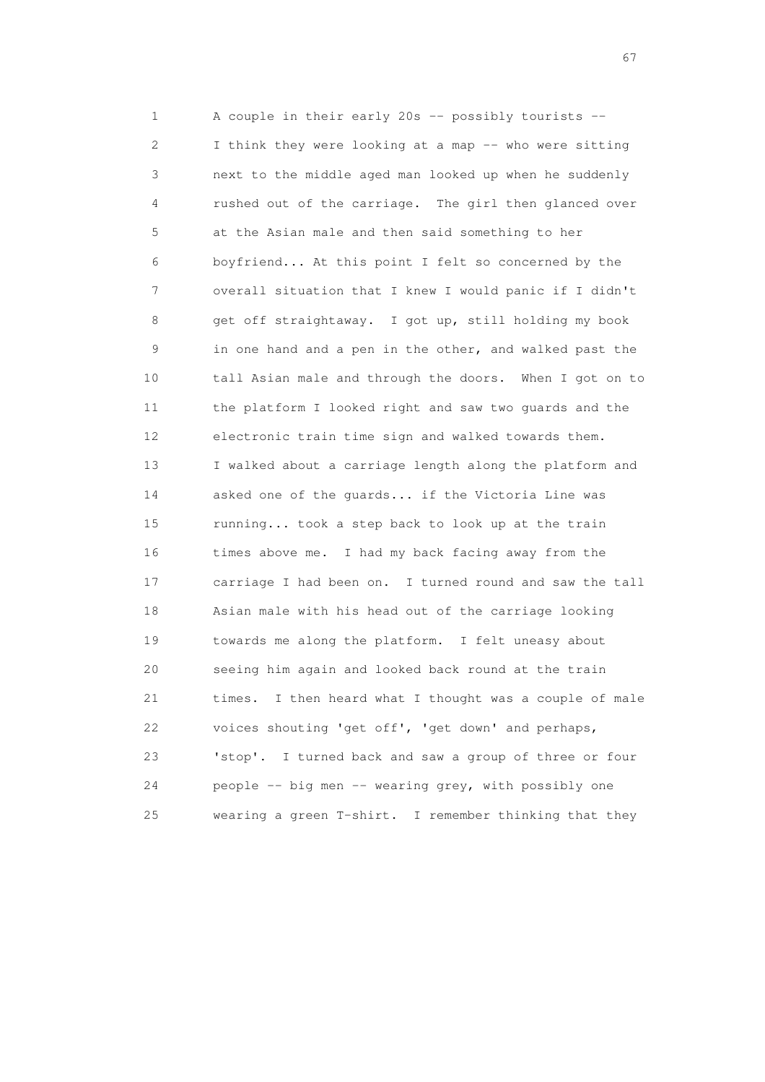1 A couple in their early 20s -- possibly tourists -- 2 I think they were looking at a map -- who were sitting 3 next to the middle aged man looked up when he suddenly 4 rushed out of the carriage. The girl then glanced over 5 at the Asian male and then said something to her 6 boyfriend... At this point I felt so concerned by the 7 overall situation that I knew I would panic if I didn't 8 get off straightaway. I got up, still holding my book 9 in one hand and a pen in the other, and walked past the 10 tall Asian male and through the doors. When I got on to 11 the platform I looked right and saw two guards and the 12 electronic train time sign and walked towards them. 13 I walked about a carriage length along the platform and 14 asked one of the guards... if the Victoria Line was 15 running... took a step back to look up at the train 16 times above me. I had my back facing away from the 17 carriage I had been on. I turned round and saw the tall 18 Asian male with his head out of the carriage looking 19 towards me along the platform. I felt uneasy about 20 seeing him again and looked back round at the train 21 times. I then heard what I thought was a couple of male 22 voices shouting 'get off', 'get down' and perhaps, 23 'stop'. I turned back and saw a group of three or four 24 people -- big men -- wearing grey, with possibly one 25 wearing a green T-shirt. I remember thinking that they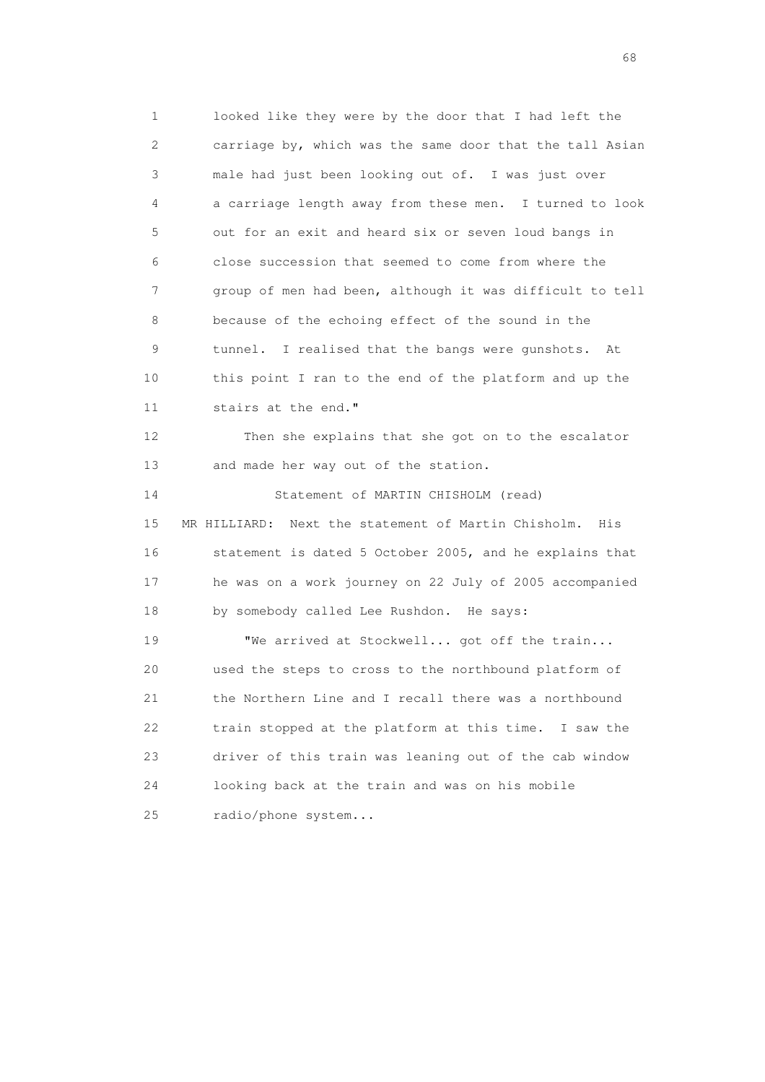1 looked like they were by the door that I had left the 2 carriage by, which was the same door that the tall Asian 3 male had just been looking out of. I was just over 4 a carriage length away from these men. I turned to look 5 out for an exit and heard six or seven loud bangs in 6 close succession that seemed to come from where the 7 group of men had been, although it was difficult to tell 8 because of the echoing effect of the sound in the 9 tunnel. I realised that the bangs were gunshots. At 10 this point I ran to the end of the platform and up the 11 stairs at the end." 12 Then she explains that she got on to the escalator 13 and made her way out of the station. 14 Statement of MARTIN CHISHOLM (read) 15 MR HILLIARD: Next the statement of Martin Chisholm. His 16 statement is dated 5 October 2005, and he explains that 17 he was on a work journey on 22 July of 2005 accompanied 18 by somebody called Lee Rushdon. He says: 19 We arrived at Stockwell... got off the train... 20 used the steps to cross to the northbound platform of 21 the Northern Line and I recall there was a northbound 22 train stopped at the platform at this time. I saw the 23 driver of this train was leaning out of the cab window

24 looking back at the train and was on his mobile

25 radio/phone system...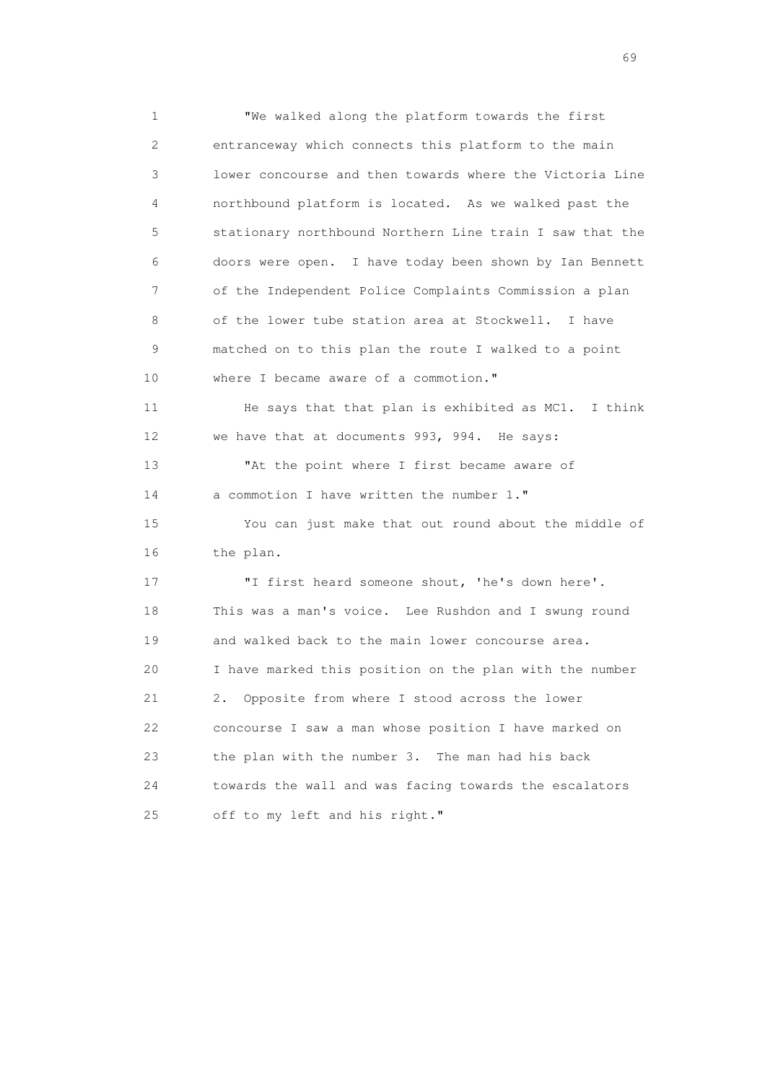1 "We walked along the platform towards the first 2 entranceway which connects this platform to the main 3 lower concourse and then towards where the Victoria Line 4 northbound platform is located. As we walked past the 5 stationary northbound Northern Line train I saw that the 6 doors were open. I have today been shown by Ian Bennett 7 of the Independent Police Complaints Commission a plan 8 of the lower tube station area at Stockwell. I have 9 matched on to this plan the route I walked to a point 10 where I became aware of a commotion." 11 He says that that plan is exhibited as MC1. I think 12 we have that at documents 993, 994. He says: 13 "At the point where I first became aware of 14 a commotion I have written the number 1." 15 You can just make that out round about the middle of 16 the plan. 17 "I first heard someone shout, 'he's down here'. 18 This was a man's voice. Lee Rushdon and I swung round 19 and walked back to the main lower concourse area. 20 I have marked this position on the plan with the number 21 2. Opposite from where I stood across the lower 22 concourse I saw a man whose position I have marked on 23 the plan with the number 3. The man had his back 24 towards the wall and was facing towards the escalators 25 off to my left and his right."

entral de la construction de la construction de la construction de la construction de la construction de la co<br>1990 : la construction de la construction de la construction de la construction de la construction de la const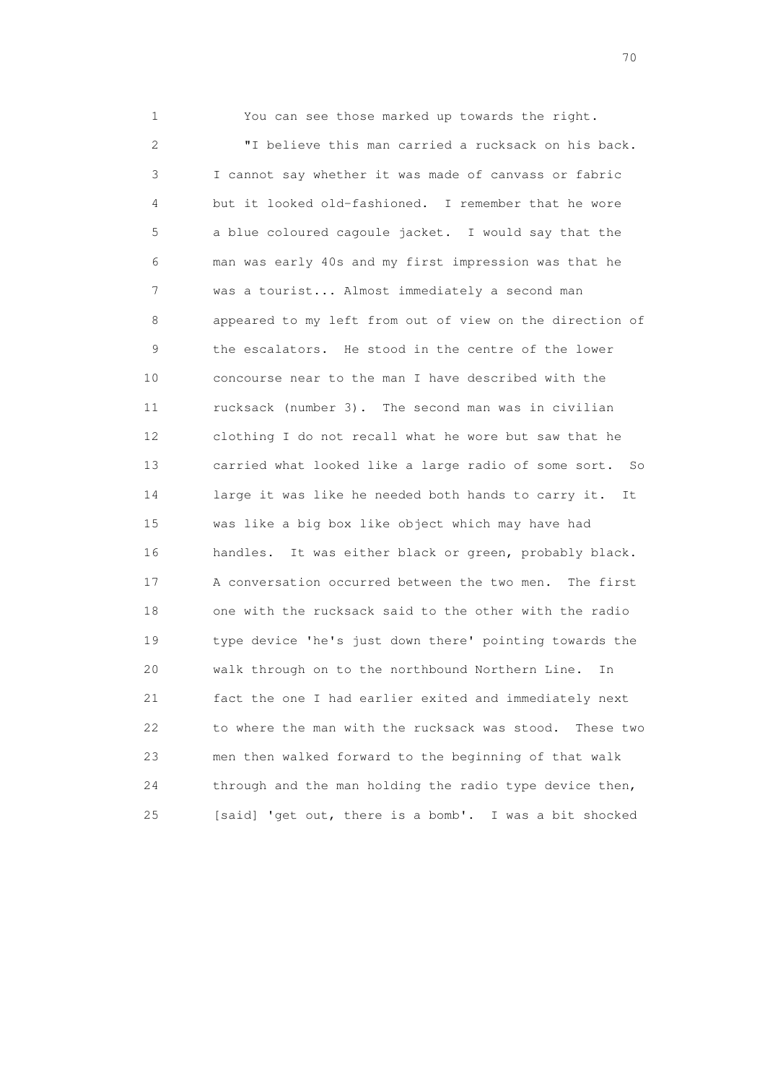1 You can see those marked up towards the right. 2 "I believe this man carried a rucksack on his back. 3 I cannot say whether it was made of canvass or fabric 4 but it looked old-fashioned. I remember that he wore 5 a blue coloured cagoule jacket. I would say that the 6 man was early 40s and my first impression was that he 7 was a tourist... Almost immediately a second man 8 appeared to my left from out of view on the direction of 9 the escalators. He stood in the centre of the lower 10 concourse near to the man I have described with the 11 rucksack (number 3). The second man was in civilian 12 clothing I do not recall what he wore but saw that he 13 carried what looked like a large radio of some sort. So 14 large it was like he needed both hands to carry it. It 15 was like a big box like object which may have had 16 handles. It was either black or green, probably black. 17 A conversation occurred between the two men. The first 18 one with the rucksack said to the other with the radio 19 type device 'he's just down there' pointing towards the 20 walk through on to the northbound Northern Line. In 21 fact the one I had earlier exited and immediately next 22 to where the man with the rucksack was stood. These two 23 men then walked forward to the beginning of that walk 24 through and the man holding the radio type device then, 25 [said] 'get out, there is a bomb'. I was a bit shocked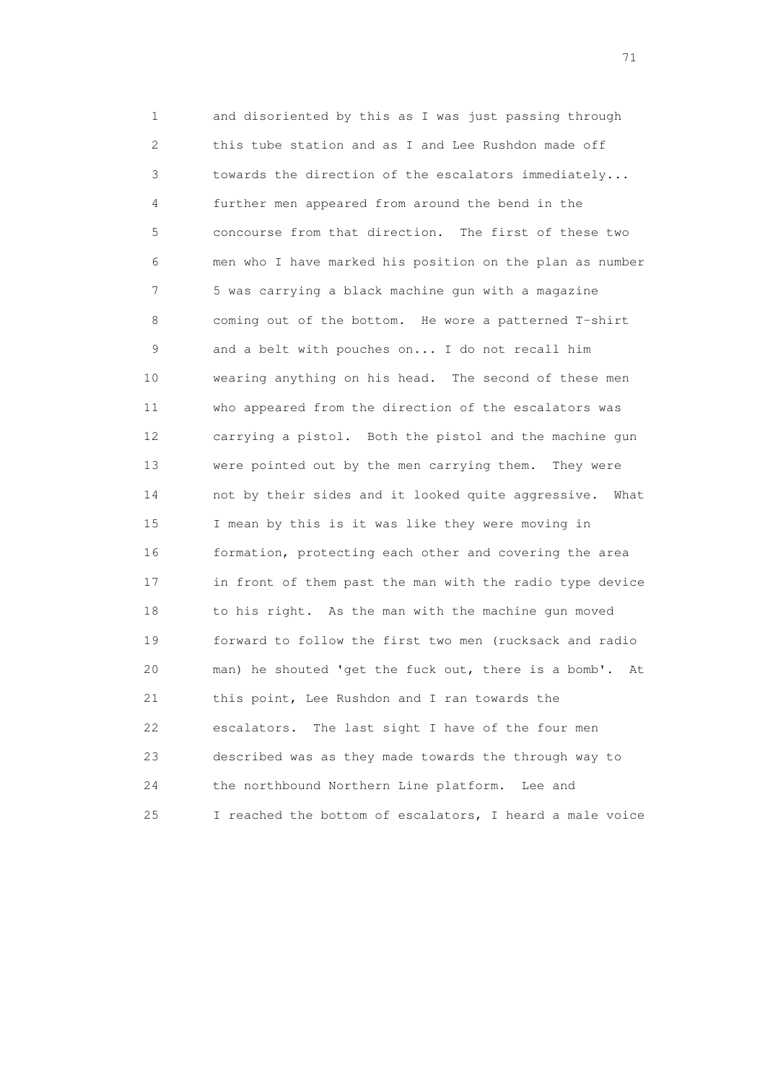1 and disoriented by this as I was just passing through 2 this tube station and as I and Lee Rushdon made off 3 towards the direction of the escalators immediately... 4 further men appeared from around the bend in the 5 concourse from that direction. The first of these two 6 men who I have marked his position on the plan as number 7 5 was carrying a black machine gun with a magazine 8 coming out of the bottom. He wore a patterned T-shirt 9 and a belt with pouches on... I do not recall him 10 wearing anything on his head. The second of these men 11 who appeared from the direction of the escalators was 12 carrying a pistol. Both the pistol and the machine gun 13 were pointed out by the men carrying them. They were 14 not by their sides and it looked quite aggressive. What 15 I mean by this is it was like they were moving in 16 formation, protecting each other and covering the area 17 in front of them past the man with the radio type device 18 to his right. As the man with the machine gun moved 19 forward to follow the first two men (rucksack and radio 20 man) he shouted 'get the fuck out, there is a bomb'. At 21 this point, Lee Rushdon and I ran towards the 22 escalators. The last sight I have of the four men 23 described was as they made towards the through way to 24 the northbound Northern Line platform. Lee and 25 I reached the bottom of escalators, I heard a male voice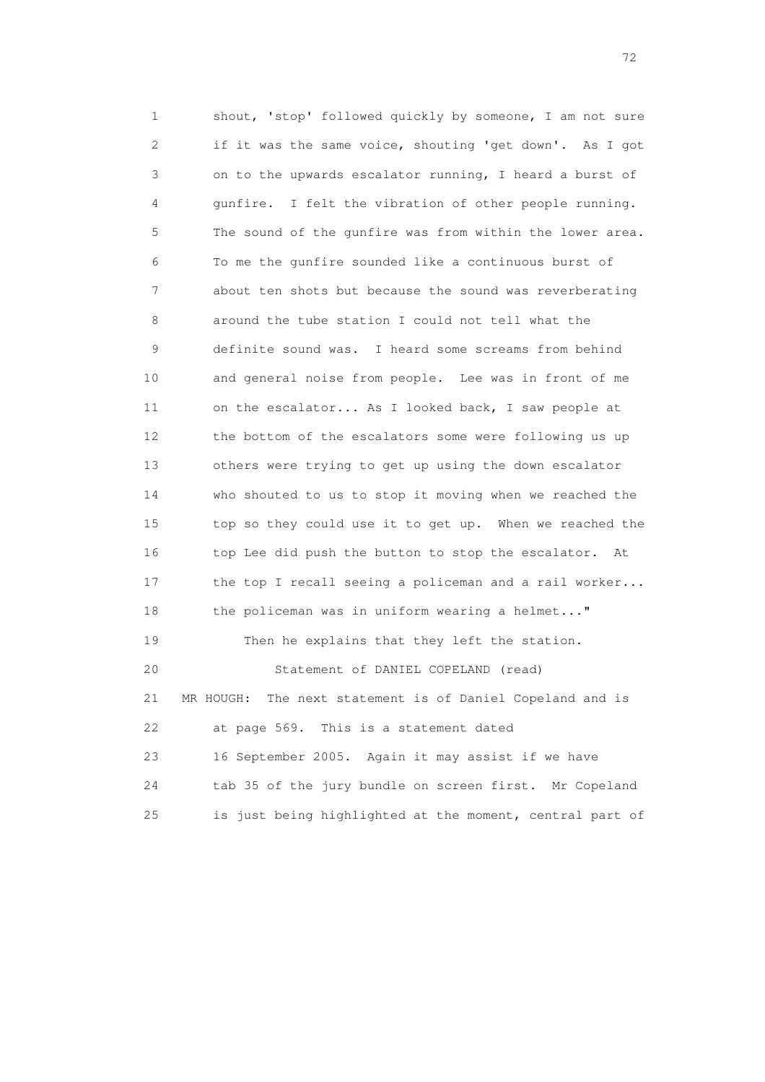1 shout, 'stop' followed quickly by someone, I am not sure 2 if it was the same voice, shouting 'get down'. As I got 3 on to the upwards escalator running, I heard a burst of 4 gunfire. I felt the vibration of other people running. 5 The sound of the gunfire was from within the lower area. 6 To me the gunfire sounded like a continuous burst of 7 about ten shots but because the sound was reverberating 8 around the tube station I could not tell what the 9 definite sound was. I heard some screams from behind 10 and general noise from people. Lee was in front of me 11 on the escalator... As I looked back, I saw people at 12 the bottom of the escalators some were following us up 13 others were trying to get up using the down escalator 14 who shouted to us to stop it moving when we reached the 15 top so they could use it to get up. When we reached the 16 top Lee did push the button to stop the escalator. At 17 the top I recall seeing a policeman and a rail worker... 18 the policeman was in uniform wearing a helmet..." 19 Then he explains that they left the station. 20 Statement of DANIEL COPELAND (read) 21 MR HOUGH: The next statement is of Daniel Copeland and is 22 at page 569. This is a statement dated 23 16 September 2005. Again it may assist if we have 24 tab 35 of the jury bundle on screen first. Mr Copeland 25 is just being highlighted at the moment, central part of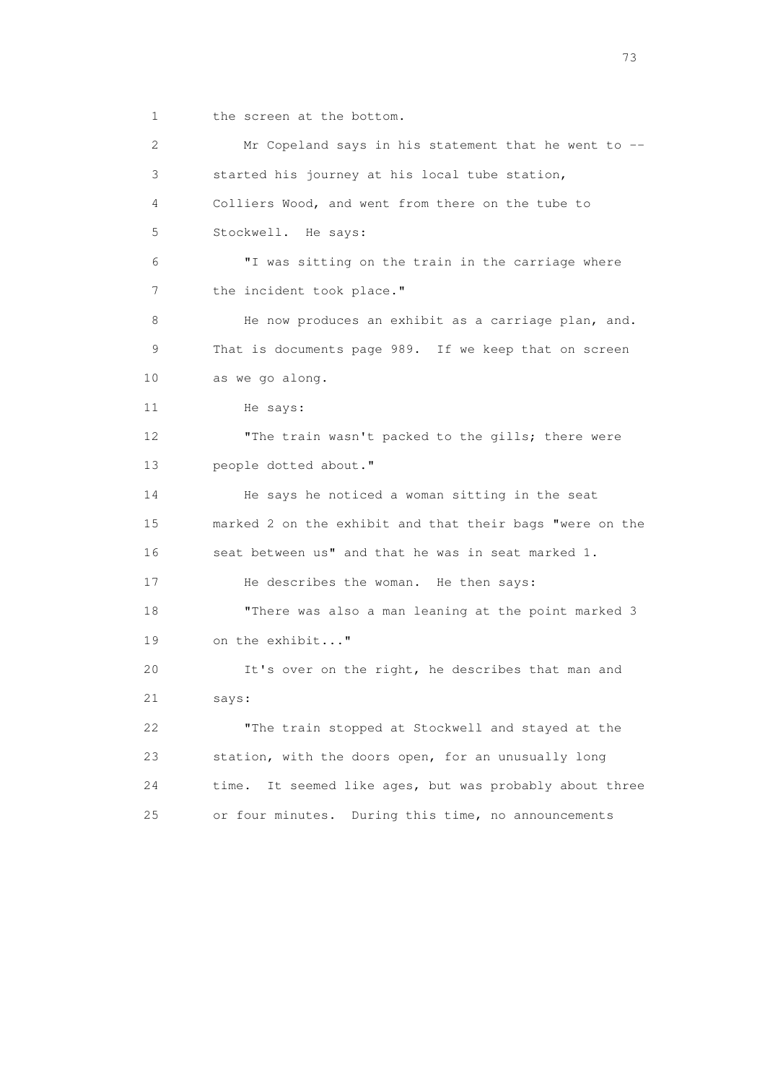1 the screen at the bottom.

 2 Mr Copeland says in his statement that he went to -- 3 started his journey at his local tube station, 4 Colliers Wood, and went from there on the tube to 5 Stockwell. He says: 6 "I was sitting on the train in the carriage where 7 the incident took place." 8 He now produces an exhibit as a carriage plan, and. 9 That is documents page 989. If we keep that on screen 10 as we go along. 11 He says: 12 The train wasn't packed to the gills; there were 13 people dotted about." 14 He says he noticed a woman sitting in the seat 15 marked 2 on the exhibit and that their bags "were on the 16 seat between us" and that he was in seat marked 1. 17 He describes the woman. He then says: 18 "There was also a man leaning at the point marked 3 19 on the exhibit..." 20 It's over on the right, he describes that man and 21 says: 22 "The train stopped at Stockwell and stayed at the 23 station, with the doors open, for an unusually long 24 time. It seemed like ages, but was probably about three 25 or four minutes. During this time, no announcements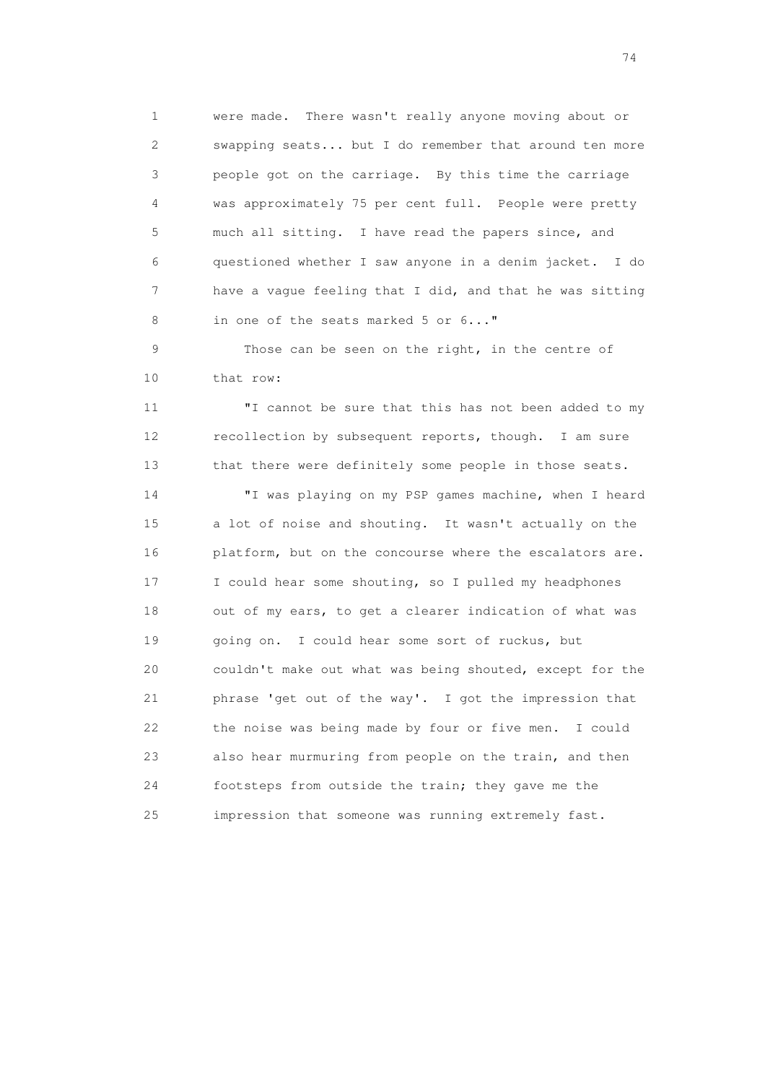1 were made. There wasn't really anyone moving about or 2 swapping seats... but I do remember that around ten more 3 people got on the carriage. By this time the carriage 4 was approximately 75 per cent full. People were pretty 5 much all sitting. I have read the papers since, and 6 questioned whether I saw anyone in a denim jacket. I do 7 have a vague feeling that I did, and that he was sitting 8 in one of the seats marked 5 or 6..."

 9 Those can be seen on the right, in the centre of 10 that row:

 11 "I cannot be sure that this has not been added to my 12 recollection by subsequent reports, though. I am sure 13 that there were definitely some people in those seats.

 14 "I was playing on my PSP games machine, when I heard 15 a lot of noise and shouting. It wasn't actually on the 16 platform, but on the concourse where the escalators are. 17 I could hear some shouting, so I pulled my headphones 18 out of my ears, to get a clearer indication of what was 19 going on. I could hear some sort of ruckus, but 20 couldn't make out what was being shouted, except for the 21 phrase 'get out of the way'. I got the impression that 22 the noise was being made by four or five men. I could 23 also hear murmuring from people on the train, and then 24 footsteps from outside the train; they gave me the 25 impression that someone was running extremely fast.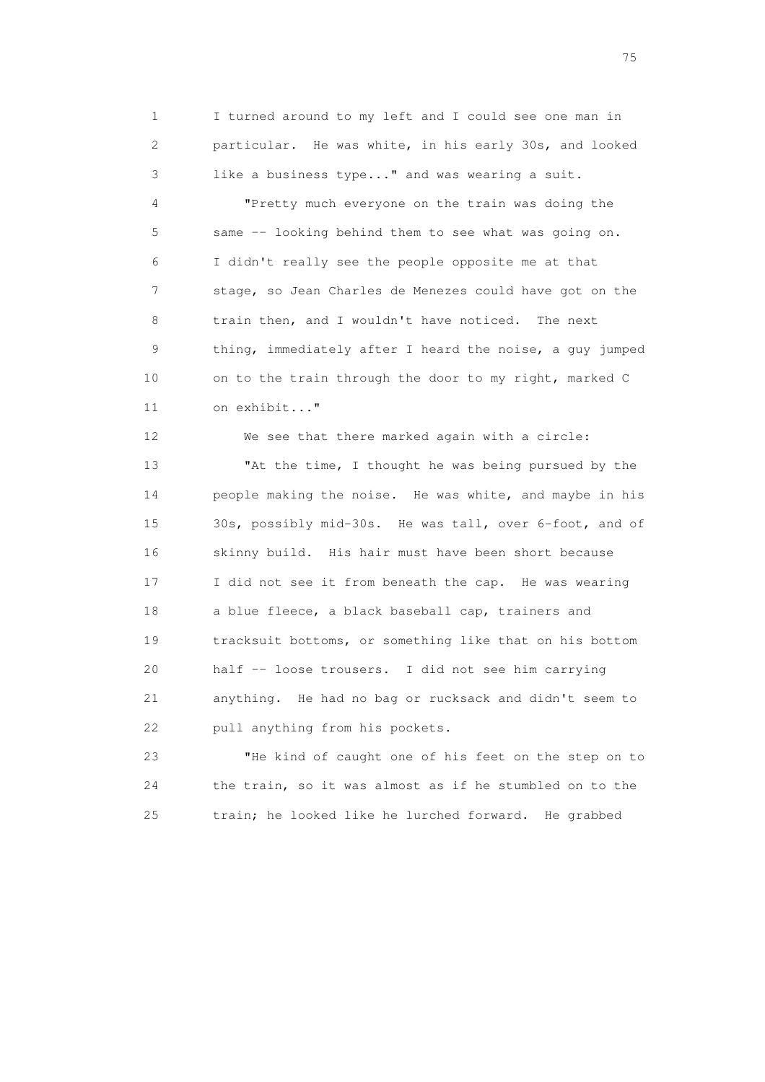1 I turned around to my left and I could see one man in 2 particular. He was white, in his early 30s, and looked 3 like a business type..." and was wearing a suit.

 4 "Pretty much everyone on the train was doing the 5 same -- looking behind them to see what was going on. 6 I didn't really see the people opposite me at that 7 stage, so Jean Charles de Menezes could have got on the 8 train then, and I wouldn't have noticed. The next 9 thing, immediately after I heard the noise, a guy jumped 10 on to the train through the door to my right, marked C 11 on exhibit..."

 12 We see that there marked again with a circle: 13 "At the time, I thought he was being pursued by the 14 people making the noise. He was white, and maybe in his 15 30s, possibly mid-30s. He was tall, over 6-foot, and of 16 skinny build. His hair must have been short because 17 I did not see it from beneath the cap. He was wearing 18 a blue fleece, a black baseball cap, trainers and 19 tracksuit bottoms, or something like that on his bottom 20 half -- loose trousers. I did not see him carrying 21 anything. He had no bag or rucksack and didn't seem to 22 pull anything from his pockets.

 23 "He kind of caught one of his feet on the step on to 24 the train, so it was almost as if he stumbled on to the 25 train; he looked like he lurched forward. He grabbed

na matsay na katalog as na kasang na mga 175 may 2008. Ang isang isang nagsang nagsang nagsang nagsang nagsang<br>Tagapang nagsang nagsang nagsang nagsang nagsang nagsang nagsang nagsang nagsang nagsang nagsang nagsang nagsa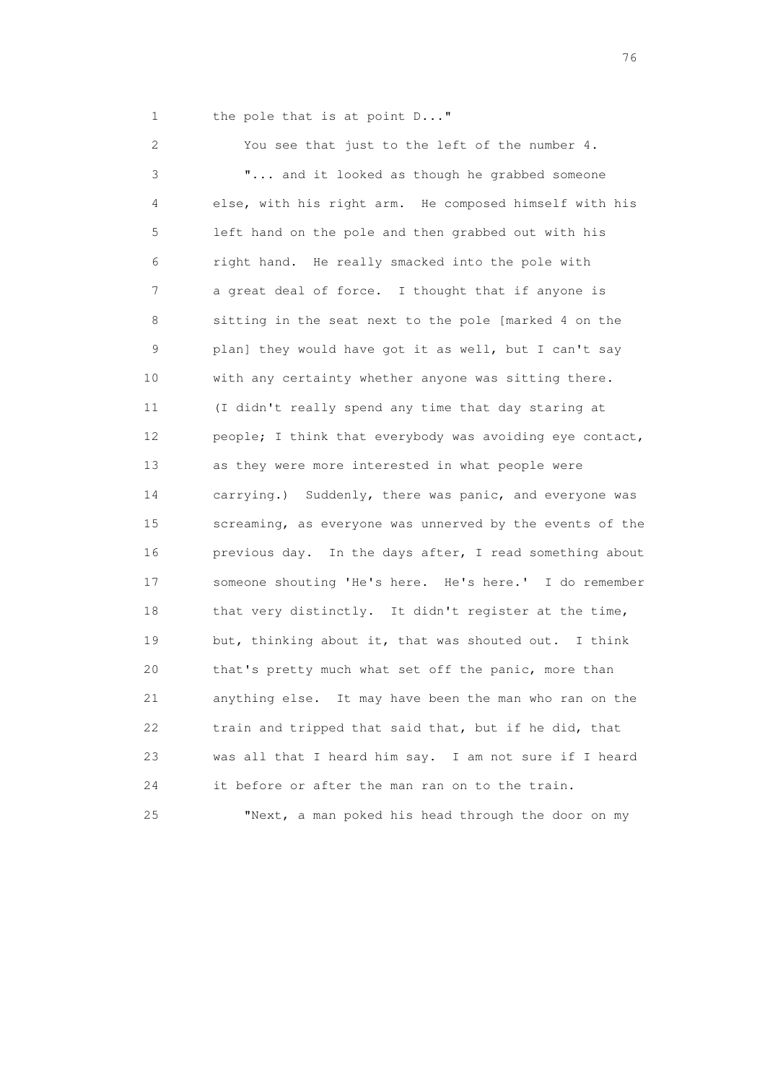1 the pole that is at point D..."

 2 You see that just to the left of the number 4. 3 "... and it looked as though he grabbed someone 4 else, with his right arm. He composed himself with his 5 left hand on the pole and then grabbed out with his 6 right hand. He really smacked into the pole with 7 a great deal of force. I thought that if anyone is 8 sitting in the seat next to the pole [marked 4 on the 9 plan] they would have got it as well, but I can't say 10 with any certainty whether anyone was sitting there. 11 (I didn't really spend any time that day staring at 12 people; I think that everybody was avoiding eye contact, 13 as they were more interested in what people were 14 carrying.) Suddenly, there was panic, and everyone was 15 screaming, as everyone was unnerved by the events of the 16 previous day. In the days after, I read something about 17 someone shouting 'He's here. He's here.' I do remember 18 that very distinctly. It didn't register at the time, 19 but, thinking about it, that was shouted out. I think 20 that's pretty much what set off the panic, more than 21 anything else. It may have been the man who ran on the 22 train and tripped that said that, but if he did, that 23 was all that I heard him say. I am not sure if I heard 24 it before or after the man ran on to the train. 25 "Next, a man poked his head through the door on my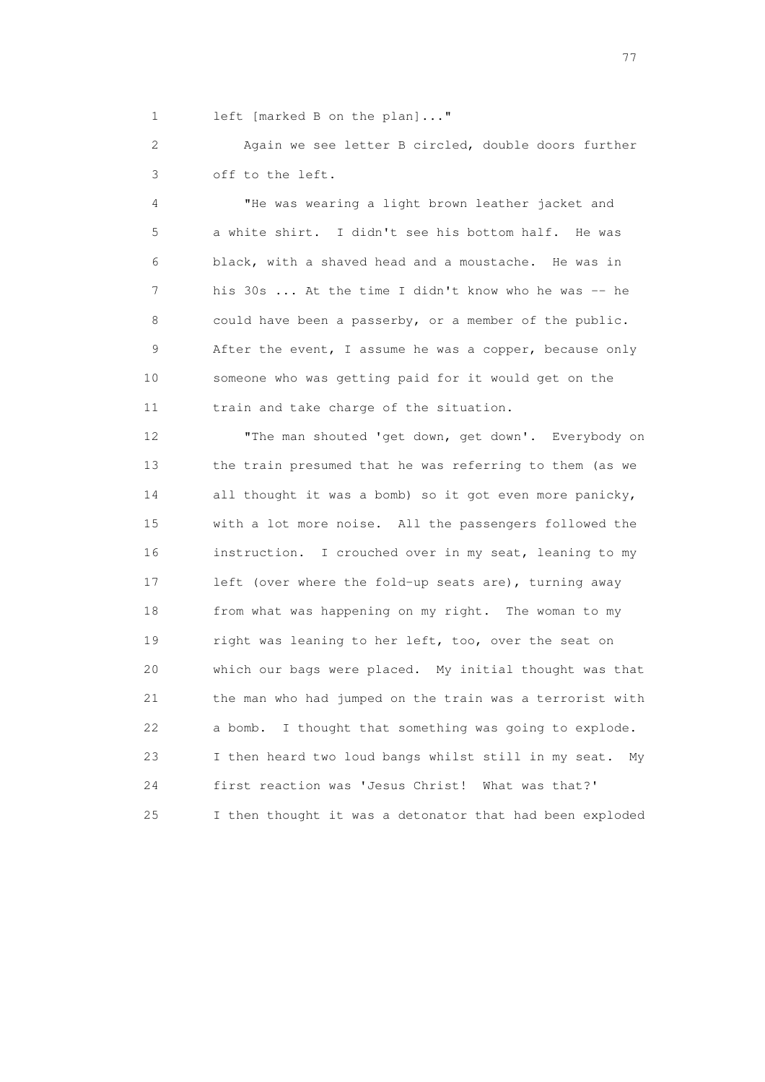1 left [marked B on the plan]..."

 2 Again we see letter B circled, double doors further 3 off to the left.

 4 "He was wearing a light brown leather jacket and 5 a white shirt. I didn't see his bottom half. He was 6 black, with a shaved head and a moustache. He was in 7 his 30s ... At the time I didn't know who he was -- he 8 could have been a passerby, or a member of the public. 9 After the event, I assume he was a copper, because only 10 someone who was getting paid for it would get on the 11 train and take charge of the situation.

 12 "The man shouted 'get down, get down'. Everybody on 13 the train presumed that he was referring to them (as we 14 all thought it was a bomb) so it got even more panicky, 15 with a lot more noise. All the passengers followed the 16 instruction. I crouched over in my seat, leaning to my 17 left (over where the fold-up seats are), turning away 18 from what was happening on my right. The woman to my 19 right was leaning to her left, too, over the seat on 20 which our bags were placed. My initial thought was that 21 the man who had jumped on the train was a terrorist with 22 a bomb. I thought that something was going to explode. 23 I then heard two loud bangs whilst still in my seat. My 24 first reaction was 'Jesus Christ! What was that?' 25 I then thought it was a detonator that had been exploded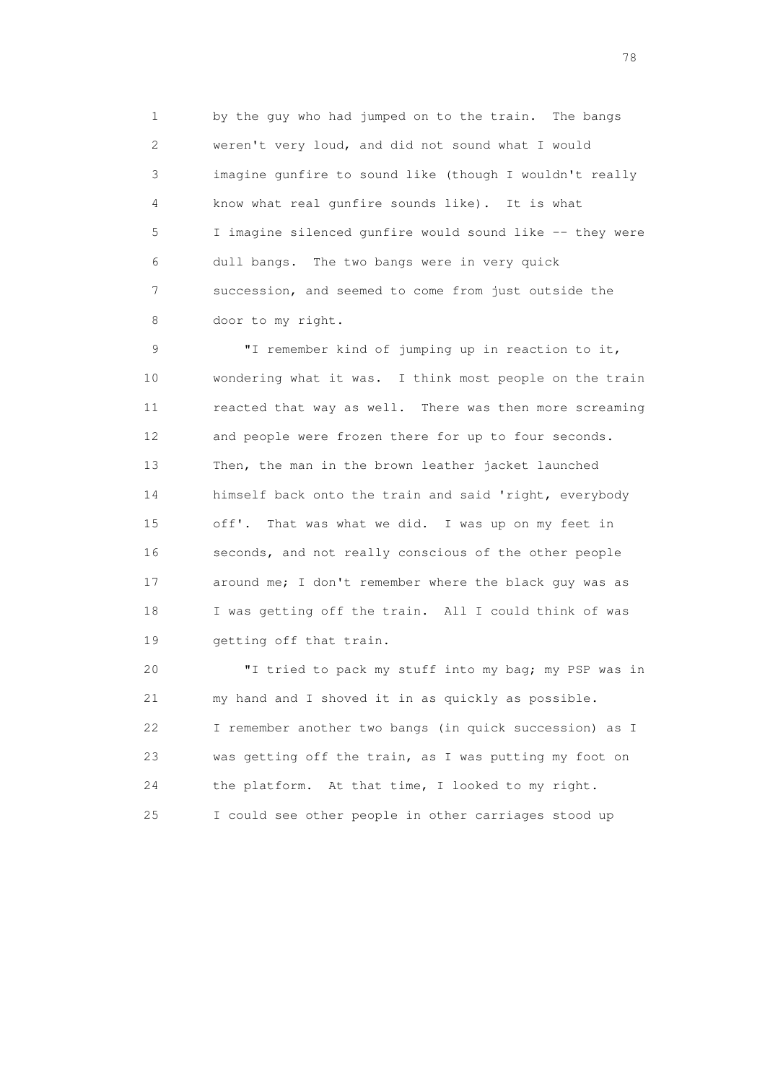1 by the guy who had jumped on to the train. The bangs 2 weren't very loud, and did not sound what I would 3 imagine gunfire to sound like (though I wouldn't really 4 know what real gunfire sounds like). It is what 5 I imagine silenced gunfire would sound like -- they were 6 dull bangs. The two bangs were in very quick 7 succession, and seemed to come from just outside the 8 door to my right.

 9 "I remember kind of jumping up in reaction to it, 10 wondering what it was. I think most people on the train 11 reacted that way as well. There was then more screaming 12 and people were frozen there for up to four seconds. 13 Then, the man in the brown leather jacket launched 14 himself back onto the train and said 'right, everybody 15 off'. That was what we did. I was up on my feet in 16 seconds, and not really conscious of the other people 17 around me; I don't remember where the black guy was as 18 I was getting off the train. All I could think of was 19 getting off that train.

 20 "I tried to pack my stuff into my bag; my PSP was in 21 my hand and I shoved it in as quickly as possible. 22 I remember another two bangs (in quick succession) as I 23 was getting off the train, as I was putting my foot on 24 the platform. At that time, I looked to my right. 25 I could see other people in other carriages stood up

na na matsayang mga kasang mga kalendaryon ng mga kasang mga kasang mga kasang mga kasang mga kasang mga kasan<br>Mga kasang mga kasang mga kasang mga kasang mga kasang mga kasang mga kasang mga kasang mga kasang mga kasang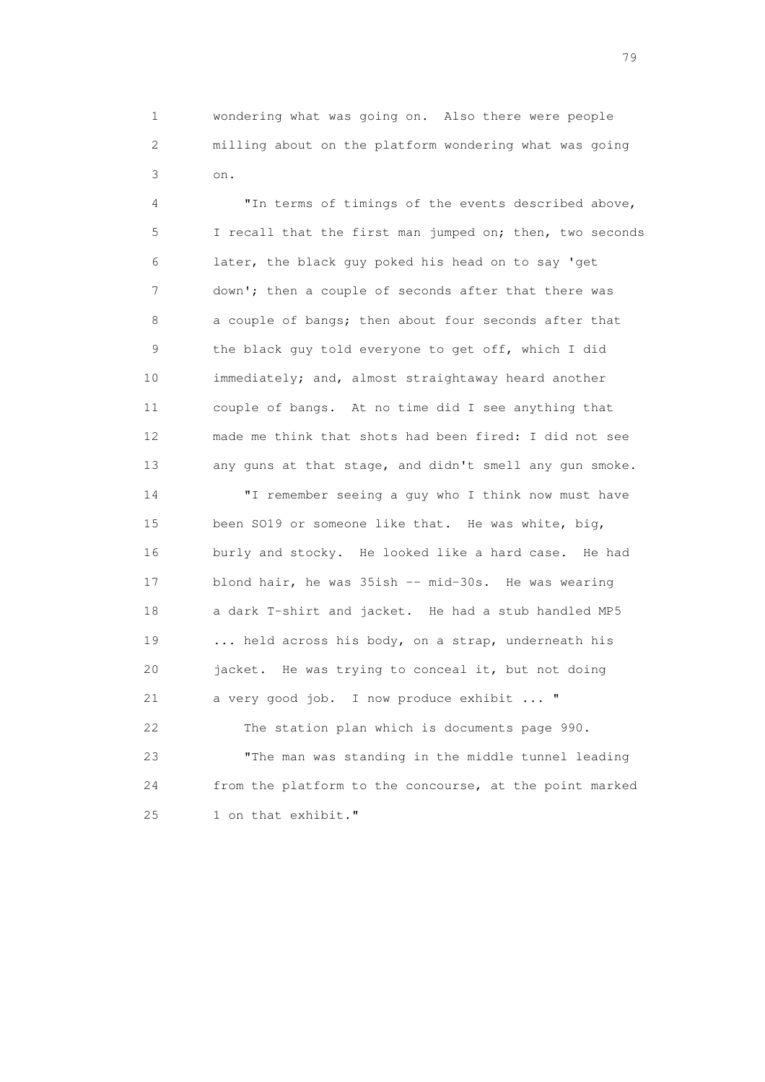1 wondering what was going on. Also there were people 2 milling about on the platform wondering what was going 3 on.

> 4 "In terms of timings of the events described above, 5 I recall that the first man jumped on; then, two seconds 6 later, the black guy poked his head on to say 'get 7 down'; then a couple of seconds after that there was 8 a couple of bangs; then about four seconds after that 9 the black guy told everyone to get off, which I did 10 immediately; and, almost straightaway heard another 11 couple of bangs. At no time did I see anything that 12 made me think that shots had been fired: I did not see 13 any guns at that stage, and didn't smell any gun smoke.

 14 "I remember seeing a guy who I think now must have 15 been SO19 or someone like that. He was white, big, 16 burly and stocky. He looked like a hard case. He had 17 blond hair, he was 35ish -- mid-30s. He was wearing 18 a dark T-shirt and jacket. He had a stub handled MP5 19 ... held across his body, on a strap, underneath his 20 jacket. He was trying to conceal it, but not doing 21 a very good job. I now produce exhibit ... " 22 The station plan which is documents page 990. 23 "The man was standing in the middle tunnel leading 24 from the platform to the concourse, at the point marked 25 1 on that exhibit."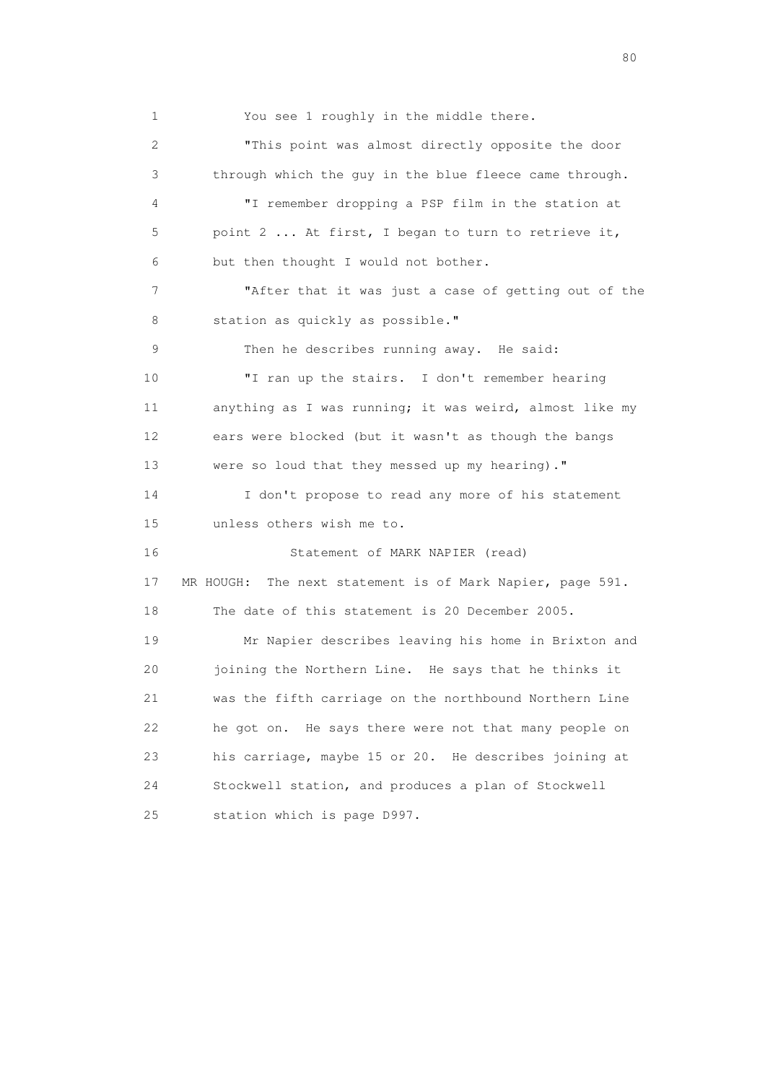1 You see 1 roughly in the middle there. 2 "This point was almost directly opposite the door 3 through which the guy in the blue fleece came through. 4 "I remember dropping a PSP film in the station at 5 point 2 ... At first, I began to turn to retrieve it, 6 but then thought I would not bother. 7 "After that it was just a case of getting out of the 8 station as quickly as possible." 9 Then he describes running away. He said: 10 "I ran up the stairs. I don't remember hearing 11 anything as I was running; it was weird, almost like my 12 ears were blocked (but it wasn't as though the bangs 13 were so loud that they messed up my hearing)." 14 I don't propose to read any more of his statement 15 unless others wish me to. 16 Statement of MARK NAPIER (read) 17 MR HOUGH: The next statement is of Mark Napier, page 591. 18 The date of this statement is 20 December 2005. 19 Mr Napier describes leaving his home in Brixton and 20 joining the Northern Line. He says that he thinks it 21 was the fifth carriage on the northbound Northern Line 22 he got on. He says there were not that many people on 23 his carriage, maybe 15 or 20. He describes joining at 24 Stockwell station, and produces a plan of Stockwell 25 station which is page D997.

entration of the state of the state of the state of the state of the state of the state of the state of the state of the state of the state of the state of the state of the state of the state of the state of the state of t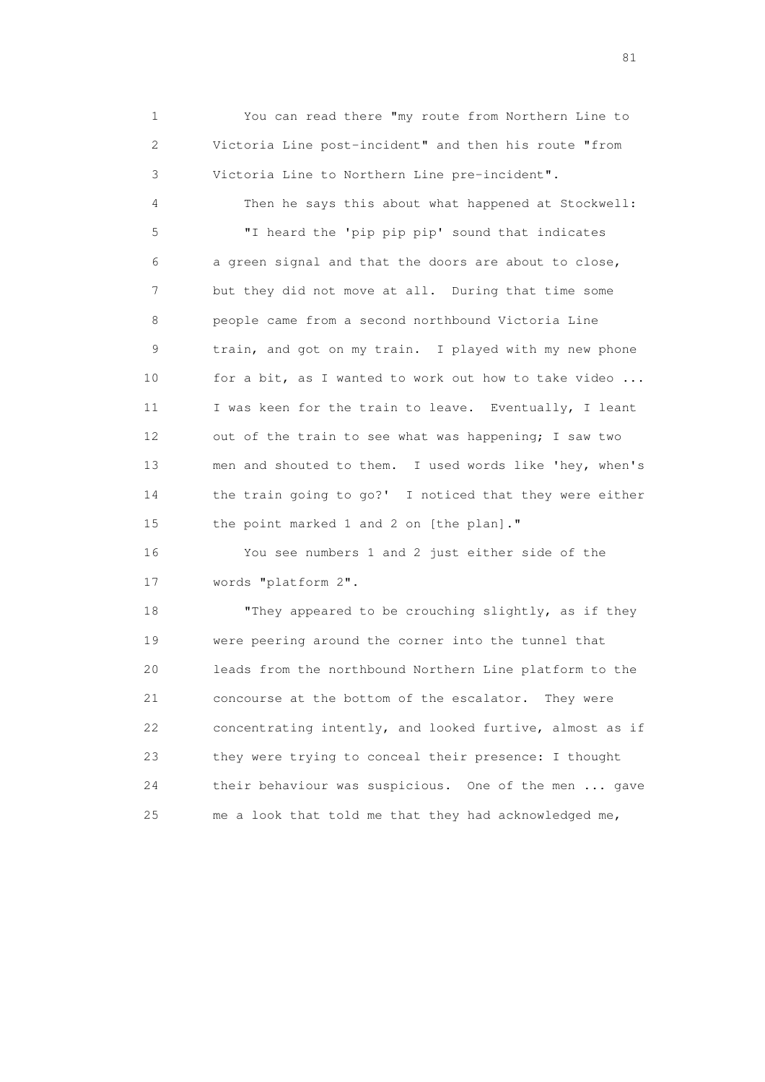1 You can read there "my route from Northern Line to 2 Victoria Line post-incident" and then his route "from 3 Victoria Line to Northern Line pre-incident". 4 Then he says this about what happened at Stockwell: 5 "I heard the 'pip pip pip' sound that indicates 6 a green signal and that the doors are about to close, 7 but they did not move at all. During that time some 8 people came from a second northbound Victoria Line 9 train, and got on my train. I played with my new phone 10 for a bit, as I wanted to work out how to take video ... 11 I was keen for the train to leave. Eventually, I leant 12 out of the train to see what was happening; I saw two 13 men and shouted to them. I used words like 'hey, when's 14 the train going to go?' I noticed that they were either 15 the point marked 1 and 2 on [the plan]."

 16 You see numbers 1 and 2 just either side of the 17 words "platform 2".

18 "They appeared to be crouching slightly, as if they 19 were peering around the corner into the tunnel that 20 leads from the northbound Northern Line platform to the 21 concourse at the bottom of the escalator. They were 22 concentrating intently, and looked furtive, almost as if 23 they were trying to conceal their presence: I thought 24 their behaviour was suspicious. One of the men ... gave 25 me a look that told me that they had acknowledged me,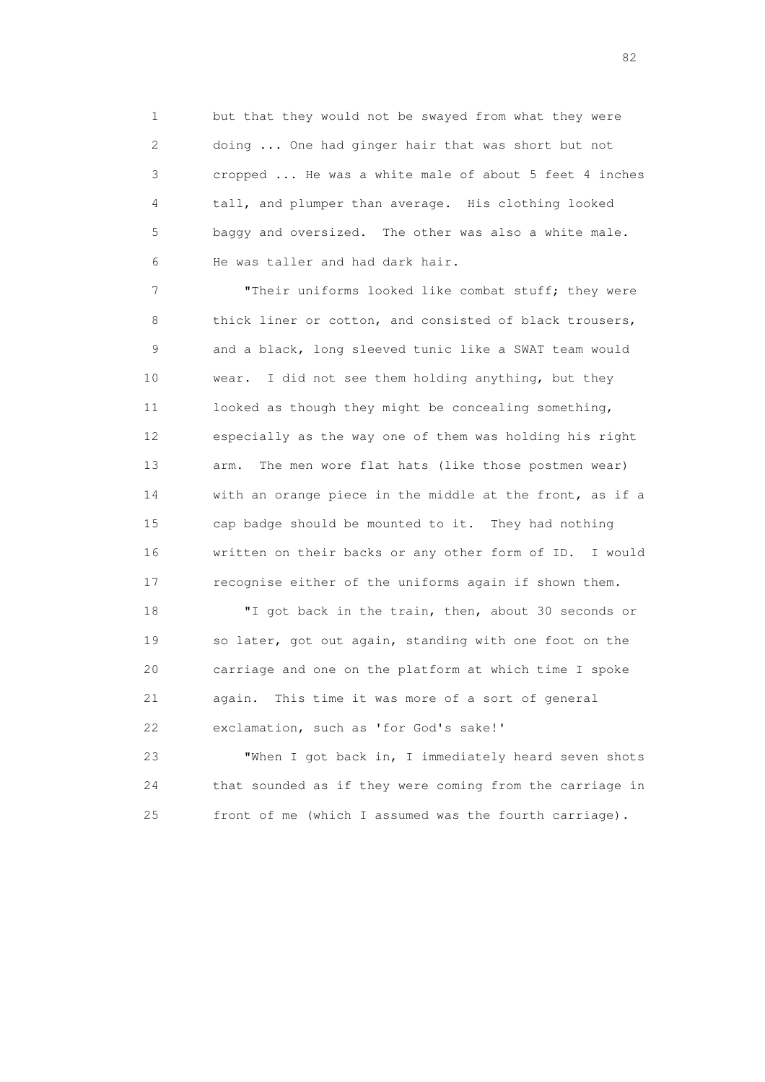1 but that they would not be swayed from what they were 2 doing ... One had ginger hair that was short but not 3 cropped ... He was a white male of about 5 feet 4 inches 4 tall, and plumper than average. His clothing looked 5 baggy and oversized. The other was also a white male. 6 He was taller and had dark hair.

7 Their uniforms looked like combat stuff; they were 8 thick liner or cotton, and consisted of black trousers, 9 and a black, long sleeved tunic like a SWAT team would 10 wear. I did not see them holding anything, but they 11 looked as though they might be concealing something, 12 especially as the way one of them was holding his right 13 arm. The men wore flat hats (like those postmen wear) 14 with an orange piece in the middle at the front, as if a 15 cap badge should be mounted to it. They had nothing 16 written on their backs or any other form of ID. I would 17 recognise either of the uniforms again if shown them.

 18 "I got back in the train, then, about 30 seconds or 19 so later, got out again, standing with one foot on the 20 carriage and one on the platform at which time I spoke 21 again. This time it was more of a sort of general 22 exclamation, such as 'for God's sake!'

 23 "When I got back in, I immediately heard seven shots 24 that sounded as if they were coming from the carriage in 25 front of me (which I assumed was the fourth carriage).

experience of the state of the state of the state of the state of the state of the state of the state of the s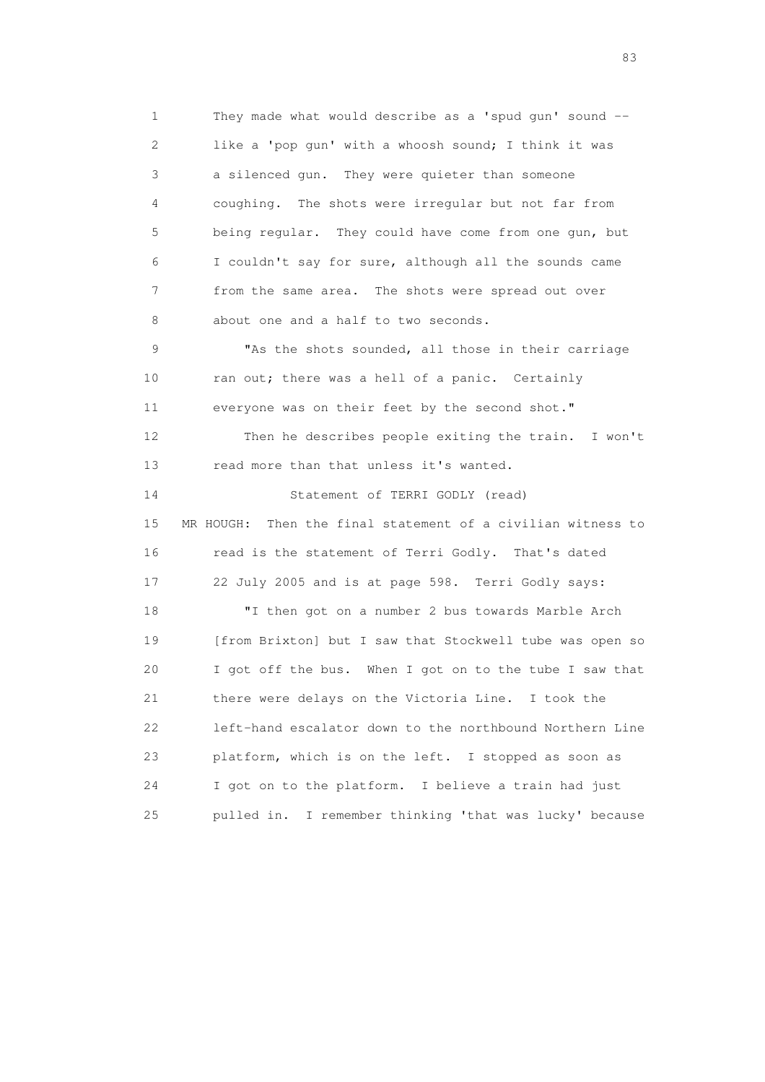1 They made what would describe as a 'spud gun' sound -- 2 like a 'pop gun' with a whoosh sound; I think it was 3 a silenced gun. They were quieter than someone 4 coughing. The shots were irregular but not far from 5 being regular. They could have come from one gun, but 6 I couldn't say for sure, although all the sounds came 7 from the same area. The shots were spread out over 8 about one and a half to two seconds. 9 "As the shots sounded, all those in their carriage 10 ran out; there was a hell of a panic. Certainly 11 everyone was on their feet by the second shot." 12 Then he describes people exiting the train. I won't 13 read more than that unless it's wanted. 14 Statement of TERRI GODLY (read) 15 MR HOUGH: Then the final statement of a civilian witness to 16 read is the statement of Terri Godly. That's dated 17 22 July 2005 and is at page 598. Terri Godly says: 18 "I then got on a number 2 bus towards Marble Arch 19 [from Brixton] but I saw that Stockwell tube was open so 20 I got off the bus. When I got on to the tube I saw that 21 there were delays on the Victoria Line. I took the 22 left-hand escalator down to the northbound Northern Line 23 platform, which is on the left. I stopped as soon as 24 I got on to the platform. I believe a train had just

25 pulled in. I remember thinking 'that was lucky' because

experience of the contract of the contract of the contract of the contract of the contract of the contract of the contract of the contract of the contract of the contract of the contract of the contract of the contract of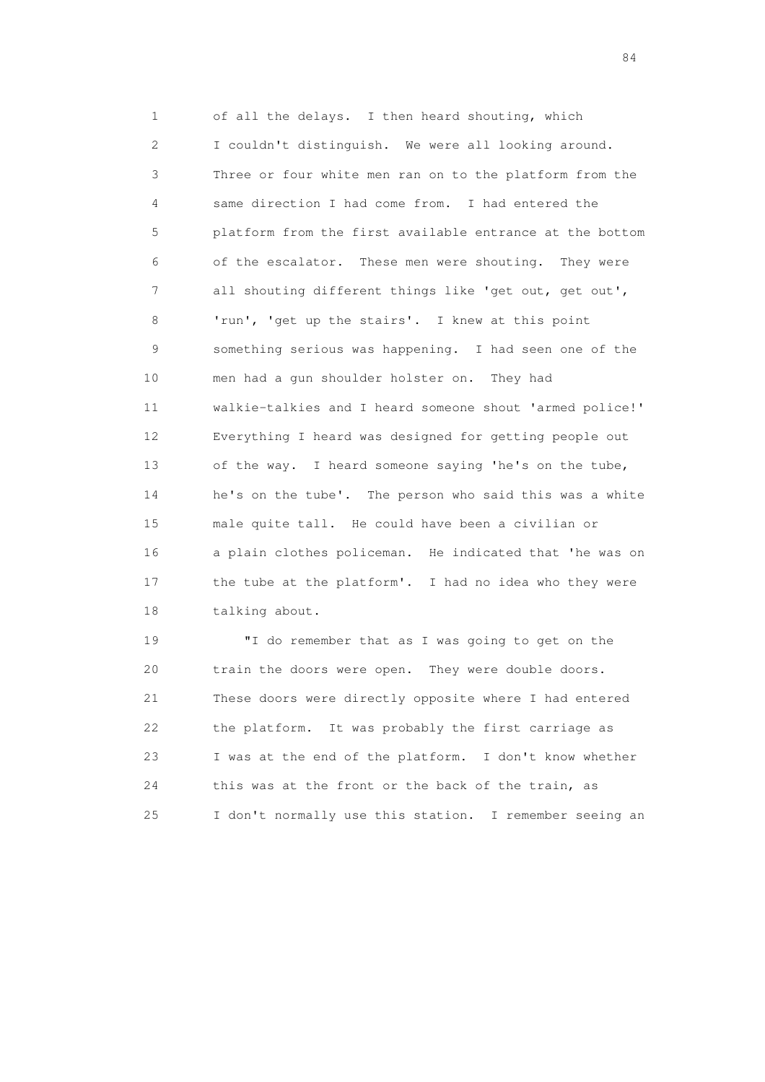1 of all the delays. I then heard shouting, which 2 I couldn't distinguish. We were all looking around. 3 Three or four white men ran on to the platform from the 4 same direction I had come from. I had entered the 5 platform from the first available entrance at the bottom 6 of the escalator. These men were shouting. They were 7 all shouting different things like 'get out, get out', 8 'run', 'get up the stairs'. I knew at this point 9 something serious was happening. I had seen one of the 10 men had a gun shoulder holster on. They had 11 walkie-talkies and I heard someone shout 'armed police!' 12 Everything I heard was designed for getting people out 13 of the way. I heard someone saying 'he's on the tube, 14 he's on the tube'. The person who said this was a white 15 male quite tall. He could have been a civilian or 16 a plain clothes policeman. He indicated that 'he was on 17 the tube at the platform'. I had no idea who they were 18 talking about.

 19 "I do remember that as I was going to get on the 20 train the doors were open. They were double doors. 21 These doors were directly opposite where I had entered 22 the platform. It was probably the first carriage as 23 I was at the end of the platform. I don't know whether 24 this was at the front or the back of the train, as 25 I don't normally use this station. I remember seeing an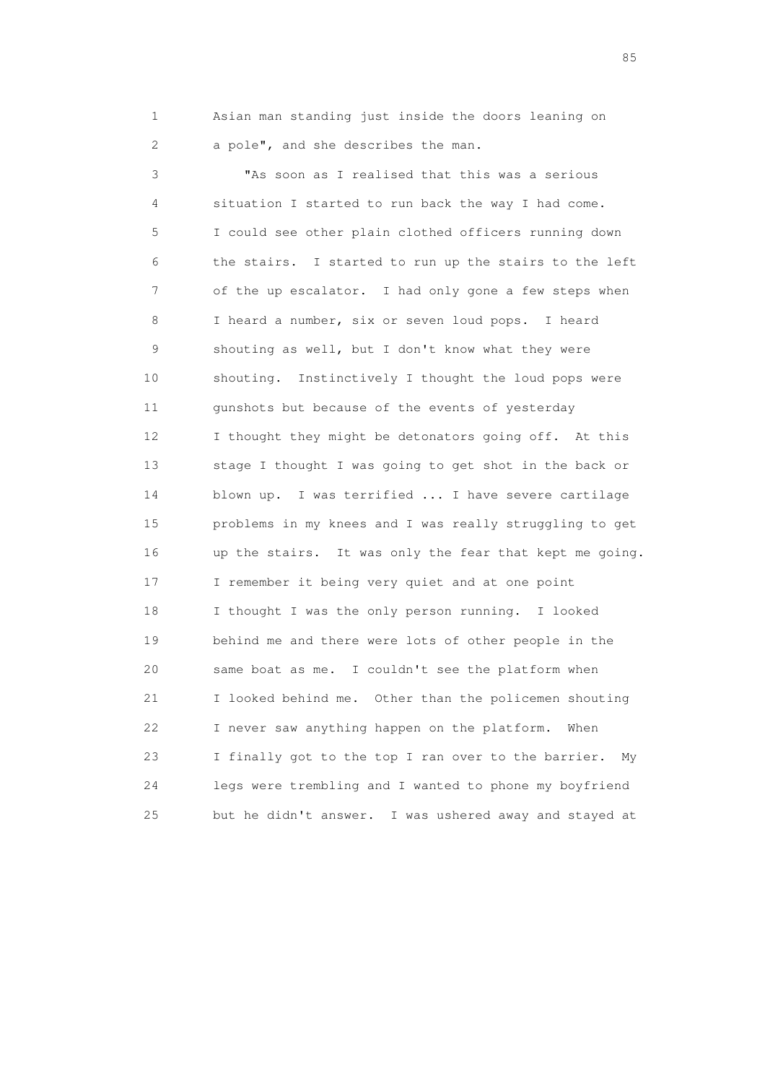1 Asian man standing just inside the doors leaning on 2 a pole", and she describes the man.

 3 "As soon as I realised that this was a serious 4 situation I started to run back the way I had come. 5 I could see other plain clothed officers running down 6 the stairs. I started to run up the stairs to the left 7 of the up escalator. I had only gone a few steps when 8 I heard a number, six or seven loud pops. I heard 9 shouting as well, but I don't know what they were 10 shouting. Instinctively I thought the loud pops were 11 gunshots but because of the events of yesterday 12 I thought they might be detonators going off. At this 13 stage I thought I was going to get shot in the back or 14 blown up. I was terrified ... I have severe cartilage 15 problems in my knees and I was really struggling to get 16 up the stairs. It was only the fear that kept me going. 17 I remember it being very quiet and at one point 18 I thought I was the only person running. I looked 19 behind me and there were lots of other people in the 20 same boat as me. I couldn't see the platform when 21 I looked behind me. Other than the policemen shouting 22 I never saw anything happen on the platform. When 23 I finally got to the top I ran over to the barrier. My 24 legs were trembling and I wanted to phone my boyfriend 25 but he didn't answer. I was ushered away and stayed at

experience of the contract of the contract of the contract of the contract of the contract of the contract of the contract of the contract of the contract of the contract of the contract of the contract of the contract of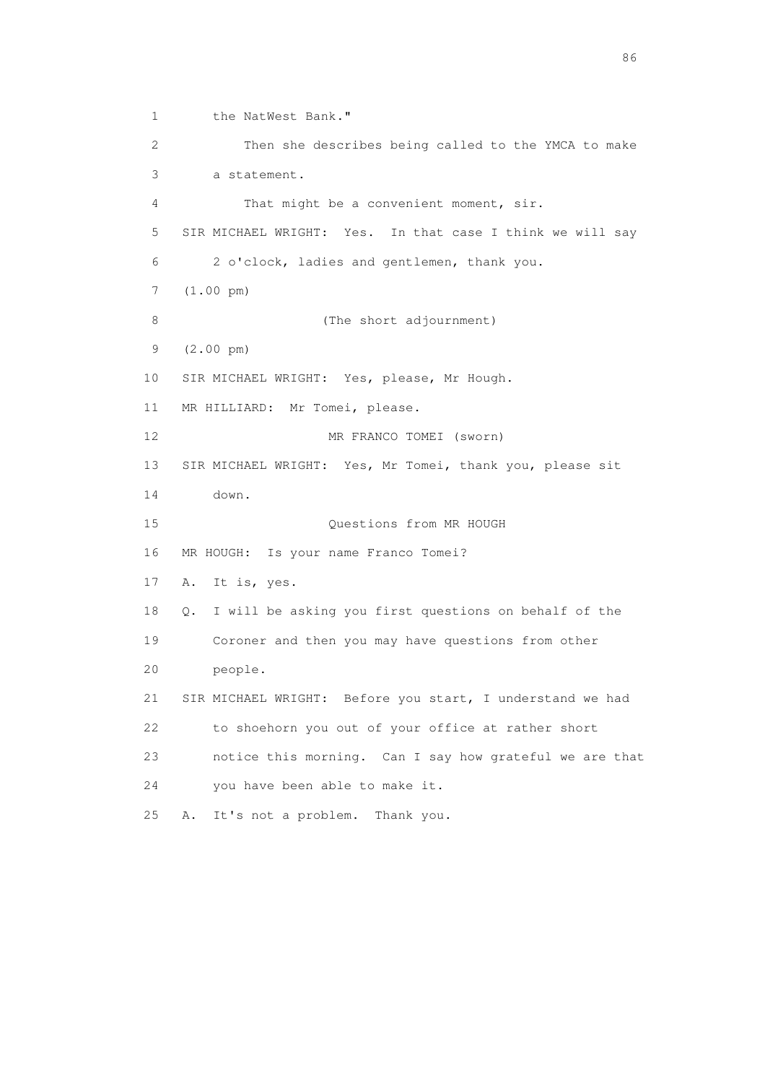1 the NatWest Bank." 2 Then she describes being called to the YMCA to make 3 a statement. 4 That might be a convenient moment, sir. 5 SIR MICHAEL WRIGHT: Yes. In that case I think we will say 6 2 o'clock, ladies and gentlemen, thank you. 7 (1.00 pm) 8 (The short adjournment) 9 (2.00 pm) 10 SIR MICHAEL WRIGHT: Yes, please, Mr Hough. 11 MR HILLIARD: Mr Tomei, please. 12 MR FRANCO TOMEI (sworn) 13 SIR MICHAEL WRIGHT: Yes, Mr Tomei, thank you, please sit 14 down. 15 Questions from MR HOUGH 16 MR HOUGH: Is your name Franco Tomei? 17 A. It is, yes. 18 Q. I will be asking you first questions on behalf of the 19 Coroner and then you may have questions from other 20 people. 21 SIR MICHAEL WRIGHT: Before you start, I understand we had 22 to shoehorn you out of your office at rather short 23 notice this morning. Can I say how grateful we are that 24 you have been able to make it. 25 A. It's not a problem. Thank you.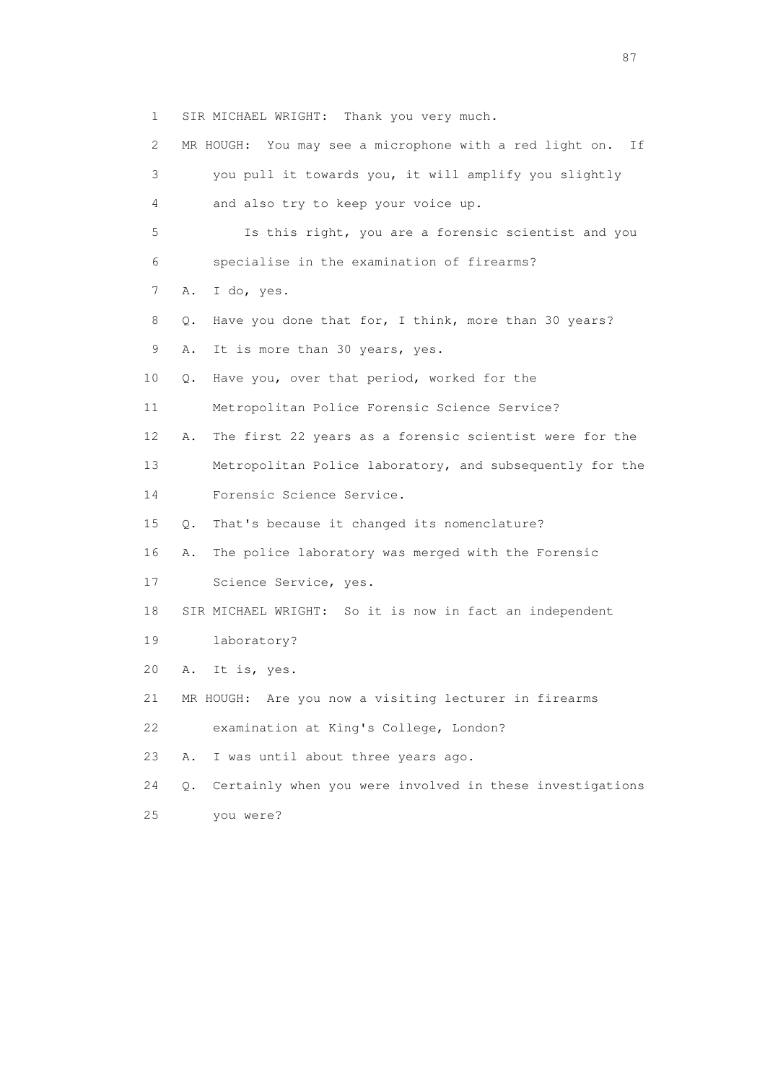1 SIR MICHAEL WRIGHT: Thank you very much.

 2 MR HOUGH: You may see a microphone with a red light on. If 3 you pull it towards you, it will amplify you slightly 4 and also try to keep your voice up. 5 Is this right, you are a forensic scientist and you 6 specialise in the examination of firearms? 7 A. I do, yes. 8 Q. Have you done that for, I think, more than 30 years? 9 A. It is more than 30 years, yes. 10 Q. Have you, over that period, worked for the 11 Metropolitan Police Forensic Science Service? 12 A. The first 22 years as a forensic scientist were for the 13 Metropolitan Police laboratory, and subsequently for the 14 Forensic Science Service. 15 Q. That's because it changed its nomenclature? 16 A. The police laboratory was merged with the Forensic 17 Science Service, yes. 18 SIR MICHAEL WRIGHT: So it is now in fact an independent 19 laboratory? 20 A. It is, yes. 21 MR HOUGH: Are you now a visiting lecturer in firearms 22 examination at King's College, London? 23 A. I was until about three years ago. 24 Q. Certainly when you were involved in these investigations

25 you were?

experience of the state of the state of the state of the state of the state of the state of the state of the s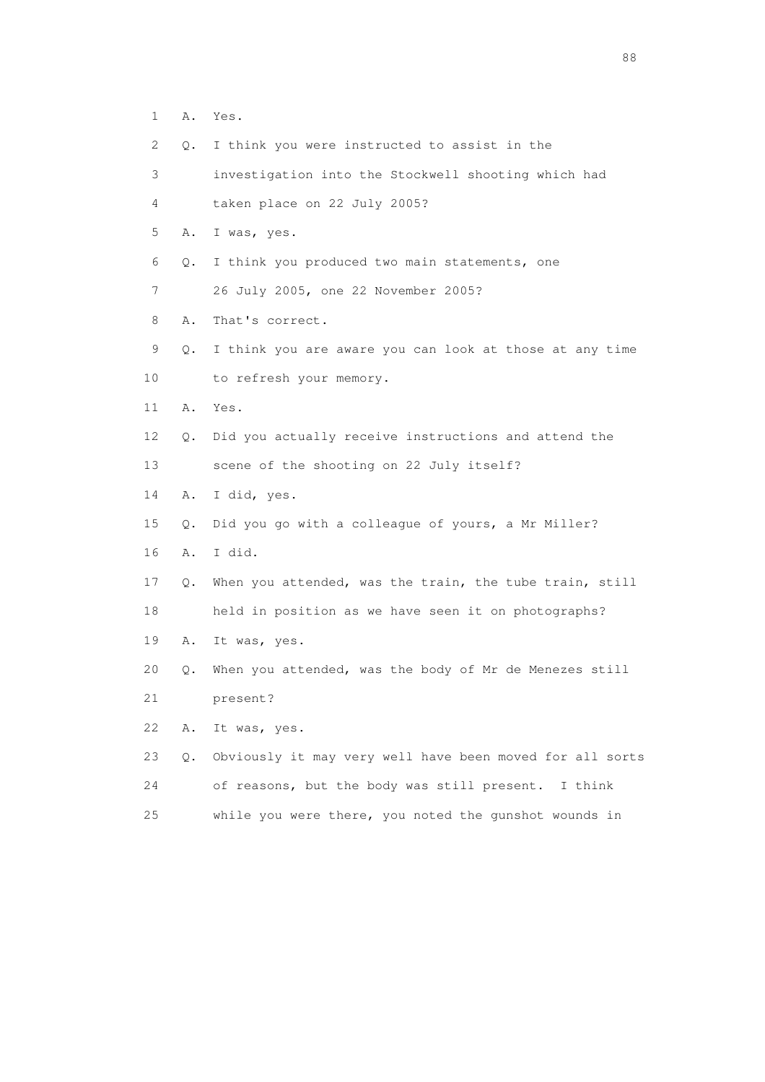- 1 A. Yes.
- 2 Q. I think you were instructed to assist in the
- 3 investigation into the Stockwell shooting which had
- 4 taken place on 22 July 2005?
- 5 A. I was, yes.
- 6 Q. I think you produced two main statements, one
- 7 26 July 2005, one 22 November 2005?
- 8 A. That's correct.
- 9 Q. I think you are aware you can look at those at any time
- 10 to refresh your memory.
- 11 A. Yes.
- 12 Q. Did you actually receive instructions and attend the
- 13 scene of the shooting on 22 July itself?
- 14 A. I did, yes.
- 15 Q. Did you go with a colleague of yours, a Mr Miller?
- 16 A. I did.
- 17 Q. When you attended, was the train, the tube train, still
- 18 held in position as we have seen it on photographs?
- 19 A. It was, yes.
- 20 Q. When you attended, was the body of Mr de Menezes still
- 21 present?
- 22 A. It was, yes.
- 23 Q. Obviously it may very well have been moved for all sorts 24 of reasons, but the body was still present. I think 25 while you were there, you noted the gunshot wounds in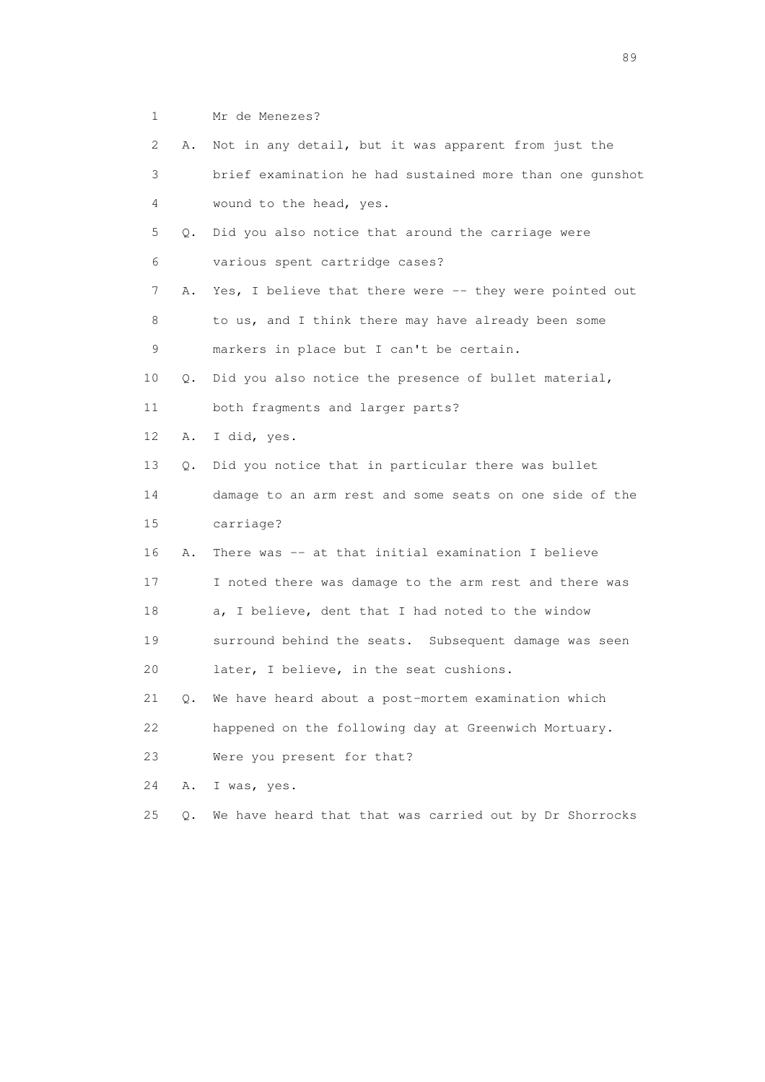1 Mr de Menezes?

| $\mathbf{2}^{\mathsf{I}}$ | Α.        | Not in any detail, but it was apparent from just the     |
|---------------------------|-----------|----------------------------------------------------------|
| 3                         |           | brief examination he had sustained more than one qunshot |
| 4                         |           | wound to the head, yes.                                  |
| 5                         | $\circ$ . | Did you also notice that around the carriage were        |
| 6                         |           | various spent cartridge cases?                           |
| 7                         | Α.        | Yes, I believe that there were -- they were pointed out  |
| 8                         |           | to us, and I think there may have already been some      |
| 9                         |           | markers in place but I can't be certain.                 |
| 10                        | Q.        | Did you also notice the presence of bullet material,     |
| 11                        |           | both fragments and larger parts?                         |
| 12                        | Α.        | I did, yes.                                              |
| 13                        | $\circ$ . | Did you notice that in particular there was bullet       |
| 14                        |           | damage to an arm rest and some seats on one side of the  |
| 15                        |           | carriage?                                                |
| 16                        | Α.        | There was -- at that initial examination I believe       |
| 17                        |           | I noted there was damage to the arm rest and there was   |
| 18                        |           | a, I believe, dent that I had noted to the window        |
| 19                        |           | surround behind the seats. Subsequent damage was seen    |
| 20                        |           | later, I believe, in the seat cushions.                  |
| 21                        | Q.        | We have heard about a post-mortem examination which      |
| 22                        |           | happened on the following day at Greenwich Mortuary.     |
| 23                        |           | Were you present for that?                               |
| 24                        | Α.        | I was, yes.                                              |
| 25                        | $Q$ .     | We have heard that that was carried out by Dr Shorrocks  |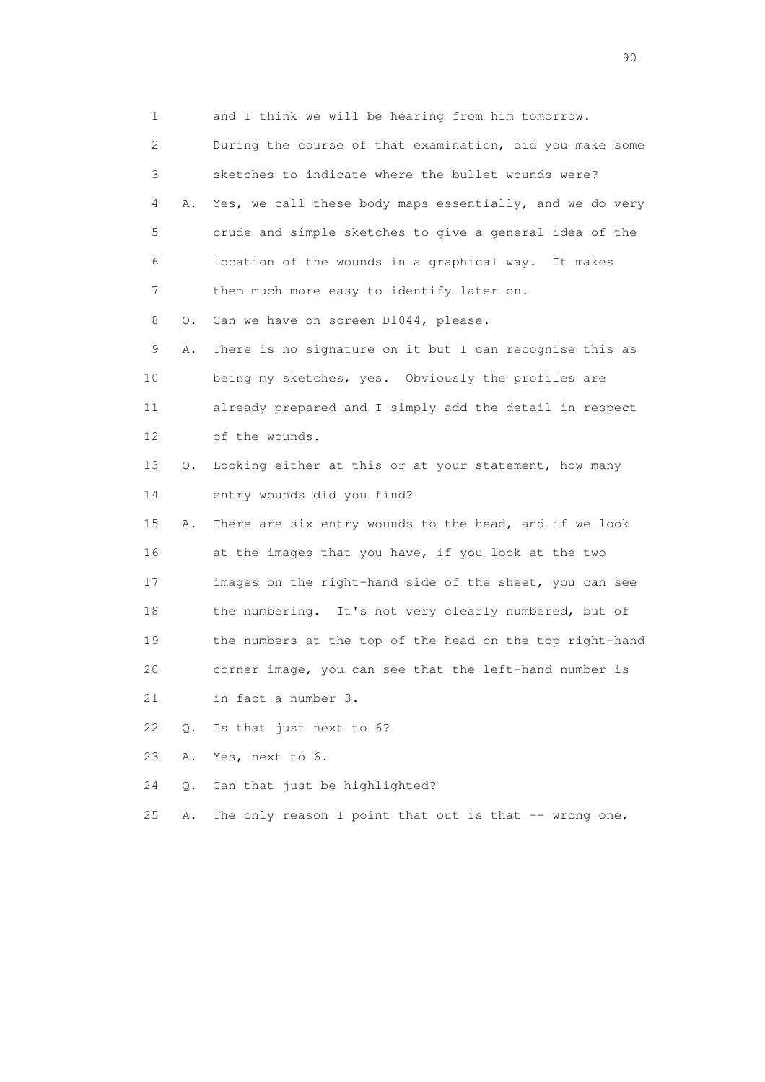1 and I think we will be hearing from him tomorrow. 2 During the course of that examination, did you make some 3 sketches to indicate where the bullet wounds were? 4 A. Yes, we call these body maps essentially, and we do very 5 crude and simple sketches to give a general idea of the 6 location of the wounds in a graphical way. It makes 7 them much more easy to identify later on. 8 Q. Can we have on screen D1044, please. 9 A. There is no signature on it but I can recognise this as 10 being my sketches, yes. Obviously the profiles are 11 already prepared and I simply add the detail in respect 12 of the wounds. 13 Q. Looking either at this or at your statement, how many 14 entry wounds did you find? 15 A. There are six entry wounds to the head, and if we look 16 at the images that you have, if you look at the two 17 images on the right-hand side of the sheet, you can see 18 the numbering. It's not very clearly numbered, but of 19 the numbers at the top of the head on the top right-hand 20 corner image, you can see that the left-hand number is 21 in fact a number 3. 22 Q. Is that just next to 6? 23 A. Yes, next to 6. 24 Q. Can that just be highlighted? 25 A. The only reason I point that out is that -- wrong one,

entral de la construction de la construction de la construction de la construction de la construction de la co<br>1900 : le construction de la construction de la construction de la construction de la construction de la const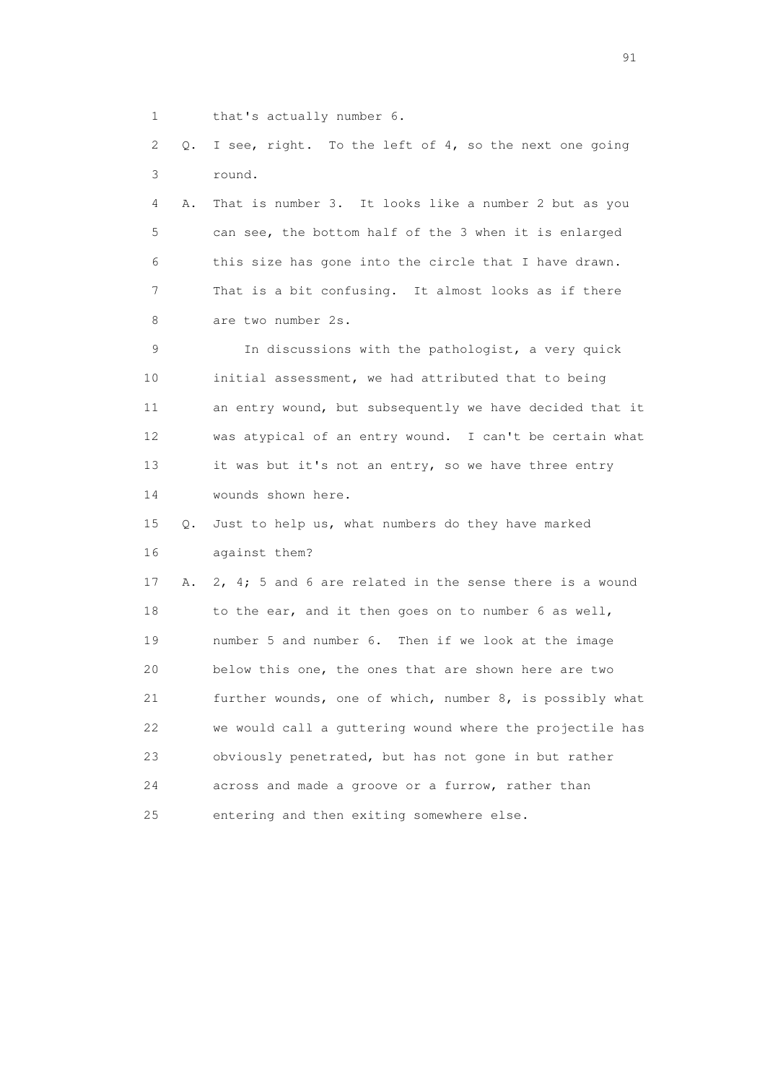1 that's actually number 6.

 2 Q. I see, right. To the left of 4, so the next one going 3 round.

 4 A. That is number 3. It looks like a number 2 but as you 5 can see, the bottom half of the 3 when it is enlarged 6 this size has gone into the circle that I have drawn. 7 That is a bit confusing. It almost looks as if there 8 are two number 2s.

 9 In discussions with the pathologist, a very quick 10 initial assessment, we had attributed that to being 11 an entry wound, but subsequently we have decided that it 12 was atypical of an entry wound. I can't be certain what 13 it was but it's not an entry, so we have three entry 14 wounds shown here.

 15 Q. Just to help us, what numbers do they have marked 16 against them?

 17 A. 2, 4; 5 and 6 are related in the sense there is a wound 18 to the ear, and it then goes on to number 6 as well, 19 number 5 and number 6. Then if we look at the image 20 below this one, the ones that are shown here are two 21 further wounds, one of which, number 8, is possibly what 22 we would call a guttering wound where the projectile has 23 obviously penetrated, but has not gone in but rather 24 across and made a groove or a furrow, rather than 25 entering and then exiting somewhere else.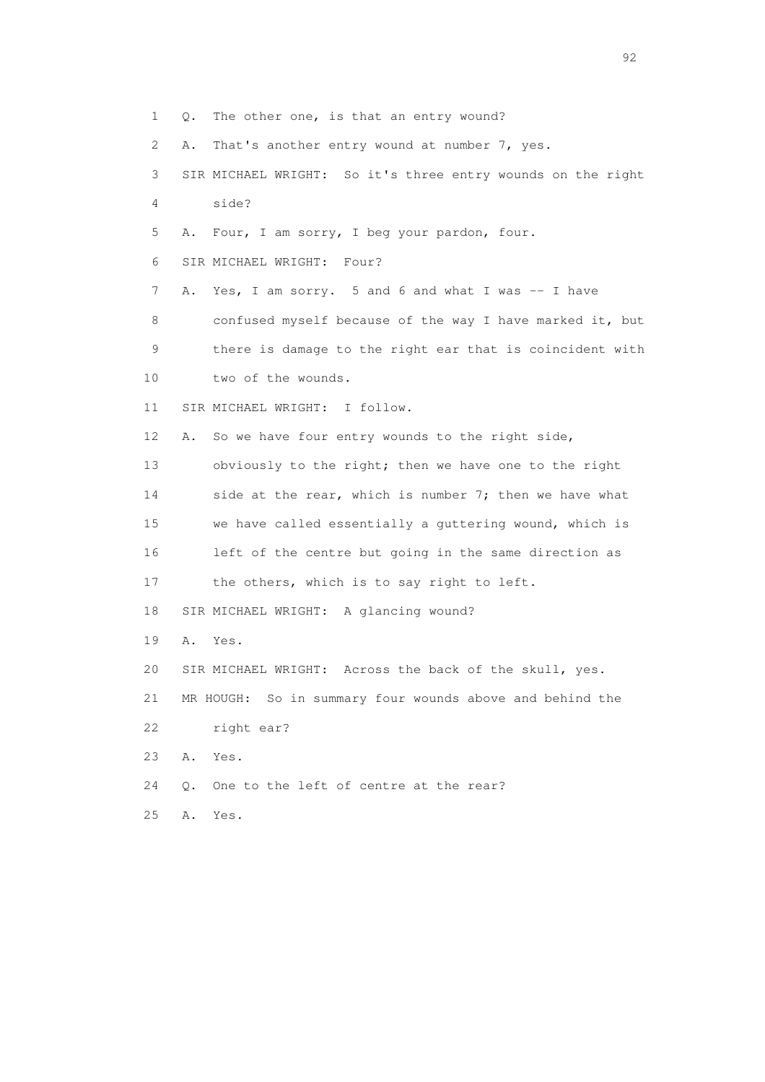1 Q. The other one, is that an entry wound?

2 A. That's another entry wound at number 7, yes.

- 3 SIR MICHAEL WRIGHT: So it's three entry wounds on the right 4 side?
- 5 A. Four, I am sorry, I beg your pardon, four.
- 6 SIR MICHAEL WRIGHT: Four?
- 7 A. Yes, I am sorry. 5 and 6 and what I was -- I have 8 confused myself because of the way I have marked it, but 9 there is damage to the right ear that is coincident with
- 10 two of the wounds.
- 11 SIR MICHAEL WRIGHT: I follow.

12 A. So we have four entry wounds to the right side,

13 obviously to the right; then we have one to the right 14 side at the rear, which is number 7; then we have what 15 we have called essentially a guttering wound, which is 16 left of the centre but going in the same direction as

- 17 the others, which is to say right to left.
- 18 SIR MICHAEL WRIGHT: A glancing wound?
- 19 A. Yes.
- 20 SIR MICHAEL WRIGHT: Across the back of the skull, yes.

21 MR HOUGH: So in summary four wounds above and behind the

- 22 right ear?
- 23 A. Yes.
- 24 Q. One to the left of centre at the rear?
- 25 A. Yes.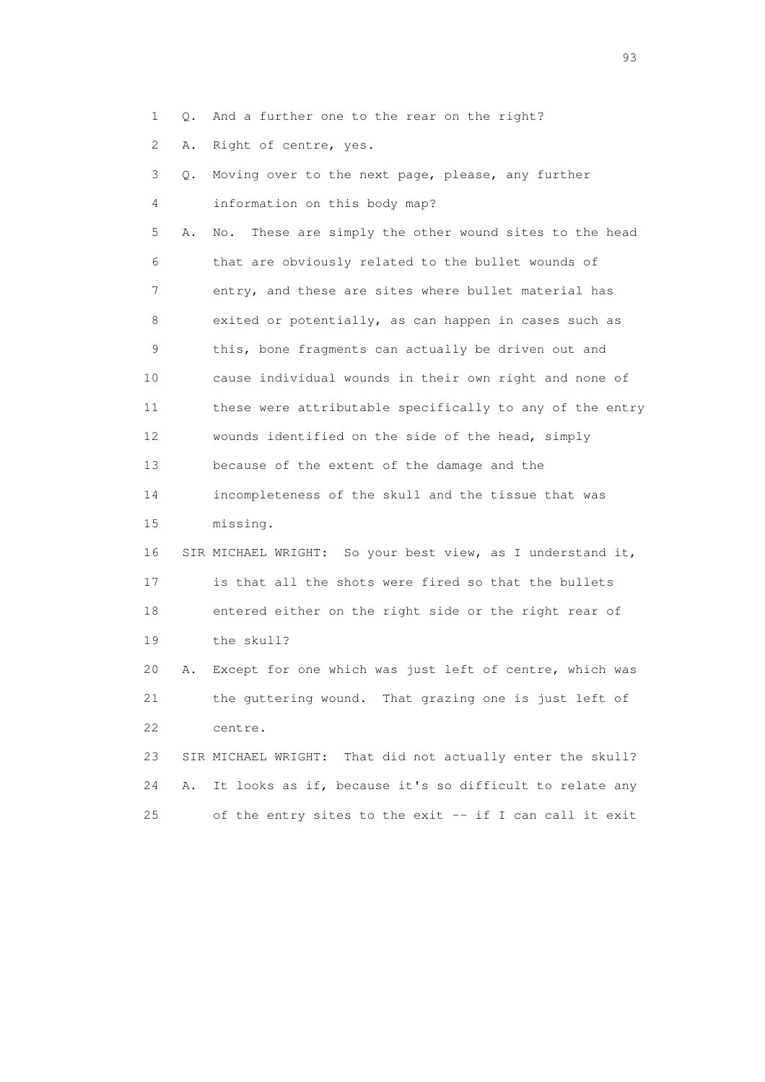1 Q. And a further one to the rear on the right?

2 A. Right of centre, yes.

 3 Q. Moving over to the next page, please, any further 4 information on this body map? 5 A. No. These are simply the other wound sites to the head 6 that are obviously related to the bullet wounds of 7 entry, and these are sites where bullet material has 8 exited or potentially, as can happen in cases such as 9 this, bone fragments can actually be driven out and 10 cause individual wounds in their own right and none of 11 these were attributable specifically to any of the entry 12 wounds identified on the side of the head, simply 13 because of the extent of the damage and the 14 incompleteness of the skull and the tissue that was 15 missing. 16 SIR MICHAEL WRIGHT: So your best view, as I understand it, 17 is that all the shots were fired so that the bullets 18 entered either on the right side or the right rear of 19 the skull? 20 A. Except for one which was just left of centre, which was 21 the guttering wound. That grazing one is just left of 22 centre. 23 SIR MICHAEL WRIGHT: That did not actually enter the skull? 24 A. It looks as if, because it's so difficult to relate any

25 of the entry sites to the exit -- if I can call it exit

experience of the contract of the contract of the contract of the contract of the contract of the contract of the contract of the contract of the contract of the contract of the contract of the contract of the contract of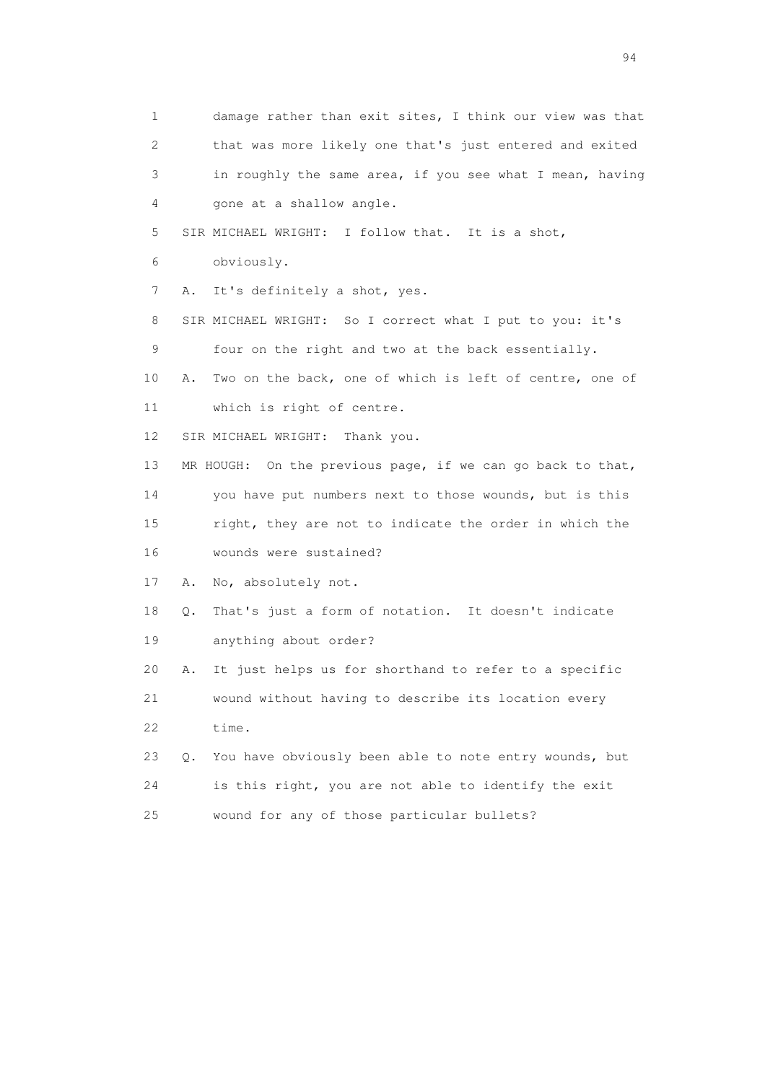1 damage rather than exit sites, I think our view was that 2 that was more likely one that's just entered and exited 3 in roughly the same area, if you see what I mean, having 4 gone at a shallow angle. 5 SIR MICHAEL WRIGHT: I follow that. It is a shot, 6 obviously. 7 A. It's definitely a shot, yes. 8 SIR MICHAEL WRIGHT: So I correct what I put to you: it's 9 four on the right and two at the back essentially. 10 A. Two on the back, one of which is left of centre, one of 11 which is right of centre. 12 SIR MICHAEL WRIGHT: Thank you. 13 MR HOUGH: On the previous page, if we can go back to that, 14 you have put numbers next to those wounds, but is this 15 right, they are not to indicate the order in which the 16 wounds were sustained? 17 A. No, absolutely not. 18 Q. That's just a form of notation. It doesn't indicate 19 anything about order? 20 A. It just helps us for shorthand to refer to a specific 21 wound without having to describe its location every 22 time. 23 Q. You have obviously been able to note entry wounds, but 24 is this right, you are not able to identify the exit 25 wound for any of those particular bullets?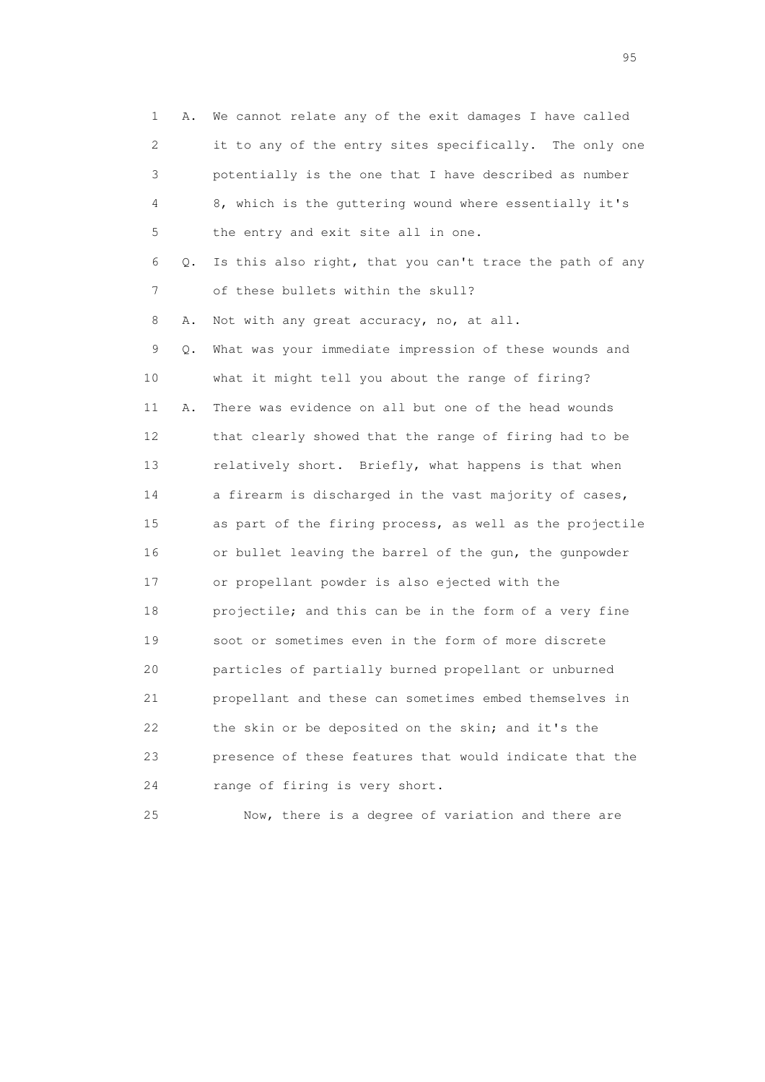1 A. We cannot relate any of the exit damages I have called 2 it to any of the entry sites specifically. The only one 3 potentially is the one that I have described as number 4 8, which is the guttering wound where essentially it's 5 the entry and exit site all in one. 6 Q. Is this also right, that you can't trace the path of any 7 of these bullets within the skull? 8 A. Not with any great accuracy, no, at all. 9 Q. What was your immediate impression of these wounds and 10 what it might tell you about the range of firing? 11 A. There was evidence on all but one of the head wounds 12 that clearly showed that the range of firing had to be 13 relatively short. Briefly, what happens is that when 14 a firearm is discharged in the vast majority of cases, 15 as part of the firing process, as well as the projectile 16 or bullet leaving the barrel of the gun, the gunpowder 17 or propellant powder is also ejected with the 18 projectile; and this can be in the form of a very fine 19 soot or sometimes even in the form of more discrete 20 particles of partially burned propellant or unburned 21 propellant and these can sometimes embed themselves in 22 the skin or be deposited on the skin; and it's the 23 presence of these features that would indicate that the 24 range of firing is very short.

25 Now, there is a degree of variation and there are

experience of the contract of the contract of the contract of the contract of the contract of the contract of the contract of the contract of the contract of the contract of the contract of the contract of the contract of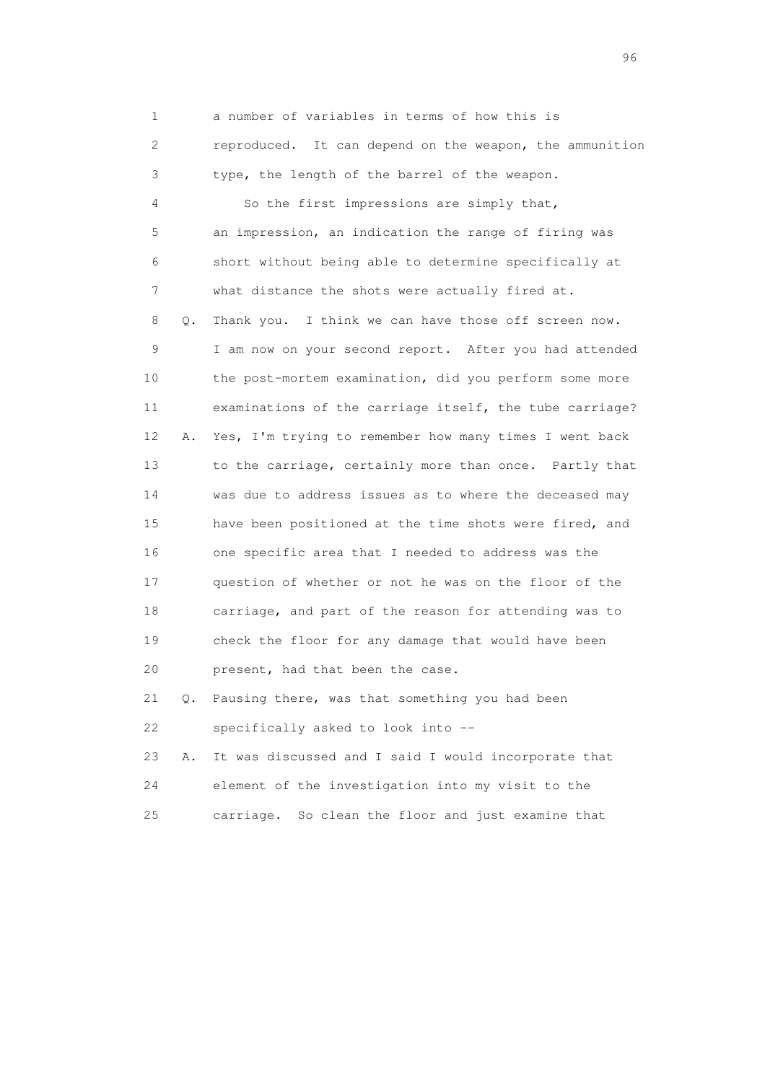1 a number of variables in terms of how this is 2 reproduced. It can depend on the weapon, the ammunition 3 type, the length of the barrel of the weapon. 4 So the first impressions are simply that, 5 an impression, an indication the range of firing was 6 short without being able to determine specifically at 7 what distance the shots were actually fired at. 8 Q. Thank you. I think we can have those off screen now. 9 I am now on your second report. After you had attended 10 the post-mortem examination, did you perform some more 11 examinations of the carriage itself, the tube carriage? 12 A. Yes, I'm trying to remember how many times I went back 13 to the carriage, certainly more than once. Partly that 14 was due to address issues as to where the deceased may 15 have been positioned at the time shots were fired, and 16 one specific area that I needed to address was the 17 question of whether or not he was on the floor of the 18 carriage, and part of the reason for attending was to 19 check the floor for any damage that would have been 20 present, had that been the case. 21 Q. Pausing there, was that something you had been 22 specifically asked to look into --

 23 A. It was discussed and I said I would incorporate that 24 element of the investigation into my visit to the 25 carriage. So clean the floor and just examine that

<u>96 and the state of the state of the state of the state of the state of the state of the state of the state of the state of the state of the state of the state of the state of the state of the state of the state of the st</u>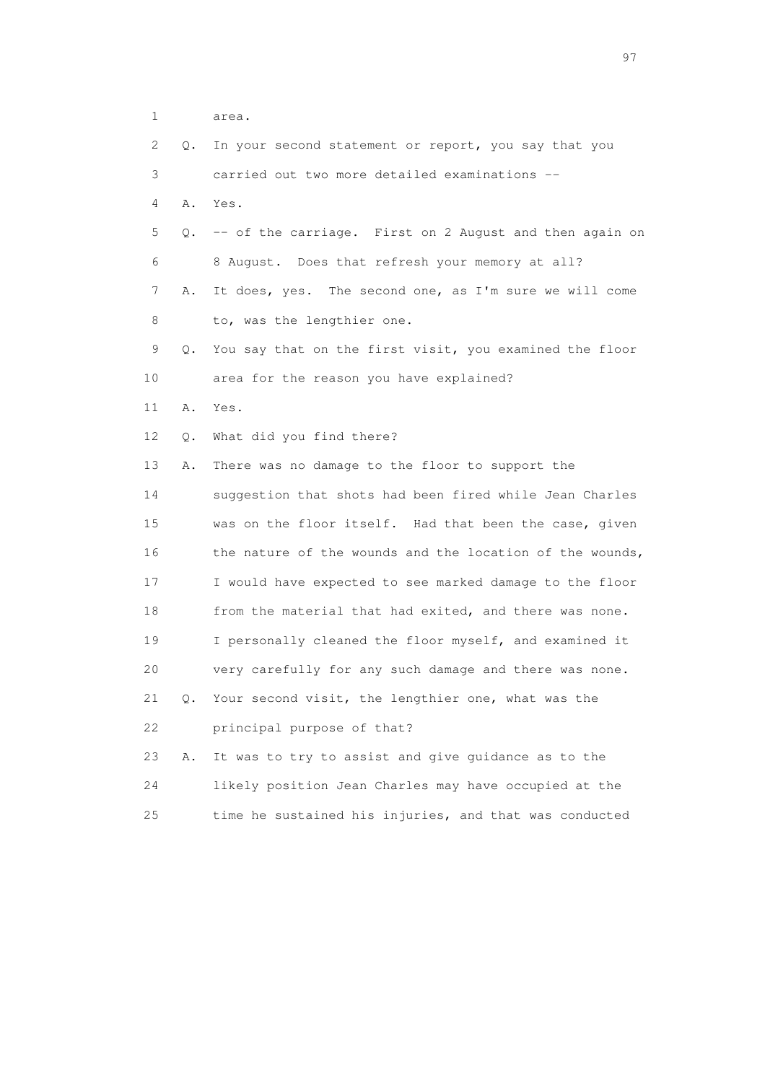| 2  | Q. | In your second statement or report, you say that you     |
|----|----|----------------------------------------------------------|
| 3  |    | carried out two more detailed examinations --            |
| 4  | Α. | Yes.                                                     |
| 5  | Q. | -- of the carriage. First on 2 August and then again on  |
| 6  |    | 8 August. Does that refresh your memory at all?          |
| 7  | Α. | It does, yes. The second one, as I'm sure we will come   |
| 8  |    | to, was the lengthier one.                               |
| 9  | Q. | You say that on the first visit, you examined the floor  |
| 10 |    | area for the reason you have explained?                  |
| 11 | Α. | Yes.                                                     |
| 12 | Q. | What did you find there?                                 |
| 13 | Α. | There was no damage to the floor to support the          |
| 14 |    | suggestion that shots had been fired while Jean Charles  |
| 15 |    | was on the floor itself. Had that been the case, given   |
| 16 |    | the nature of the wounds and the location of the wounds, |
| 17 |    | I would have expected to see marked damage to the floor  |
| 18 |    | from the material that had exited, and there was none.   |
| 19 |    | I personally cleaned the floor myself, and examined it   |
| 20 |    | very carefully for any such damage and there was none.   |
| 21 | Q. | Your second visit, the lengthier one, what was the       |
| 22 |    | principal purpose of that?                               |
| 23 | Α. | It was to try to assist and give guidance as to the      |
| 24 |    | likely position Jean Charles may have occupied at the    |
| 25 |    | time he sustained his injuries, and that was conducted   |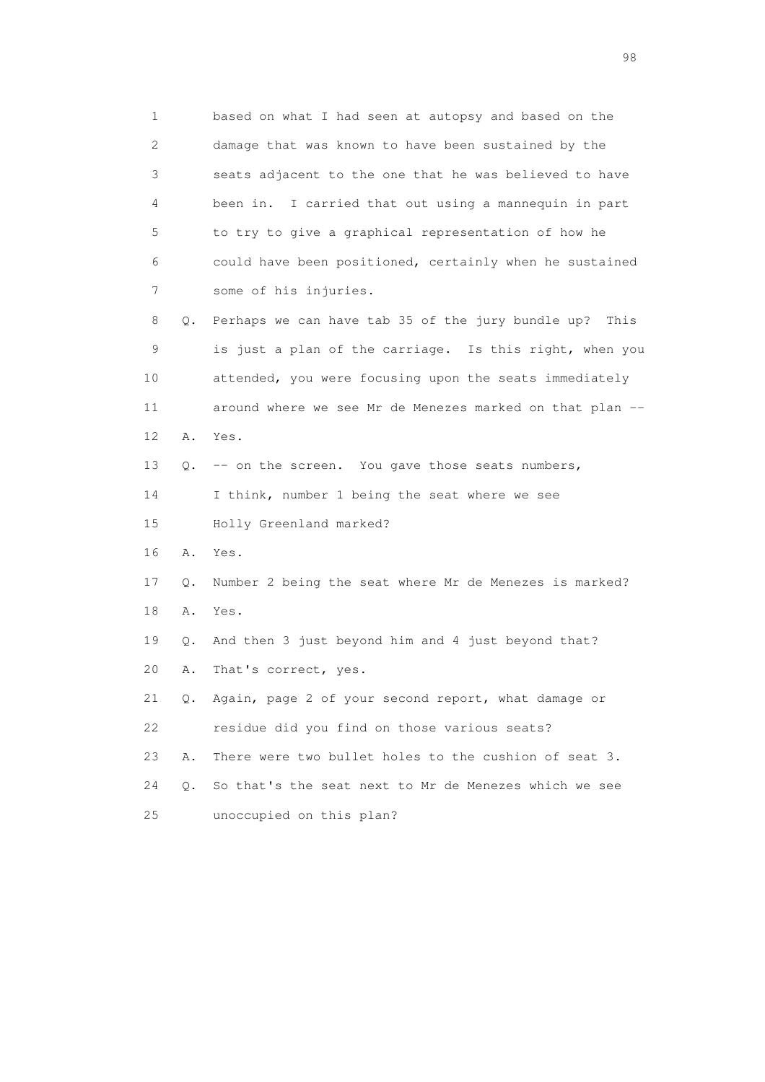1 based on what I had seen at autopsy and based on the 2 damage that was known to have been sustained by the 3 seats adjacent to the one that he was believed to have 4 been in. I carried that out using a mannequin in part 5 to try to give a graphical representation of how he 6 could have been positioned, certainly when he sustained 7 some of his injuries. 8 Q. Perhaps we can have tab 35 of the jury bundle up? This 9 is just a plan of the carriage. Is this right, when you 10 attended, you were focusing upon the seats immediately 11 around where we see Mr de Menezes marked on that plan -- 12 A. Yes. 13 Q. -- on the screen. You gave those seats numbers, 14 I think, number 1 being the seat where we see 15 Holly Greenland marked? 16 A. Yes. 17 Q. Number 2 being the seat where Mr de Menezes is marked? 18 A. Yes. 19 Q. And then 3 just beyond him and 4 just beyond that? 20 A. That's correct, yes. 21 Q. Again, page 2 of your second report, what damage or 22 residue did you find on those various seats? 23 A. There were two bullet holes to the cushion of seat 3. 24 Q. So that's the seat next to Mr de Menezes which we see 25 unoccupied on this plan?

en 1988 en 1989 en 1989 en 1989 en 1989 en 1989 en 1989 en 1989 en 1989 en 1989 en 1989 en 1989 en 1989 en 19<br>De grote en 1989 en 1989 en 1989 en 1989 en 1989 en 1989 en 1989 en 1989 en 1989 en 1989 en 1989 en 1989 en 19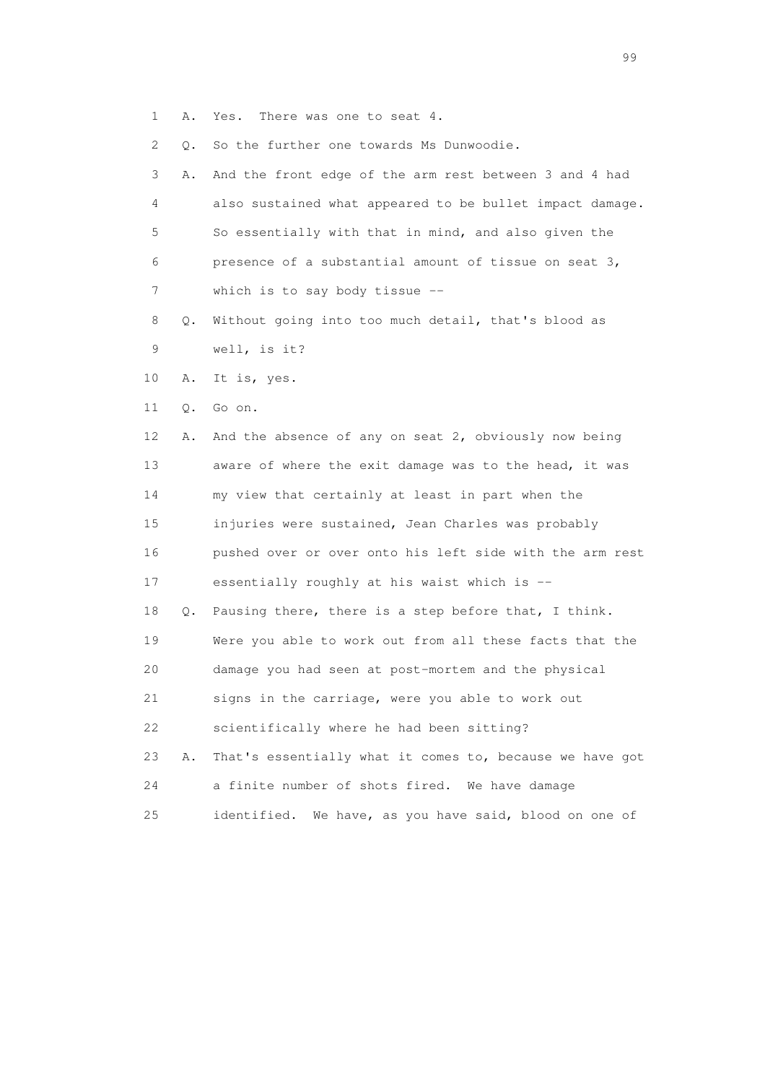1 A. Yes. There was one to seat 4.

2 Q. So the further one towards Ms Dunwoodie.

 3 A. And the front edge of the arm rest between 3 and 4 had 4 also sustained what appeared to be bullet impact damage. 5 So essentially with that in mind, and also given the 6 presence of a substantial amount of tissue on seat 3, 7 which is to say body tissue --

- 8 Q. Without going into too much detail, that's blood as 9 well, is it?
- 10 A. It is, yes.
- 11 Q. Go on.

 12 A. And the absence of any on seat 2, obviously now being 13 aware of where the exit damage was to the head, it was 14 my view that certainly at least in part when the 15 injuries were sustained, Jean Charles was probably 16 pushed over or over onto his left side with the arm rest 17 essentially roughly at his waist which is -- 18 Q. Pausing there, there is a step before that, I think. 19 Were you able to work out from all these facts that the 20 damage you had seen at post-mortem and the physical 21 signs in the carriage, were you able to work out 22 scientifically where he had been sitting?

 23 A. That's essentially what it comes to, because we have got 24 a finite number of shots fired. We have damage 25 identified. We have, as you have said, blood on one of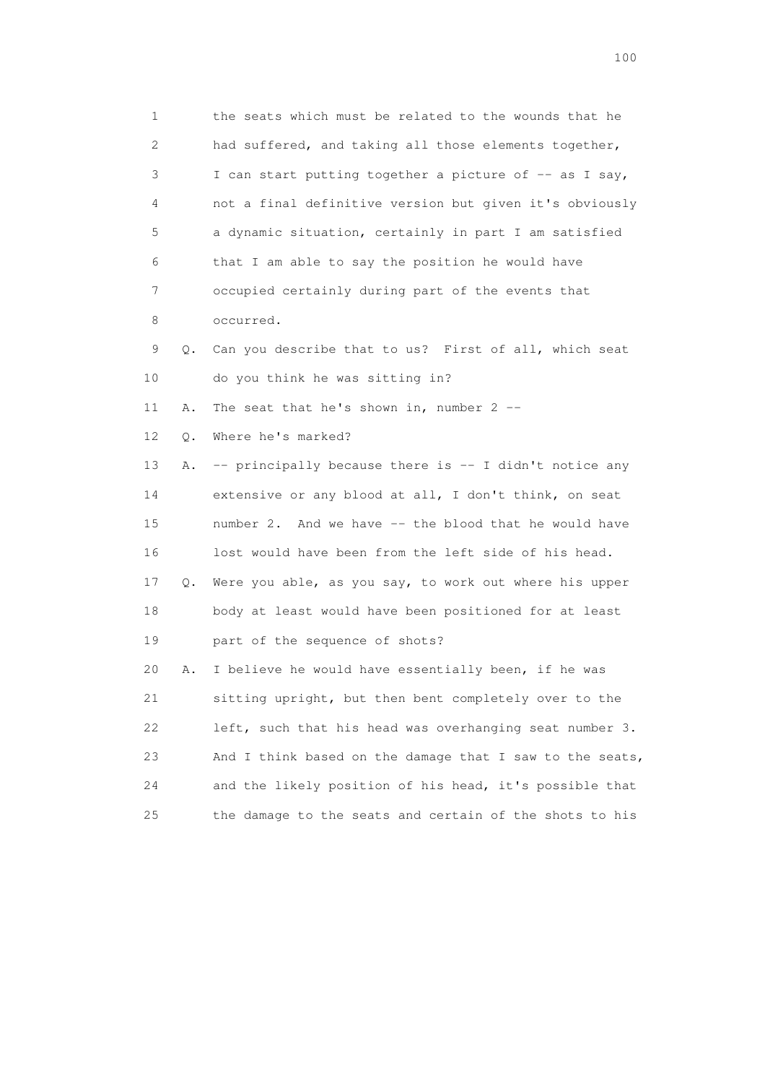1 the seats which must be related to the wounds that he 2 had suffered, and taking all those elements together, 3 I can start putting together a picture of  $-$  as I say, 4 not a final definitive version but given it's obviously 5 a dynamic situation, certainly in part I am satisfied 6 that I am able to say the position he would have 7 occupied certainly during part of the events that 8 occurred. 9 Q. Can you describe that to us? First of all, which seat 10 do you think he was sitting in? 11 A. The seat that he's shown in, number 2 -- 12 Q. Where he's marked? 13 A. -- principally because there is -- I didn't notice any 14 extensive or any blood at all, I don't think, on seat 15 number 2. And we have -- the blood that he would have 16 lost would have been from the left side of his head. 17 Q. Were you able, as you say, to work out where his upper 18 body at least would have been positioned for at least 19 part of the sequence of shots? 20 A. I believe he would have essentially been, if he was 21 sitting upright, but then bent completely over to the 22 left, such that his head was overhanging seat number 3. 23 And I think based on the damage that I saw to the seats, 24 and the likely position of his head, it's possible that 25 the damage to the seats and certain of the shots to his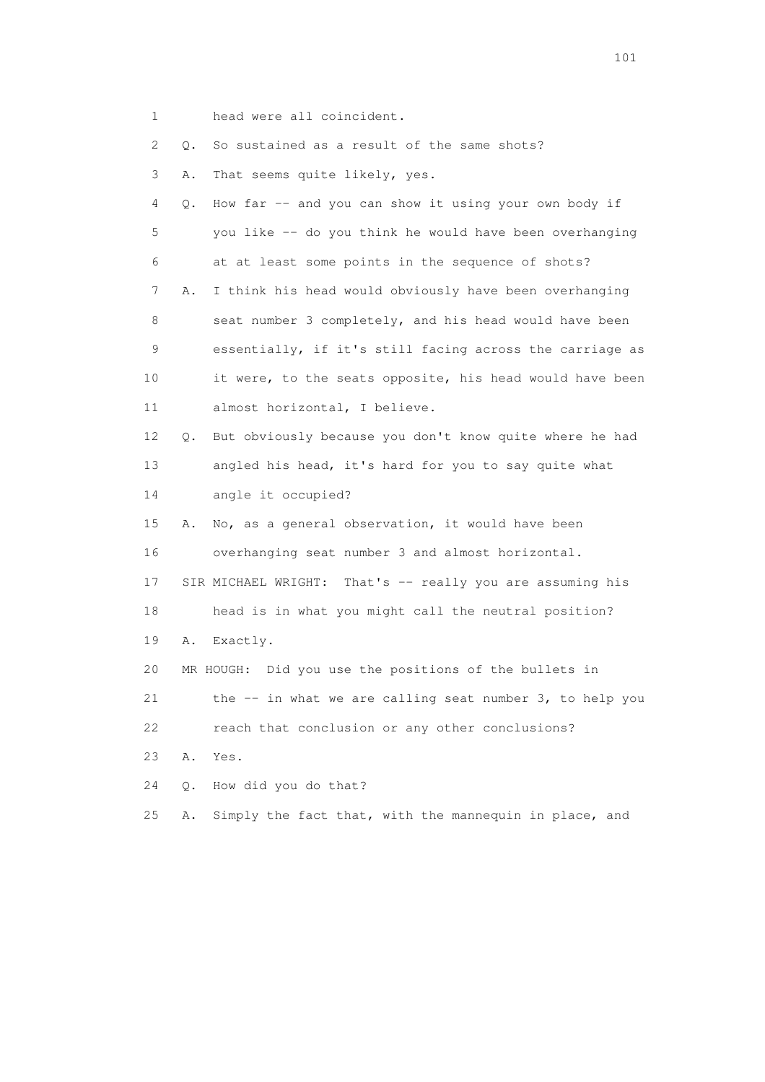1 head were all coincident.

| ⊥. |    | Head were all cornerathe.                                 |
|----|----|-----------------------------------------------------------|
| 2  | Q. | So sustained as a result of the same shots?               |
| 3  | Α. | That seems quite likely, yes.                             |
| 4  | Q. | How far -- and you can show it using your own body if     |
| 5  |    | you like -- do you think he would have been overhanging   |
| 6  |    | at at least some points in the sequence of shots?         |
| 7  | Α. | I think his head would obviously have been overhanging    |
| 8  |    | seat number 3 completely, and his head would have been    |
| 9  |    | essentially, if it's still facing across the carriage as  |
| 10 |    | it were, to the seats opposite, his head would have been  |
| 11 |    | almost horizontal, I believe.                             |
| 12 | Q. | But obviously because you don't know quite where he had   |
| 13 |    | angled his head, it's hard for you to say quite what      |
| 14 |    | angle it occupied?                                        |
| 15 | Α. | No, as a general observation, it would have been          |
| 16 |    | overhanging seat number 3 and almost horizontal.          |
| 17 |    | SIR MICHAEL WRIGHT: That's -- really you are assuming his |
| 18 |    | head is in what you might call the neutral position?      |
| 19 | Α. | Exactly.                                                  |
| 20 |    | MR HOUGH:<br>Did you use the positions of the bullets in  |
| 21 |    | the -- in what we are calling seat number 3, to help you  |
| 22 |    | reach that conclusion or any other conclusions?           |
| 23 | Α. | Yes.                                                      |
| 24 | Q. | How did you do that?                                      |
| 25 | Α. | Simply the fact that, with the mannequin in place, and    |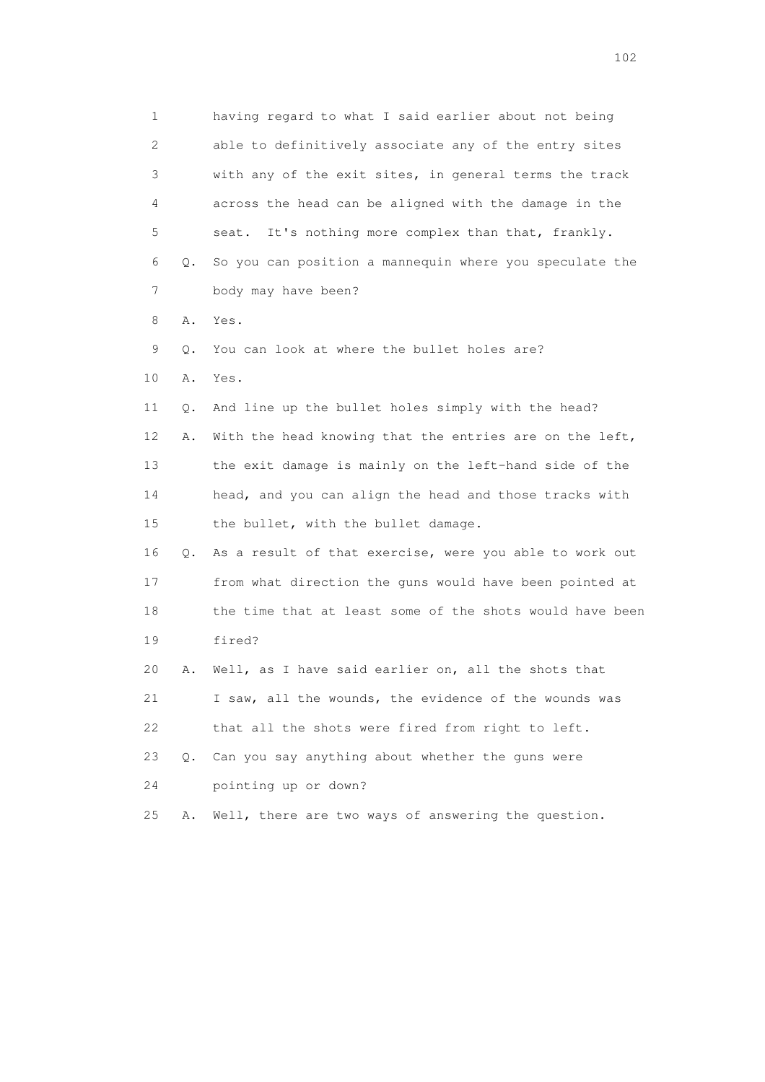1 having regard to what I said earlier about not being 2 able to definitively associate any of the entry sites 3 with any of the exit sites, in general terms the track 4 across the head can be aligned with the damage in the 5 seat. It's nothing more complex than that, frankly. 6 Q. So you can position a mannequin where you speculate the 7 body may have been? 8 A. Yes. 9 Q. You can look at where the bullet holes are? 10 A. Yes. 11 Q. And line up the bullet holes simply with the head? 12 A. With the head knowing that the entries are on the left, 13 the exit damage is mainly on the left-hand side of the 14 head, and you can align the head and those tracks with 15 the bullet, with the bullet damage. 16 Q. As a result of that exercise, were you able to work out 17 from what direction the guns would have been pointed at 18 the time that at least some of the shots would have been 19 fired? 20 A. Well, as I have said earlier on, all the shots that 21 I saw, all the wounds, the evidence of the wounds was 22 that all the shots were fired from right to left. 23 Q. Can you say anything about whether the guns were 24 pointing up or down? 25 A. Well, there are two ways of answering the question.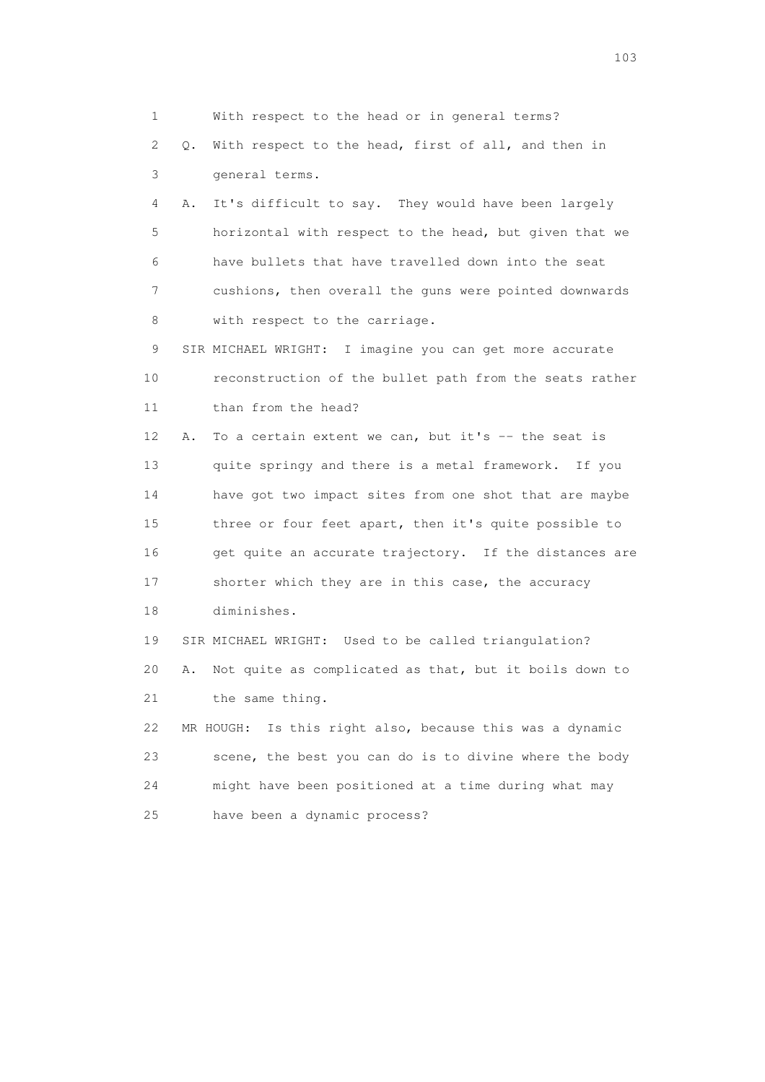1 With respect to the head or in general terms? 2 Q. With respect to the head, first of all, and then in 3 general terms. 4 A. It's difficult to say. They would have been largely 5 horizontal with respect to the head, but given that we 6 have bullets that have travelled down into the seat 7 cushions, then overall the guns were pointed downwards 8 with respect to the carriage. 9 SIR MICHAEL WRIGHT: I imagine you can get more accurate 10 reconstruction of the bullet path from the seats rather 11 than from the head? 12 A. To a certain extent we can, but it's -- the seat is 13 quite springy and there is a metal framework. If you 14 have got two impact sites from one shot that are maybe 15 three or four feet apart, then it's quite possible to 16 get quite an accurate trajectory. If the distances are 17 shorter which they are in this case, the accuracy 18 diminishes. 19 SIR MICHAEL WRIGHT: Used to be called triangulation? 20 A. Not quite as complicated as that, but it boils down to 21 the same thing. 22 MR HOUGH: Is this right also, because this was a dynamic 23 scene, the best you can do is to divine where the body 24 might have been positioned at a time during what may 25 have been a dynamic process?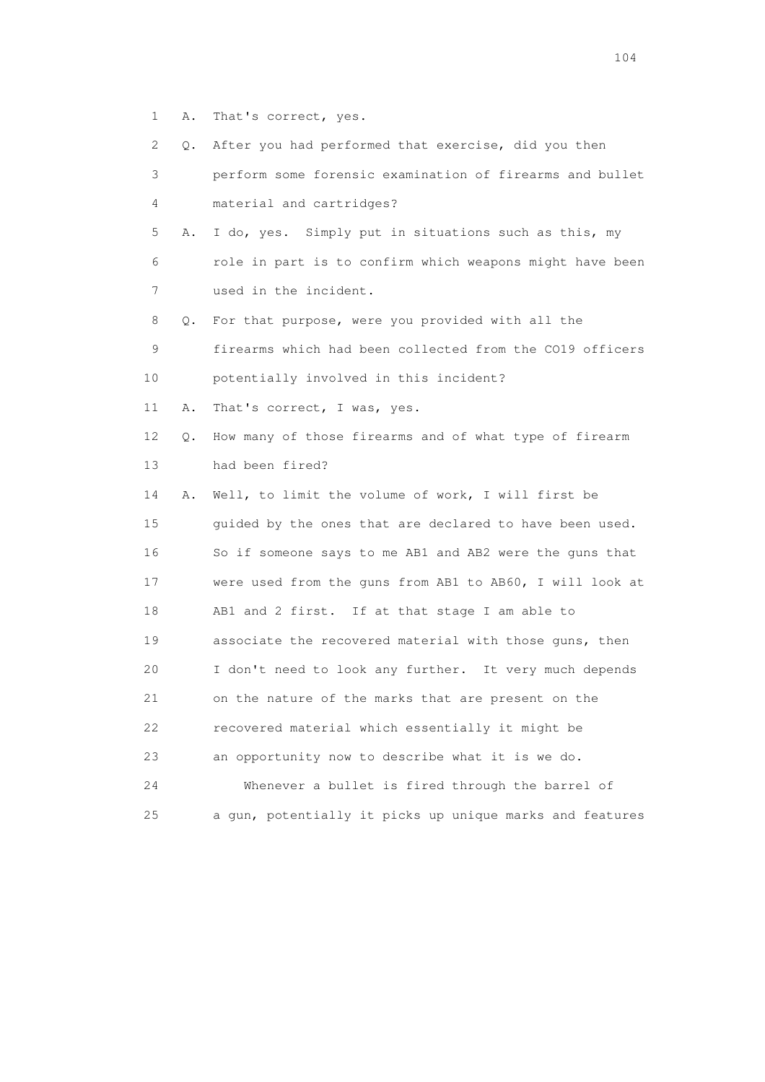- 1 A. That's correct, yes.
- 2 Q. After you had performed that exercise, did you then
- 3 perform some forensic examination of firearms and bullet 4 material and cartridges?
- 5 A. I do, yes. Simply put in situations such as this, my 6 role in part is to confirm which weapons might have been 7 used in the incident.
- 8 Q. For that purpose, were you provided with all the

9 firearms which had been collected from the CO19 officers

10 potentially involved in this incident?

11 A. That's correct, I was, yes.

- 12 Q. How many of those firearms and of what type of firearm 13 had been fired?
- 14 A. Well, to limit the volume of work, I will first be 15 guided by the ones that are declared to have been used. 16 So if someone says to me AB1 and AB2 were the guns that 17 were used from the guns from AB1 to AB60, I will look at 18 AB1 and 2 first. If at that stage I am able to 19 associate the recovered material with those guns, then 20 I don't need to look any further. It very much depends 21 on the nature of the marks that are present on the 22 recovered material which essentially it might be 23 an opportunity now to describe what it is we do. 24 Whenever a bullet is fired through the barrel of 25 a gun, potentially it picks up unique marks and features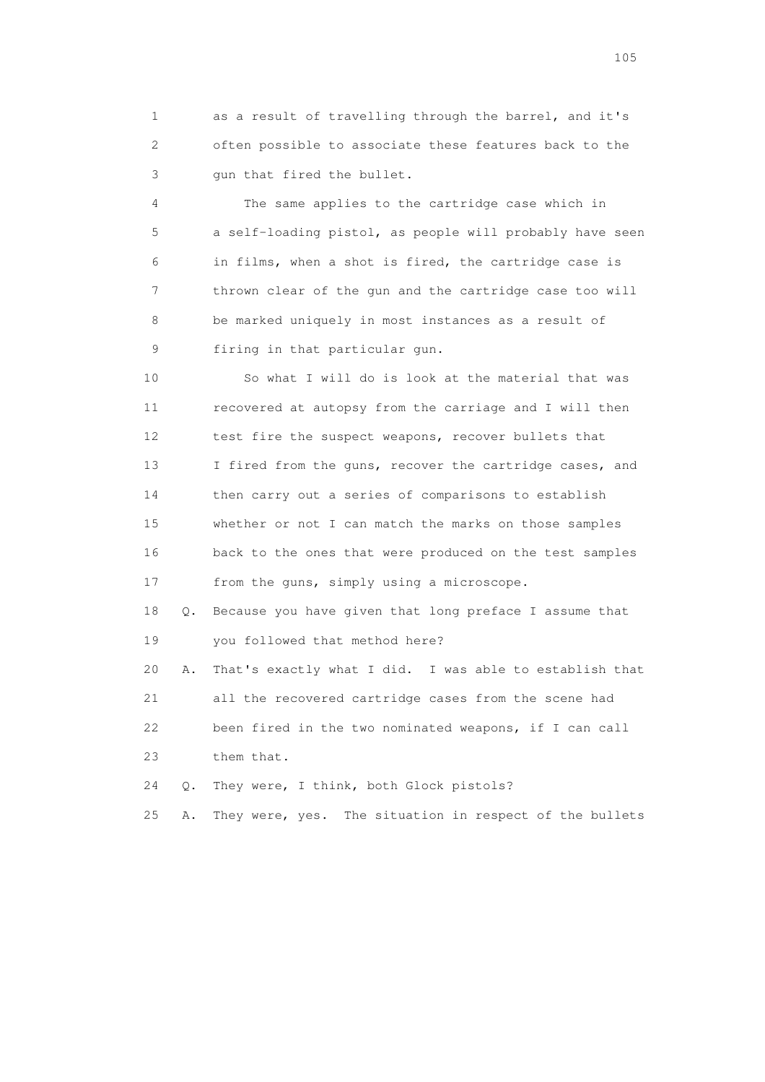1 as a result of travelling through the barrel, and it's 2 often possible to associate these features back to the 3 gun that fired the bullet.

 4 The same applies to the cartridge case which in 5 a self-loading pistol, as people will probably have seen 6 in films, when a shot is fired, the cartridge case is 7 thrown clear of the gun and the cartridge case too will 8 be marked uniquely in most instances as a result of 9 firing in that particular gun.

 10 So what I will do is look at the material that was 11 recovered at autopsy from the carriage and I will then 12 test fire the suspect weapons, recover bullets that 13 I fired from the guns, recover the cartridge cases, and 14 then carry out a series of comparisons to establish 15 whether or not I can match the marks on those samples 16 back to the ones that were produced on the test samples 17 from the guns, simply using a microscope.

 18 Q. Because you have given that long preface I assume that 19 you followed that method here?

 20 A. That's exactly what I did. I was able to establish that 21 all the recovered cartridge cases from the scene had 22 been fired in the two nominated weapons, if I can call 23 them that.

24 Q. They were, I think, both Glock pistols?

25 A. They were, yes. The situation in respect of the bullets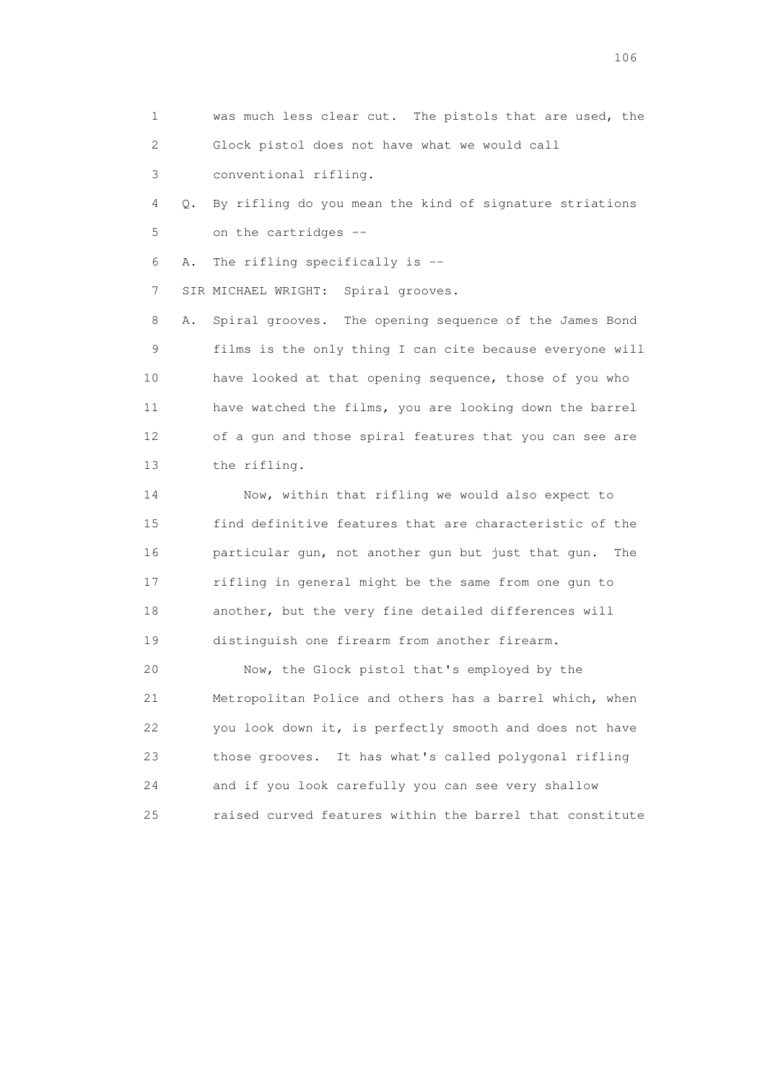1 was much less clear cut. The pistols that are used, the 2 Glock pistol does not have what we would call

3 conventional rifling.

 4 Q. By rifling do you mean the kind of signature striations 5 on the cartridges --

6 A. The rifling specifically is --

7 SIR MICHAEL WRIGHT: Spiral grooves.

 8 A. Spiral grooves. The opening sequence of the James Bond 9 films is the only thing I can cite because everyone will 10 have looked at that opening sequence, those of you who 11 have watched the films, you are looking down the barrel 12 of a gun and those spiral features that you can see are 13 the rifling.

 14 Now, within that rifling we would also expect to 15 find definitive features that are characteristic of the 16 particular gun, not another gun but just that gun. The 17 rifling in general might be the same from one gun to 18 another, but the very fine detailed differences will 19 distinguish one firearm from another firearm.

 20 Now, the Glock pistol that's employed by the 21 Metropolitan Police and others has a barrel which, when 22 you look down it, is perfectly smooth and does not have 23 those grooves. It has what's called polygonal rifling 24 and if you look carefully you can see very shallow 25 raised curved features within the barrel that constitute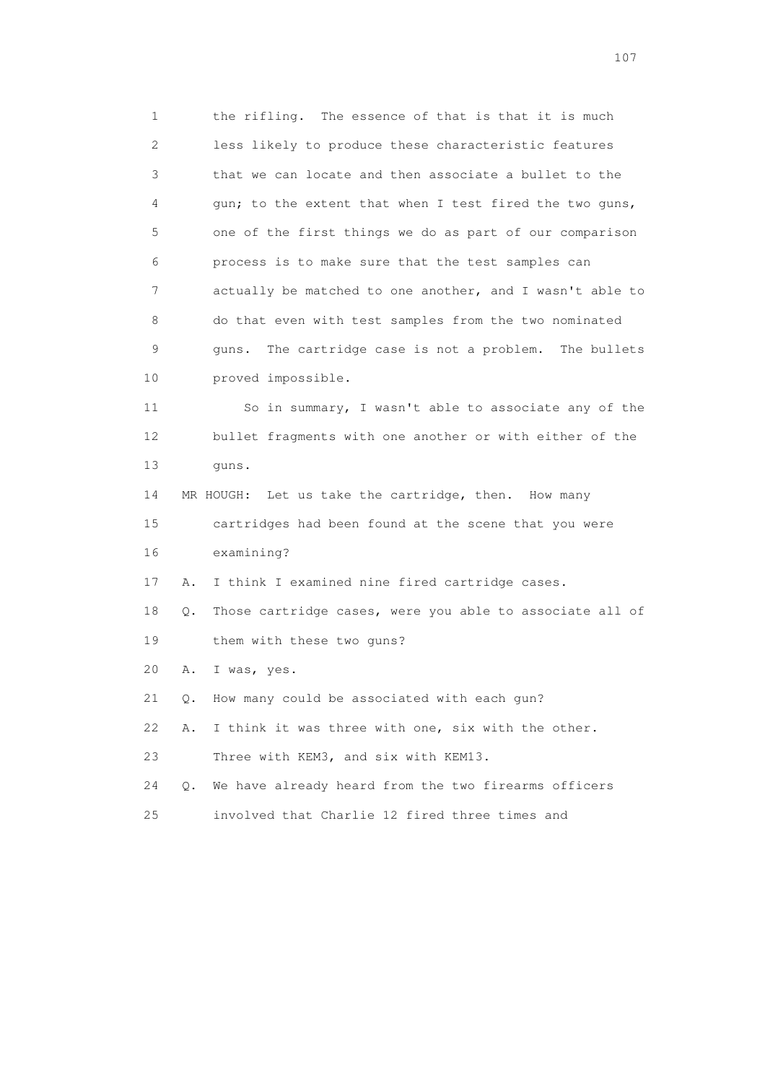1 the rifling. The essence of that is that it is much 2 less likely to produce these characteristic features 3 that we can locate and then associate a bullet to the 4 gun; to the extent that when I test fired the two guns, 5 one of the first things we do as part of our comparison 6 process is to make sure that the test samples can 7 actually be matched to one another, and I wasn't able to 8 do that even with test samples from the two nominated 9 guns. The cartridge case is not a problem. The bullets 10 proved impossible. 11 So in summary, I wasn't able to associate any of the 12 bullet fragments with one another or with either of the

13 guns.

 14 MR HOUGH: Let us take the cartridge, then. How many 15 cartridges had been found at the scene that you were 16 examining?

17 A. I think I examined nine fired cartridge cases.

 18 Q. Those cartridge cases, were you able to associate all of 19 them with these two guns?

20 A. I was, yes.

21 Q. How many could be associated with each gun?

22 A. I think it was three with one, six with the other.

23 Three with KEM3, and six with KEM13.

24 Q. We have already heard from the two firearms officers

25 involved that Charlie 12 fired three times and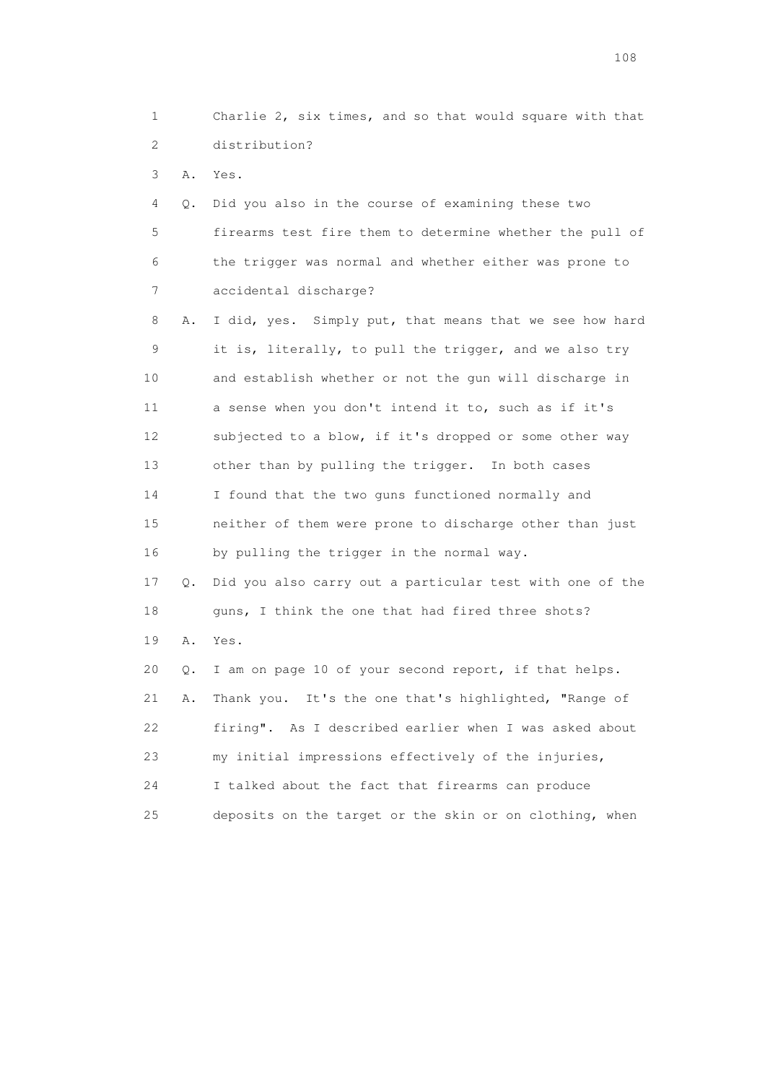1 Charlie 2, six times, and so that would square with that 2 distribution? 3 A. Yes. 4 Q. Did you also in the course of examining these two 5 firearms test fire them to determine whether the pull of 6 the trigger was normal and whether either was prone to 7 accidental discharge? 8 A. I did, yes. Simply put, that means that we see how hard 9 it is, literally, to pull the trigger, and we also try 10 and establish whether or not the gun will discharge in 11 a sense when you don't intend it to, such as if it's 12 subjected to a blow, if it's dropped or some other way 13 other than by pulling the trigger. In both cases 14 I found that the two guns functioned normally and 15 neither of them were prone to discharge other than just 16 by pulling the trigger in the normal way. 17 Q. Did you also carry out a particular test with one of the 18 guns, I think the one that had fired three shots? 19 A. Yes. 20 Q. I am on page 10 of your second report, if that helps. 21 A. Thank you. It's the one that's highlighted, "Range of 22 firing". As I described earlier when I was asked about 23 my initial impressions effectively of the injuries, 24 I talked about the fact that firearms can produce 25 deposits on the target or the skin or on clothing, when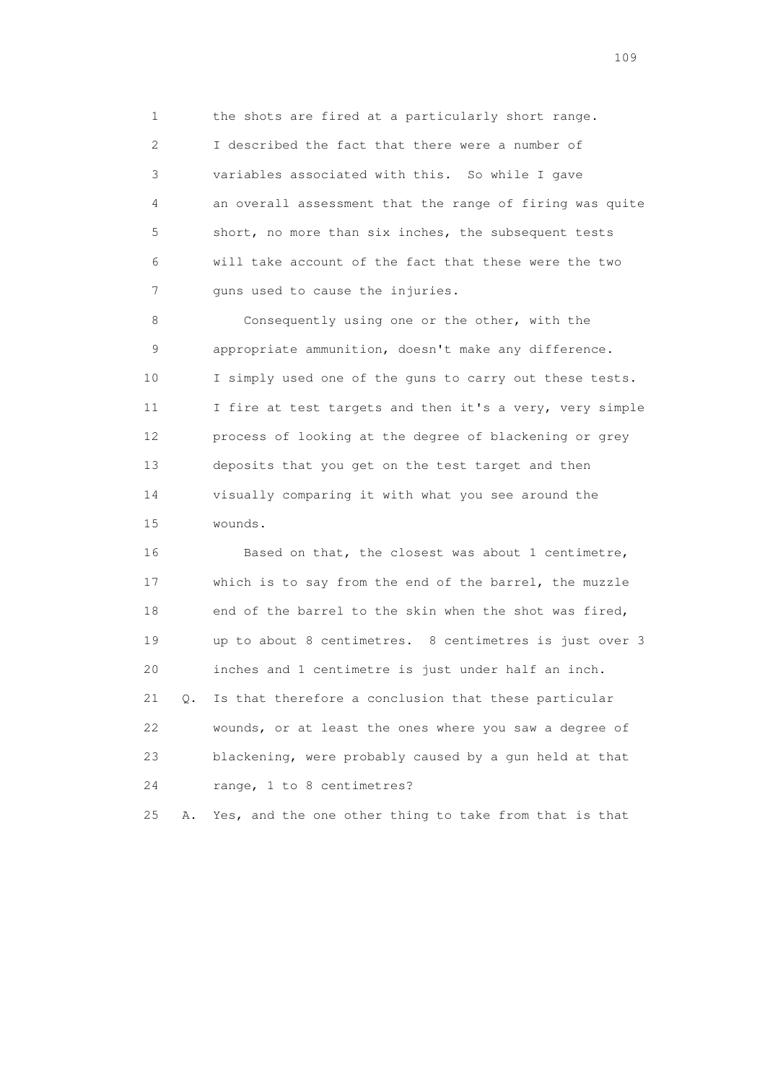1 the shots are fired at a particularly short range. 2 I described the fact that there were a number of 3 variables associated with this. So while I gave 4 an overall assessment that the range of firing was quite 5 short, no more than six inches, the subsequent tests 6 will take account of the fact that these were the two 7 guns used to cause the injuries.

 8 Consequently using one or the other, with the 9 appropriate ammunition, doesn't make any difference. 10 I simply used one of the guns to carry out these tests. 11 I fire at test targets and then it's a very, very simple 12 process of looking at the degree of blackening or grey 13 deposits that you get on the test target and then 14 visually comparing it with what you see around the 15 wounds.

 16 Based on that, the closest was about 1 centimetre, 17 which is to say from the end of the barrel, the muzzle 18 end of the barrel to the skin when the shot was fired, 19 up to about 8 centimetres. 8 centimetres is just over 3 20 inches and 1 centimetre is just under half an inch. 21 Q. Is that therefore a conclusion that these particular 22 wounds, or at least the ones where you saw a degree of 23 blackening, were probably caused by a gun held at that 24 range, 1 to 8 centimetres?

25 A. Yes, and the one other thing to take from that is that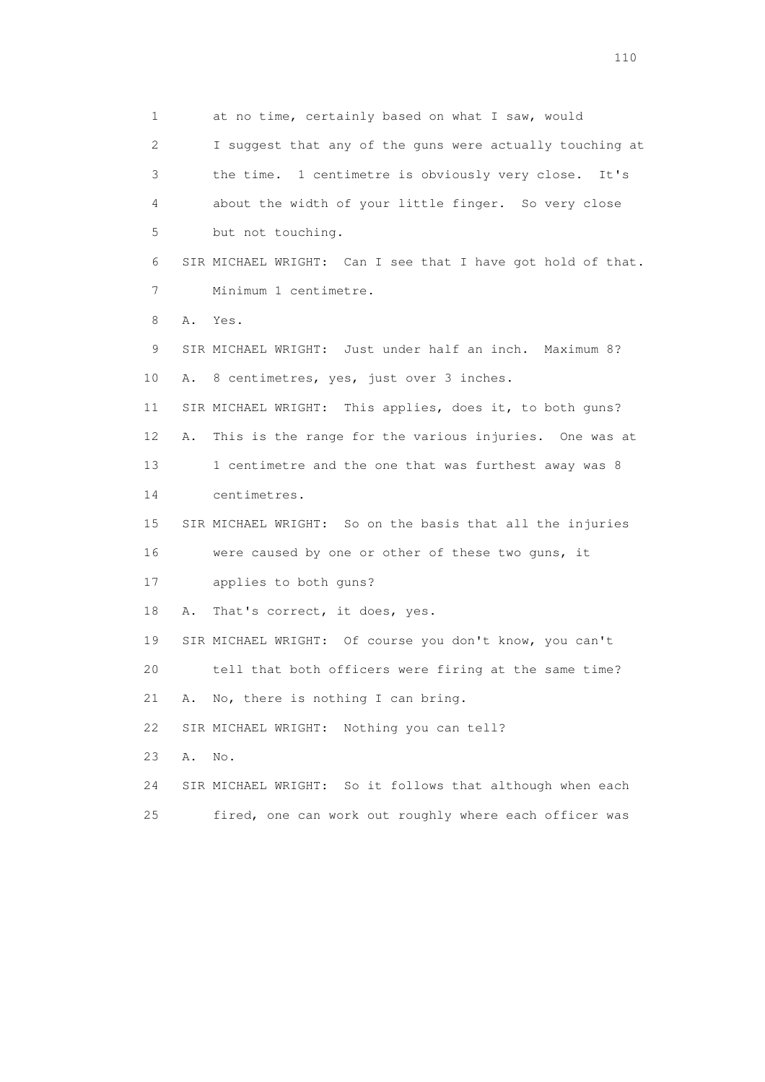1 at no time, certainly based on what I saw, would 2 I suggest that any of the guns were actually touching at 3 the time. 1 centimetre is obviously very close. It's 4 about the width of your little finger. So very close 5 but not touching. 6 SIR MICHAEL WRIGHT: Can I see that I have got hold of that. 7 Minimum 1 centimetre. 8 A. Yes. 9 SIR MICHAEL WRIGHT: Just under half an inch. Maximum 8? 10 A. 8 centimetres, yes, just over 3 inches. 11 SIR MICHAEL WRIGHT: This applies, does it, to both guns? 12 A. This is the range for the various injuries. One was at 13 1 centimetre and the one that was furthest away was 8 14 centimetres. 15 SIR MICHAEL WRIGHT: So on the basis that all the injuries 16 were caused by one or other of these two guns, it 17 applies to both guns? 18 A. That's correct, it does, yes. 19 SIR MICHAEL WRIGHT: Of course you don't know, you can't 20 tell that both officers were firing at the same time? 21 A. No, there is nothing I can bring. 22 SIR MICHAEL WRIGHT: Nothing you can tell? 23 A. No. 24 SIR MICHAEL WRIGHT: So it follows that although when each 25 fired, one can work out roughly where each officer was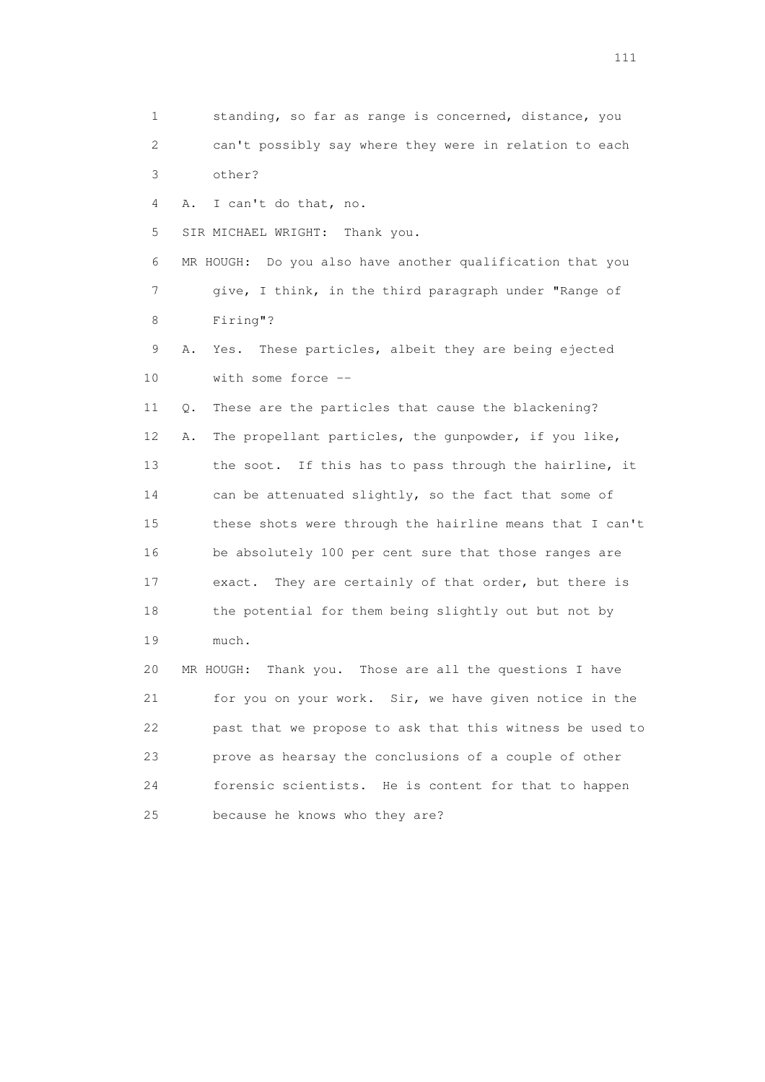1 standing, so far as range is concerned, distance, you 2 can't possibly say where they were in relation to each 3 other? 4 A. I can't do that, no. 5 SIR MICHAEL WRIGHT: Thank you. 6 MR HOUGH: Do you also have another qualification that you 7 give, I think, in the third paragraph under "Range of 8 Firing"? 9 A. Yes. These particles, albeit they are being ejected 10 with some force -- 11 Q. These are the particles that cause the blackening? 12 A. The propellant particles, the gunpowder, if you like, 13 the soot. If this has to pass through the hairline, it 14 can be attenuated slightly, so the fact that some of 15 these shots were through the hairline means that I can't 16 be absolutely 100 per cent sure that those ranges are 17 exact. They are certainly of that order, but there is 18 the potential for them being slightly out but not by 19 much. 20 MR HOUGH: Thank you. Those are all the questions I have 21 for you on your work. Sir, we have given notice in the 22 past that we propose to ask that this witness be used to 23 prove as hearsay the conclusions of a couple of other 24 forensic scientists. He is content for that to happen 25 because he knows who they are?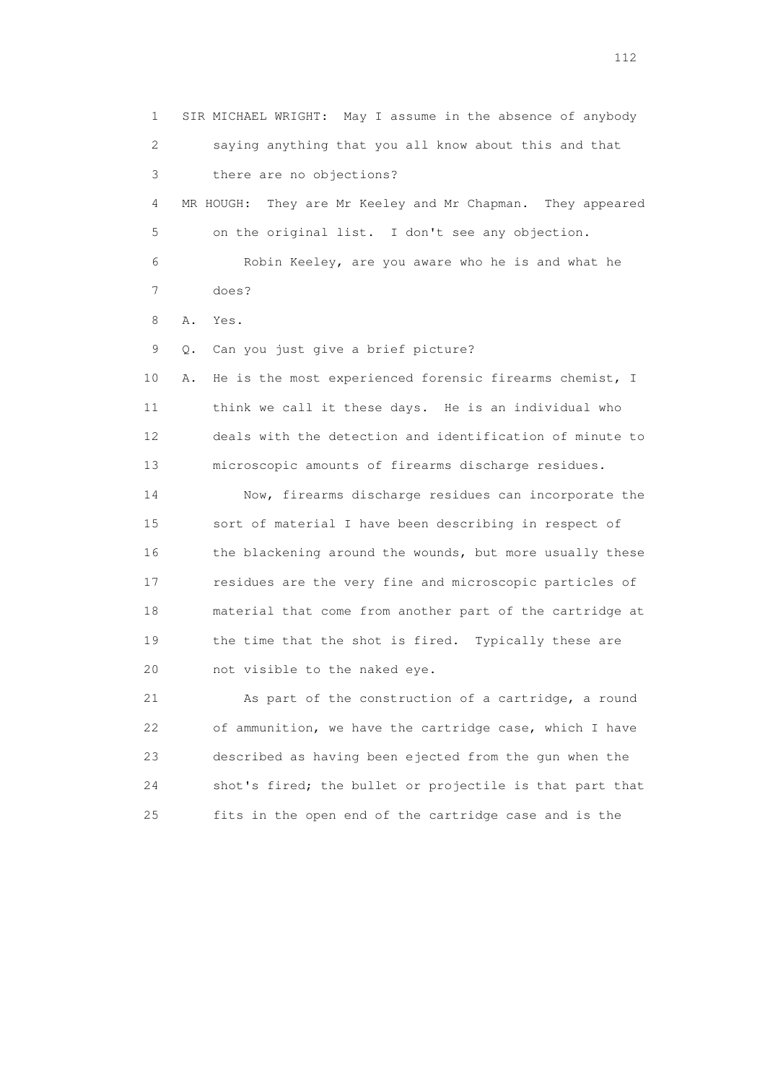1 SIR MICHAEL WRIGHT: May I assume in the absence of anybody 2 saying anything that you all know about this and that 3 there are no objections? 4 MR HOUGH: They are Mr Keeley and Mr Chapman. They appeared 5 on the original list. I don't see any objection. 6 Robin Keeley, are you aware who he is and what he 7 does? 8 A. Yes. 9 Q. Can you just give a brief picture? 10 A. He is the most experienced forensic firearms chemist, I 11 think we call it these days. He is an individual who 12 deals with the detection and identification of minute to 13 microscopic amounts of firearms discharge residues. 14 Now, firearms discharge residues can incorporate the 15 sort of material I have been describing in respect of 16 the blackening around the wounds, but more usually these 17 residues are the very fine and microscopic particles of 18 material that come from another part of the cartridge at 19 the time that the shot is fired. Typically these are 20 not visible to the naked eye. 21 As part of the construction of a cartridge, a round 22 of ammunition, we have the cartridge case, which I have 23 described as having been ejected from the gun when the 24 shot's fired; the bullet or projectile is that part that

25 fits in the open end of the cartridge case and is the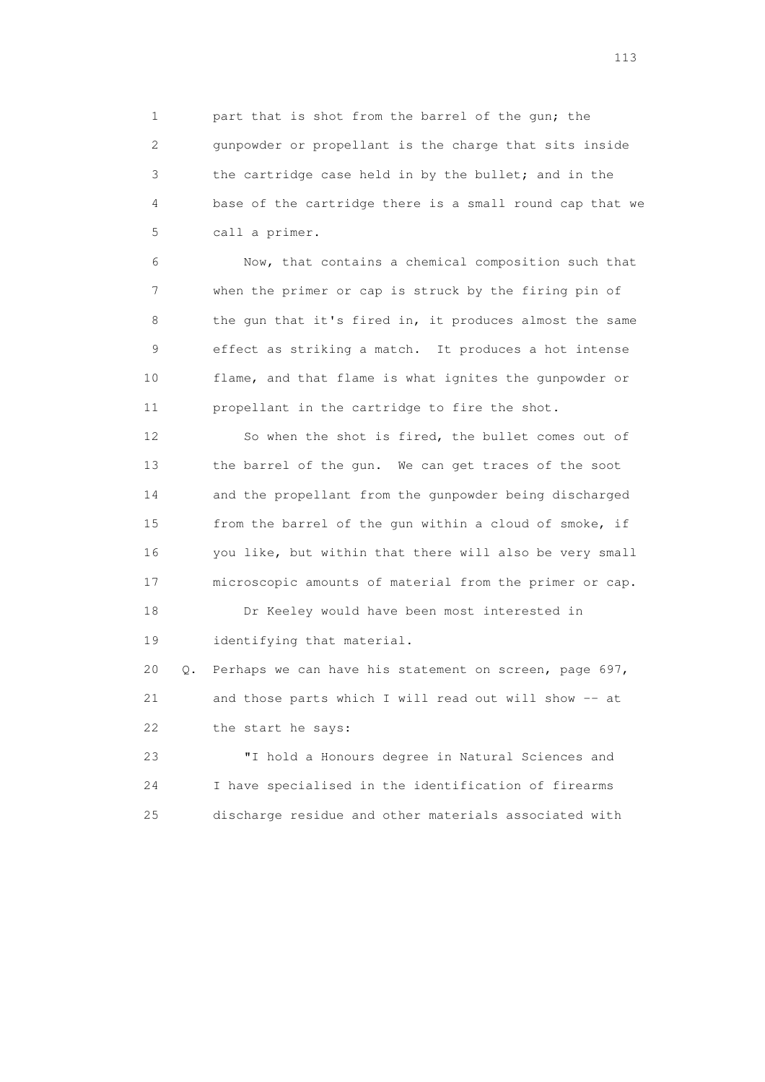1 part that is shot from the barrel of the gun; the 2 gunpowder or propellant is the charge that sits inside 3 the cartridge case held in by the bullet; and in the 4 base of the cartridge there is a small round cap that we 5 call a primer.

 6 Now, that contains a chemical composition such that 7 when the primer or cap is struck by the firing pin of 8 the gun that it's fired in, it produces almost the same 9 effect as striking a match. It produces a hot intense 10 flame, and that flame is what ignites the gunpowder or 11 propellant in the cartridge to fire the shot.

 12 So when the shot is fired, the bullet comes out of 13 the barrel of the gun. We can get traces of the soot 14 and the propellant from the gunpowder being discharged 15 from the barrel of the gun within a cloud of smoke, if 16 you like, but within that there will also be very small 17 microscopic amounts of material from the primer or cap.

 18 Dr Keeley would have been most interested in 19 identifying that material.

 20 Q. Perhaps we can have his statement on screen, page 697, 21 and those parts which I will read out will show -- at 22 the start he says:

 23 "I hold a Honours degree in Natural Sciences and 24 I have specialised in the identification of firearms 25 discharge residue and other materials associated with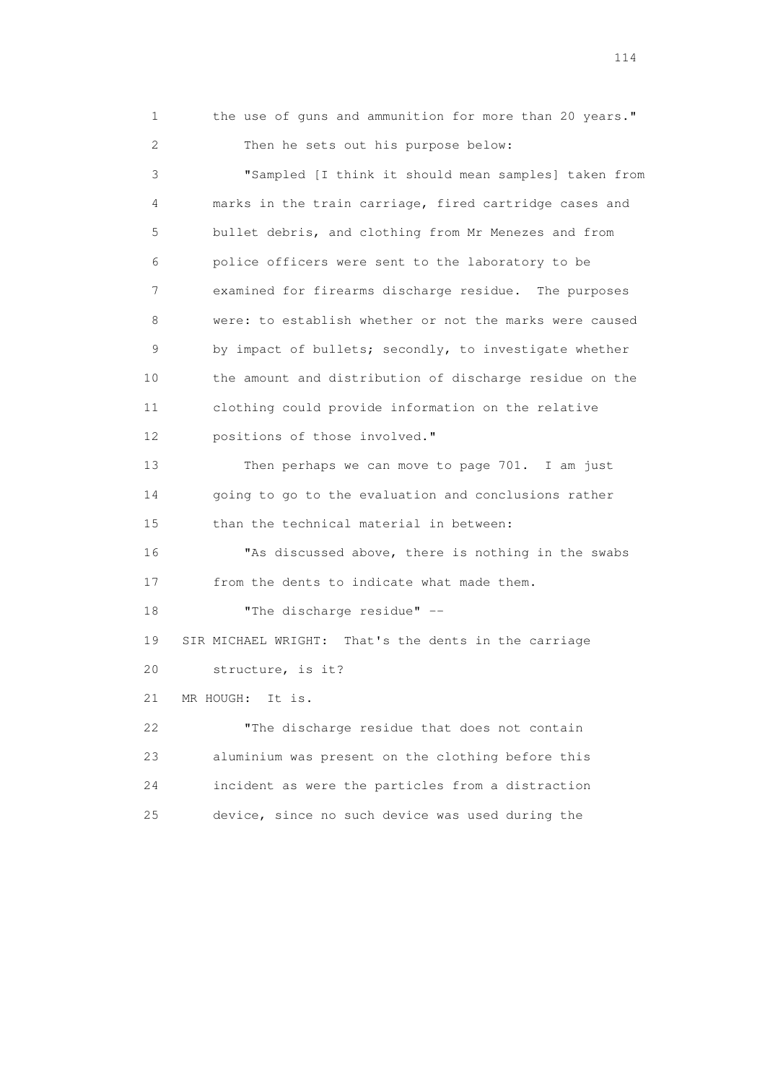1 the use of guns and ammunition for more than 20 years." 2 Then he sets out his purpose below: 3 "Sampled [I think it should mean samples] taken from 4 marks in the train carriage, fired cartridge cases and 5 bullet debris, and clothing from Mr Menezes and from 6 police officers were sent to the laboratory to be 7 examined for firearms discharge residue. The purposes 8 were: to establish whether or not the marks were caused 9 by impact of bullets; secondly, to investigate whether 10 the amount and distribution of discharge residue on the 11 clothing could provide information on the relative 12 positions of those involved." 13 Then perhaps we can move to page 701. I am just 14 going to go to the evaluation and conclusions rather 15 than the technical material in between: 16 "As discussed above, there is nothing in the swabs 17 from the dents to indicate what made them. 18 **"The discharge residue"** -- 19 SIR MICHAEL WRIGHT: That's the dents in the carriage 20 structure, is it? 21 MR HOUGH: It is. 22 "The discharge residue that does not contain 23 aluminium was present on the clothing before this 24 incident as were the particles from a distraction 25 device, since no such device was used during the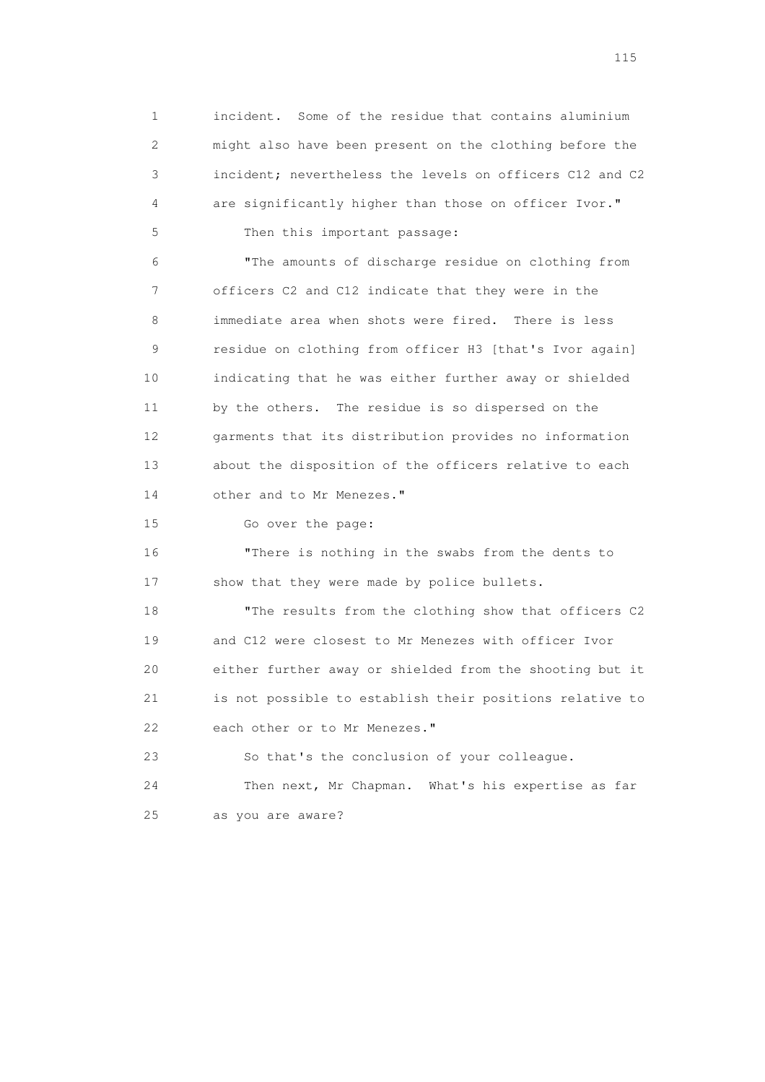1 incident. Some of the residue that contains aluminium 2 might also have been present on the clothing before the 3 incident; nevertheless the levels on officers C12 and C2 4 are significantly higher than those on officer Ivor." 5 Then this important passage: 6 "The amounts of discharge residue on clothing from 7 officers C2 and C12 indicate that they were in the 8 immediate area when shots were fired. There is less 9 residue on clothing from officer H3 [that's Ivor again] 10 indicating that he was either further away or shielded 11 by the others. The residue is so dispersed on the 12 garments that its distribution provides no information 13 about the disposition of the officers relative to each 14 other and to Mr Menezes." 15 Go over the page: 16 "There is nothing in the swabs from the dents to 17 show that they were made by police bullets. 18 "The results from the clothing show that officers C2 19 and C12 were closest to Mr Menezes with officer Ivor 20 either further away or shielded from the shooting but it 21 is not possible to establish their positions relative to

22 each other or to Mr Menezes."

 23 So that's the conclusion of your colleague. 24 Then next, Mr Chapman. What's his expertise as far 25 as you are aware?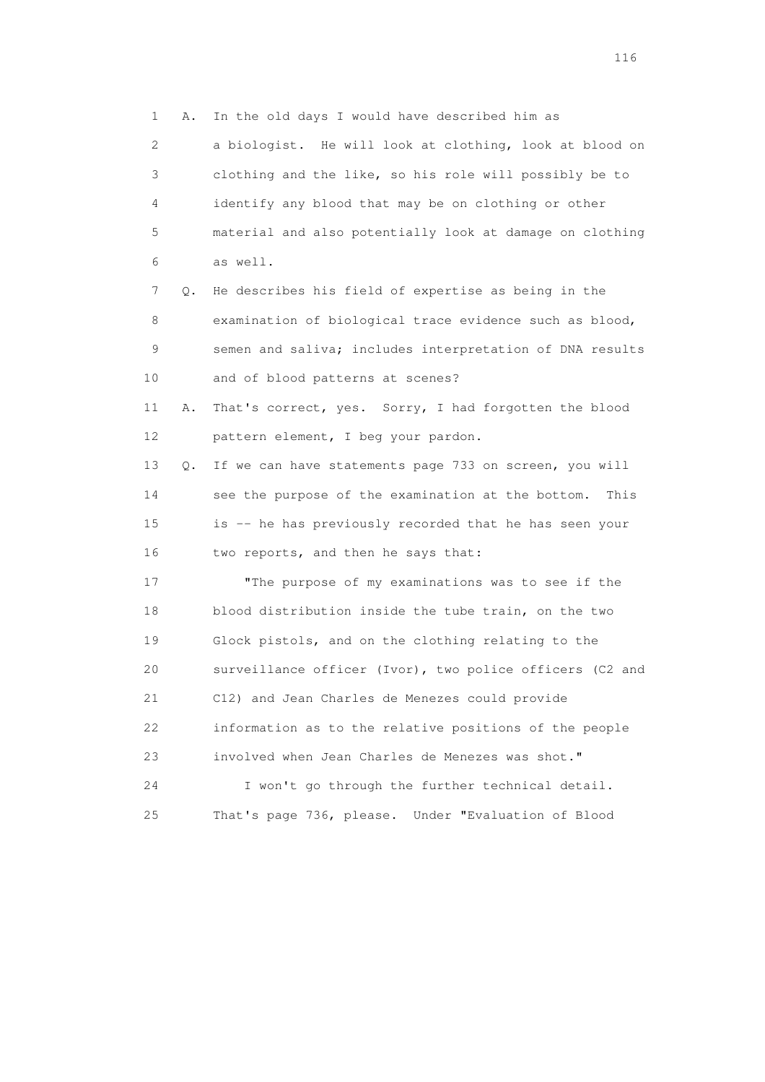1 A. In the old days I would have described him as 2 a biologist. He will look at clothing, look at blood on 3 clothing and the like, so his role will possibly be to 4 identify any blood that may be on clothing or other 5 material and also potentially look at damage on clothing 6 as well. 7 Q. He describes his field of expertise as being in the 8 examination of biological trace evidence such as blood, 9 semen and saliva; includes interpretation of DNA results 10 and of blood patterns at scenes? 11 A. That's correct, yes. Sorry, I had forgotten the blood 12 pattern element, I beg your pardon. 13 Q. If we can have statements page 733 on screen, you will 14 see the purpose of the examination at the bottom. This 15 is -- he has previously recorded that he has seen your 16 two reports, and then he says that: 17 "The purpose of my examinations was to see if the 18 blood distribution inside the tube train, on the two 19 Glock pistols, and on the clothing relating to the 20 surveillance officer (Ivor), two police officers (C2 and 21 C12) and Jean Charles de Menezes could provide 22 information as to the relative positions of the people 23 involved when Jean Charles de Menezes was shot." 24 I won't go through the further technical detail.

25 That's page 736, please. Under "Evaluation of Blood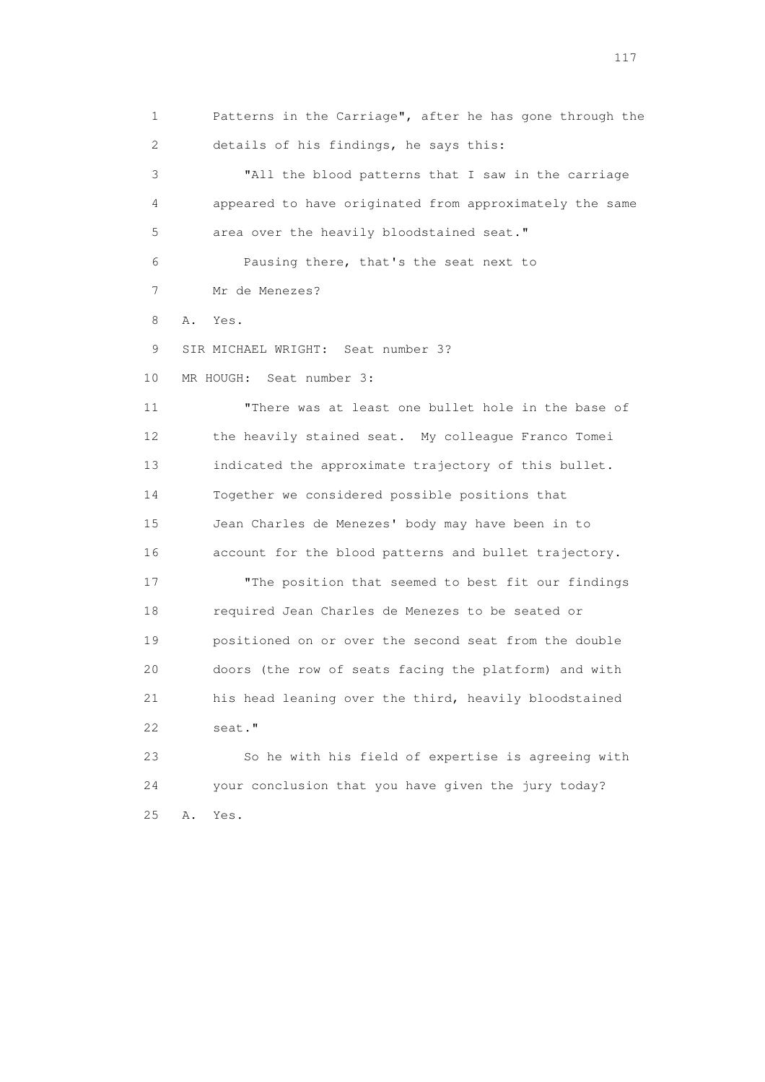1 Patterns in the Carriage", after he has gone through the 2 details of his findings, he says this:

 3 "All the blood patterns that I saw in the carriage 4 appeared to have originated from approximately the same 5 area over the heavily bloodstained seat."

 6 Pausing there, that's the seat next to 7 Mr de Menezes?

8 A. Yes.

9 SIR MICHAEL WRIGHT: Seat number 3?

10 MR HOUGH: Seat number 3:

 11 "There was at least one bullet hole in the base of 12 the heavily stained seat. My colleague Franco Tomei 13 indicated the approximate trajectory of this bullet. 14 Together we considered possible positions that 15 Jean Charles de Menezes' body may have been in to 16 account for the blood patterns and bullet trajectory. 17 The position that seemed to best fit our findings 18 required Jean Charles de Menezes to be seated or 19 positioned on or over the second seat from the double 20 doors (the row of seats facing the platform) and with 21 his head leaning over the third, heavily bloodstained 22 seat."

 23 So he with his field of expertise is agreeing with 24 your conclusion that you have given the jury today? 25 A. Yes.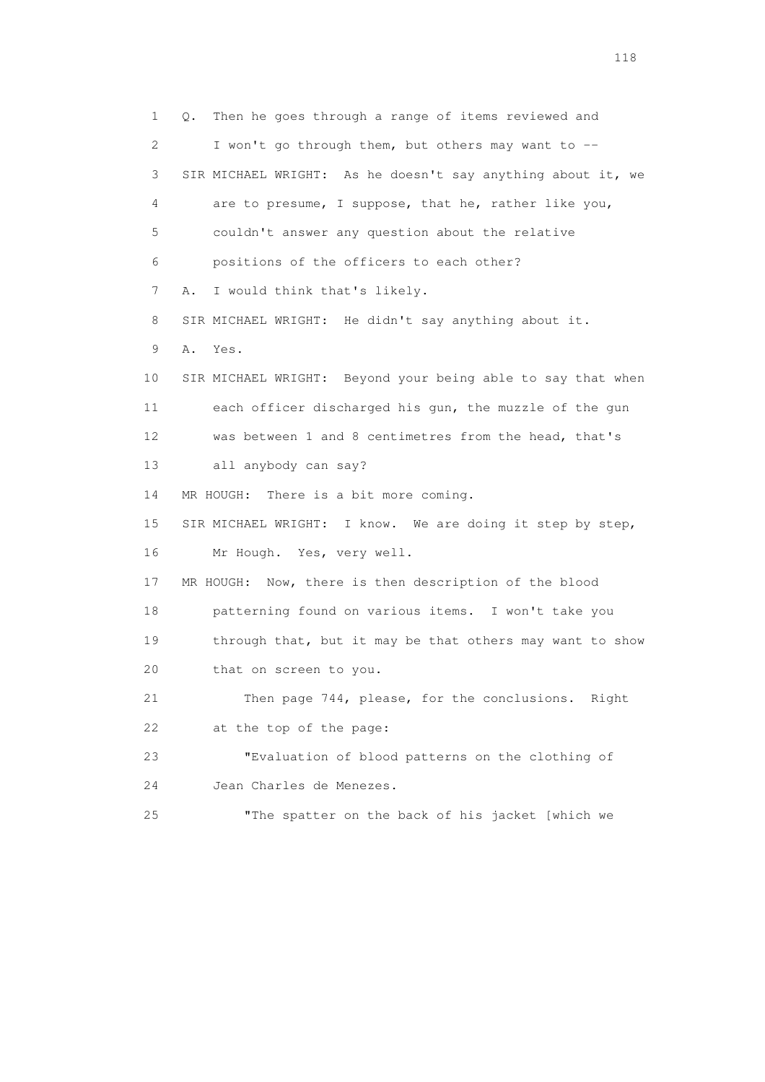1 Q. Then he goes through a range of items reviewed and 2 I won't go through them, but others may want to -- 3 SIR MICHAEL WRIGHT: As he doesn't say anything about it, we 4 are to presume, I suppose, that he, rather like you, 5 couldn't answer any question about the relative 6 positions of the officers to each other? 7 A. I would think that's likely. 8 SIR MICHAEL WRIGHT: He didn't say anything about it. 9 A. Yes. 10 SIR MICHAEL WRIGHT: Beyond your being able to say that when 11 each officer discharged his gun, the muzzle of the gun 12 was between 1 and 8 centimetres from the head, that's 13 all anybody can say? 14 MR HOUGH: There is a bit more coming. 15 SIR MICHAEL WRIGHT: I know. We are doing it step by step, 16 Mr Hough. Yes, very well. 17 MR HOUGH: Now, there is then description of the blood 18 patterning found on various items. I won't take you 19 through that, but it may be that others may want to show 20 that on screen to you. 21 Then page 744, please, for the conclusions. Right 22 at the top of the page: 23 "Evaluation of blood patterns on the clothing of 24 Jean Charles de Menezes. 25 "The spatter on the back of his jacket [which we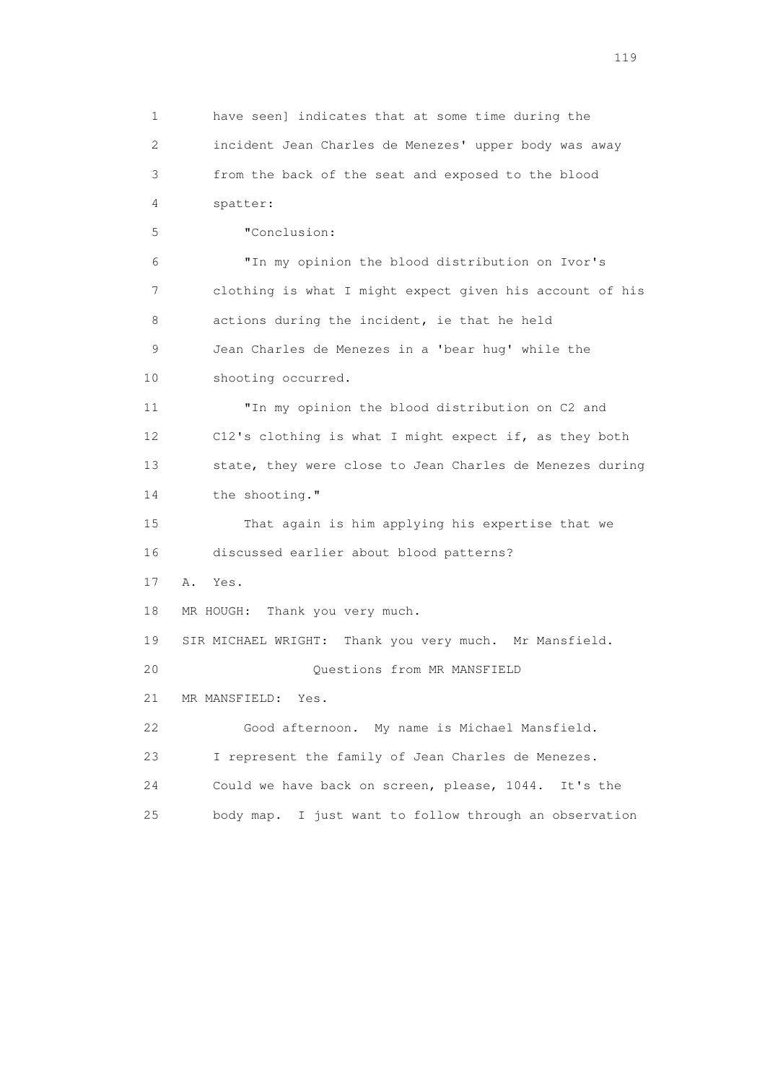1 have seen] indicates that at some time during the 2 incident Jean Charles de Menezes' upper body was away 3 from the back of the seat and exposed to the blood 4 spatter: 5 "Conclusion: 6 "In my opinion the blood distribution on Ivor's 7 clothing is what I might expect given his account of his 8 actions during the incident, ie that he held 9 Jean Charles de Menezes in a 'bear hug' while the 10 shooting occurred. 11 "In my opinion the blood distribution on C2 and 12 C12's clothing is what I might expect if, as they both 13 state, they were close to Jean Charles de Menezes during 14 the shooting." 15 That again is him applying his expertise that we 16 discussed earlier about blood patterns? 17 A. Yes. 18 MR HOUGH: Thank you very much. 19 SIR MICHAEL WRIGHT: Thank you very much. Mr Mansfield. 20 Questions from MR MANSFIELD 21 MR MANSFIELD: Yes. 22 Good afternoon. My name is Michael Mansfield. 23 I represent the family of Jean Charles de Menezes. 24 Could we have back on screen, please, 1044. It's the 25 body map. I just want to follow through an observation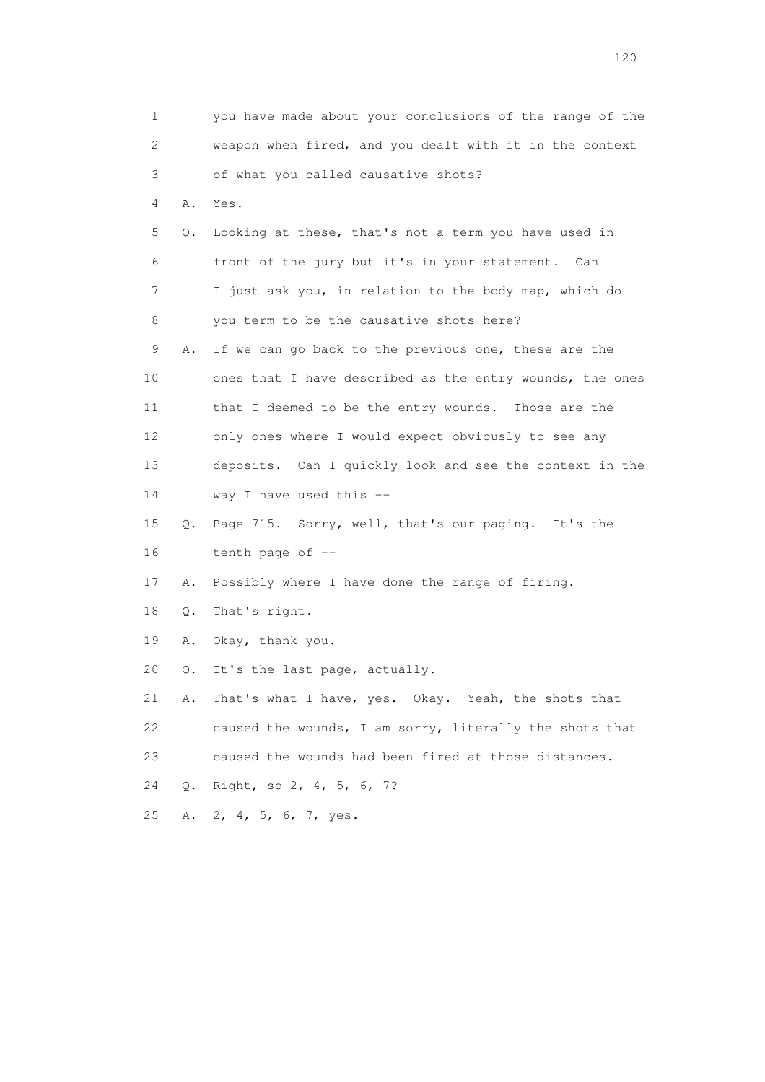| 1                         |    | you have made about your conclusions of the range of the |
|---------------------------|----|----------------------------------------------------------|
| $\mathbf{2}^{\mathsf{I}}$ |    | weapon when fired, and you dealt with it in the context  |
| 3                         |    | of what you called causative shots?                      |
| 4                         | Α. | Yes.                                                     |
| 5                         | Q. | Looking at these, that's not a term you have used in     |
| 6                         |    | front of the jury but it's in your statement. Can        |
| 7                         |    | I just ask you, in relation to the body map, which do    |
| 8                         |    | you term to be the causative shots here?                 |
| 9                         | Α. | If we can go back to the previous one, these are the     |
| 10                        |    | ones that I have described as the entry wounds, the ones |
| 11                        |    | that I deemed to be the entry wounds. Those are the      |
| 12 <sup>°</sup>           |    | only ones where I would expect obviously to see any      |
| 13                        |    | deposits. Can I quickly look and see the context in the  |
| 14                        |    | way I have used this --                                  |
| 15                        | Q. | Page 715. Sorry, well, that's our paging. It's the       |
| 16                        |    | tenth page of --                                         |
| 17                        | Α. | Possibly where I have done the range of firing.          |
| 18                        | Q. | That's right.                                            |
| 19                        | Α. | Okay, thank you.                                         |
| 20                        | Q. | It's the last page, actually.                            |
| 21                        | Α. | That's what I have, yes. Okay. Yeah, the shots that      |
| 22                        |    | caused the wounds, I am sorry, literally the shots that  |
| 23                        |    | caused the wounds had been fired at those distances.     |
| 24                        | 0. | Right, so 2, 4, 5, 6, 7?                                 |
| 25                        |    | A. 2, 4, 5, 6, 7, yes.                                   |
|                           |    |                                                          |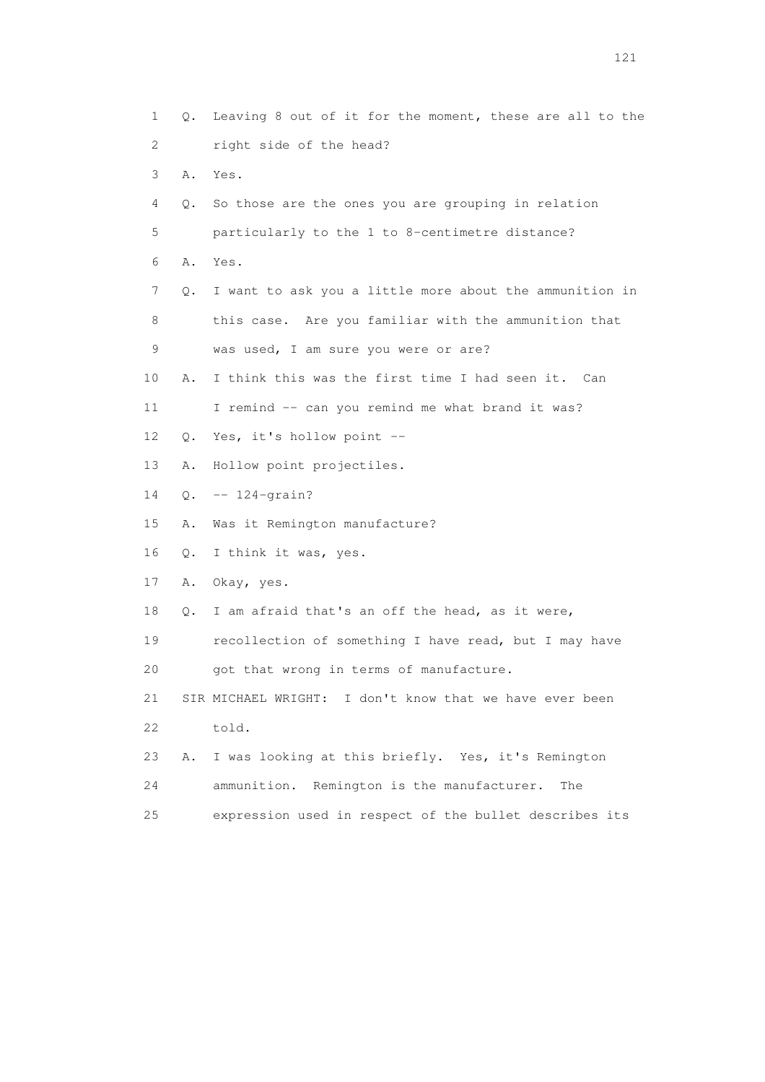1 Q. Leaving 8 out of it for the moment, these are all to the 2 right side of the head? 3 A. Yes. 4 Q. So those are the ones you are grouping in relation 5 particularly to the 1 to 8-centimetre distance? 6 A. Yes. 7 Q. I want to ask you a little more about the ammunition in 8 this case. Are you familiar with the ammunition that 9 was used, I am sure you were or are? 10 A. I think this was the first time I had seen it. Can 11 I remind -- can you remind me what brand it was? 12 Q. Yes, it's hollow point -- 13 A. Hollow point projectiles. 14 Q. -- 124-grain? 15 A. Was it Remington manufacture? 16 Q. I think it was, yes. 17 A. Okay, yes. 18 Q. I am afraid that's an off the head, as it were, 19 recollection of something I have read, but I may have 20 got that wrong in terms of manufacture. 21 SIR MICHAEL WRIGHT: I don't know that we have ever been 22 told. 23 A. I was looking at this briefly. Yes, it's Remington 24 ammunition. Remington is the manufacturer. The 25 expression used in respect of the bullet describes its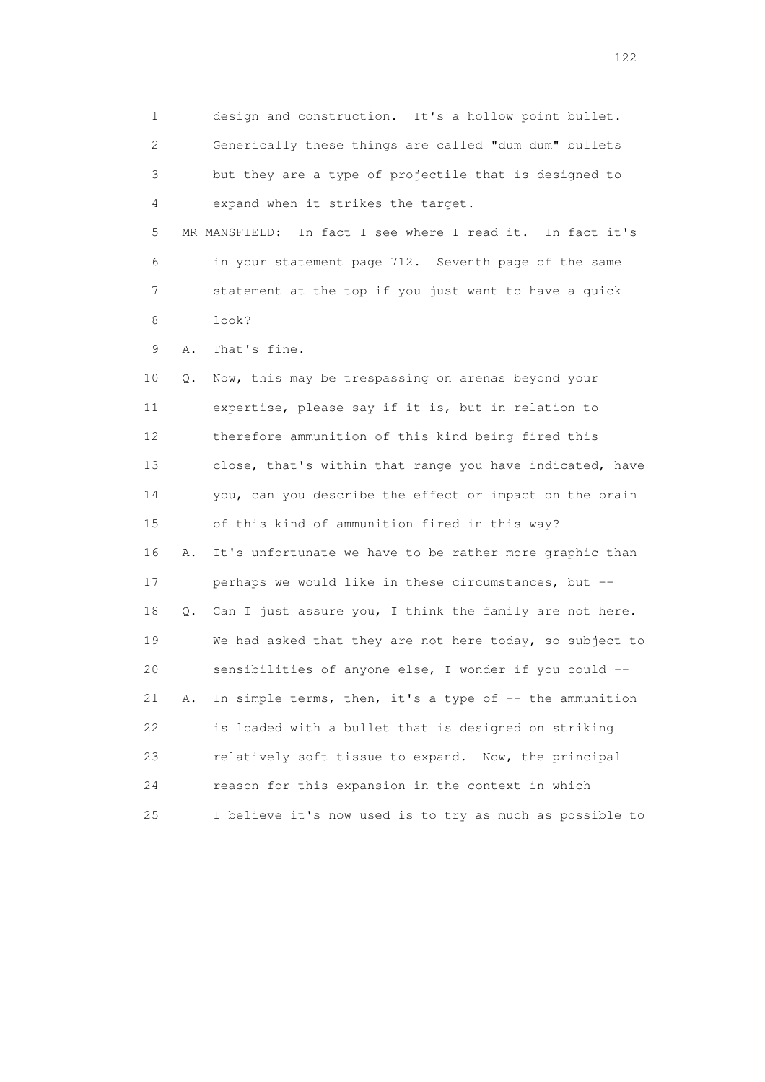1 design and construction. It's a hollow point bullet. 2 Generically these things are called "dum dum" bullets 3 but they are a type of projectile that is designed to 4 expand when it strikes the target. 5 MR MANSFIELD: In fact I see where I read it. In fact it's 6 in your statement page 712. Seventh page of the same 7 statement at the top if you just want to have a quick 8 look? 9 A. That's fine. 10 Q. Now, this may be trespassing on arenas beyond your 11 expertise, please say if it is, but in relation to 12 therefore ammunition of this kind being fired this 13 close, that's within that range you have indicated, have 14 you, can you describe the effect or impact on the brain 15 of this kind of ammunition fired in this way? 16 A. It's unfortunate we have to be rather more graphic than 17 perhaps we would like in these circumstances, but -- 18 Q. Can I just assure you, I think the family are not here. 19 We had asked that they are not here today, so subject to 20 sensibilities of anyone else, I wonder if you could -- 21 A. In simple terms, then, it's a type of -- the ammunition 22 is loaded with a bullet that is designed on striking 23 relatively soft tissue to expand. Now, the principal 24 reason for this expansion in the context in which 25 I believe it's now used is to try as much as possible to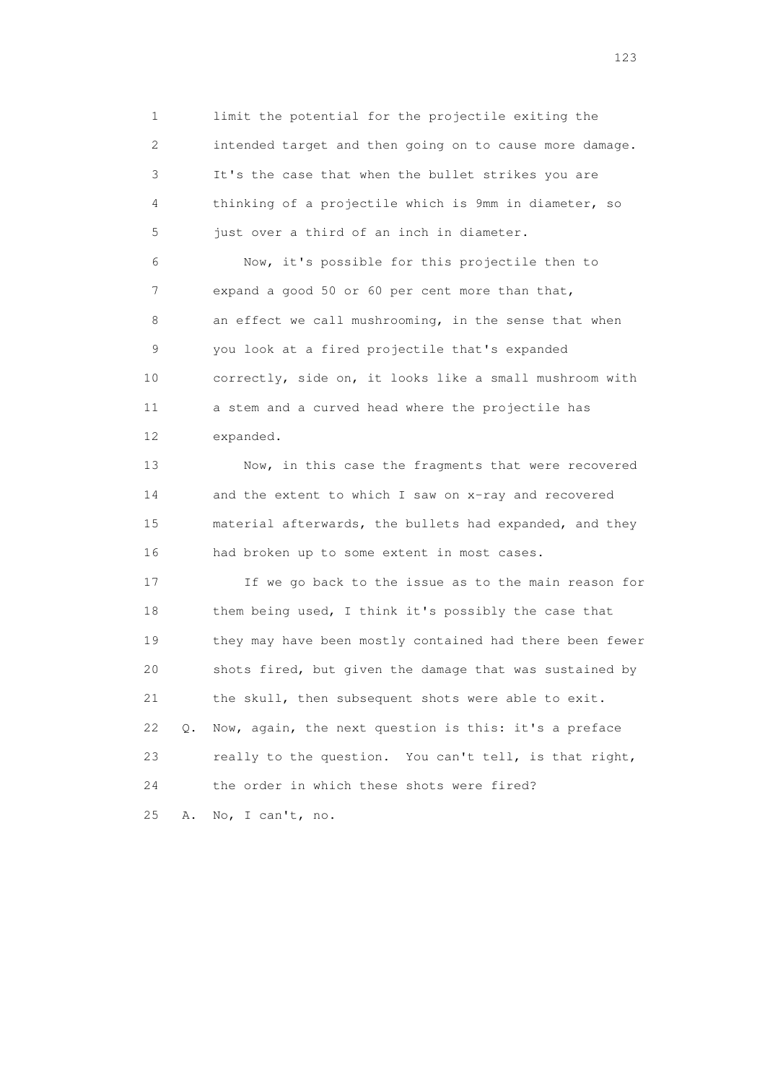1 limit the potential for the projectile exiting the 2 intended target and then going on to cause more damage. 3 It's the case that when the bullet strikes you are 4 thinking of a projectile which is 9mm in diameter, so 5 just over a third of an inch in diameter.

 6 Now, it's possible for this projectile then to 7 expand a good 50 or 60 per cent more than that, 8 an effect we call mushrooming, in the sense that when 9 you look at a fired projectile that's expanded 10 correctly, side on, it looks like a small mushroom with 11 a stem and a curved head where the projectile has 12 expanded.

 13 Now, in this case the fragments that were recovered 14 and the extent to which I saw on x-ray and recovered 15 material afterwards, the bullets had expanded, and they 16 had broken up to some extent in most cases.

 17 If we go back to the issue as to the main reason for 18 them being used, I think it's possibly the case that 19 they may have been mostly contained had there been fewer 20 shots fired, but given the damage that was sustained by 21 the skull, then subsequent shots were able to exit. 22 Q. Now, again, the next question is this: it's a preface 23 really to the question. You can't tell, is that right, 24 the order in which these shots were fired? 25 A. No, I can't, no.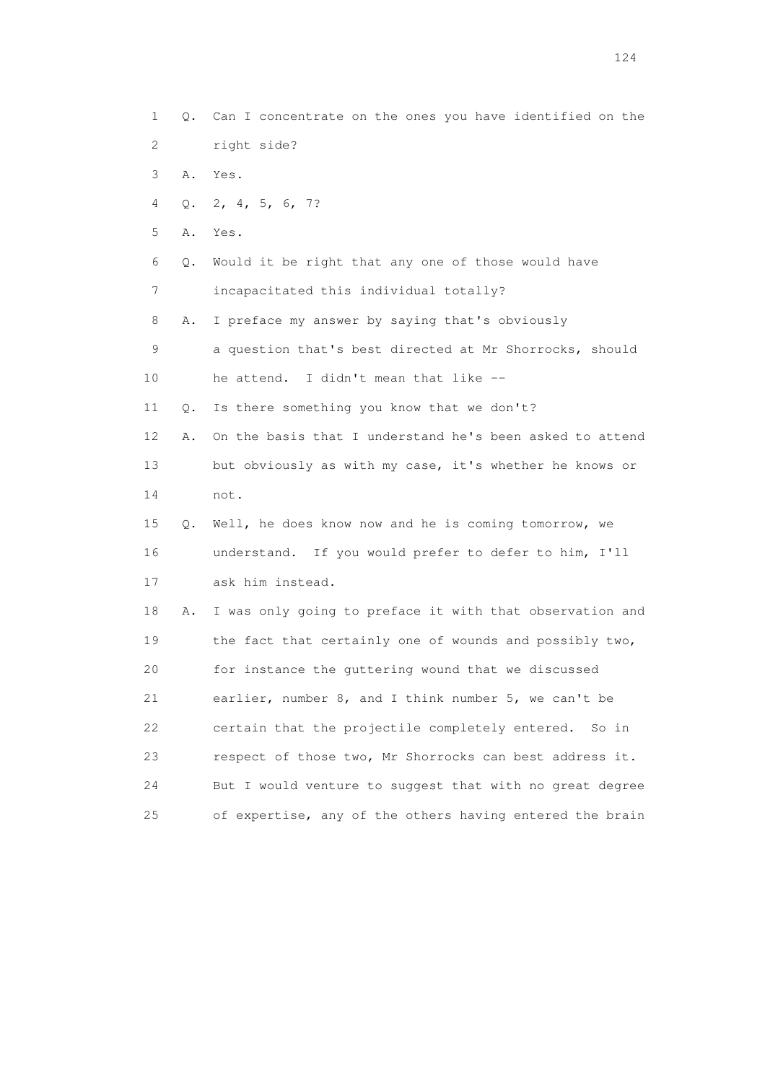1 Q. Can I concentrate on the ones you have identified on the 2 right side?

- 3 A. Yes.
- 4 Q. 2, 4, 5, 6, 7?
- 5 A. Yes.
- 6 Q. Would it be right that any one of those would have
- 7 incapacitated this individual totally?
- 8 A. I preface my answer by saying that's obviously

 9 a question that's best directed at Mr Shorrocks, should 10 he attend. I didn't mean that like --

- 11 Q. Is there something you know that we don't?
- 12 A. On the basis that I understand he's been asked to attend 13 but obviously as with my case, it's whether he knows or 14 not.
- 15 Q. Well, he does know now and he is coming tomorrow, we 16 understand. If you would prefer to defer to him, I'll 17 ask him instead.

 18 A. I was only going to preface it with that observation and 19 the fact that certainly one of wounds and possibly two, 20 for instance the guttering wound that we discussed 21 earlier, number 8, and I think number 5, we can't be 22 certain that the projectile completely entered. So in 23 respect of those two, Mr Shorrocks can best address it. 24 But I would venture to suggest that with no great degree 25 of expertise, any of the others having entered the brain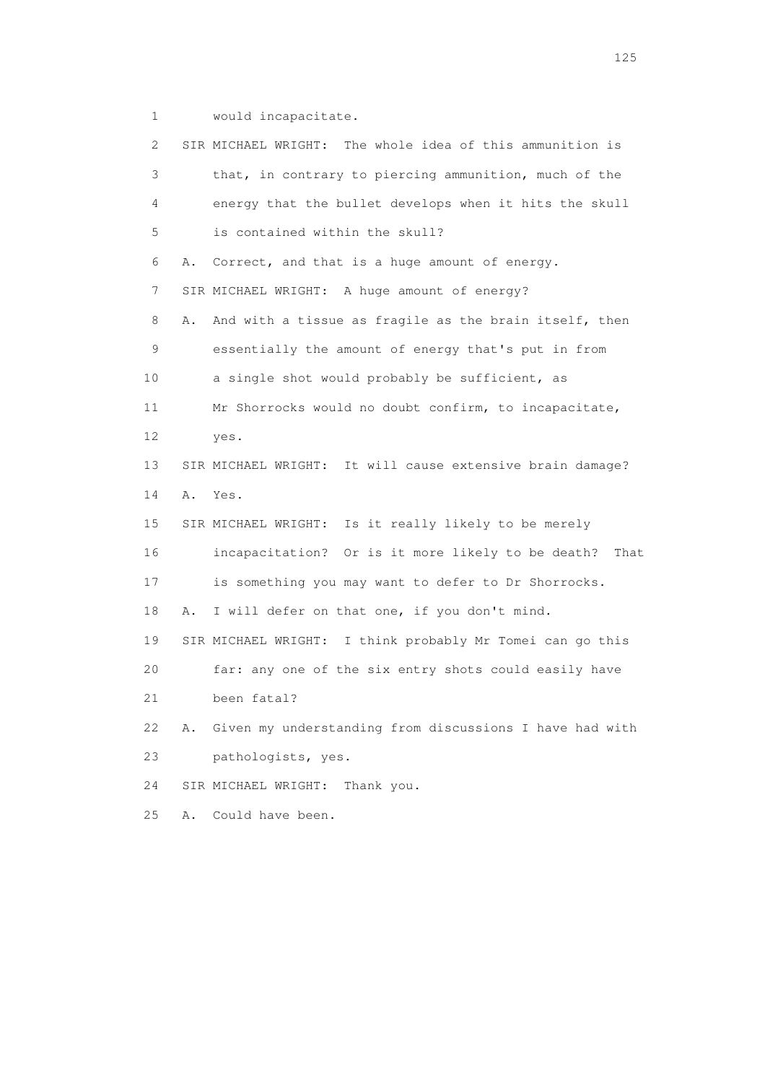1 would incapacitate.

| 2. |    | SIR MICHAEL WRIGHT: The whole idea of this ammunition is  |
|----|----|-----------------------------------------------------------|
| 3  |    | that, in contrary to piercing ammunition, much of the     |
| 4  |    | energy that the bullet develops when it hits the skull    |
| 5  |    | is contained within the skull?                            |
| 6  | Α. | Correct, and that is a huge amount of energy.             |
| 7  |    | SIR MICHAEL WRIGHT: A huge amount of energy?              |
| 8  | Α. | And with a tissue as fragile as the brain itself, then    |
| 9  |    | essentially the amount of energy that's put in from       |
| 10 |    | a single shot would probably be sufficient, as            |
| 11 |    | Mr Shorrocks would no doubt confirm, to incapacitate,     |
| 12 |    | yes.                                                      |
| 13 |    | SIR MICHAEL WRIGHT: It will cause extensive brain damage? |
| 14 | Α. | Yes.                                                      |
| 15 |    | SIR MICHAEL WRIGHT: Is it really likely to be merely      |
| 16 |    | incapacitation? Or is it more likely to be death?<br>That |
| 17 |    | is something you may want to defer to Dr Shorrocks.       |
| 18 | Α. | I will defer on that one, if you don't mind.              |
| 19 |    | SIR MICHAEL WRIGHT: I think probably Mr Tomei can go this |
| 20 |    | far: any one of the six entry shots could easily have     |
| 21 |    | been fatal?                                               |
| 22 | Α. | Given my understanding from discussions I have had with   |
| 23 |    | pathologists, yes.                                        |
| 24 |    | SIR MICHAEL WRIGHT:<br>Thank you.                         |
| 25 | Α. | Could have been.                                          |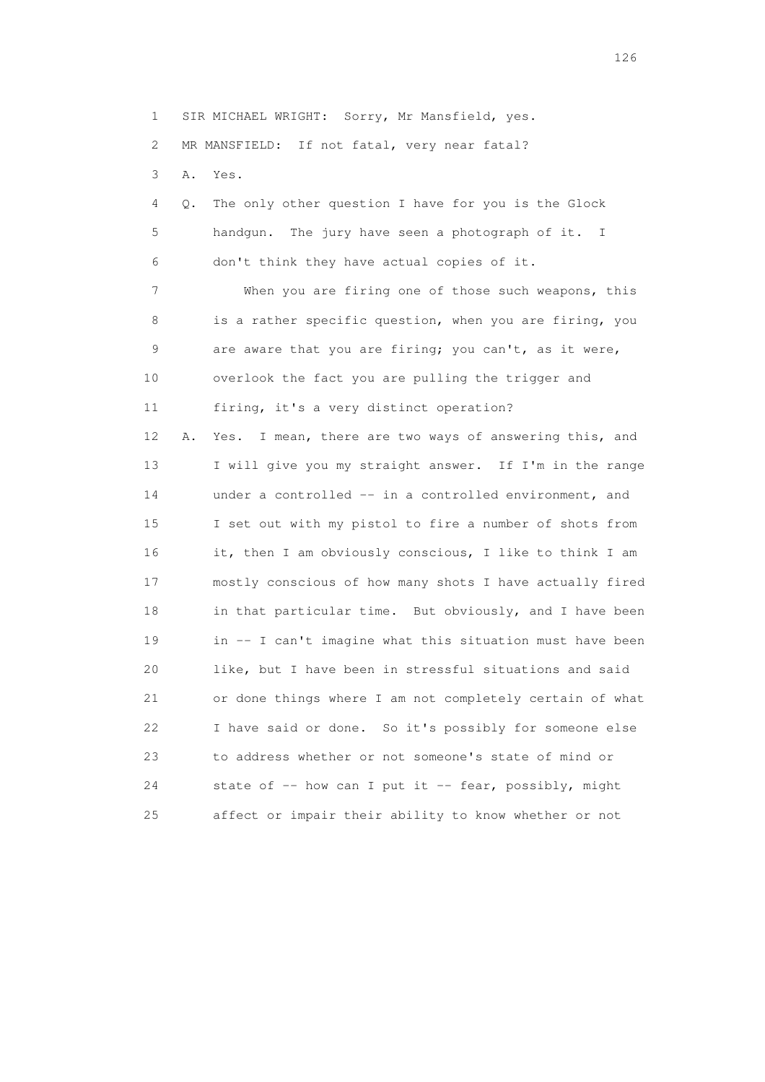1 SIR MICHAEL WRIGHT: Sorry, Mr Mansfield, yes.

2 MR MANSFIELD: If not fatal, very near fatal?

3 A. Yes.

 4 Q. The only other question I have for you is the Glock 5 handgun. The jury have seen a photograph of it. I 6 don't think they have actual copies of it. 7 When you are firing one of those such weapons, this 8 is a rather specific question, when you are firing, you 9 are aware that you are firing; you can't, as it were, 10 overlook the fact you are pulling the trigger and 11 firing, it's a very distinct operation? 12 A. Yes. I mean, there are two ways of answering this, and 13 I will give you my straight answer. If I'm in the range 14 under a controlled -- in a controlled environment, and

 15 I set out with my pistol to fire a number of shots from 16 it, then I am obviously conscious, I like to think I am 17 mostly conscious of how many shots I have actually fired 18 in that particular time. But obviously, and I have been 19 in -- I can't imagine what this situation must have been 20 like, but I have been in stressful situations and said 21 or done things where I am not completely certain of what 22 I have said or done. So it's possibly for someone else 23 to address whether or not someone's state of mind or 24 state of -- how can I put it -- fear, possibly, might 25 affect or impair their ability to know whether or not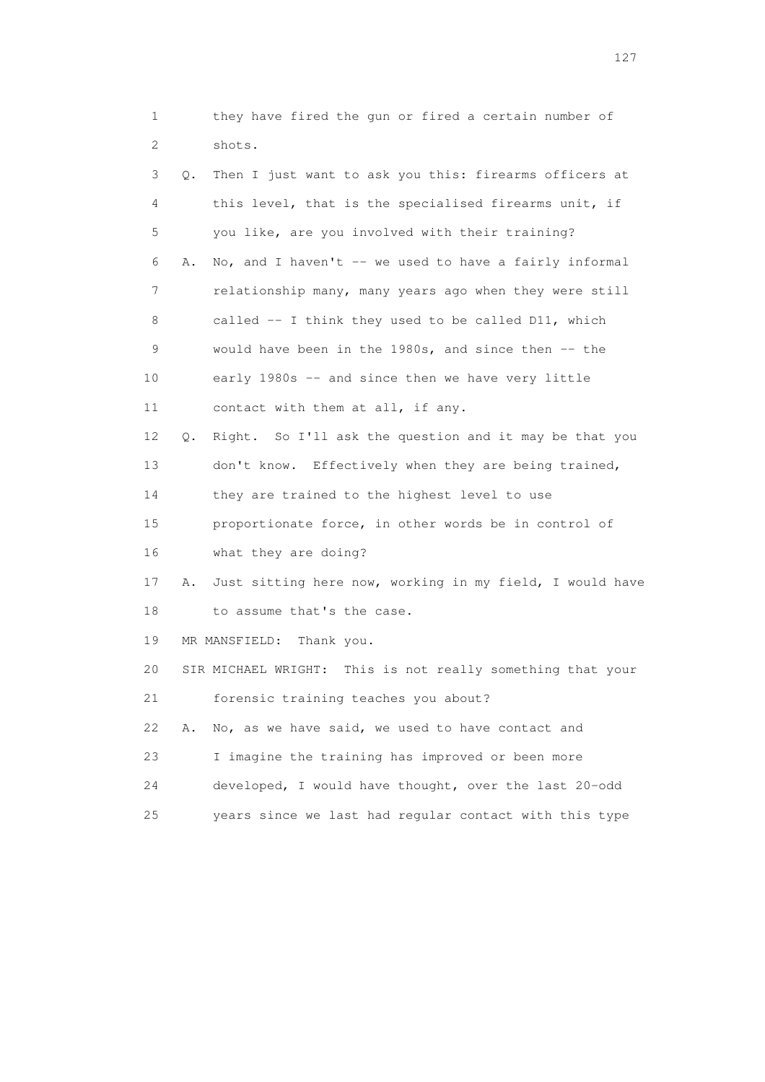| 1  |           | they have fired the gun or fired a certain number of          |
|----|-----------|---------------------------------------------------------------|
| 2  |           | shots.                                                        |
| 3  | О.        | Then I just want to ask you this: firearms officers at        |
| 4  |           | this level, that is the specialised firearms unit, if         |
| 5  |           | you like, are you involved with their training?               |
| 6  | Α.        | No, and I haven't -- we used to have a fairly informal        |
| 7  |           | relationship many, many years ago when they were still        |
| 8  |           | called $-$ I think they used to be called D11, which          |
| 9  |           | would have been in the $1980s$ , and since then $-$ the       |
| 10 |           | early 1980s -- and since then we have very little             |
| 11 |           | contact with them at all, if any.                             |
| 12 | $\circ$ . | Right. So I'll ask the question and it may be that you        |
| 13 |           | don't know. Effectively when they are being trained,          |
| 14 |           | they are trained to the highest level to use                  |
| 15 |           | proportionate force, in other words be in control of          |
| 16 |           | what they are doing?                                          |
| 17 | Α.        | Just sitting here now, working in my field, I would have      |
| 18 |           | to assume that's the case.                                    |
| 19 |           | MR MANSFIELD:<br>Thank you.                                   |
| 20 |           | This is not really something that your<br>SIR MICHAEL WRIGHT: |
| 21 |           | forensic training teaches you about?                          |
| 22 | Α.        | No, as we have said, we used to have contact and              |
| 23 |           | I imagine the training has improved or been more              |
| 24 |           | developed, I would have thought, over the last 20-odd         |
| 25 |           | years since we last had regular contact with this type        |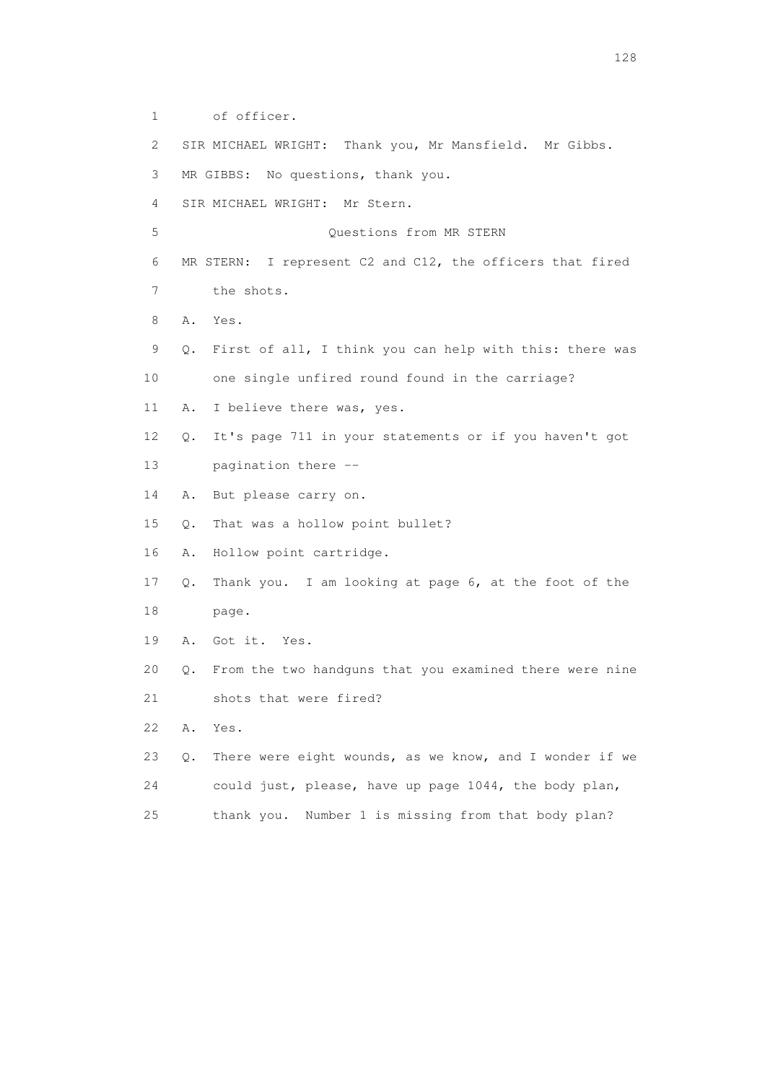1 of officer. 2 SIR MICHAEL WRIGHT: Thank you, Mr Mansfield. Mr Gibbs. 3 MR GIBBS: No questions, thank you. 4 SIR MICHAEL WRIGHT: Mr Stern. 5 Questions from MR STERN 6 MR STERN: I represent C2 and C12, the officers that fired 7 the shots. 8 A. Yes. 9 Q. First of all, I think you can help with this: there was 10 one single unfired round found in the carriage? 11 A. I believe there was, yes. 12 Q. It's page 711 in your statements or if you haven't got 13 pagination there -- 14 A. But please carry on. 15 Q. That was a hollow point bullet? 16 A. Hollow point cartridge. 17 Q. Thank you. I am looking at page 6, at the foot of the 18 page. 19 A. Got it. Yes. 20 Q. From the two handguns that you examined there were nine 21 shots that were fired? 22 A. Yes. 23 Q. There were eight wounds, as we know, and I wonder if we 24 could just, please, have up page 1044, the body plan, 25 thank you. Number 1 is missing from that body plan?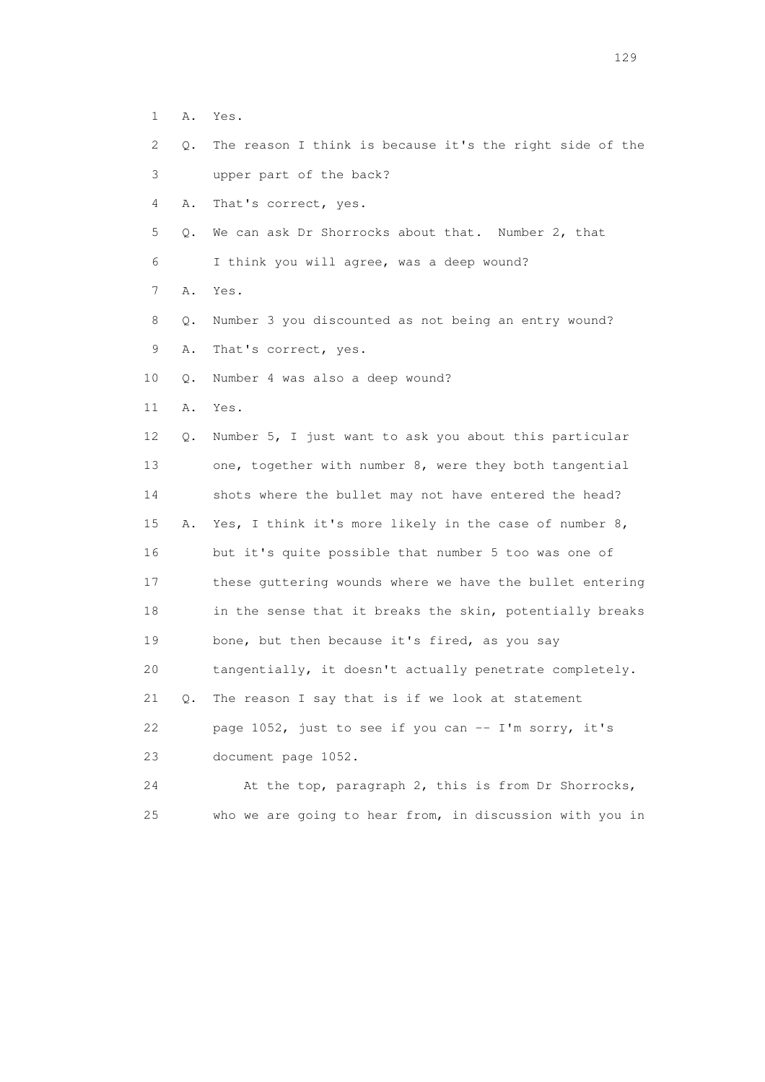- 1 A. Yes.
- 2 Q. The reason I think is because it's the right side of the 3 upper part of the back?
- 
- 4 A. That's correct, yes.
- 5 Q. We can ask Dr Shorrocks about that. Number 2, that
- 6 I think you will agree, was a deep wound?
- 7 A. Yes.
- 8 Q. Number 3 you discounted as not being an entry wound?
- 9 A. That's correct, yes.
- 10 Q. Number 4 was also a deep wound?
- 11 A. Yes.
- 12 Q. Number 5, I just want to ask you about this particular 13 one, together with number 8, were they both tangential 14 shots where the bullet may not have entered the head? 15 A. Yes, I think it's more likely in the case of number 8, 16 but it's quite possible that number 5 too was one of 17 these guttering wounds where we have the bullet entering 18 in the sense that it breaks the skin, potentially breaks 19 bone, but then because it's fired, as you say 20 tangentially, it doesn't actually penetrate completely. 21 Q. The reason I say that is if we look at statement 22 page 1052, just to see if you can -- I'm sorry, it's 23 document page 1052.
- 24 At the top, paragraph 2, this is from Dr Shorrocks, 25 who we are going to hear from, in discussion with you in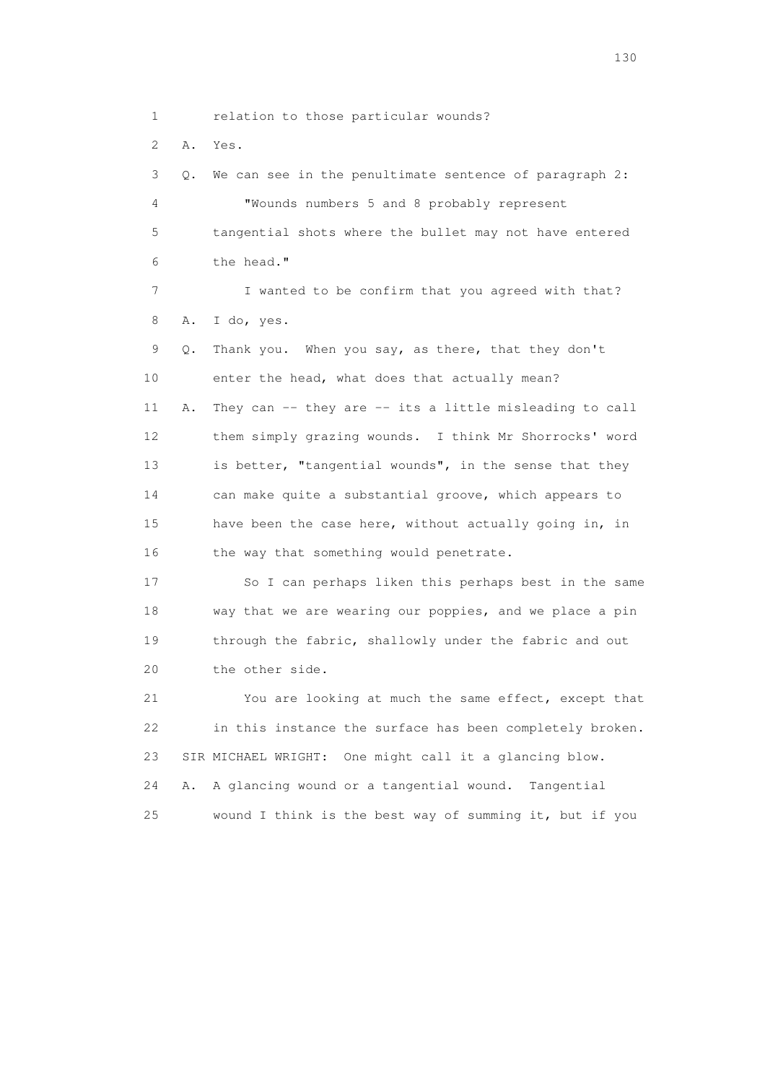1 relation to those particular wounds?

2 A. Yes.

 3 Q. We can see in the penultimate sentence of paragraph 2: 4 "Wounds numbers 5 and 8 probably represent 5 tangential shots where the bullet may not have entered 6 the head." 7 I wanted to be confirm that you agreed with that? 8 A. I do, yes. 9 Q. Thank you. When you say, as there, that they don't 10 enter the head, what does that actually mean? 11 A. They can -- they are -- its a little misleading to call 12 them simply grazing wounds. I think Mr Shorrocks' word 13 is better, "tangential wounds", in the sense that they 14 can make quite a substantial groove, which appears to 15 have been the case here, without actually going in, in 16 the way that something would penetrate. 17 So I can perhaps liken this perhaps best in the same

 18 way that we are wearing our poppies, and we place a pin 19 through the fabric, shallowly under the fabric and out 20 the other side.

 21 You are looking at much the same effect, except that 22 in this instance the surface has been completely broken. 23 SIR MICHAEL WRIGHT: One might call it a glancing blow. 24 A. A glancing wound or a tangential wound. Tangential 25 wound I think is the best way of summing it, but if you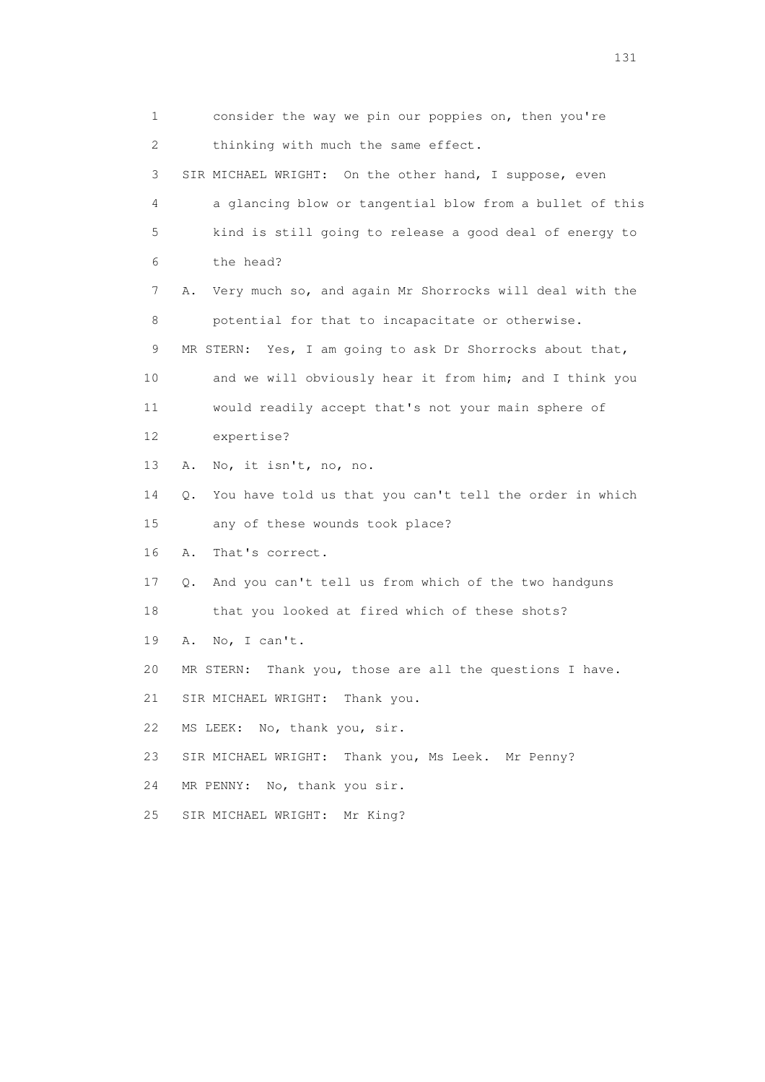1 consider the way we pin our poppies on, then you're 2 thinking with much the same effect. 3 SIR MICHAEL WRIGHT: On the other hand, I suppose, even 4 a glancing blow or tangential blow from a bullet of this 5 kind is still going to release a good deal of energy to 6 the head? 7 A. Very much so, and again Mr Shorrocks will deal with the 8 potential for that to incapacitate or otherwise. 9 MR STERN: Yes, I am going to ask Dr Shorrocks about that, 10 and we will obviously hear it from him; and I think you 11 would readily accept that's not your main sphere of 12 expertise? 13 A. No, it isn't, no, no. 14 Q. You have told us that you can't tell the order in which 15 any of these wounds took place? 16 A. That's correct. 17 Q. And you can't tell us from which of the two handguns 18 that you looked at fired which of these shots? 19 A. No, I can't. 20 MR STERN: Thank you, those are all the questions I have. 21 SIR MICHAEL WRIGHT: Thank you. 22 MS LEEK: No, thank you, sir. 23 SIR MICHAEL WRIGHT: Thank you, Ms Leek. Mr Penny? 24 MR PENNY: No, thank you sir. 25 SIR MICHAEL WRIGHT: Mr King?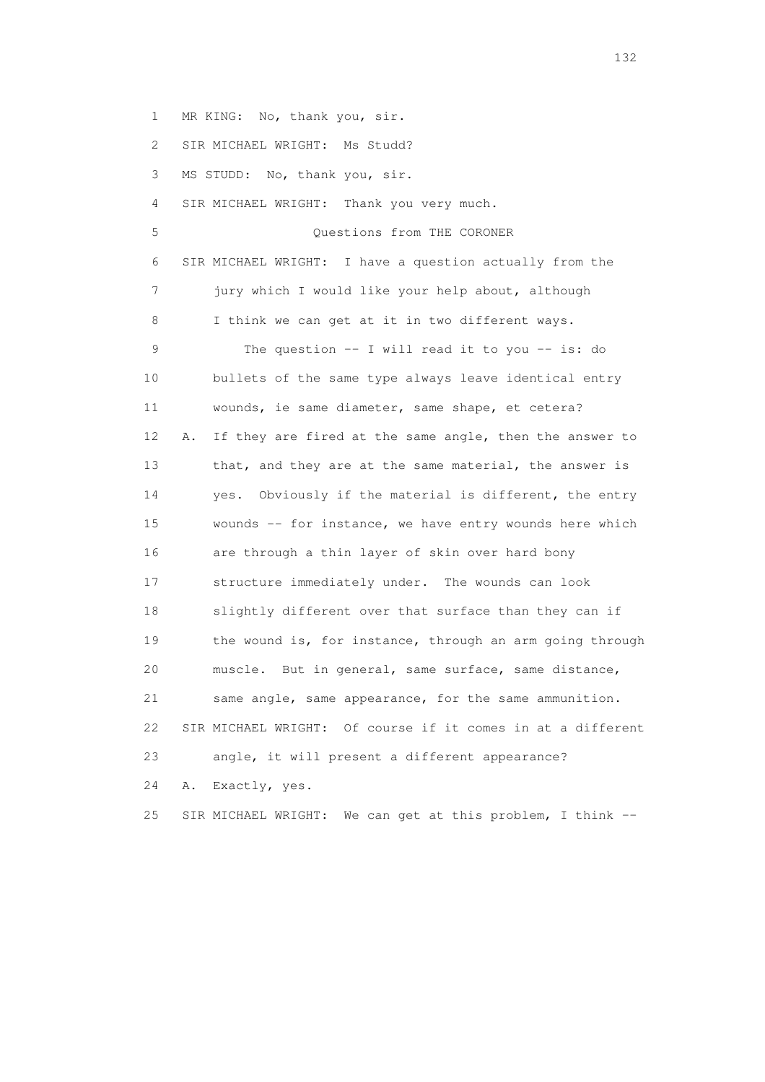1 MR KING: No, thank you, sir.

2 SIR MICHAEL WRIGHT: Ms Studd?

3 MS STUDD: No, thank you, sir.

4 SIR MICHAEL WRIGHT: Thank you very much.

 5 Questions from THE CORONER 6 SIR MICHAEL WRIGHT: I have a question actually from the 7 jury which I would like your help about, although 8 I think we can get at it in two different ways. 9 The question -- I will read it to you -- is: do 10 bullets of the same type always leave identical entry 11 wounds, ie same diameter, same shape, et cetera? 12 A. If they are fired at the same angle, then the answer to 13 that, and they are at the same material, the answer is 14 yes. Obviously if the material is different, the entry 15 wounds -- for instance, we have entry wounds here which 16 are through a thin layer of skin over hard bony 17 structure immediately under. The wounds can look 18 slightly different over that surface than they can if 19 the wound is, for instance, through an arm going through 20 muscle. But in general, same surface, same distance, 21 same angle, same appearance, for the same ammunition. 22 SIR MICHAEL WRIGHT: Of course if it comes in at a different 23 angle, it will present a different appearance? 24 A. Exactly, yes.

25 SIR MICHAEL WRIGHT: We can get at this problem, I think --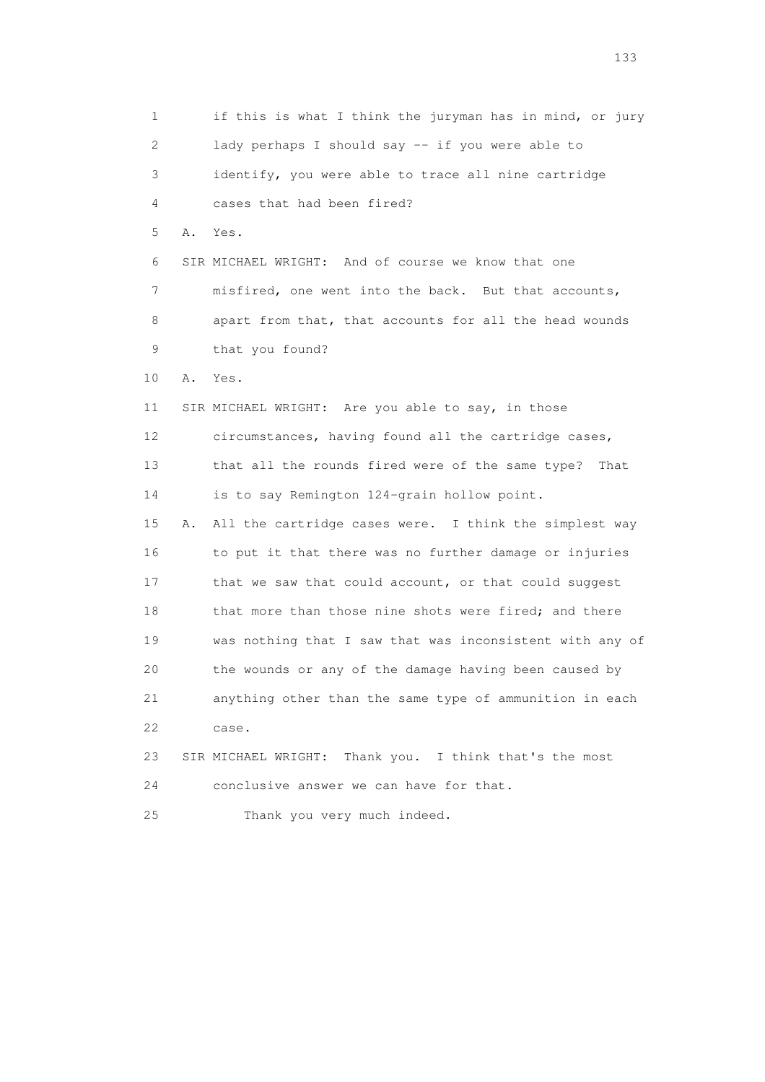1 if this is what I think the juryman has in mind, or jury 2 lady perhaps I should say -- if you were able to 3 identify, you were able to trace all nine cartridge 4 cases that had been fired? 5 A. Yes. 6 SIR MICHAEL WRIGHT: And of course we know that one 7 misfired, one went into the back. But that accounts, 8 apart from that, that accounts for all the head wounds 9 that you found? 10 A. Yes. 11 SIR MICHAEL WRIGHT: Are you able to say, in those 12 circumstances, having found all the cartridge cases, 13 that all the rounds fired were of the same type? That 14 is to say Remington 124-grain hollow point. 15 A. All the cartridge cases were. I think the simplest way 16 to put it that there was no further damage or injuries 17 that we saw that could account, or that could suggest 18 that more than those nine shots were fired; and there 19 was nothing that I saw that was inconsistent with any of 20 the wounds or any of the damage having been caused by 21 anything other than the same type of ammunition in each 22 case. 23 SIR MICHAEL WRIGHT: Thank you. I think that's the most 24 conclusive answer we can have for that. 25 Thank you very much indeed.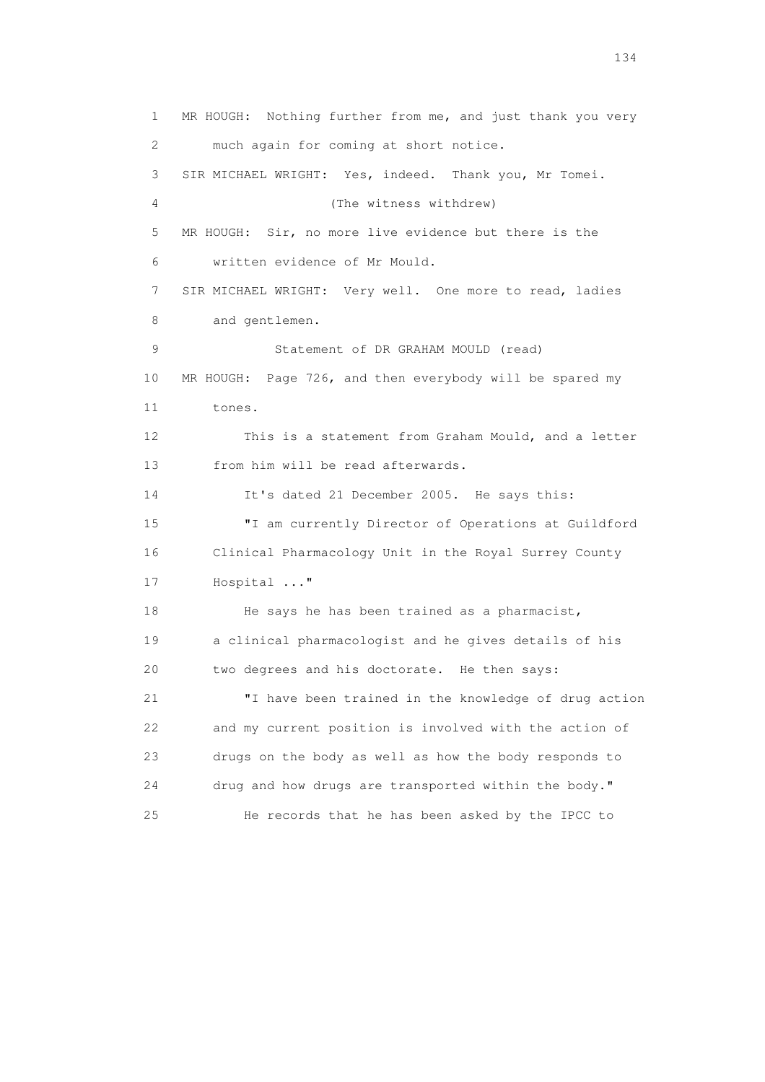1 MR HOUGH: Nothing further from me, and just thank you very 2 much again for coming at short notice. 3 SIR MICHAEL WRIGHT: Yes, indeed. Thank you, Mr Tomei. 4 (The witness withdrew) 5 MR HOUGH: Sir, no more live evidence but there is the 6 written evidence of Mr Mould. 7 SIR MICHAEL WRIGHT: Very well. One more to read, ladies 8 and gentlemen. 9 Statement of DR GRAHAM MOULD (read) 10 MR HOUGH: Page 726, and then everybody will be spared my 11 tones. 12 This is a statement from Graham Mould, and a letter 13 from him will be read afterwards. 14 It's dated 21 December 2005. He says this: 15 "I am currently Director of Operations at Guildford 16 Clinical Pharmacology Unit in the Royal Surrey County 17 Hospital ..." 18 He says he has been trained as a pharmacist, 19 a clinical pharmacologist and he gives details of his 20 two degrees and his doctorate. He then says: 21 "I have been trained in the knowledge of drug action 22 and my current position is involved with the action of 23 drugs on the body as well as how the body responds to 24 drug and how drugs are transported within the body." 25 He records that he has been asked by the IPCC to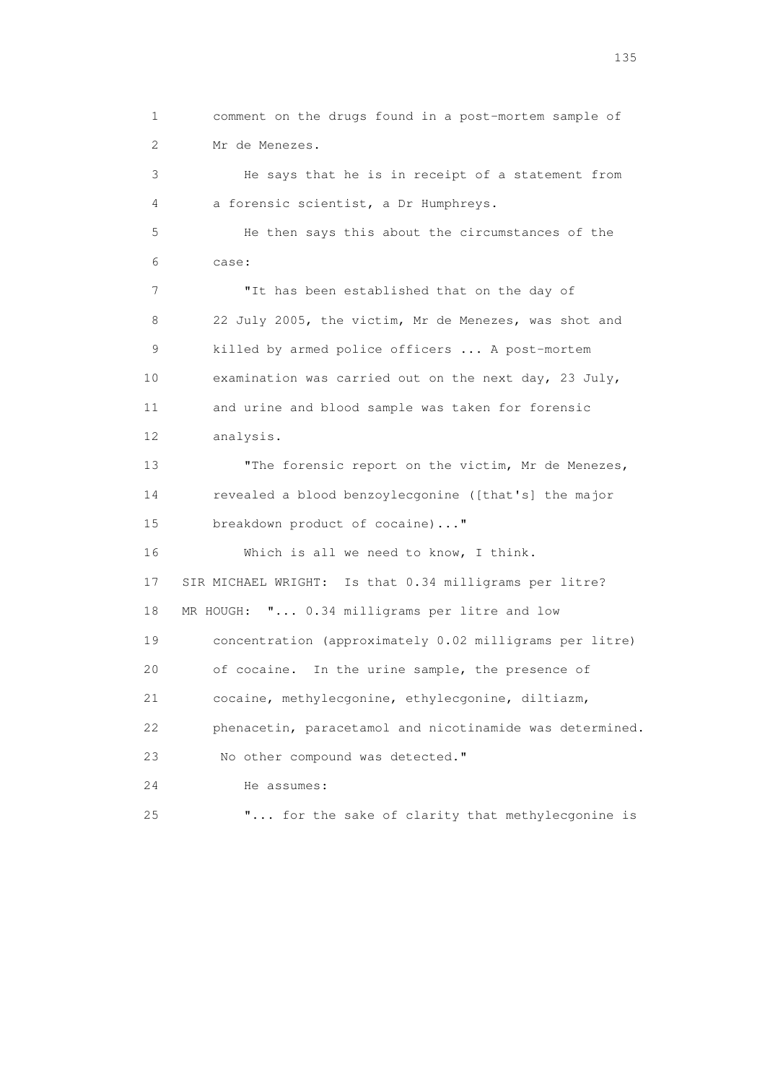1 comment on the drugs found in a post-mortem sample of 2 Mr de Menezes. 3 He says that he is in receipt of a statement from 4 a forensic scientist, a Dr Humphreys. 5 He then says this about the circumstances of the 6 case: 7 TI has been established that on the day of 8 22 July 2005, the victim, Mr de Menezes, was shot and 9 killed by armed police officers ... A post-mortem 10 examination was carried out on the next day, 23 July, 11 and urine and blood sample was taken for forensic 12 analysis. 13 The forensic report on the victim, Mr de Menezes, 14 revealed a blood benzoylecgonine ([that's] the major 15 breakdown product of cocaine)..." 16 Which is all we need to know, I think. 17 SIR MICHAEL WRIGHT: Is that 0.34 milligrams per litre? 18 MR HOUGH: "... 0.34 milligrams per litre and low 19 concentration (approximately 0.02 milligrams per litre) 20 of cocaine. In the urine sample, the presence of 21 cocaine, methylecgonine, ethylecgonine, diltiazm, 22 phenacetin, paracetamol and nicotinamide was determined. 23 No other compound was detected." 24 He assumes: 25 "... for the sake of clarity that methylecgonine is

n 135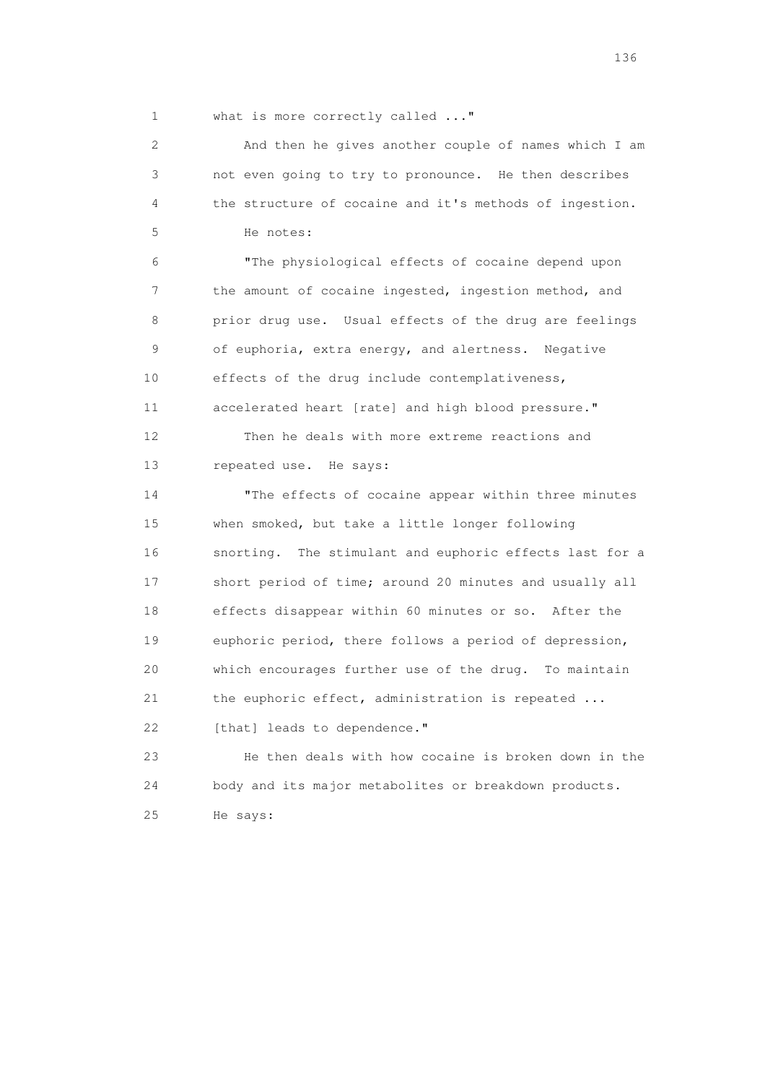1 what is more correctly called ..."

 2 And then he gives another couple of names which I am 3 not even going to try to pronounce. He then describes 4 the structure of cocaine and it's methods of ingestion. 5 He notes:

 6 "The physiological effects of cocaine depend upon 7 the amount of cocaine ingested, ingestion method, and 8 prior drug use. Usual effects of the drug are feelings 9 of euphoria, extra energy, and alertness. Negative 10 effects of the drug include contemplativeness, 11 accelerated heart [rate] and high blood pressure." 12 Then he deals with more extreme reactions and

13 repeated use. He says:

 14 "The effects of cocaine appear within three minutes 15 when smoked, but take a little longer following 16 snorting. The stimulant and euphoric effects last for a 17 short period of time; around 20 minutes and usually all 18 effects disappear within 60 minutes or so. After the 19 euphoric period, there follows a period of depression, 20 which encourages further use of the drug. To maintain 21 the euphoric effect, administration is repeated ... 22 [that] leads to dependence."

 23 He then deals with how cocaine is broken down in the 24 body and its major metabolites or breakdown products. 25 He says: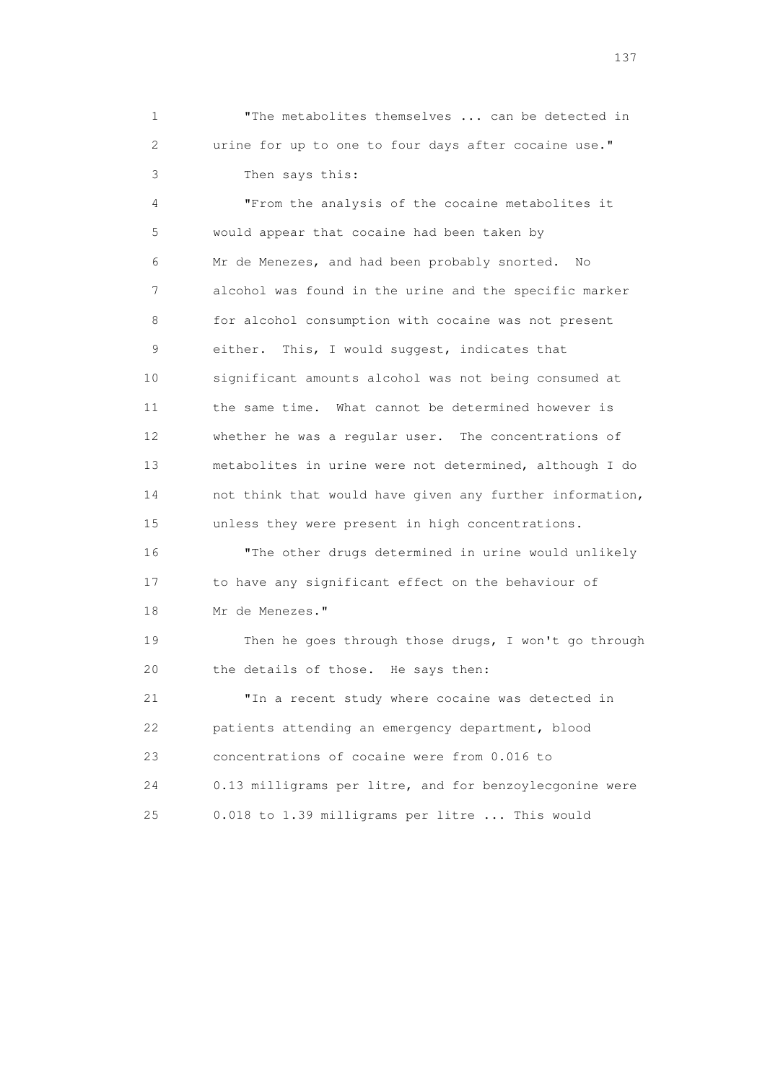1 "The metabolites themselves ... can be detected in 2 urine for up to one to four days after cocaine use." 3 Then says this:

 4 "From the analysis of the cocaine metabolites it 5 would appear that cocaine had been taken by 6 Mr de Menezes, and had been probably snorted. No 7 alcohol was found in the urine and the specific marker 8 for alcohol consumption with cocaine was not present 9 either. This, I would suggest, indicates that 10 significant amounts alcohol was not being consumed at 11 the same time. What cannot be determined however is 12 whether he was a regular user. The concentrations of 13 metabolites in urine were not determined, although I do 14 not think that would have given any further information, 15 unless they were present in high concentrations. 16 "The other drugs determined in urine would unlikely 17 to have any significant effect on the behaviour of 18 Mr de Menezes." 19 Then he goes through those drugs, I won't go through 20 the details of those. He says then: 21 "In a recent study where cocaine was detected in 22 patients attending an emergency department, blood 23 concentrations of cocaine were from 0.016 to

24 0.13 milligrams per litre, and for benzoylecgonine were

25 0.018 to 1.39 milligrams per litre ... This would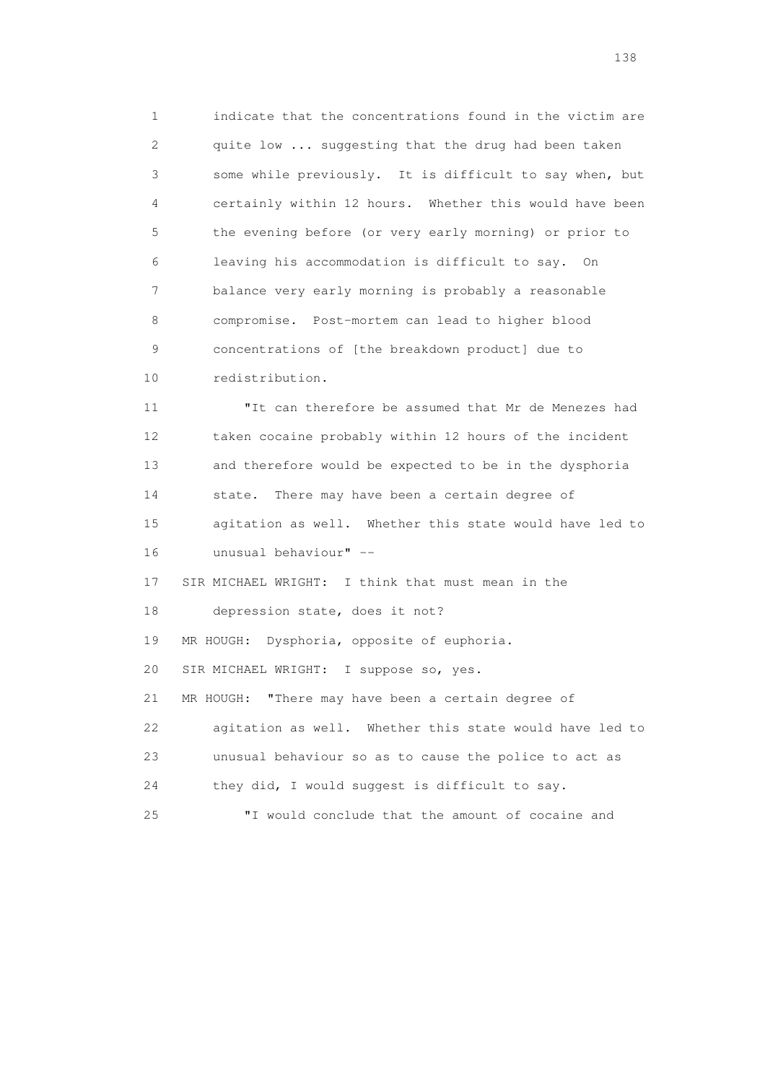1 indicate that the concentrations found in the victim are 2 quite low ... suggesting that the drug had been taken 3 some while previously. It is difficult to say when, but 4 certainly within 12 hours. Whether this would have been 5 the evening before (or very early morning) or prior to 6 leaving his accommodation is difficult to say. On 7 balance very early morning is probably a reasonable 8 compromise. Post-mortem can lead to higher blood 9 concentrations of [the breakdown product] due to 10 redistribution.

 11 "It can therefore be assumed that Mr de Menezes had 12 taken cocaine probably within 12 hours of the incident 13 and therefore would be expected to be in the dysphoria 14 state. There may have been a certain degree of 15 agitation as well. Whether this state would have led to 16 unusual behaviour" --

17 SIR MICHAEL WRIGHT: I think that must mean in the

18 depression state, does it not?

19 MR HOUGH: Dysphoria, opposite of euphoria.

20 SIR MICHAEL WRIGHT: I suppose so, yes.

 21 MR HOUGH: "There may have been a certain degree of 22 agitation as well. Whether this state would have led to

23 unusual behaviour so as to cause the police to act as

24 they did, I would suggest is difficult to say.

25 "I would conclude that the amount of cocaine and

138 and 138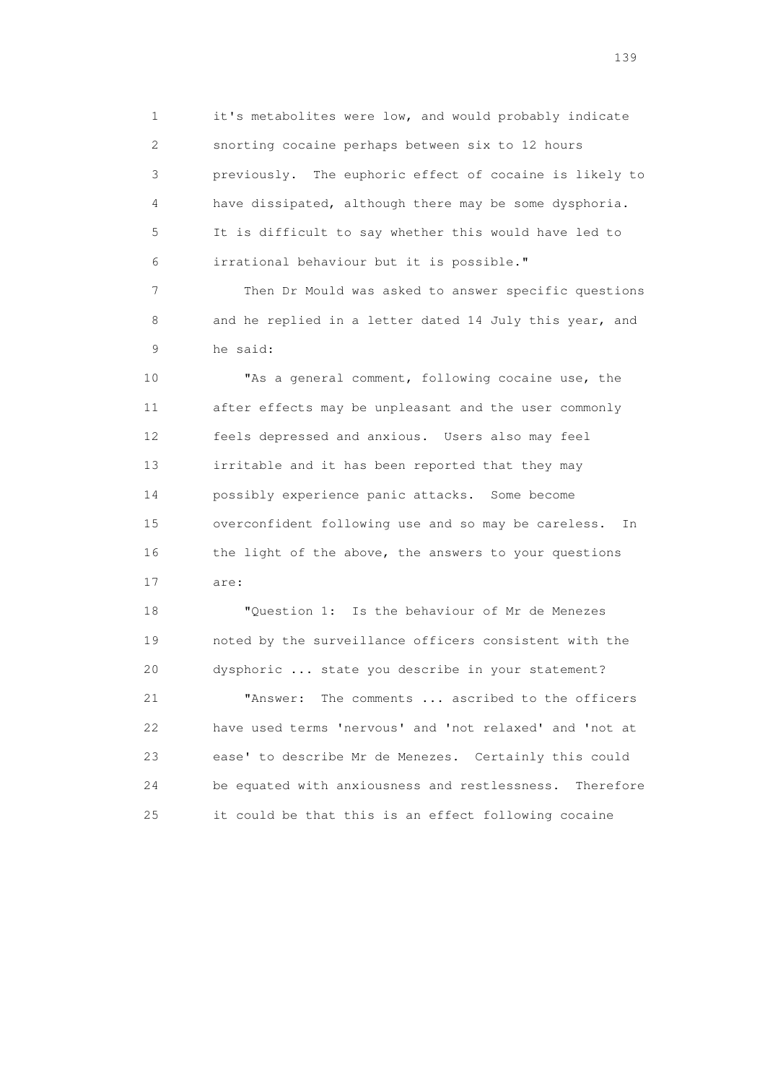1 it's metabolites were low, and would probably indicate 2 snorting cocaine perhaps between six to 12 hours 3 previously. The euphoric effect of cocaine is likely to 4 have dissipated, although there may be some dysphoria. 5 It is difficult to say whether this would have led to 6 irrational behaviour but it is possible."

 7 Then Dr Mould was asked to answer specific questions 8 and he replied in a letter dated 14 July this year, and 9 he said:

 10 "As a general comment, following cocaine use, the 11 after effects may be unpleasant and the user commonly 12 feels depressed and anxious. Users also may feel 13 irritable and it has been reported that they may 14 possibly experience panic attacks. Some become 15 overconfident following use and so may be careless. In 16 the light of the above, the answers to your questions 17 are:

 18 "Question 1: Is the behaviour of Mr de Menezes 19 noted by the surveillance officers consistent with the 20 dysphoric ... state you describe in your statement?

 21 "Answer: The comments ... ascribed to the officers 22 have used terms 'nervous' and 'not relaxed' and 'not at 23 ease' to describe Mr de Menezes. Certainly this could 24 be equated with anxiousness and restlessness. Therefore 25 it could be that this is an effect following cocaine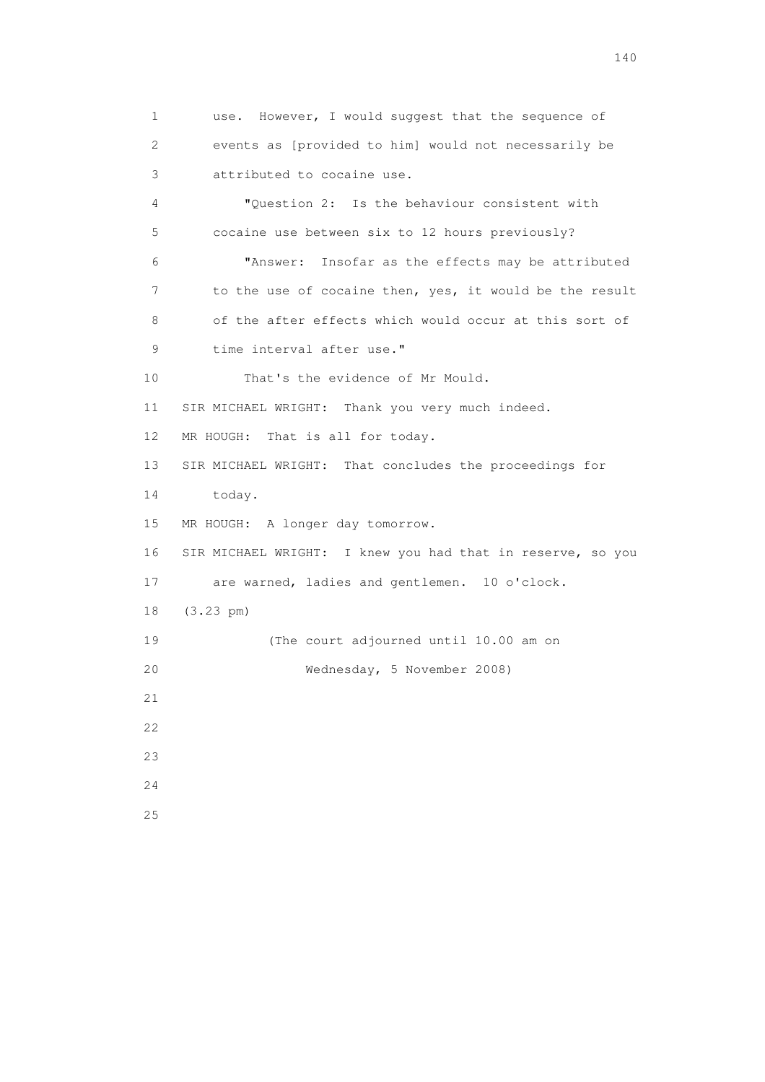1 use. However, I would suggest that the sequence of 2 events as [provided to him] would not necessarily be 3 attributed to cocaine use. 4 "Question 2: Is the behaviour consistent with 5 cocaine use between six to 12 hours previously? 6 "Answer: Insofar as the effects may be attributed 7 to the use of cocaine then, yes, it would be the result 8 of the after effects which would occur at this sort of 9 time interval after use." 10 That's the evidence of Mr Mould. 11 SIR MICHAEL WRIGHT: Thank you very much indeed. 12 MR HOUGH: That is all for today. 13 SIR MICHAEL WRIGHT: That concludes the proceedings for 14 today. 15 MR HOUGH: A longer day tomorrow. 16 SIR MICHAEL WRIGHT: I knew you had that in reserve, so you 17 are warned, ladies and gentlemen. 10 o'clock. 18 (3.23 pm) 19 (The court adjourned until 10.00 am on 20 Wednesday, 5 November 2008) 21  $22$  23 24 25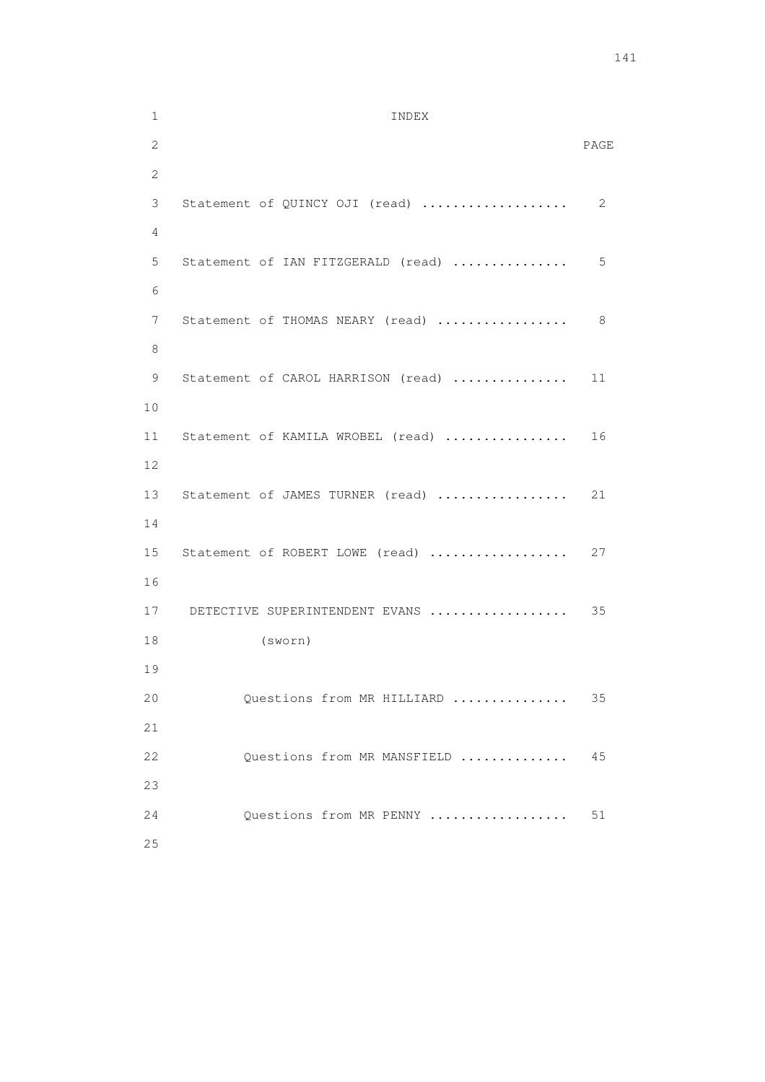1 INDEX 2 PAGE 2 3 Statement of QUINCY OJI (read) ................... 2 4 5 Statement of IAN FITZGERALD (read) ............... 5 6 7 Statement of THOMAS NEARY (read) .......................... 8 8 9 Statement of CAROL HARRISON (read) ................ 11 10 11 Statement of KAMILA WROBEL (read) ................. 16 12 13 Statement of JAMES TURNER (read) .................. 21 14 15 Statement of ROBERT LOWE (read) .................... 27 16 17 DETECTIVE SUPERINTENDENT EVANS .................. 35 18 (sworn) 19 20 Questions from MR HILLIARD ............... 35 21 22 Questions from MR MANSFIELD .............. 45 23 24 Questions from MR PENNY .................. 51 25